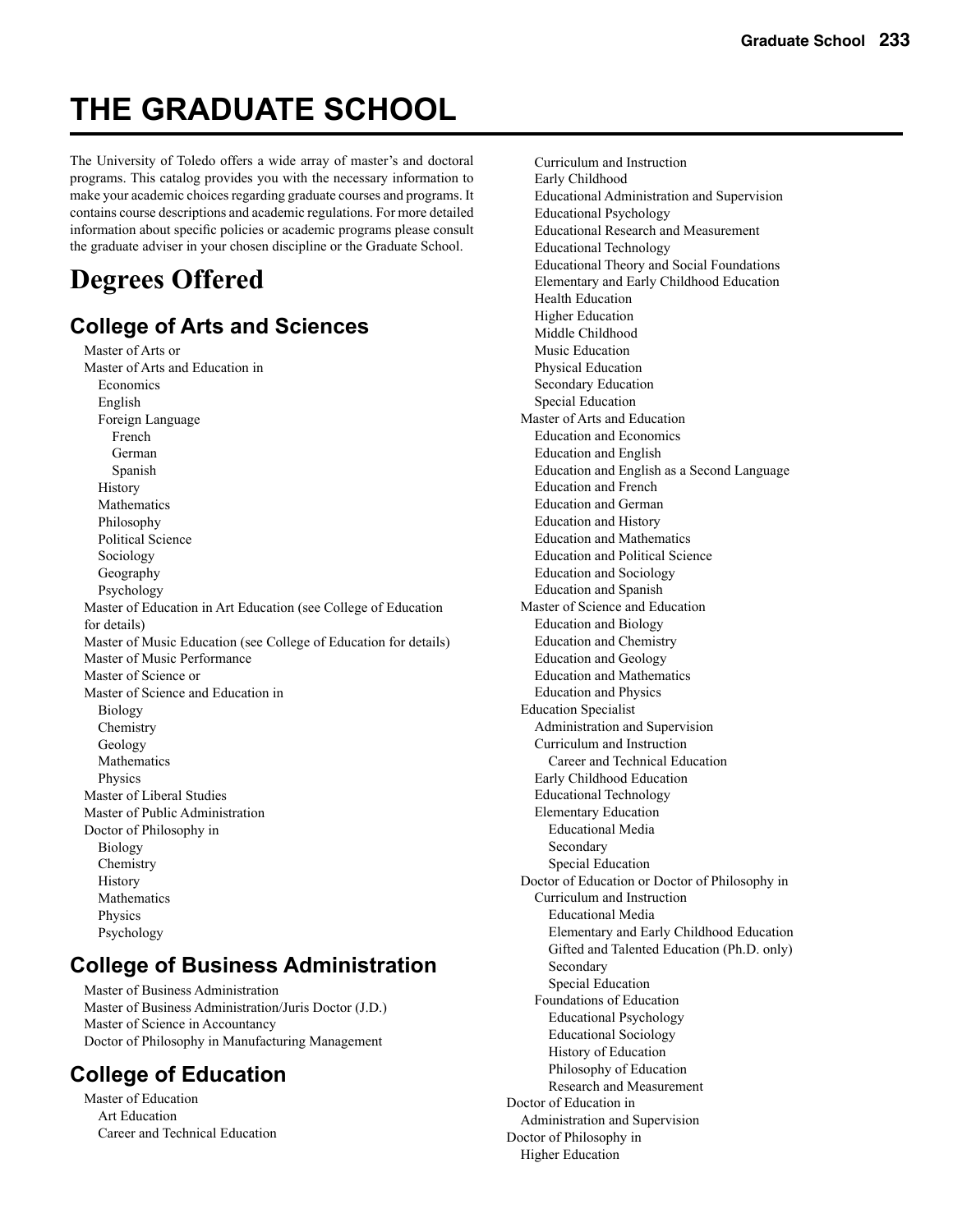# **THE GRADUATE SCHOOL**

The University of Toledo offers a wide array of master's and doctoral programs. This catalog provides you with the necessary information to make your academic choices regarding graduate courses and programs. It contains course descriptions and academic regulations. For more detailed information about specific policies or academic programs please consult the graduate adviser in your chosen discipline or the Graduate School.

# **Degrees Offered**

# **College of Arts and Sciences**

 Master of Arts or Master of Arts and Education in Economics English Foreign Language French German Spanish History Mathematics Philosophy Political Science Sociology Geography Psychology Master of Education in Art Education (see College of Education for details) Master of Music Education (see College of Education for details) Master of Music Performance Master of Science or Master of Science and Education in Biology Chemistry Geology Mathematics Physics Master of Liberal Studies Master of Public Administration Doctor of Philosophy in Biology Chemistry History Mathematics Physics

### **College of Business Administration**

 Master of Business Administration Master of Business Administration/Juris Doctor (J.D.) Master of Science in Accountancy Doctor of Philosophy in Manufacturing Management

# **College of Education**

Psychology

 Master of Education Art Education Career and Technical Education

 Curriculum and Instruction Early Childhood Educational Administration and Supervision Educational Psychology Educational Research and Measurement Educational Technology Educational Theory and Social Foundations Elementary and Early Childhood Education Health Education Higher Education Middle Childhood Music Education Physical Education Secondary Education Special Education Master of Arts and Education Education and Economics Education and English Education and English as a Second Language Education and French Education and German Education and History Education and Mathematics Education and Political Science Education and Sociology Education and Spanish Master of Science and Education Education and Biology Education and Chemistry Education and Geology Education and Mathematics Education and Physics Education Specialist Administration and Supervision Curriculum and Instruction Career and Technical Education Early Childhood Education Educational Technology Elementary Education Educational Media Secondary Special Education Doctor of Education or Doctor of Philosophy in Curriculum and Instruction Educational Media Elementary and Early Childhood Education Gifted and Talented Education (Ph.D. only) Secondary Special Education Foundations of Education Educational Psychology Educational Sociology History of Education Philosophy of Education Research and Measurement Doctor of Education in Administration and Supervision Doctor of Philosophy in Higher Education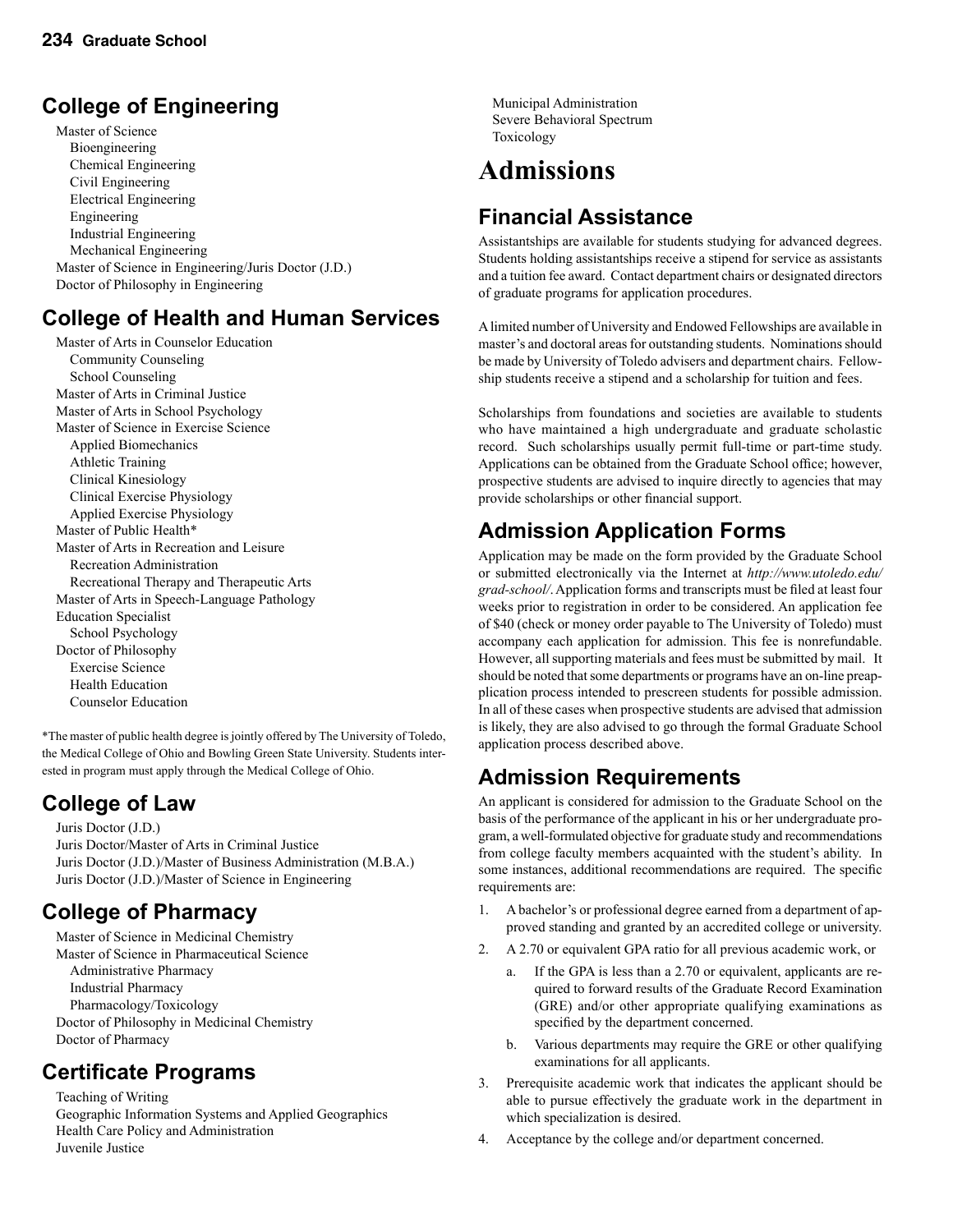# **College of Engineering**

 Master of Science Bioengineering Chemical Engineering Civil Engineering Electrical Engineering Engineering Industrial Engineering Mechanical Engineering Master of Science in Engineering/Juris Doctor (J.D.) Doctor of Philosophy in Engineering

# **College of Health and Human Services**

 Master of Arts in Counselor Education Community Counseling School Counseling Master of Arts in Criminal Justice Master of Arts in School Psychology Master of Science in Exercise Science Applied Biomechanics Athletic Training Clinical Kinesiology Clinical Exercise Physiology Applied Exercise Physiology Master of Public Health\* Master of Arts in Recreation and Leisure Recreation Administration Recreational Therapy and Therapeutic Arts Master of Arts in Speech-Language Pathology Education Specialist School Psychology Doctor of Philosophy Exercise Science Health Education Counselor Education

\*The master of public health degree is jointly offered by The University of Toledo, the Medical College of Ohio and Bowling Green State University. Students interested in program must apply through the Medical College of Ohio.

# **College of Law**

 Juris Doctor (J.D.) Juris Doctor/Master of Arts in Criminal Justice Juris Doctor (J.D.)/Master of Business Administration (M.B.A.) Juris Doctor (J.D.)/Master of Science in Engineering

# **College of Pharmacy**

 Master of Science in Medicinal Chemistry Master of Science in Pharmaceutical Science Administrative Pharmacy Industrial Pharmacy Pharmacology/Toxicology Doctor of Philosophy in Medicinal Chemistry Doctor of Pharmacy

# **Certificate Programs**

Teaching of Writing Geographic Information Systems and Applied Geographics Health Care Policy and Administration Juvenile Justice

 Municipal Administration Severe Behavioral Spectrum Toxicology

# **Admissions**

# **Financial Assistance**

Assistantships are available for students studying for advanced degrees. Students holding assistantships receive a stipend for service as assistants and a tuition fee award. Contact department chairs or designated directors of graduate programs for application procedures.

A limited number of University and Endowed Fellowships are available in master's and doctoral areas for outstanding students. Nominations should be made by University of Toledo advisers and department chairs. Fellowship students receive a stipend and a scholarship for tuition and fees.

Scholarships from foundations and societies are available to students who have maintained a high undergraduate and graduate scholastic record. Such scholarships usually permit full-time or part-time study. Applications can be obtained from the Graduate School office; however, prospective students are advised to inquire directly to agencies that may provide scholarships or other financial support.

# **Admission Application Forms**

Application may be made on the form provided by the Graduate School or submitted electronically via the Internet at *http://www.utoledo.edu/ grad-school/*. Application forms and transcripts must be filed at least four weeks prior to registration in order to be considered. An application fee of \$40 (check or money order payable to The University of Toledo) must accompany each application for admission. This fee is nonrefundable. However, all supporting materials and fees must be submitted by mail. It should be noted that some departments or programs have an on-line preapplication process intended to prescreen students for possible admission. In all of these cases when prospective students are advised that admission is likely, they are also advised to go through the formal Graduate School application process described above.

# **Admission Requirements**

An applicant is considered for admission to the Graduate School on the basis of the performance of the applicant in his or her undergraduate program, a well-formulated objective for graduate study and recommendations from college faculty members acquainted with the student's ability. In some instances, additional recommendations are required. The specific requirements are:

- 1. A bachelor's or professional degree earned from a department of approved standing and granted by an accredited college or university.
- 2. A 2.70 or equivalent GPA ratio for all previous academic work, or
	- If the GPA is less than a 2.70 or equivalent, applicants are required to forward results of the Graduate Record Examination (GRE) and/or other appropriate qualifying examinations as specified by the department concerned.
	- b. Various departments may require the GRE or other qualifying examinations for all applicants.
- 3. Prerequisite academic work that indicates the applicant should be able to pursue effectively the graduate work in the department in which specialization is desired.
- 4. Acceptance by the college and/or department concerned.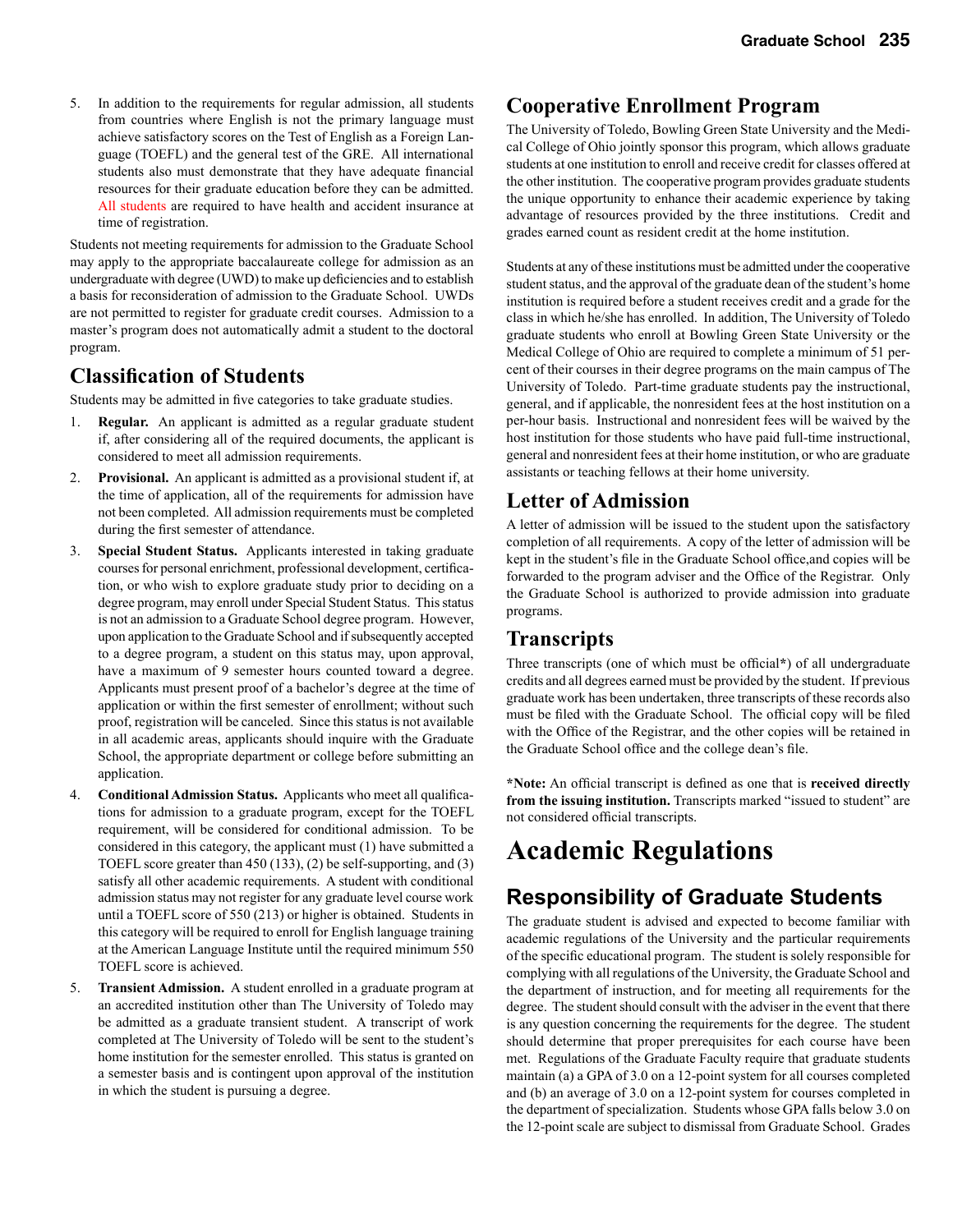5. In addition to the requirements for regular admission, all students from countries where English is not the primary language must achieve satisfactory scores on the Test of English as a Foreign Language (TOEFL) and the general test of the GRE. All international students also must demonstrate that they have adequate financial resources for their graduate education before they can be admitted. All students are required to have health and accident insurance at time of registration.

Students not meeting requirements for admission to the Graduate School may apply to the appropriate baccalaureate college for admission as an undergraduate with degree (UWD) to make up deficiencies and to establish a basis for reconsideration of admission to the Graduate School. UWDs are not permitted to register for graduate credit courses. Admission to a master's program does not automatically admit a student to the doctoral program.

### **Classification of Students**

Students may be admitted in five categories to take graduate studies.

- 1. **Regular.** An applicant is admitted as a regular graduate student if, after considering all of the required documents, the applicant is considered to meet all admission requirements.
- 2. **Provisional.** An applicant is admitted as a provisional student if, at the time of application, all of the requirements for admission have not been completed. All admission requirements must be completed during the first semester of attendance.
- 3. **Special Student Status.** Applicants interested in taking graduate courses for personal enrichment, professional development, certification, or who wish to explore graduate study prior to deciding on a degree program, may enroll under Special Student Status. This status is not an admission to a Graduate School degree program. However, upon application to the Graduate School and if subsequently accepted to a degree program, a student on this status may, upon approval, have a maximum of 9 semester hours counted toward a degree. Applicants must present proof of a bachelor's degree at the time of application or within the first semester of enrollment; without such proof, registration will be canceled. Since this status is not available in all academic areas, applicants should inquire with the Graduate School, the appropriate department or college before submitting an application.
- 4. **Conditional Admission Status.** Applicants who meet all qualifications for admission to a graduate program, except for the TOEFL requirement, will be considered for conditional admission. To be considered in this category, the applicant must (1) have submitted a TOEFL score greater than 450 (133), (2) be self-supporting, and (3) satisfy all other academic requirements. A student with conditional admission status may not register for any graduate level course work until a TOEFL score of 550 (213) or higher is obtained. Students in this category will be required to enroll for English language training at the American Language Institute until the required minimum 550 TOEFL score is achieved.
- 5. **Transient Admission.** A student enrolled in a graduate program at an accredited institution other than The University of Toledo may be admitted as a graduate transient student. A transcript of work completed at The University of Toledo will be sent to the student's home institution for the semester enrolled. This status is granted on a semester basis and is contingent upon approval of the institution in which the student is pursuing a degree.

### **Cooperative Enrollment Program**

The University of Toledo, Bowling Green State University and the Medical College of Ohio jointly sponsor this program, which allows graduate students at one institution to enroll and receive credit for classes offered at the other institution. The cooperative program provides graduate students the unique opportunity to enhance their academic experience by taking advantage of resources provided by the three institutions. Credit and grades earned count as resident credit at the home institution.

Students at any of these institutions must be admitted under the cooperative student status, and the approval of the graduate dean of the student's home institution is required before a student receives credit and a grade for the class in which he/she has enrolled. In addition, The University of Toledo graduate students who enroll at Bowling Green State University or the Medical College of Ohio are required to complete a minimum of 51 percent of their courses in their degree programs on the main campus of The University of Toledo. Part-time graduate students pay the instructional, general, and if applicable, the nonresident fees at the host institution on a per-hour basis. Instructional and nonresident fees will be waived by the host institution for those students who have paid full-time instructional, general and nonresident fees at their home institution, or who are graduate assistants or teaching fellows at their home university.

### **Letter of Admission**

A letter of admission will be issued to the student upon the satisfactory completion of all requirements. A copy of the letter of admission will be kept in the student's file in the Graduate School office,and copies will be forwarded to the program adviser and the Office of the Registrar. Only the Graduate School is authorized to provide admission into graduate programs.

### **Transcripts**

Three transcripts (one of which must be official**\***) of all undergraduate credits and all degrees earned must be provided by the student. If previous graduate work has been undertaken, three transcripts of these records also must be filed with the Graduate School. The official copy will be filed with the Office of the Registrar, and the other copies will be retained in the Graduate School office and the college dean's file.

**\*Note:** An official transcript is defined as one that is **received directly from the issuing institution.** Transcripts marked "issued to student" are not considered official transcripts.

# **Academic Regulations**

# **Responsibility of Graduate Students**

The graduate student is advised and expected to become familiar with academic regulations of the University and the particular requirements of the specific educational program. The student is solely responsible for complying with all regulations of the University, the Graduate School and the department of instruction, and for meeting all requirements for the degree. The student should consult with the adviser in the event that there is any question concerning the requirements for the degree. The student should determine that proper prerequisites for each course have been met. Regulations of the Graduate Faculty require that graduate students maintain (a) a GPA of 3.0 on a 12-point system for all courses completed and (b) an average of 3.0 on a 12-point system for courses completed in the department of specialization. Students whose GPA falls below 3.0 on the 12-point scale are subject to dismissal from Graduate School. Grades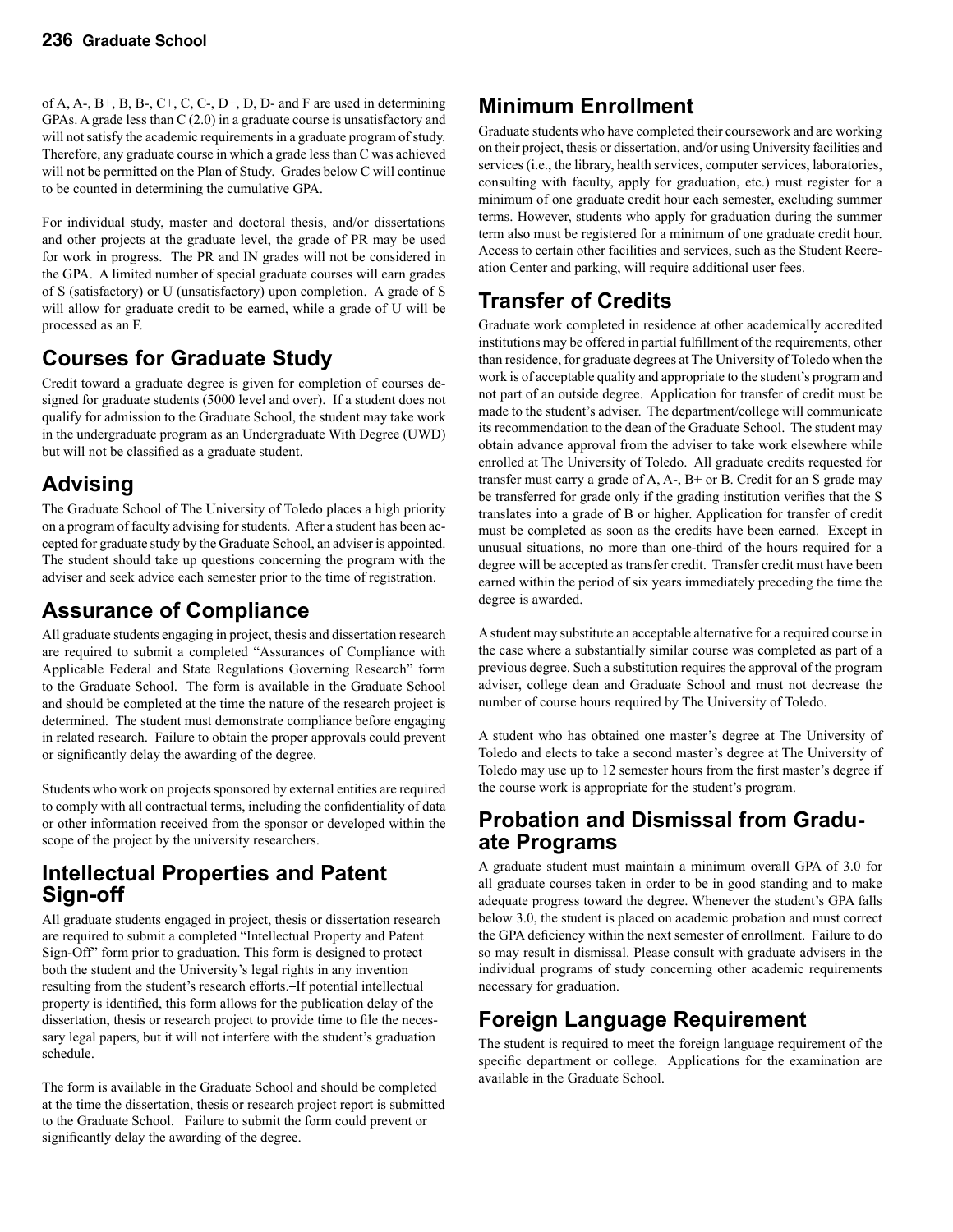of A, A-, B+, B, B-, C+, C, C-, D+, D, D- and F are used in determining GPAs. A grade less than C (2.0) in a graduate course is unsatisfactory and will not satisfy the academic requirements in a graduate program of study. Therefore, any graduate course in which a grade less than C was achieved will not be permitted on the Plan of Study. Grades below C will continue to be counted in determining the cumulative GPA.

For individual study, master and doctoral thesis, and/or dissertations and other projects at the graduate level, the grade of PR may be used for work in progress. The PR and IN grades will not be considered in the GPA. A limited number of special graduate courses will earn grades of S (satisfactory) or U (unsatisfactory) upon completion. A grade of S will allow for graduate credit to be earned, while a grade of U will be processed as an F.

# **Courses for Graduate Study**

Credit toward a graduate degree is given for completion of courses designed for graduate students (5000 level and over). If a student does not qualify for admission to the Graduate School, the student may take work in the undergraduate program as an Undergraduate With Degree (UWD) but will not be classified as a graduate student.

# **Advising**

The Graduate School of The University of Toledo places a high priority on a program of faculty advising for students. After a student has been accepted for graduate study by the Graduate School, an adviser is appointed. The student should take up questions concerning the program with the adviser and seek advice each semester prior to the time of registration.

# **Assurance of Compliance**

All graduate students engaging in project, thesis and dissertation research are required to submit a completed "Assurances of Compliance with Applicable Federal and State Regulations Governing Research" form to the Graduate School. The form is available in the Graduate School and should be completed at the time the nature of the research project is determined. The student must demonstrate compliance before engaging in related research. Failure to obtain the proper approvals could prevent or significantly delay the awarding of the degree.

Students who work on projects sponsored by external entities are required to comply with all contractual terms, including the confidentiality of data or other information received from the sponsor or developed within the scope of the project by the university researchers.

### **Intellectual Properties and Patent Sign-off**

All graduate students engaged in project, thesis or dissertation research are required to submit a completed "Intellectual Property and Patent Sign-Off" form prior to graduation. This form is designed to protect both the student and the University's legal rights in any invention resulting from the student's research efforts.-If potential intellectual property is identified, this form allows for the publication delay of the dissertation, thesis or research project to provide time to file the necessary legal papers, but it will not interfere with the student's graduation schedule.

The form is available in the Graduate School and should be completed at the time the dissertation, thesis or research project report is submitted to the Graduate School. Failure to submit the form could prevent or significantly delay the awarding of the degree.

# **Minimum Enrollment**

Graduate students who have completed their coursework and are working on their project, thesis or dissertation, and/or using University facilities and services (i.e., the library, health services, computer services, laboratories, consulting with faculty, apply for graduation, etc.) must register for a minimum of one graduate credit hour each semester, excluding summer terms. However, students who apply for graduation during the summer term also must be registered for a minimum of one graduate credit hour. Access to certain other facilities and services, such as the Student Recreation Center and parking, will require additional user fees.

# **Transfer of Credits**

Graduate work completed in residence at other academically accredited institutions may be offered in partial fulfillment of the requirements, other than residence, for graduate degrees at The University of Toledo when the work is of acceptable quality and appropriate to the student's program and not part of an outside degree. Application for transfer of credit must be made to the student's adviser. The department/college will communicate its recommendation to the dean of the Graduate School. The student may obtain advance approval from the adviser to take work elsewhere while enrolled at The University of Toledo. All graduate credits requested for transfer must carry a grade of A, A-, B+ or B. Credit for an S grade may be transferred for grade only if the grading institution verifies that the S translates into a grade of B or higher. Application for transfer of credit must be completed as soon as the credits have been earned. Except in unusual situations, no more than one-third of the hours required for a degree will be accepted as transfer credit. Transfer credit must have been earned within the period of six years immediately preceding the time the degree is awarded.

A student may substitute an acceptable alternative for a required course in the case where a substantially similar course was completed as part of a previous degree. Such a substitution requires the approval of the program adviser, college dean and Graduate School and must not decrease the number of course hours required by The University of Toledo.

A student who has obtained one master's degree at The University of Toledo and elects to take a second master's degree at The University of Toledo may use up to 12 semester hours from the first master's degree if the course work is appropriate for the student's program.

### **Probation and Dismissal from Graduate Programs**

A graduate student must maintain a minimum overall GPA of 3.0 for all graduate courses taken in order to be in good standing and to make adequate progress toward the degree. Whenever the student's GPA falls below 3.0, the student is placed on academic probation and must correct the GPA deficiency within the next semester of enrollment. Failure to do so may result in dismissal. Please consult with graduate advisers in the individual programs of study concerning other academic requirements necessary for graduation.

# **Foreign Language Requirement**

The student is required to meet the foreign language requirement of the specific department or college. Applications for the examination are available in the Graduate School.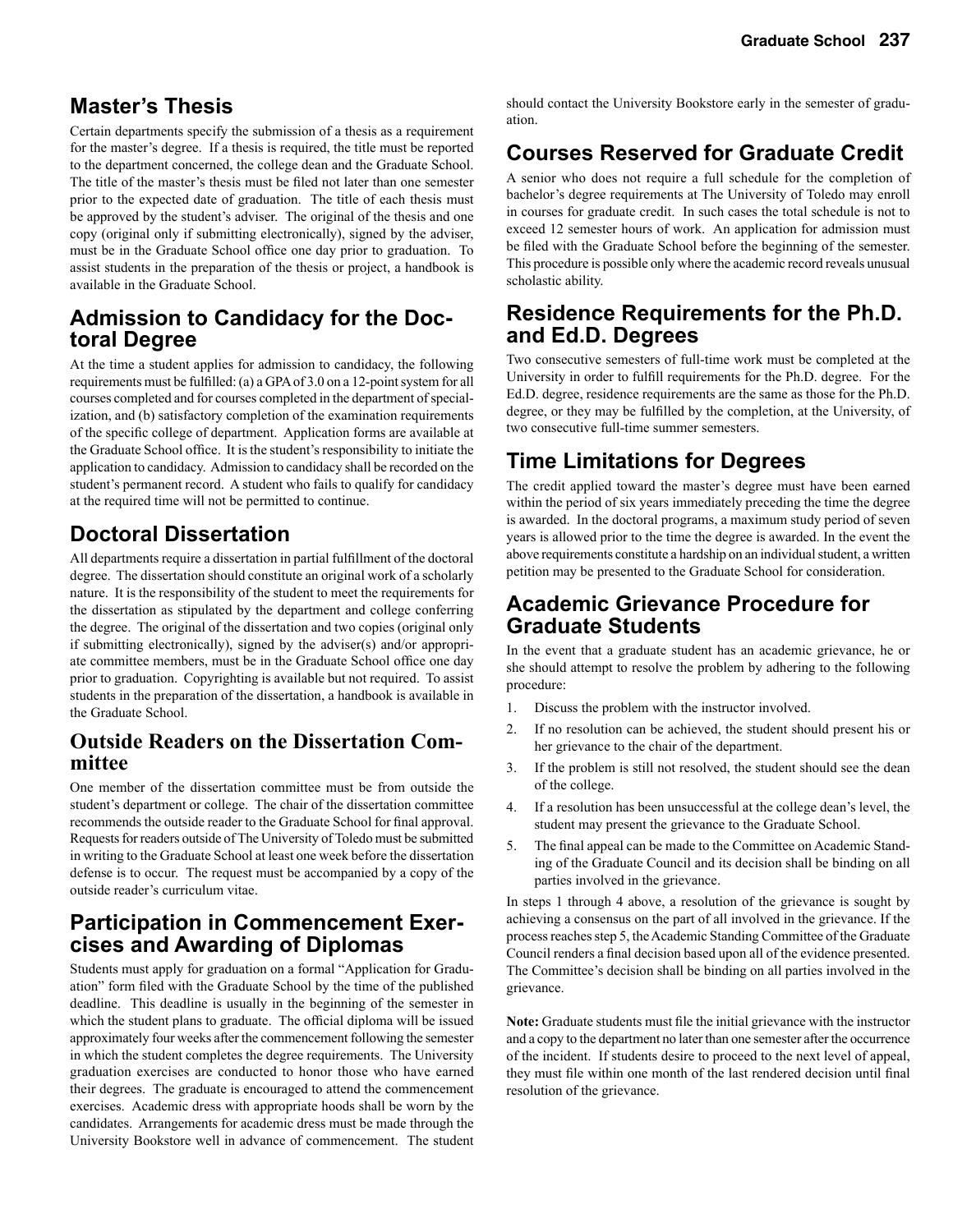### **Master's Thesis**

Certain departments specify the submission of a thesis as a requirement for the master's degree. If a thesis is required, the title must be reported to the department concerned, the college dean and the Graduate School. The title of the master's thesis must be filed not later than one semester prior to the expected date of graduation. The title of each thesis must be approved by the student's adviser. The original of the thesis and one copy (original only if submitting electronically), signed by the adviser, must be in the Graduate School office one day prior to graduation. To assist students in the preparation of the thesis or project, a handbook is available in the Graduate School.

### **Admission to Candidacy for the Doctoral Degree**

At the time a student applies for admission to candidacy, the following requirements must be fulfilled: (a) a GPA of 3.0 on a 12-point system for all courses completed and for courses completed in the department of specialization, and (b) satisfactory completion of the examination requirements of the specific college of department. Application forms are available at the Graduate School office. It is the student's responsibility to initiate the application to candidacy. Admission to candidacy shall be recorded on the student's permanent record. A student who fails to qualify for candidacy at the required time will not be permitted to continue.

### **Doctoral Dissertation**

All departments require a dissertation in partial fulfillment of the doctoral degree. The dissertation should constitute an original work of a scholarly nature. It is the responsibility of the student to meet the requirements for the dissertation as stipulated by the department and college conferring the degree. The original of the dissertation and two copies (original only if submitting electronically), signed by the adviser(s) and/or appropriate committee members, must be in the Graduate School office one day prior to graduation. Copyrighting is available but not required. To assist students in the preparation of the dissertation, a handbook is available in the Graduate School.

### **Outside Readers on the Dissertation Committee**

One member of the dissertation committee must be from outside the student's department or college. The chair of the dissertation committee recommends the outside reader to the Graduate School for final approval. Requests for readers outside of The University of Toledo must be submitted in writing to the Graduate School at least one week before the dissertation defense is to occur. The request must be accompanied by a copy of the outside reader's curriculum vitae.

# **Participation in Commencement Exer- cises and Awarding of Diplomas**

Students must apply for graduation on a formal "Application for Graduation" form filed with the Graduate School by the time of the published deadline. This deadline is usually in the beginning of the semester in which the student plans to graduate. The official diploma will be issued approximately four weeks after the commencement following the semester in which the student completes the degree requirements. The University graduation exercises are conducted to honor those who have earned their degrees. The graduate is encouraged to attend the commencement exercises. Academic dress with appropriate hoods shall be worn by the candidates. Arrangements for academic dress must be made through the University Bookstore well in advance of commencement. The student

should contact the University Bookstore early in the semester of graduation.

## **Courses Reserved for Graduate Credit**

A senior who does not require a full schedule for the completion of bachelor's degree requirements at The University of Toledo may enroll in courses for graduate credit. In such cases the total schedule is not to exceed 12 semester hours of work. An application for admission must be filed with the Graduate School before the beginning of the semester. This procedure is possible only where the academic record reveals unusual scholastic ability.

### **Residence Requirements for the Ph.D. and Ed.D. Degrees**

Two consecutive semesters of full-time work must be completed at the University in order to fulfill requirements for the Ph.D. degree. For the Ed.D. degree, residence requirements are the same as those for the Ph.D. degree, or they may be fulfilled by the completion, at the University, of two consecutive full-time summer semesters.

## **Time Limitations for Degrees**

The credit applied toward the master's degree must have been earned within the period of six years immediately preceding the time the degree is awarded. In the doctoral programs, a maximum study period of seven years is allowed prior to the time the degree is awarded. In the event the above requirements constitute a hardship on an individual student, a written petition may be presented to the Graduate School for consideration.

### **Academic Grievance Procedure for Graduate Students**

In the event that a graduate student has an academic grievance, he or she should attempt to resolve the problem by adhering to the following procedure:

- 1. Discuss the problem with the instructor involved.
- 2. If no resolution can be achieved, the student should present his or her grievance to the chair of the department.
- 3. If the problem is still not resolved, the student should see the dean of the college.
- 4. If a resolution has been unsuccessful at the college dean's level, the student may present the grievance to the Graduate School.
- 5. The final appeal can be made to the Committee on Academic Standing of the Graduate Council and its decision shall be binding on all parties involved in the grievance.

In steps 1 through 4 above, a resolution of the grievance is sought by achieving a consensus on the part of all involved in the grievance. If the process reaches step 5, the Academic Standing Committee of the Graduate Council renders a final decision based upon all of the evidence presented. The Committee's decision shall be binding on all parties involved in the grievance.

**Note:** Graduate students must file the initial grievance with the instructor and a copy to the department no later than one semester after the occurrence of the incident. If students desire to proceed to the next level of appeal, they must file within one month of the last rendered decision until final resolution of the grievance.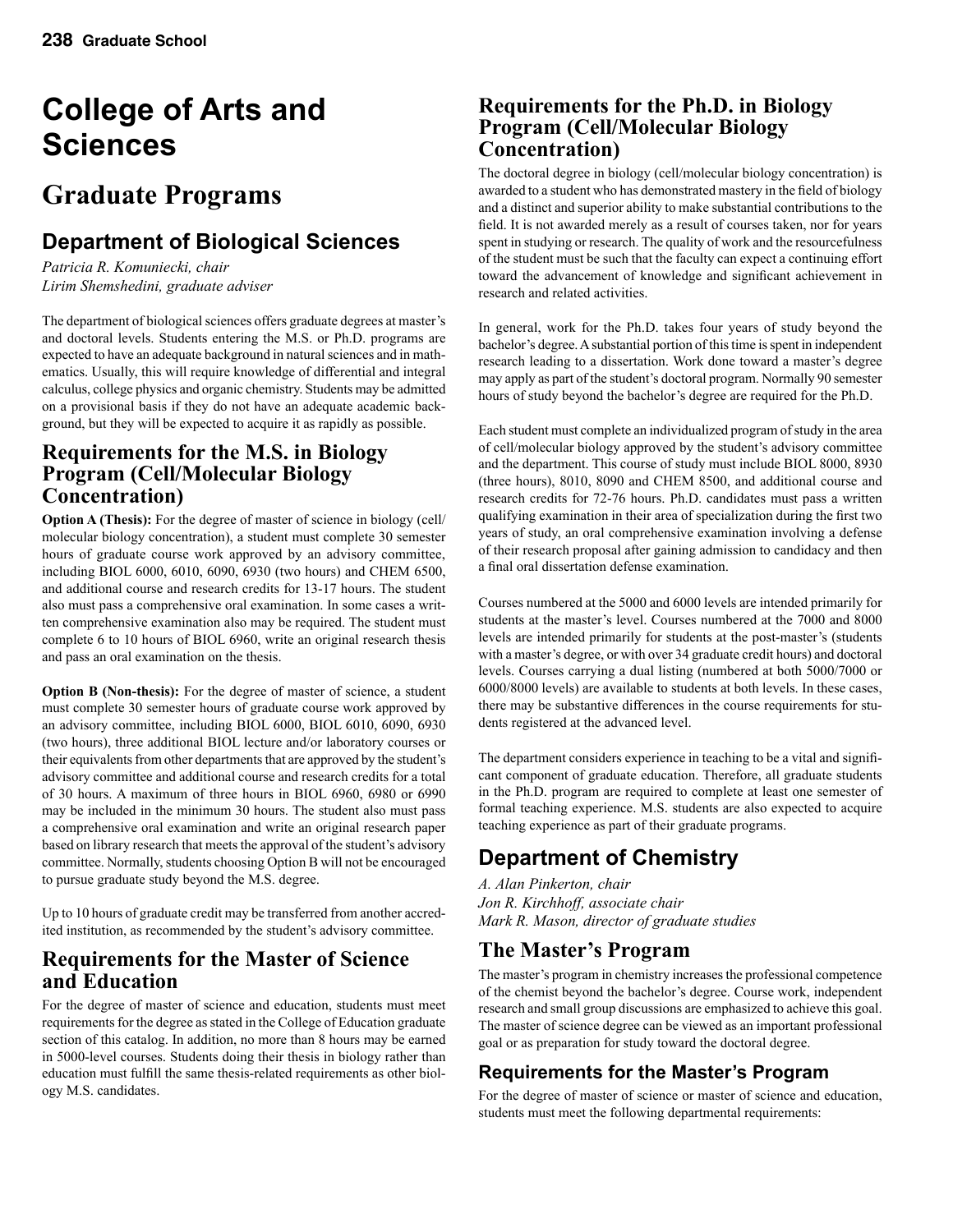# **College of Arts and Sciences**

# **Graduate Programs**

# **Department of Biological Sciences**

*Patricia R. Komuniecki, chair Lirim Shemshedini, graduate adviser*

The department of biological sciences offers graduate degrees at master's and doctoral levels. Students entering the M.S. or Ph.D. programs are expected to have an adequate background in natural sciences and in mathematics. Usually, this will require knowledge of differential and integral calculus, college physics and organic chemistry. Students may be admitted on a provisional basis if they do not have an adequate academic background, but they will be expected to acquire it as rapidly as possible.

### **Requirements for the M.S. in Biology Program (Cell/Molecular Biology Concentration)**

**Option A (Thesis):** For the degree of master of science in biology (cell/ molecular biology concentration), a student must complete 30 semester hours of graduate course work approved by an advisory committee, including BIOL 6000, 6010, 6090, 6930 (two hours) and CHEM 6500, and additional course and research credits for 13-17 hours. The student also must pass a comprehensive oral examination. In some cases a written comprehensive examination also may be required. The student must complete 6 to 10 hours of BIOL 6960, write an original research thesis and pass an oral examination on the thesis.

**Option B (Non-thesis):** For the degree of master of science, a student must complete 30 semester hours of graduate course work approved by an advisory committee, including BIOL 6000, BIOL 6010, 6090, 6930 (two hours), three additional BIOL lecture and/or laboratory courses or their equivalents from other departments that are approved by the student's advisory committee and additional course and research credits for a total of 30 hours. A maximum of three hours in BIOL 6960, 6980 or 6990 may be included in the minimum 30 hours. The student also must pass a comprehensive oral examination and write an original research paper based on library research that meets the approval of the student's advisory committee. Normally, students choosing Option B will not be encouraged to pursue graduate study beyond the M.S. degree.

Up to 10 hours of graduate credit may be transferred from another accredited institution, as recommended by the student's advisory committee.

### **Requirements for the Master of Science and Education**

For the degree of master of science and education, students must meet requirements for the degree as stated in the College of Education graduate section of this catalog. In addition, no more than 8 hours may be earned in 5000-level courses. Students doing their thesis in biology rather than education must fulfill the same thesis-related requirements as other biology M.S. candidates.

### **Requirements for the Ph.D. in Biology Program (Cell/Molecular Biology Concentration)**

The doctoral degree in biology (cell/molecular biology concentration) is awarded to a student who has demonstrated mastery in the field of biology and a distinct and superior ability to make substantial contributions to the field. It is not awarded merely as a result of courses taken, nor for years spent in studying or research. The quality of work and the resourcefulness of the student must be such that the faculty can expect a continuing effort toward the advancement of knowledge and significant achievement in research and related activities.

In general, work for the Ph.D. takes four years of study beyond the bachelor's degree. A substantial portion of this time is spent in independent research leading to a dissertation. Work done toward a master's degree may apply as part of the student's doctoral program. Normally 90 semester hours of study beyond the bachelor's degree are required for the Ph.D.

Each student must complete an individualized program of study in the area of cell/molecular biology approved by the student's advisory committee and the department. This course of study must include BIOL 8000, 8930 (three hours), 8010, 8090 and CHEM 8500, and additional course and research credits for 72-76 hours. Ph.D. candidates must pass a written qualifying examination in their area of specialization during the first two years of study, an oral comprehensive examination involving a defense of their research proposal after gaining admission to candidacy and then a final oral dissertation defense examination.

Courses numbered at the 5000 and 6000 levels are intended primarily for students at the master's level. Courses numbered at the 7000 and 8000 levels are intended primarily for students at the post-master's (students with a master's degree, or with over 34 graduate credit hours) and doctoral levels. Courses carrying a dual listing (numbered at both 5000/7000 or 6000/8000 levels) are available to students at both levels. In these cases, there may be substantive differences in the course requirements for students registered at the advanced level.

The department considers experience in teaching to be a vital and significant component of graduate education. Therefore, all graduate students in the Ph.D. program are required to complete at least one semester of formal teaching experience. M.S. students are also expected to acquire teaching experience as part of their graduate programs.

# **Department of Chemistry**

*A. Alan Pinkerton, chair Jon R. Kirchhoff, associate chair Mark R. Mason, director of graduate studies*

### **The Master's Program**

The master's program in chemistry increases the professional competence of the chemist beyond the bachelor's degree. Course work, independent research and small group discussions are emphasized to achieve this goal. The master of science degree can be viewed as an important professional goal or as preparation for study toward the doctoral degree.

### **Requirements for the Master's Program**

For the degree of master of science or master of science and education, students must meet the following departmental requirements: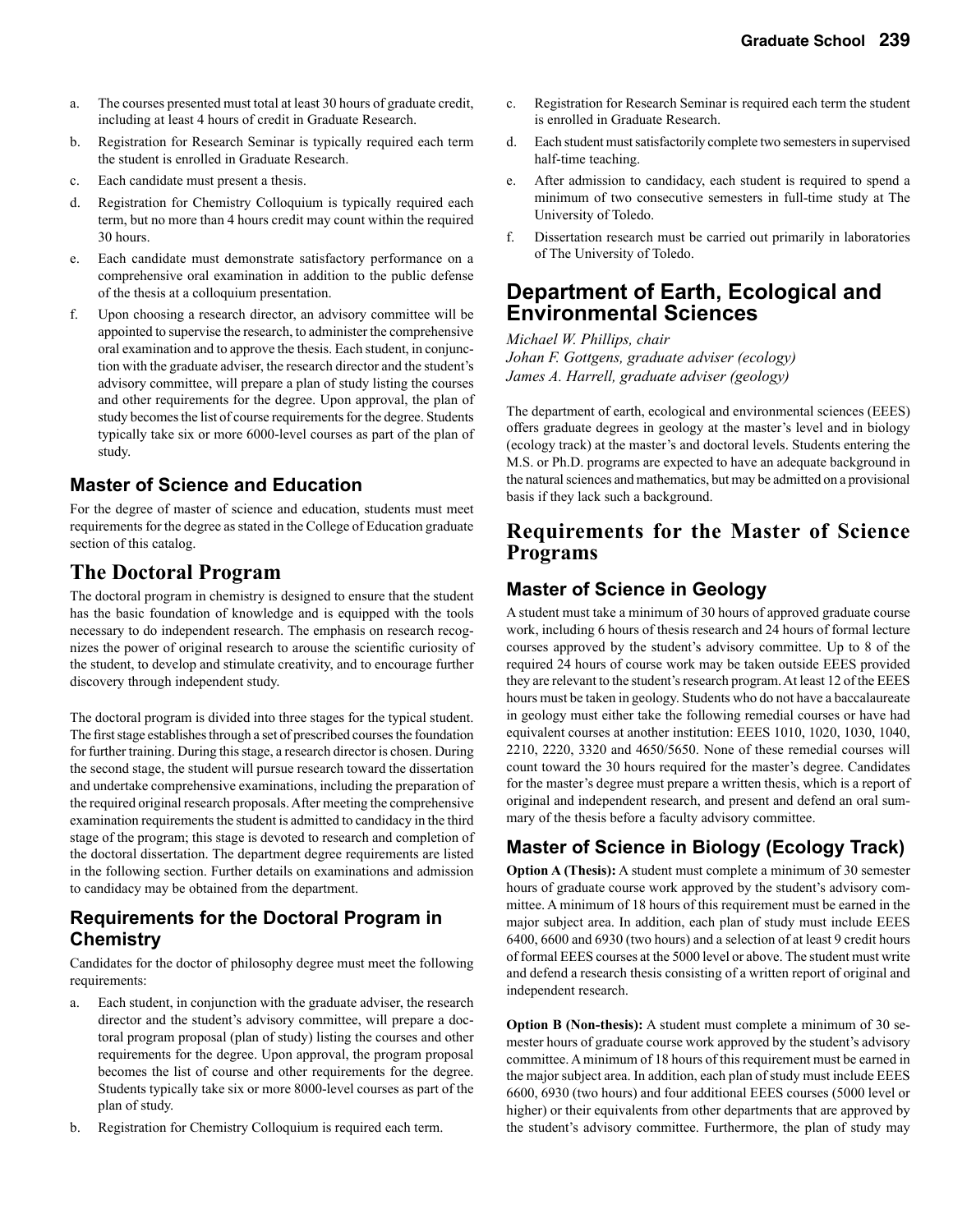- a. The courses presented must total at least 30 hours of graduate credit, including at least 4 hours of credit in Graduate Research.
- b. Registration for Research Seminar is typically required each term the student is enrolled in Graduate Research.
- c. Each candidate must present a thesis.
- d. Registration for Chemistry Colloquium is typically required each term, but no more than 4 hours credit may count within the required 30 hours.
- e. Each candidate must demonstrate satisfactory performance on a comprehensive oral examination in addition to the public defense of the thesis at a colloquium presentation.
- f. Upon choosing a research director, an advisory committee will be appointed to supervise the research, to administer the comprehensive oral examination and to approve the thesis. Each student, in conjunction with the graduate adviser, the research director and the student's advisory committee, will prepare a plan of study listing the courses and other requirements for the degree. Upon approval, the plan of study becomes the list of course requirements for the degree. Students typically take six or more 6000-level courses as part of the plan of study.

### **Master of Science and Education**

For the degree of master of science and education, students must meet requirements for the degree as stated in the College of Education graduate section of this catalog.

### **The Doctoral Program**

The doctoral program in chemistry is designed to ensure that the student has the basic foundation of knowledge and is equipped with the tools necessary to do independent research. The emphasis on research recognizes the power of original research to arouse the scientific curiosity of the student, to develop and stimulate creativity, and to encourage further discovery through independent study.

The doctoral program is divided into three stages for the typical student. The first stage establishes through a set of prescribed courses the foundation for further training. During this stage, a research director is chosen. During the second stage, the student will pursue research toward the dissertation and undertake comprehensive examinations, including the preparation of the required original research proposals. After meeting the comprehensive examination requirements the student is admitted to candidacy in the third stage of the program; this stage is devoted to research and completion of the doctoral dissertation. The department degree requirements are listed in the following section. Further details on examinations and admission to candidacy may be obtained from the department.

### **Requirements for the Doctoral Program in Chemistry**

Candidates for the doctor of philosophy degree must meet the following requirements:

- a. Each student, in conjunction with the graduate adviser, the research director and the student's advisory committee, will prepare a doctoral program proposal (plan of study) listing the courses and other requirements for the degree. Upon approval, the program proposal becomes the list of course and other requirements for the degree. Students typically take six or more 8000-level courses as part of the plan of study.
- b. Registration for Chemistry Colloquium is required each term.
- c. Registration for Research Seminar is required each term the student is enrolled in Graduate Research.
- d. Each student must satisfactorily complete two semesters in supervised half-time teaching.
- e. After admission to candidacy, each student is required to spend a minimum of two consecutive semesters in full-time study at The University of Toledo.
- f. Dissertation research must be carried out primarily in laboratories of The University of Toledo.

### **Department of Earth, Ecological and Environmental Sciences**

*Michael W. Phillips, chair Johan F. Gottgens, graduate adviser (ecology) James A. Harrell, graduate adviser (geology)*

The department of earth, ecological and environmental sciences (EEES) offers graduate degrees in geology at the master's level and in biology (ecology track) at the master's and doctoral levels. Students entering the M.S. or Ph.D. programs are expected to have an adequate background in the natural sciences and mathematics, but may be admitted on a provisional basis if they lack such a background.

### **Requirements for the Master of Science Programs**

### **Master of Science in Geology**

A student must take a minimum of 30 hours of approved graduate course work, including 6 hours of thesis research and 24 hours of formal lecture courses approved by the student's advisory committee. Up to 8 of the required 24 hours of course work may be taken outside EEES provided they are relevant to the student's research program. At least 12 of the EEES hours must be taken in geology. Students who do not have a baccalaureate in geology must either take the following remedial courses or have had equivalent courses at another institution: EEES 1010, 1020, 1030, 1040, 2210, 2220, 3320 and 4650/5650. None of these remedial courses will count toward the 30 hours required for the master's degree. Candidates for the master's degree must prepare a written thesis, which is a report of original and independent research, and present and defend an oral summary of the thesis before a faculty advisory committee.

### **Master of Science in Biology (Ecology Track)**

**Option A (Thesis):** A student must complete a minimum of 30 semester hours of graduate course work approved by the student's advisory committee. A minimum of 18 hours of this requirement must be earned in the major subject area. In addition, each plan of study must include EEES 6400, 6600 and 6930 (two hours) and a selection of at least 9 credit hours of formal EEES courses at the 5000 level or above. The student must write and defend a research thesis consisting of a written report of original and independent research.

**Option B (Non-thesis):** A student must complete a minimum of 30 semester hours of graduate course work approved by the student's advisory committee. A minimum of 18 hours of this requirement must be earned in the major subject area. In addition, each plan of study must include EEES 6600, 6930 (two hours) and four additional EEES courses (5000 level or higher) or their equivalents from other departments that are approved by the student's advisory committee. Furthermore, the plan of study may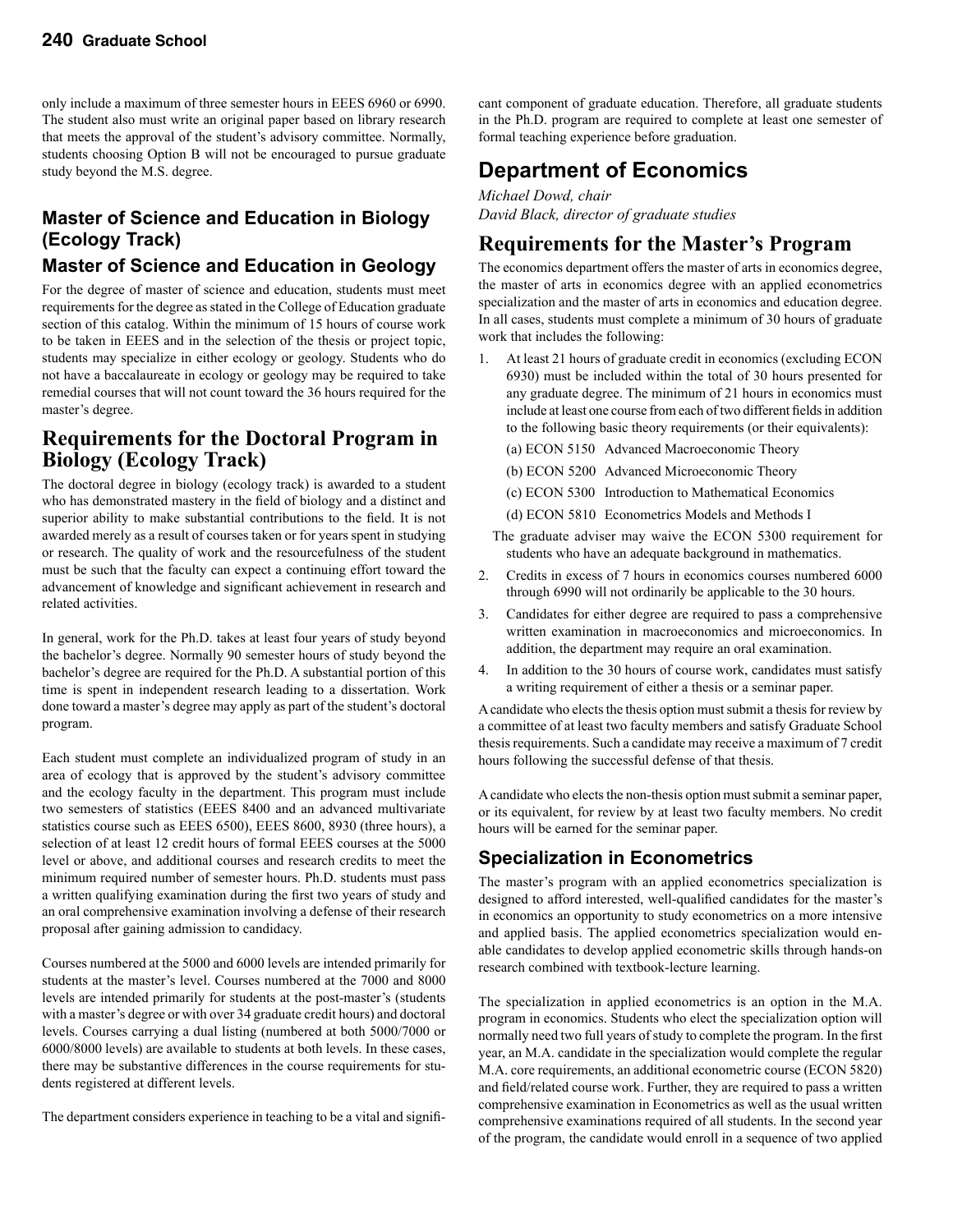only include a maximum of three semester hours in EEES 6960 or 6990. The student also must write an original paper based on library research that meets the approval of the student's advisory committee. Normally, students choosing Option B will not be encouraged to pursue graduate study beyond the M.S. degree.

### **Master of Science and Education in Biology (Ecology Track)**

### **Master of Science and Education in Geology**

For the degree of master of science and education, students must meet requirements for the degree as stated in the College of Education graduate section of this catalog. Within the minimum of 15 hours of course work to be taken in EEES and in the selection of the thesis or project topic, students may specialize in either ecology or geology. Students who do not have a baccalaureate in ecology or geology may be required to take remedial courses that will not count toward the 36 hours required for the master's degree.

### **Requirements for the Doctoral Program in Biology (Ecology Track)**

The doctoral degree in biology (ecology track) is awarded to a student who has demonstrated mastery in the field of biology and a distinct and superior ability to make substantial contributions to the field. It is not awarded merely as a result of courses taken or for years spent in studying or research. The quality of work and the resourcefulness of the student must be such that the faculty can expect a continuing effort toward the advancement of knowledge and significant achievement in research and related activities.

In general, work for the Ph.D. takes at least four years of study beyond the bachelor's degree. Normally 90 semester hours of study beyond the bachelor's degree are required for the Ph.D. A substantial portion of this time is spent in independent research leading to a dissertation. Work done toward a master's degree may apply as part of the student's doctoral program.

Each student must complete an individualized program of study in an area of ecology that is approved by the student's advisory committee and the ecology faculty in the department. This program must include two semesters of statistics (EEES 8400 and an advanced multivariate statistics course such as EEES 6500), EEES 8600, 8930 (three hours), a selection of at least 12 credit hours of formal EEES courses at the 5000 level or above, and additional courses and research credits to meet the minimum required number of semester hours. Ph.D. students must pass a written qualifying examination during the first two years of study and an oral comprehensive examination involving a defense of their research proposal after gaining admission to candidacy.

Courses numbered at the 5000 and 6000 levels are intended primarily for students at the master's level. Courses numbered at the 7000 and 8000 levels are intended primarily for students at the post-master's (students with a master's degree or with over 34 graduate credit hours) and doctoral levels. Courses carrying a dual listing (numbered at both 5000/7000 or 6000/8000 levels) are available to students at both levels. In these cases, there may be substantive differences in the course requirements for students registered at different levels.

The department considers experience in teaching to be a vital and signifi-

cant component of graduate education. Therefore, all graduate students in the Ph.D. program are required to complete at least one semester of formal teaching experience before graduation.

### **Department of Economics**

*Michael Dowd, chair David Black, director of graduate studies*

### **Requirements for the Master's Program**

The economics department offers the master of arts in economics degree, the master of arts in economics degree with an applied econometrics specialization and the master of arts in economics and education degree. In all cases, students must complete a minimum of 30 hours of graduate work that includes the following:

- 1. At least 21 hours of graduate credit in economics (excluding ECON 6930) must be included within the total of 30 hours presented for any graduate degree. The minimum of 21 hours in economics must include at least one course from each of two different fields in addition to the following basic theory requirements (or their equivalents):
	- (a) ECON 5150 Advanced Macroeconomic Theory
	- (b) ECON 5200 Advanced Microeconomic Theory
	- (c) ECON 5300 Introduction to Mathematical Economics
	- (d) ECON 5810 Econometrics Models and Methods I
- The graduate adviser may waive the ECON 5300 requirement for students who have an adequate background in mathematics.
- 2. Credits in excess of 7 hours in economics courses numbered 6000 through 6990 will not ordinarily be applicable to the 30 hours.
- 3. Candidates for either degree are required to pass a comprehensive written examination in macroeconomics and microeconomics. In addition, the department may require an oral examination.
- 4. In addition to the 30 hours of course work, candidates must satisfy a writing requirement of either a thesis or a seminar paper.

A candidate who elects the thesis option must submit a thesis for review by a committee of at least two faculty members and satisfy Graduate School thesis requirements. Such a candidate may receive a maximum of 7 credit hours following the successful defense of that thesis.

A candidate who elects the non-thesis option must submit a seminar paper, or its equivalent, for review by at least two faculty members. No credit hours will be earned for the seminar paper.

### **Specialization in Econometrics**

The master's program with an applied econometrics specialization is designed to afford interested, well-qualified candidates for the master's in economics an opportunity to study econometrics on a more intensive and applied basis. The applied econometrics specialization would enable candidates to develop applied econometric skills through hands-on research combined with textbook-lecture learning.

The specialization in applied econometrics is an option in the M.A. program in economics. Students who elect the specialization option will normally need two full years of study to complete the program. In the first year, an M.A. candidate in the specialization would complete the regular M.A. core requirements, an additional econometric course (ECON 5820) and field/related course work. Further, they are required to pass a written comprehensive examination in Econometrics as well as the usual written comprehensive examinations required of all students. In the second year of the program, the candidate would enroll in a sequence of two applied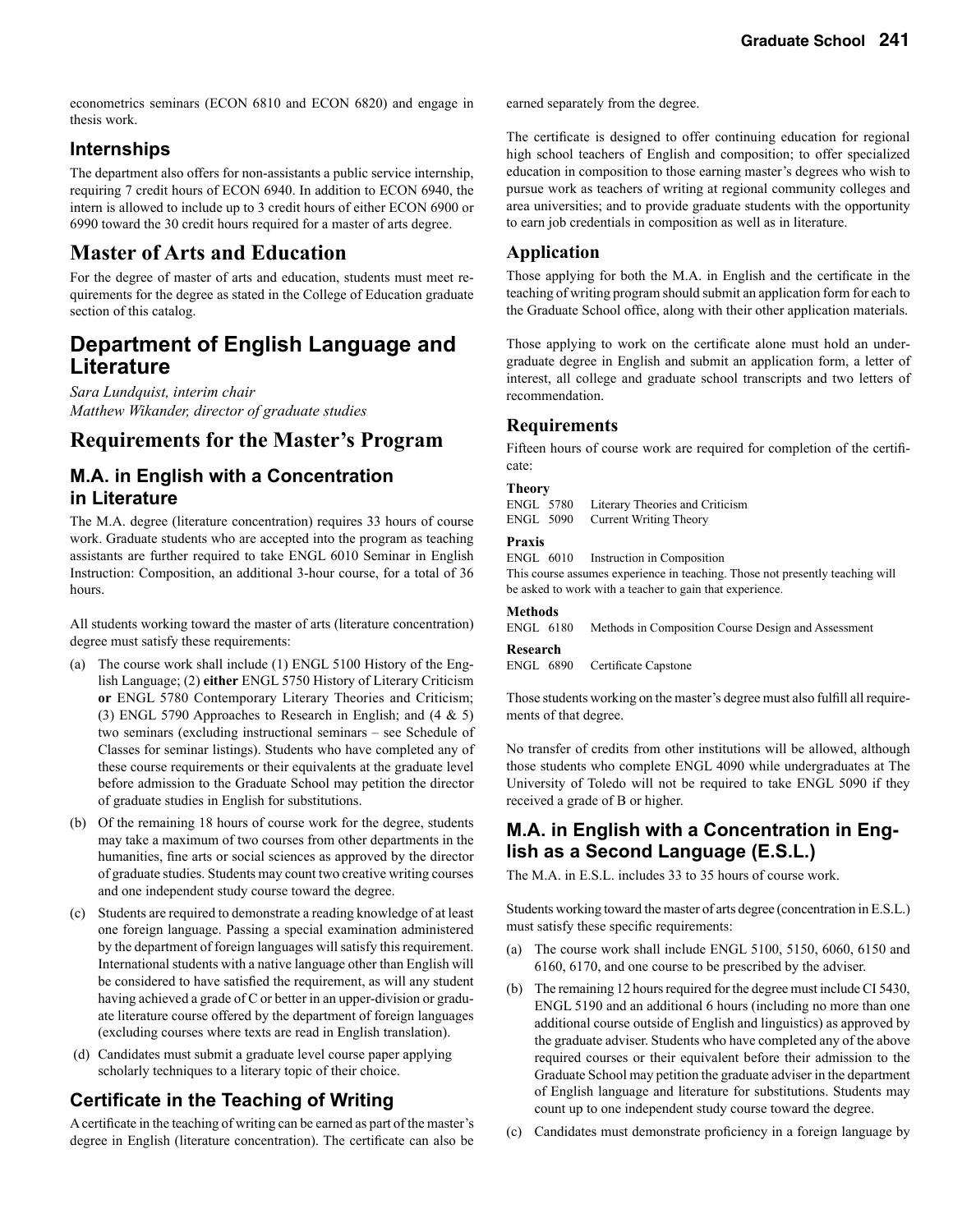econometrics seminars (ECON 6810 and ECON 6820) and engage in thesis work.

#### **Internships**

The department also offers for non-assistants a public service internship, requiring 7 credit hours of ECON 6940. In addition to ECON 6940, the intern is allowed to include up to 3 credit hours of either ECON 6900 or 6990 toward the 30 credit hours required for a master of arts degree.

### **Master of Arts and Education**

For the degree of master of arts and education, students must meet requirements for the degree as stated in the College of Education graduate section of this catalog.

### **Department of English Language and Literature**

*Sara Lundquist, interim chair Matthew Wikander, director of graduate studies*

### **Requirements for the Master's Program**

### **M.A. in English with a Concentration in Literature**

The M.A. degree (literature concentration) requires 33 hours of course work. Graduate students who are accepted into the program as teaching assistants are further required to take ENGL 6010 Seminar in English Instruction: Composition, an additional 3-hour course, for a total of 36 hours.

All students working toward the master of arts (literature concentration) degree must satisfy these requirements:

- (a) The course work shall include (1) ENGL 5100 History of the English Language; (2) **either** ENGL 5750 History of Literary Criticism **or** ENGL 5780 Contemporary Literary Theories and Criticism; (3) ENGL 5790 Approaches to Research in English; and (4 & 5) two seminars (excluding instructional seminars – see Schedule of Classes for seminar listings). Students who have completed any of these course requirements or their equivalents at the graduate level before admission to the Graduate School may petition the director of graduate studies in English for substitutions.
- (b) Of the remaining 18 hours of course work for the degree, students may take a maximum of two courses from other departments in the humanities, fine arts or social sciences as approved by the director of graduate studies. Students may count two creative writing courses and one independent study course toward the degree.
- (c) Students are required to demonstrate a reading knowledge of at least one foreign language. Passing a special examination administered by the department of foreign languages will satisfy this requirement. International students with a native language other than English will be considered to have satisfied the requirement, as will any student having achieved a grade of C or better in an upper-division or graduate literature course offered by the department of foreign languages (excluding courses where texts are read in English translation).
- (d) Candidates must submit a graduate level course paper applying scholarly techniques to a literary topic of their choice.

### **Certificate in the Teaching of Writing**

A certificate in the teaching of writing can be earned as part of the master's degree in English (literature concentration). The certificate can also be earned separately from the degree.

The certificate is designed to offer continuing education for regional high school teachers of English and composition; to offer specialized education in composition to those earning master's degrees who wish to pursue work as teachers of writing at regional community colleges and area universities; and to provide graduate students with the opportunity to earn job credentials in composition as well as in literature.

#### **Application**

Those applying for both the M.A. in English and the certificate in the teaching of writing program should submit an application form for each to the Graduate School office, along with their other application materials.

Those applying to work on the certificate alone must hold an undergraduate degree in English and submit an application form, a letter of interest, all college and graduate school transcripts and two letters of recommendation.

#### **Requirements**

Fifteen hours of course work are required for completion of the certificate:

#### **Theory**

ENGL 5780 Literary Theories and Criticism<br>ENGL 5090 Current Writing Theory Current Writing Theory

#### **Praxis**

ENGL 6010 Instruction in Composition

This course assumes experience in teaching. Those not presently teaching will be asked to work with a teacher to gain that experience.

#### **Methods**

ENGL 6180 Methods in Composition Course Design and Assessment

#### **Research**

ENGL 6890 Certificate Capstone

Those students working on the master's degree must also fulfill all requirements of that degree.

No transfer of credits from other institutions will be allowed, although those students who complete ENGL 4090 while undergraduates at The University of Toledo will not be required to take ENGL 5090 if they received a grade of B or higher.

### **M.A. in English with a Concentration in English as a Second Language (E.S.L.)**

The M.A. in E.S.L. includes 33 to 35 hours of course work.

Students working toward the master of arts degree (concentration in E.S.L.) must satisfy these specific requirements:

- (a) The course work shall include ENGL 5100, 5150, 6060, 6150 and 6160, 6170, and one course to be prescribed by the adviser.
- (b) The remaining 12 hours required for the degree must include CI 5430, ENGL 5190 and an additional 6 hours (including no more than one additional course outside of English and linguistics) as approved by the graduate adviser. Students who have completed any of the above required courses or their equivalent before their admission to the Graduate School may petition the graduate adviser in the department of English language and literature for substitutions. Students may count up to one independent study course toward the degree.
- (c) Candidates must demonstrate proficiency in a foreign language by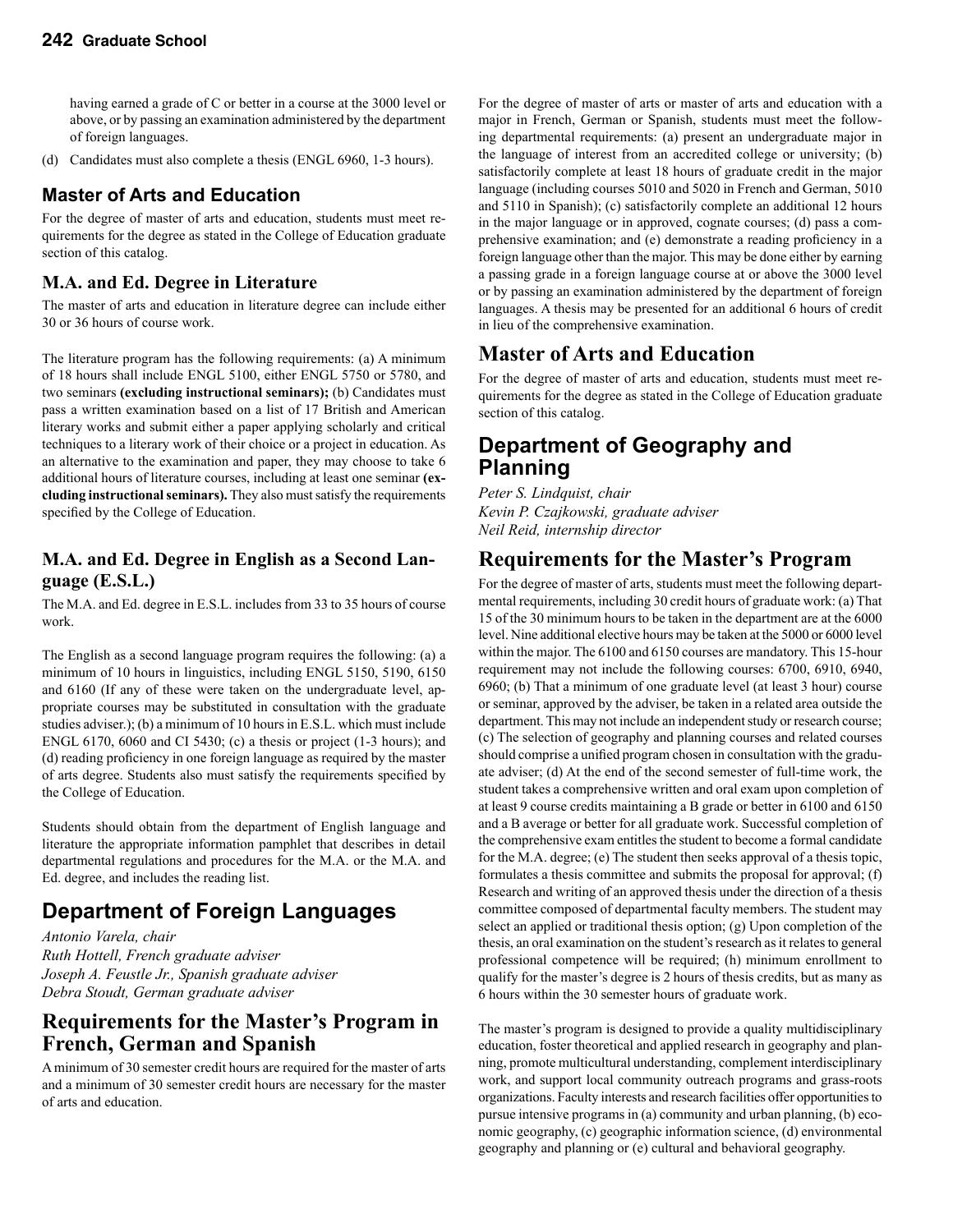having earned a grade of C or better in a course at the 3000 level or above, or by passing an examination administered by the department of foreign languages.

(d) Candidates must also complete a thesis (ENGL 6960, 1-3 hours).

### **Master of Arts and Education**

For the degree of master of arts and education, students must meet requirements for the degree as stated in the College of Education graduate section of this catalog.

#### **M.A. and Ed. Degree in Literature**

The master of arts and education in literature degree can include either 30 or 36 hours of course work.

The literature program has the following requirements: (a) A minimum of 18 hours shall include ENGL 5100, either ENGL 5750 or 5780, and two seminars **(excluding instructional seminars);** (b) Candidates must pass a written examination based on a list of 17 British and American literary works and submit either a paper applying scholarly and critical techniques to a literary work of their choice or a project in education. As an alternative to the examination and paper, they may choose to take 6 additional hours of literature courses, including at least one seminar **(excluding instructional seminars).** They also must satisfy the requirements specified by the College of Education.

#### **M.A. and Ed. Degree in English as a Second Language (E.S.L.)**

The M.A. and Ed. degree in E.S.L. includes from 33 to 35 hours of course work.

The English as a second language program requires the following: (a) a minimum of 10 hours in linguistics, including ENGL 5150, 5190, 6150 and 6160 (If any of these were taken on the undergraduate level, appropriate courses may be substituted in consultation with the graduate studies adviser.); (b) a minimum of 10 hours in E.S.L. which must include ENGL 6170, 6060 and CI 5430; (c) a thesis or project (1-3 hours); and (d) reading proficiency in one foreign language as required by the master of arts degree. Students also must satisfy the requirements specified by the College of Education.

Students should obtain from the department of English language and literature the appropriate information pamphlet that describes in detail departmental regulations and procedures for the M.A. or the M.A. and Ed. degree, and includes the reading list.

# **Department of Foreign Languages**

*Antonio Varela, chair Ruth Hottell, French graduate adviser Joseph A. Feustle Jr., Spanish graduate adviser Debra Stoudt, German graduate adviser*

### **Requirements for the Master's Program in French, German and Spanish**

A minimum of 30 semester credit hours are required for the master of arts and a minimum of 30 semester credit hours are necessary for the master of arts and education.

For the degree of master of arts or master of arts and education with a major in French, German or Spanish, students must meet the following departmental requirements: (a) present an undergraduate major in the language of interest from an accredited college or university; (b) satisfactorily complete at least 18 hours of graduate credit in the major language (including courses 5010 and 5020 in French and German, 5010 and 5110 in Spanish); (c) satisfactorily complete an additional 12 hours in the major language or in approved, cognate courses; (d) pass a comprehensive examination; and (e) demonstrate a reading proficiency in a foreign language other than the major. This may be done either by earning a passing grade in a foreign language course at or above the 3000 level or by passing an examination administered by the department of foreign languages. A thesis may be presented for an additional 6 hours of credit in lieu of the comprehensive examination.

### **Master of Arts and Education**

For the degree of master of arts and education, students must meet requirements for the degree as stated in the College of Education graduate section of this catalog.

### **Department of Geography and Planning**

*Peter S. Lindquist, chair Kevin P. Czajkowski, graduate adviser Neil Reid, internship director*

### **Requirements for the Master's Program**

For the degree of master of arts, students must meet the following departmental requirements, including 30 credit hours of graduate work: (a) That 15 of the 30 minimum hours to be taken in the department are at the 6000 level. Nine additional elective hours may be taken at the 5000 or 6000 level within the major. The 6100 and 6150 courses are mandatory. This 15-hour requirement may not include the following courses: 6700, 6910, 6940, 6960; (b) That a minimum of one graduate level (at least 3 hour) course or seminar, approved by the adviser, be taken in a related area outside the department. This may not include an independent study or research course; (c) The selection of geography and planning courses and related courses should comprise a unified program chosen in consultation with the graduate adviser; (d) At the end of the second semester of full-time work, the student takes a comprehensive written and oral exam upon completion of at least 9 course credits maintaining a B grade or better in 6100 and 6150 and a B average or better for all graduate work. Successful completion of the comprehensive exam entitles the student to become a formal candidate for the M.A. degree; (e) The student then seeks approval of a thesis topic, formulates a thesis committee and submits the proposal for approval; (f) Research and writing of an approved thesis under the direction of a thesis committee composed of departmental faculty members. The student may select an applied or traditional thesis option; (g) Upon completion of the thesis, an oral examination on the student's research as it relates to general professional competence will be required; (h) minimum enrollment to qualify for the master's degree is 2 hours of thesis credits, but as many as 6 hours within the 30 semester hours of graduate work.

The master's program is designed to provide a quality multidisciplinary education, foster theoretical and applied research in geography and planning, promote multicultural understanding, complement interdisciplinary work, and support local community outreach programs and grass-roots organizations. Faculty interests and research facilities offer opportunities to pursue intensive programs in (a) community and urban planning, (b) economic geography, (c) geographic information science, (d) environmental geography and planning or (e) cultural and behavioral geography.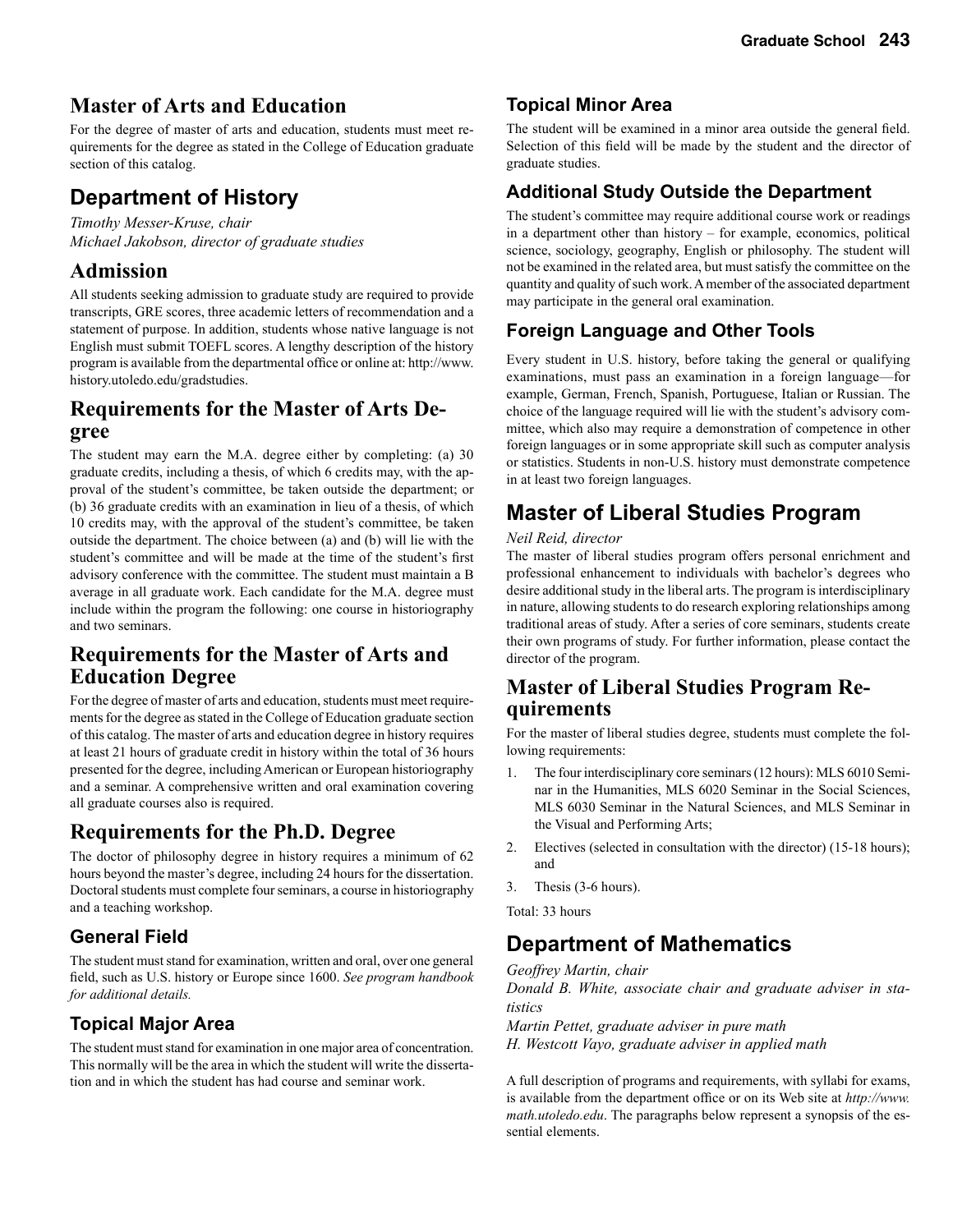### **Master of Arts and Education**

For the degree of master of arts and education, students must meet requirements for the degree as stated in the College of Education graduate section of this catalog.

# **Department of History**

*Timothy Messer-Kruse, chair Michael Jakobson, director of graduate studies* 

### **Admission**

All students seeking admission to graduate study are required to provide transcripts, GRE scores, three academic letters of recommendation and a statement of purpose. In addition, students whose native language is not English must submit TOEFL scores. A lengthy description of the history program is available from the departmental office or online at: http://www. history.utoledo.edu/gradstudies.

# **Requirements for the Master of Arts De- gree**

The student may earn the M.A. degree either by completing: (a) 30 graduate credits, including a thesis, of which 6 credits may, with the approval of the student's committee, be taken outside the department; or (b) 36 graduate credits with an examination in lieu of a thesis, of which 10 credits may, with the approval of the student's committee, be taken outside the department. The choice between (a) and (b) will lie with the student's committee and will be made at the time of the student's first advisory conference with the committee. The student must maintain a B average in all graduate work. Each candidate for the M.A. degree must include within the program the following: one course in historiography and two seminars.

### **Requirements for the Master of Arts and Education Degree**

For the degree of master of arts and education, students must meet requirements for the degree as stated in the College of Education graduate section of this catalog. The master of arts and education degree in history requires at least 21 hours of graduate credit in history within the total of 36 hours presented for the degree, including American or European historiography and a seminar. A comprehensive written and oral examination covering all graduate courses also is required.

### **Requirements for the Ph.D. Degree**

The doctor of philosophy degree in history requires a minimum of 62 hours beyond the master's degree, including 24 hours for the dissertation. Doctoral students must complete four seminars, a course in historiography and a teaching workshop.

### **General Field**

The student must stand for examination, written and oral, over one general field, such as U.S. history or Europe since 1600. *See program handbook for additional details.*

### **Topical Major Area**

The student must stand for examination in one major area of concentration. This normally will be the area in which the student will write the dissertation and in which the student has had course and seminar work.

### **Topical Minor Area**

The student will be examined in a minor area outside the general field. Selection of this field will be made by the student and the director of graduate studies.

### **Additional Study Outside the Department**

The student's committee may require additional course work or readings in a department other than history – for example, economics, political science, sociology, geography, English or philosophy. The student will not be examined in the related area, but must satisfy the committee on the quantity and quality of such work. A member of the associated department may participate in the general oral examination.

### **Foreign Language and Other Tools**

Every student in U.S. history, before taking the general or qualifying examinations, must pass an examination in a foreign language—for example, German, French, Spanish, Portuguese, Italian or Russian. The choice of the language required will lie with the student's advisory committee, which also may require a demonstration of competence in other foreign languages or in some appropriate skill such as computer analysis or statistics. Students in non-U.S. history must demonstrate competence in at least two foreign languages.

# **Master of Liberal Studies Program**

#### *Neil Reid, director*

The master of liberal studies program offers personal enrichment and professional enhancement to individuals with bachelor's degrees who desire additional study in the liberal arts. The program is interdisciplinary in nature, allowing students to do research exploring relationships among traditional areas of study. After a series of core seminars, students create their own programs of study. For further information, please contact the director of the program.

# **Master of Liberal Studies Program Re- quirements**

For the master of liberal studies degree, students must complete the following requirements:

- 1. The four interdisciplinary core seminars (12 hours): MLS 6010 Seminar in the Humanities, MLS 6020 Seminar in the Social Sciences, MLS 6030 Seminar in the Natural Sciences, and MLS Seminar in the Visual and Performing Arts;
- 2. Electives (selected in consultation with the director) (15-18 hours); and
- 3. Thesis (3-6 hours).

Total: 33 hours

# **Department of Mathematics**

*Geoffrey Martin, chair*

*Donald B. White, associate chair and graduate adviser in statistics*

*Martin Pettet, graduate adviser in pure math H. Westcott Vayo, graduate adviser in applied math* 

A full description of programs and requirements, with syllabi for exams, is available from the department office or on its Web site at *http://www. math.utoledo.edu*. The paragraphs below represent a synopsis of the essential elements.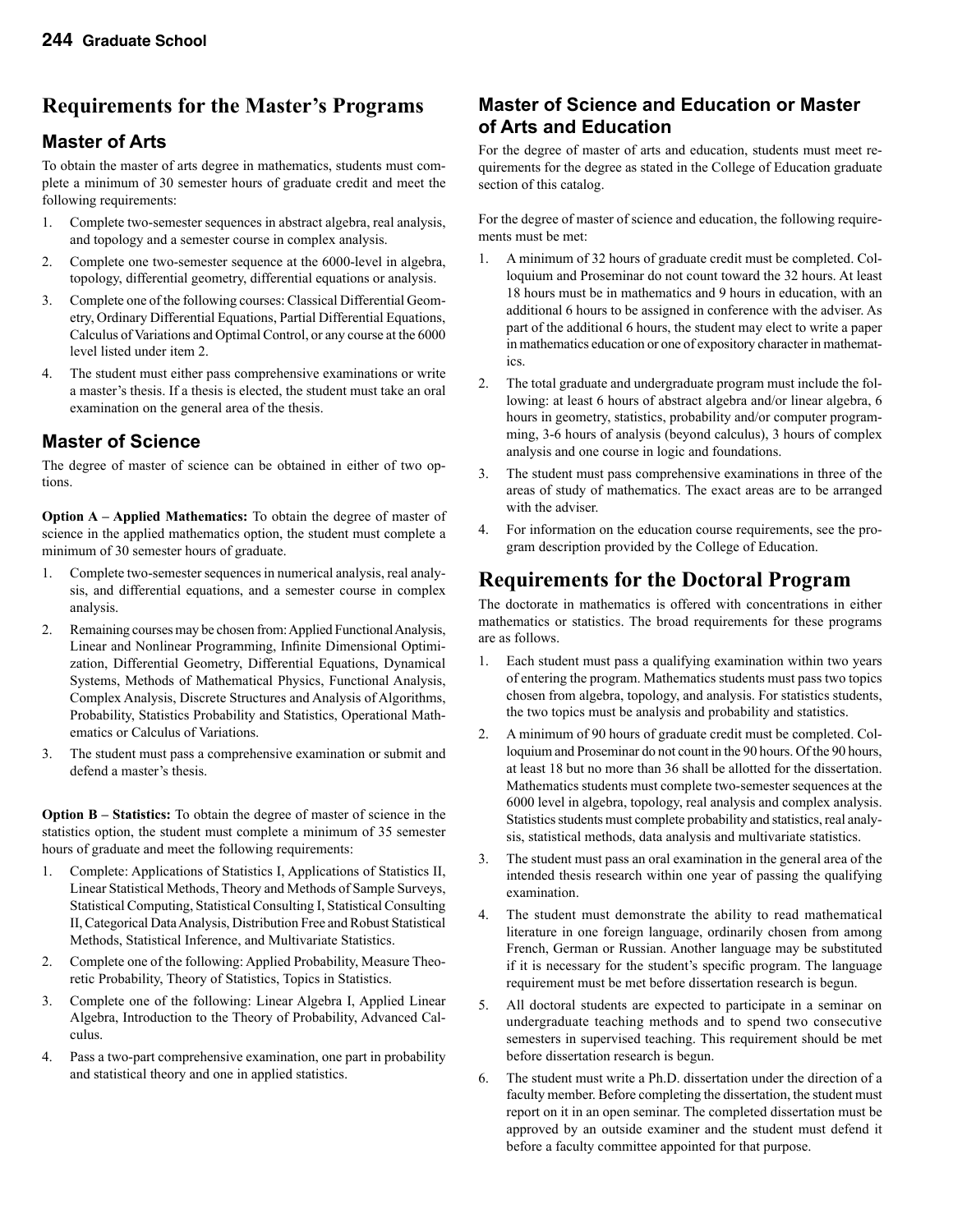### **Requirements for the Master's Programs**

### **Master of Arts**

To obtain the master of arts degree in mathematics, students must complete a minimum of 30 semester hours of graduate credit and meet the following requirements:

- 1. Complete two-semester sequences in abstract algebra, real analysis, and topology and a semester course in complex analysis.
- 2. Complete one two-semester sequence at the 6000-level in algebra, topology, differential geometry, differential equations or analysis.
- 3. Complete one of the following courses: Classical Differential Geometry, Ordinary Differential Equations, Partial Differential Equations, Calculus of Variations and Optimal Control, or any course at the 6000 level listed under item 2.
- 4. The student must either pass comprehensive examinations or write a master's thesis. If a thesis is elected, the student must take an oral examination on the general area of the thesis.

### **Master of Science**

The degree of master of science can be obtained in either of two options.

**Option A – Applied Mathematics:** To obtain the degree of master of science in the applied mathematics option, the student must complete a minimum of 30 semester hours of graduate.

- 1. Complete two-semester sequences in numerical analysis, real analysis, and differential equations, and a semester course in complex analysis.
- 2. Remaining courses may be chosen from: Applied Functional Analysis, Linear and Nonlinear Programming, Infinite Dimensional Optimization, Differential Geometry, Differential Equations, Dynamical Systems, Methods of Mathematical Physics, Functional Analysis, Complex Analysis, Discrete Structures and Analysis of Algorithms, Probability, Statistics Probability and Statistics, Operational Mathematics or Calculus of Variations.
- 3. The student must pass a comprehensive examination or submit and defend a master's thesis.

**Option B – Statistics:** To obtain the degree of master of science in the statistics option, the student must complete a minimum of 35 semester hours of graduate and meet the following requirements:

- 1. Complete: Applications of Statistics I, Applications of Statistics II, Linear Statistical Methods, Theory and Methods of Sample Surveys, Statistical Computing, Statistical Consulting I, Statistical Consulting II, Categorical Data Analysis, Distribution Free and Robust Statistical Methods, Statistical Inference, and Multivariate Statistics.
- 2. Complete one of the following: Applied Probability, Measure Theoretic Probability, Theory of Statistics, Topics in Statistics.
- 3. Complete one of the following: Linear Algebra I, Applied Linear Algebra, Introduction to the Theory of Probability, Advanced Calculus.
- 4. Pass a two-part comprehensive examination, one part in probability and statistical theory and one in applied statistics.

### **Master of Science and Education or Master of Arts and Education**

For the degree of master of arts and education, students must meet requirements for the degree as stated in the College of Education graduate section of this catalog.

For the degree of master of science and education, the following requirements must be met:

- 1. A minimum of 32 hours of graduate credit must be completed. Colloquium and Proseminar do not count toward the 32 hours. At least 18 hours must be in mathematics and 9 hours in education, with an additional 6 hours to be assigned in conference with the adviser. As part of the additional 6 hours, the student may elect to write a paper in mathematics education or one of expository character in mathematics.
- 2. The total graduate and undergraduate program must include the following: at least 6 hours of abstract algebra and/or linear algebra, 6 hours in geometry, statistics, probability and/or computer programming, 3-6 hours of analysis (beyond calculus), 3 hours of complex analysis and one course in logic and foundations.
- 3. The student must pass comprehensive examinations in three of the areas of study of mathematics. The exact areas are to be arranged with the adviser.
- 4. For information on the education course requirements, see the program description provided by the College of Education.

### **Requirements for the Doctoral Program**

The doctorate in mathematics is offered with concentrations in either mathematics or statistics. The broad requirements for these programs are as follows.

- 1. Each student must pass a qualifying examination within two years of entering the program. Mathematics students must pass two topics chosen from algebra, topology, and analysis. For statistics students, the two topics must be analysis and probability and statistics.
- 2. A minimum of 90 hours of graduate credit must be completed. Colloquium and Proseminar do not count in the 90 hours. Of the 90 hours, at least 18 but no more than 36 shall be allotted for the dissertation. Mathematics students must complete two-semester sequences at the 6000 level in algebra, topology, real analysis and complex analysis. Statistics students must complete probability and statistics, real analysis, statistical methods, data analysis and multivariate statistics.
- 3. The student must pass an oral examination in the general area of the intended thesis research within one year of passing the qualifying examination.
- 4. The student must demonstrate the ability to read mathematical literature in one foreign language, ordinarily chosen from among French, German or Russian. Another language may be substituted if it is necessary for the student's specific program. The language requirement must be met before dissertation research is begun.
- 5. All doctoral students are expected to participate in a seminar on undergraduate teaching methods and to spend two consecutive semesters in supervised teaching. This requirement should be met before dissertation research is begun.
- 6. The student must write a Ph.D. dissertation under the direction of a faculty member. Before completing the dissertation, the student must report on it in an open seminar. The completed dissertation must be approved by an outside examiner and the student must defend it before a faculty committee appointed for that purpose.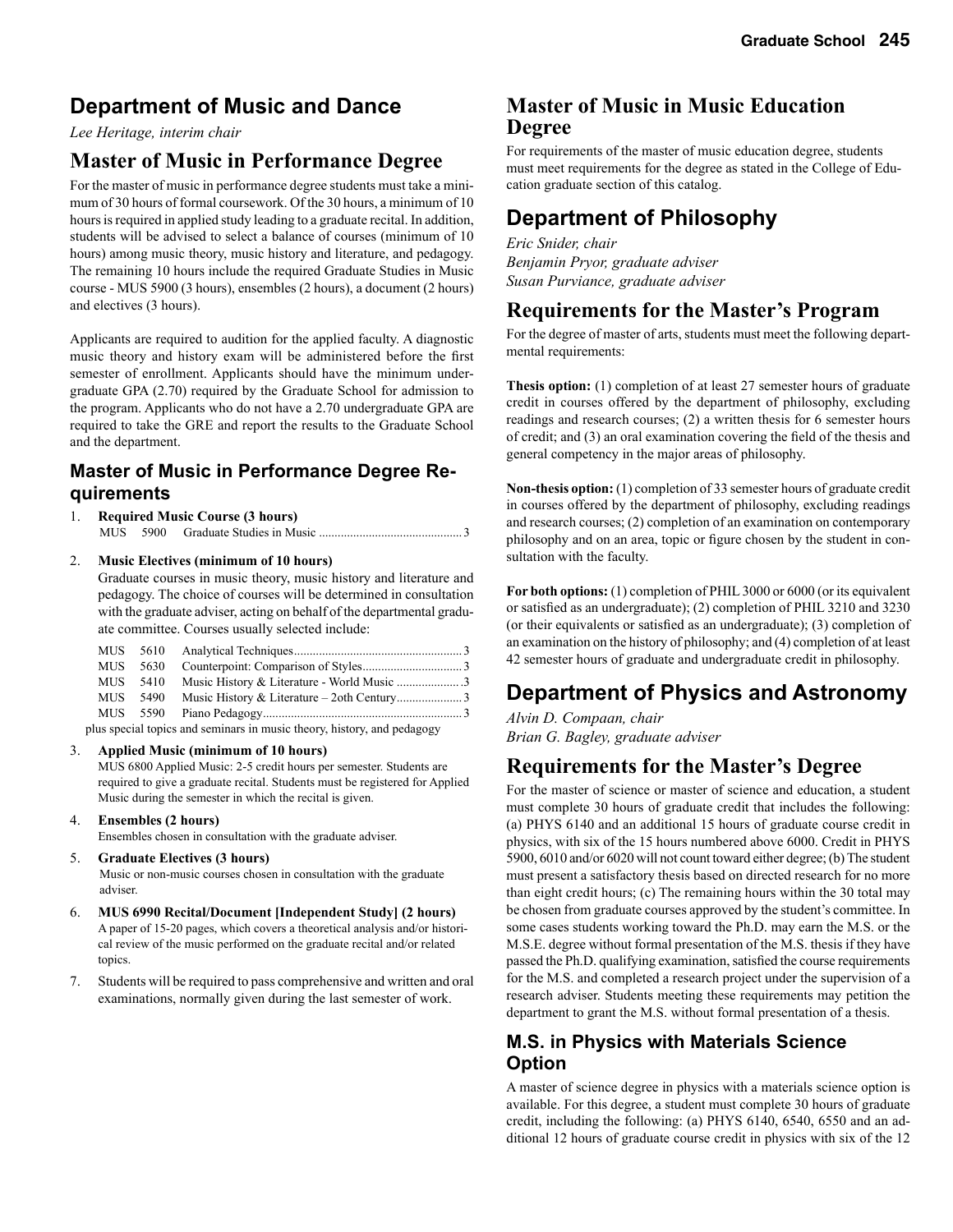## **Department of Music and Dance**

*Lee Heritage, interim chair* 

### **Master of Music in Performance Degree**

For the master of music in performance degree students must take a minimum of 30 hours of formal coursework. Of the 30 hours, a minimum of 10 hours is required in applied study leading to a graduate recital. In addition, students will be advised to select a balance of courses (minimum of 10 hours) among music theory, music history and literature, and pedagogy. The remaining 10 hours include the required Graduate Studies in Music course - MUS 5900 (3 hours), ensembles (2 hours), a document (2 hours) and electives (3 hours).

Applicants are required to audition for the applied faculty. A diagnostic music theory and history exam will be administered before the first semester of enrollment. Applicants should have the minimum undergraduate GPA (2.70) required by the Graduate School for admission to the program. Applicants who do not have a 2.70 undergraduate GPA are required to take the GRE and report the results to the Graduate School and the department.

### **Master of Music in Performance Degree Requirements**

1. **Required Music Course (3 hours)** MUS 5900 Graduate Studies in Music ..............................................3

#### 2. **Music Electives (minimum of 10 hours)**

 Graduate courses in music theory, music history and literature and pedagogy. The choice of courses will be determined in consultation with the graduate adviser, acting on behalf of the departmental graduate committee. Courses usually selected include:

| MUS –      | 5630     |                                                                                                                                                                                                                                  |  |
|------------|----------|----------------------------------------------------------------------------------------------------------------------------------------------------------------------------------------------------------------------------------|--|
|            | MUS 5410 |                                                                                                                                                                                                                                  |  |
| <b>MUS</b> | 5490     |                                                                                                                                                                                                                                  |  |
|            | MUS 5590 |                                                                                                                                                                                                                                  |  |
|            |          | $\mathbf{1}$ , and the set of the set of the set of the set of the set of the set of the set of the set of the set of the set of the set of the set of the set of the set of the set of the set of the set of the set of the set |  |

plus special topics and seminars in music theory, history, and pedagogy

#### 3. **Applied Music (minimum of 10 hours)**

 MUS 6800 Applied Music: 2-5 credit hours per semester. Students are required to give a graduate recital. Students must be registered for Applied Music during the semester in which the recital is given.

4. **Ensembles (2 hours)**

Ensembles chosen in consultation with the graduate adviser.

5. **Graduate Electives (3 hours)**

 Music or non-music courses chosen in consultation with the graduate adviser.

- 6. **MUS 6990 Recital/Document [Independent Study] (2 hours)** A paper of 15-20 pages, which covers a theoretical analysis and/or historical review of the music performed on the graduate recital and/or related topics.
- 7. Students will be required to pass comprehensive and written and oral examinations, normally given during the last semester of work.

### **Master of Music in Music Education Degree**

For requirements of the master of music education degree, students must meet requirements for the degree as stated in the College of Education graduate section of this catalog.

## **Department of Philosophy**

*Eric Snider, chair Benjamin Pryor, graduate adviser Susan Purviance, graduate adviser*

### **Requirements for the Master's Program**

For the degree of master of arts, students must meet the following departmental requirements:

**Thesis option:** (1) completion of at least 27 semester hours of graduate credit in courses offered by the department of philosophy, excluding readings and research courses; (2) a written thesis for 6 semester hours of credit; and (3) an oral examination covering the field of the thesis and general competency in the major areas of philosophy.

**Non-thesis option:** (1) completion of 33 semester hours of graduate credit in courses offered by the department of philosophy, excluding readings and research courses; (2) completion of an examination on contemporary philosophy and on an area, topic or figure chosen by the student in consultation with the faculty.

**For both options:** (1) completion of PHIL 3000 or 6000 (or its equivalent or satisfied as an undergraduate); (2) completion of PHIL 3210 and 3230 (or their equivalents or satisfied as an undergraduate); (3) completion of an examination on the history of philosophy; and (4) completion of at least 42 semester hours of graduate and undergraduate credit in philosophy.

# **Department of Physics and Astronomy**

*Alvin D. Compaan, chair Brian G. Bagley, graduate adviser*

### **Requirements for the Master's Degree**

For the master of science or master of science and education, a student must complete 30 hours of graduate credit that includes the following: (a) PHYS 6140 and an additional 15 hours of graduate course credit in physics, with six of the 15 hours numbered above 6000. Credit in PHYS 5900, 6010 and/or 6020 will not count toward either degree; (b) The student must present a satisfactory thesis based on directed research for no more than eight credit hours; (c) The remaining hours within the 30 total may be chosen from graduate courses approved by the student's committee. In some cases students working toward the Ph.D. may earn the M.S. or the M.S.E. degree without formal presentation of the M.S. thesis if they have passed the Ph.D. qualifying examination, satisfied the course requirements for the M.S. and completed a research project under the supervision of a research adviser. Students meeting these requirements may petition the department to grant the M.S. without formal presentation of a thesis.

### **M.S. in Physics with Materials Science Option**

A master of science degree in physics with a materials science option is available. For this degree, a student must complete 30 hours of graduate credit, including the following: (a) PHYS 6140, 6540, 6550 and an additional 12 hours of graduate course credit in physics with six of the 12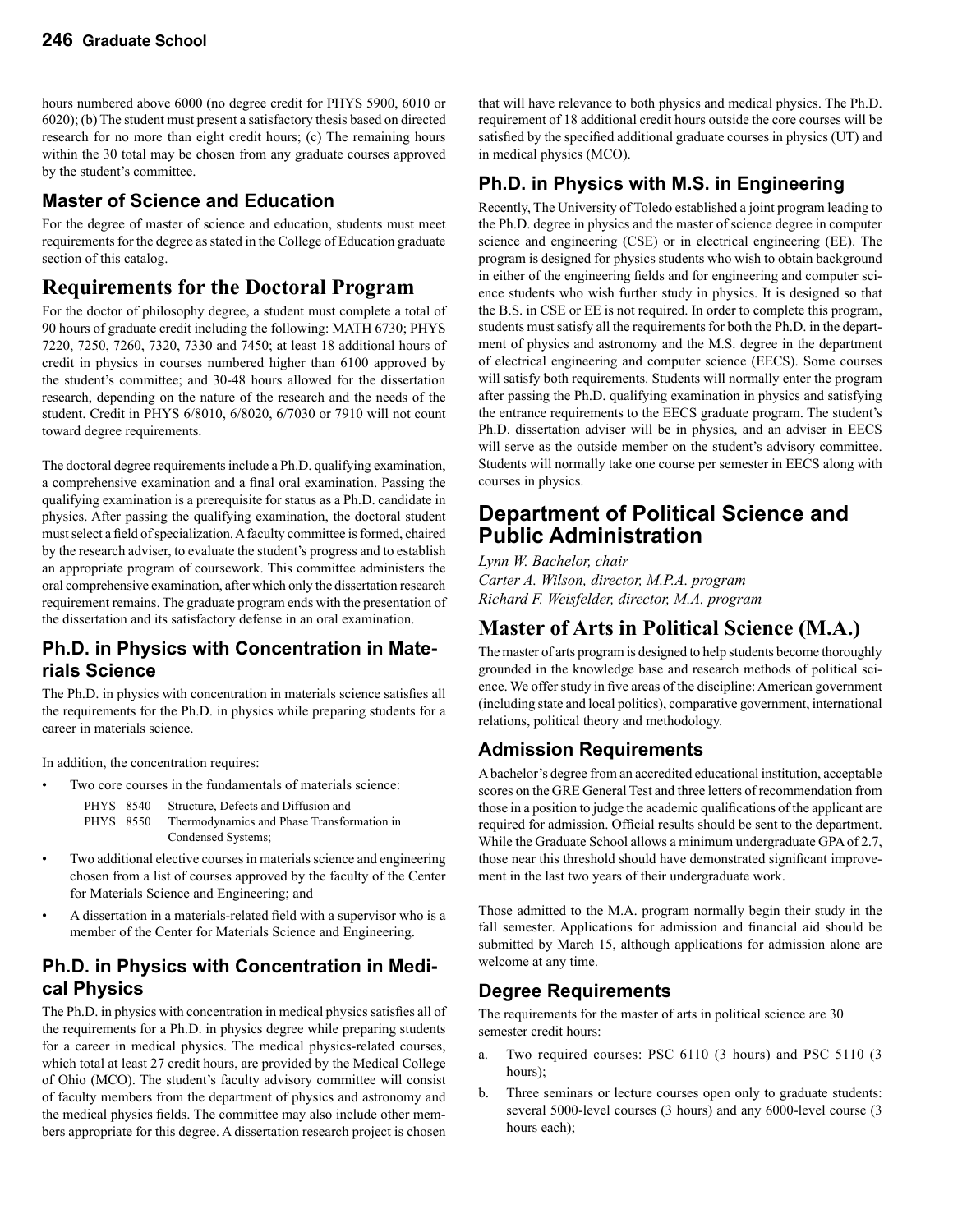hours numbered above 6000 (no degree credit for PHYS 5900, 6010 or 6020); (b) The student must present a satisfactory thesis based on directed research for no more than eight credit hours; (c) The remaining hours within the 30 total may be chosen from any graduate courses approved by the student's committee.

### **Master of Science and Education**

For the degree of master of science and education, students must meet requirements for the degree as stated in the College of Education graduate section of this catalog.

### **Requirements for the Doctoral Program**

For the doctor of philosophy degree, a student must complete a total of 90 hours of graduate credit including the following: MATH 6730; PHYS 7220, 7250, 7260, 7320, 7330 and 7450; at least 18 additional hours of credit in physics in courses numbered higher than 6100 approved by the student's committee; and 30-48 hours allowed for the dissertation research, depending on the nature of the research and the needs of the student. Credit in PHYS 6/8010, 6/8020, 6/7030 or 7910 will not count toward degree requirements.

The doctoral degree requirements include a Ph.D. qualifying examination, a comprehensive examination and a final oral examination. Passing the qualifying examination is a prerequisite for status as a Ph.D. candidate in physics. After passing the qualifying examination, the doctoral student must select a field of specialization. A faculty committee is formed, chaired by the research adviser, to evaluate the student's progress and to establish an appropriate program of coursework. This committee administers the oral comprehensive examination, after which only the dissertation research requirement remains. The graduate program ends with the presentation of the dissertation and its satisfactory defense in an oral examination.

### **Ph.D. in Physics with Concentration in Materials Science**

The Ph.D. in physics with concentration in materials science satisfies all the requirements for the Ph.D. in physics while preparing students for a career in materials science.

In addition, the concentration requires:

- Two core courses in the fundamentals of materials science:
	- PHYS 8540 Structure, Defects and Diffusion and PHYS 8550 Thermodynamics and Phase Transformation in Condensed Systems;
- Two additional elective courses in materials science and engineering chosen from a list of courses approved by the faculty of the Center for Materials Science and Engineering; and
- A dissertation in a materials-related field with a supervisor who is a member of the Center for Materials Science and Engineering.

### **Ph.D. in Physics with Concentration in Medical Physics**

The Ph.D. in physics with concentration in medical physics satisfies all of the requirements for a Ph.D. in physics degree while preparing students for a career in medical physics. The medical physics-related courses, which total at least 27 credit hours, are provided by the Medical College of Ohio (MCO). The student's faculty advisory committee will consist of faculty members from the department of physics and astronomy and the medical physics fields. The committee may also include other members appropriate for this degree. A dissertation research project is chosen that will have relevance to both physics and medical physics. The Ph.D. requirement of 18 additional credit hours outside the core courses will be satisfied by the specified additional graduate courses in physics (UT) and in medical physics (MCO).

### **Ph.D. in Physics with M.S. in Engineering**

Recently, The University of Toledo established a joint program leading to the Ph.D. degree in physics and the master of science degree in computer science and engineering (CSE) or in electrical engineering (EE). The program is designed for physics students who wish to obtain background in either of the engineering fields and for engineering and computer science students who wish further study in physics. It is designed so that the B.S. in CSE or EE is not required. In order to complete this program, students must satisfy all the requirements for both the Ph.D. in the department of physics and astronomy and the M.S. degree in the department of electrical engineering and computer science (EECS). Some courses will satisfy both requirements. Students will normally enter the program after passing the Ph.D. qualifying examination in physics and satisfying the entrance requirements to the EECS graduate program. The student's Ph.D. dissertation adviser will be in physics, and an adviser in EECS will serve as the outside member on the student's advisory committee. Students will normally take one course per semester in EECS along with courses in physics.

### **Department of Political Science and Public Administration**

*Lynn W. Bachelor, chair Carter A. Wilson, director, M.P.A. program Richard F. Weisfelder, director, M.A. program* 

### **Master of Arts in Political Science (M.A.)**

The master of arts program is designed to help students become thoroughly grounded in the knowledge base and research methods of political science. We offer study in five areas of the discipline: American government (including state and local politics), comparative government, international relations, political theory and methodology.

### **Admission Requirements**

A bachelor's degree from an accredited educational institution, acceptable scores on the GRE General Test and three letters of recommendation from those in a position to judge the academic qualifications of the applicant are required for admission. Official results should be sent to the department. While the Graduate School allows a minimum undergraduate GPA of 2.7, those near this threshold should have demonstrated significant improvement in the last two years of their undergraduate work.

Those admitted to the M.A. program normally begin their study in the fall semester. Applications for admission and financial aid should be submitted by March 15, although applications for admission alone are welcome at any time.

### **Degree Requirements**

The requirements for the master of arts in political science are 30 semester credit hours:

- a. Two required courses: PSC 6110 (3 hours) and PSC 5110 (3 hours);
- b. Three seminars or lecture courses open only to graduate students: several 5000-level courses (3 hours) and any 6000-level course (3 hours each);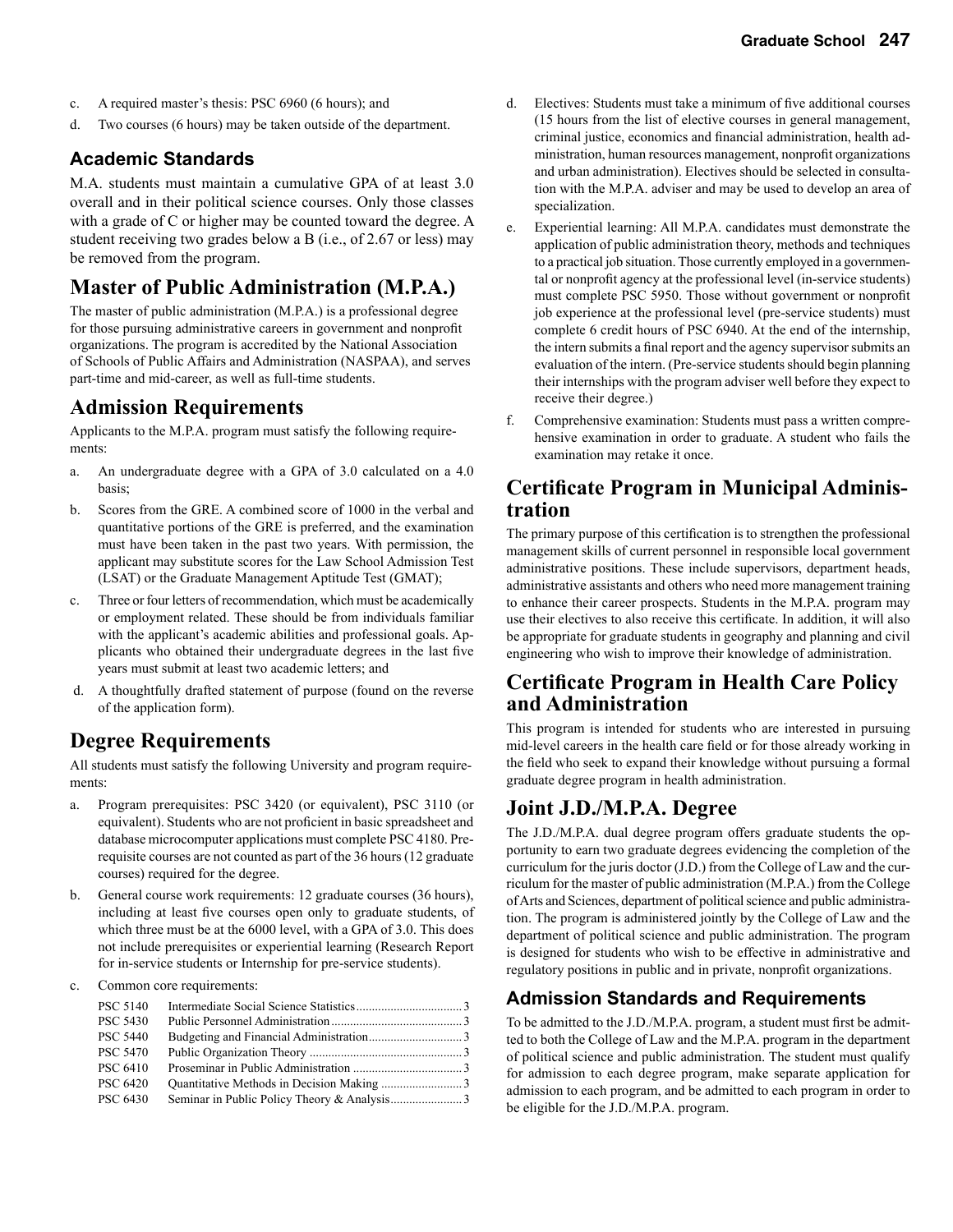- c. A required master's thesis: PSC 6960 (6 hours); and
- d. Two courses (6 hours) may be taken outside of the department.

#### **Academic Standards**

M.A. students must maintain a cumulative GPA of at least 3.0 overall and in their political science courses. Only those classes with a grade of C or higher may be counted toward the degree. A student receiving two grades below a B (i.e., of 2.67 or less) may be removed from the program.

### **Master of Public Administration (M.P.A.)**

The master of public administration (M.P.A.) is a professional degree for those pursuing administrative careers in government and nonprofit organizations. The program is accredited by the National Association of Schools of Public Affairs and Administration (NASPAA), and serves part-time and mid-career, as well as full-time students.

### **Admission Requirements**

Applicants to the M.P.A. program must satisfy the following requirements:

- a. An undergraduate degree with a GPA of 3.0 calculated on a 4.0 basis;
- b. Scores from the GRE. A combined score of 1000 in the verbal and quantitative portions of the GRE is preferred, and the examination must have been taken in the past two years. With permission, the applicant may substitute scores for the Law School Admission Test (LSAT) or the Graduate Management Aptitude Test (GMAT);
- c. Three or four letters of recommendation, which must be academically or employment related. These should be from individuals familiar with the applicant's academic abilities and professional goals. Applicants who obtained their undergraduate degrees in the last five years must submit at least two academic letters; and
- d. A thoughtfully drafted statement of purpose (found on the reverse of the application form).

### **Degree Requirements**

All students must satisfy the following University and program requirements:

- a. Program prerequisites: PSC 3420 (or equivalent), PSC 3110 (or equivalent). Students who are not proficient in basic spreadsheet and database microcomputer applications must complete PSC 4180. Prerequisite courses are not counted as part of the 36 hours (12 graduate courses) required for the degree.
- b. General course work requirements: 12 graduate courses (36 hours), including at least five courses open only to graduate students, of which three must be at the 6000 level, with a GPA of 3.0. This does not include prerequisites or experiential learning (Research Report for in-service students or Internship for pre-service students).
- c. Common core requirements:

| <b>PSC 5140</b> |  |
|-----------------|--|
| <b>PSC 5430</b> |  |
| <b>PSC 5440</b> |  |
| <b>PSC 5470</b> |  |
| <b>PSC 6410</b> |  |
| <b>PSC 6420</b> |  |
| <b>PSC 6430</b> |  |

- Electives: Students must take a minimum of five additional courses (15 hours from the list of elective courses in general management, criminal justice, economics and financial administration, health administration, human resources management, nonprofit organizations and urban administration). Electives should be selected in consultation with the M.P.A. adviser and may be used to develop an area of specialization.
- e. Experiential learning: All M.P.A. candidates must demonstrate the application of public administration theory, methods and techniques to a practical job situation. Those currently employed in a governmental or nonprofit agency at the professional level (in-service students) must complete PSC 5950. Those without government or nonprofit job experience at the professional level (pre-service students) must complete 6 credit hours of PSC 6940. At the end of the internship, the intern submits a final report and the agency supervisor submits an evaluation of the intern. (Pre-service students should begin planning their internships with the program adviser well before they expect to receive their degree.)
- f. Comprehensive examination: Students must pass a written comprehensive examination in order to graduate. A student who fails the examination may retake it once.

### **Certificate Program in Municipal Administration**

The primary purpose of this certification is to strengthen the professional management skills of current personnel in responsible local government administrative positions. These include supervisors, department heads, administrative assistants and others who need more management training to enhance their career prospects. Students in the M.P.A. program may use their electives to also receive this certificate. In addition, it will also be appropriate for graduate students in geography and planning and civil engineering who wish to improve their knowledge of administration.

### **Certificate Program in Health Care Policy and Administration**

This program is intended for students who are interested in pursuing mid-level careers in the health care field or for those already working in the field who seek to expand their knowledge without pursuing a formal graduate degree program in health administration.

### **Joint J.D./M.P.A. Degree**

The J.D./M.P.A. dual degree program offers graduate students the opportunity to earn two graduate degrees evidencing the completion of the curriculum for the juris doctor (J.D.) from the College of Law and the curriculum for the master of public administration (M.P.A.) from the College of Arts and Sciences, department of political science and public administration. The program is administered jointly by the College of Law and the department of political science and public administration. The program is designed for students who wish to be effective in administrative and regulatory positions in public and in private, nonprofit organizations.

### **Admission Standards and Requirements**

To be admitted to the J.D./M.P.A. program, a student must first be admitted to both the College of Law and the M.P.A. program in the department of political science and public administration. The student must qualify for admission to each degree program, make separate application for admission to each program, and be admitted to each program in order to be eligible for the J.D./M.P.A. program.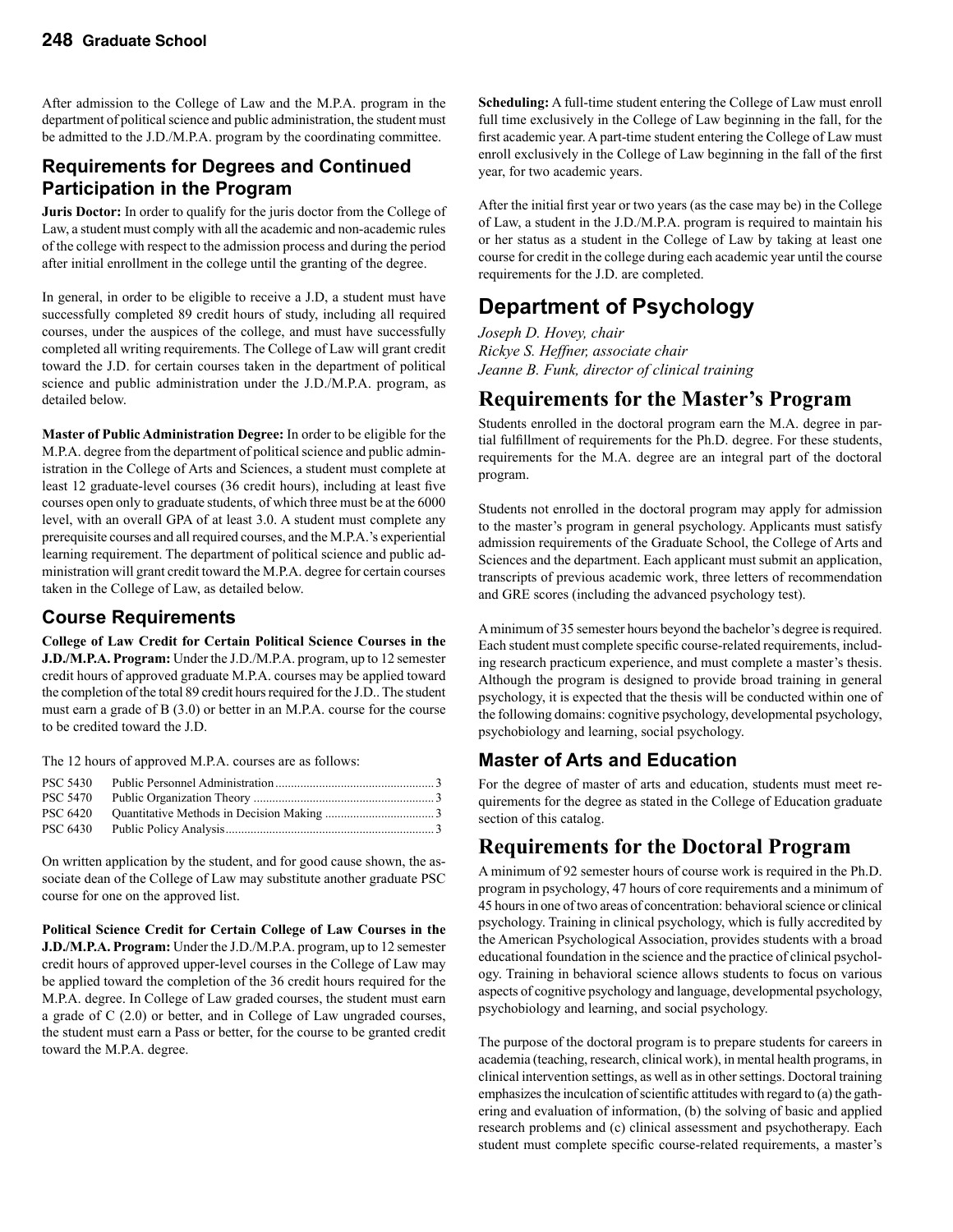After admission to the College of Law and the M.P.A. program in the department of political science and public administration, the student must be admitted to the J.D./M.P.A. program by the coordinating committee.

### **Requirements for Degrees and Continued Participation in the Program**

**Juris Doctor:** In order to qualify for the juris doctor from the College of Law, a student must comply with all the academic and non-academic rules of the college with respect to the admission process and during the period after initial enrollment in the college until the granting of the degree.

In general, in order to be eligible to receive a J.D, a student must have successfully completed 89 credit hours of study, including all required courses, under the auspices of the college, and must have successfully completed all writing requirements. The College of Law will grant credit toward the J.D. for certain courses taken in the department of political science and public administration under the J.D./M.P.A. program, as detailed below.

**Master of Public Administration Degree:** In order to be eligible for the M.P.A. degree from the department of political science and public administration in the College of Arts and Sciences, a student must complete at least 12 graduate-level courses (36 credit hours), including at least five courses open only to graduate students, of which three must be at the 6000 level, with an overall GPA of at least 3.0. A student must complete any prerequisite courses and all required courses, and the M.P.A.'s experiential learning requirement. The department of political science and public administration will grant credit toward the M.P.A. degree for certain courses taken in the College of Law, as detailed below.

### **Course Requirements**

**College of Law Credit for Certain Political Science Courses in the J.D./M.P.A. Program:** Under the J.D./M.P.A. program, up to 12 semester credit hours of approved graduate M.P.A. courses may be applied toward the completion of the total 89 credit hours required for the J.D.. The student must earn a grade of B (3.0) or better in an M.P.A. course for the course to be credited toward the J.D.

The 12 hours of approved M.P.A. courses are as follows:

| <b>PSC 5430</b> |  |
|-----------------|--|
|                 |  |
|                 |  |
| PSC 6430        |  |

On written application by the student, and for good cause shown, the associate dean of the College of Law may substitute another graduate PSC course for one on the approved list.

**Political Science Credit for Certain College of Law Courses in the J.D./M.P.A. Program:** Under the J.D./M.P.A. program, up to 12 semester credit hours of approved upper-level courses in the College of Law may be applied toward the completion of the 36 credit hours required for the M.P.A. degree. In College of Law graded courses, the student must earn a grade of C (2.0) or better, and in College of Law ungraded courses, the student must earn a Pass or better, for the course to be granted credit toward the M.P.A. degree.

**Scheduling:** A full-time student entering the College of Law must enroll full time exclusively in the College of Law beginning in the fall, for the first academic year. A part-time student entering the College of Law must enroll exclusively in the College of Law beginning in the fall of the first year, for two academic years.

After the initial first year or two years (as the case may be) in the College of Law, a student in the J.D./M.P.A. program is required to maintain his or her status as a student in the College of Law by taking at least one course for credit in the college during each academic year until the course requirements for the J.D. are completed.

# **Department of Psychology**

*Joseph D. Hovey, chair Rickye S. Heffner, associate chair Jeanne B. Funk, director of clinical training*

### **Requirements for the Master's Program**

Students enrolled in the doctoral program earn the M.A. degree in partial fulfillment of requirements for the Ph.D. degree. For these students, requirements for the M.A. degree are an integral part of the doctoral program.

Students not enrolled in the doctoral program may apply for admission to the master's program in general psychology. Applicants must satisfy admission requirements of the Graduate School, the College of Arts and Sciences and the department. Each applicant must submit an application, transcripts of previous academic work, three letters of recommendation and GRE scores (including the advanced psychology test).

A minimum of 35 semester hours beyond the bachelor's degree is required. Each student must complete specific course-related requirements, including research practicum experience, and must complete a master's thesis. Although the program is designed to provide broad training in general psychology, it is expected that the thesis will be conducted within one of the following domains: cognitive psychology, developmental psychology, psychobiology and learning, social psychology.

### **Master of Arts and Education**

For the degree of master of arts and education, students must meet requirements for the degree as stated in the College of Education graduate section of this catalog.

### **Requirements for the Doctoral Program**

A minimum of 92 semester hours of course work is required in the Ph.D. program in psychology, 47 hours of core requirements and a minimum of 45 hours in one of two areas of concentration: behavioral science or clinical psychology. Training in clinical psychology, which is fully accredited by the American Psychological Association, provides students with a broad educational foundation in the science and the practice of clinical psychology. Training in behavioral science allows students to focus on various aspects of cognitive psychology and language, developmental psychology, psychobiology and learning, and social psychology.

The purpose of the doctoral program is to prepare students for careers in academia (teaching, research, clinical work), in mental health programs, in clinical intervention settings, as well as in other settings. Doctoral training emphasizes the inculcation of scientific attitudes with regard to (a) the gathering and evaluation of information, (b) the solving of basic and applied research problems and (c) clinical assessment and psychotherapy. Each student must complete specific course-related requirements, a master's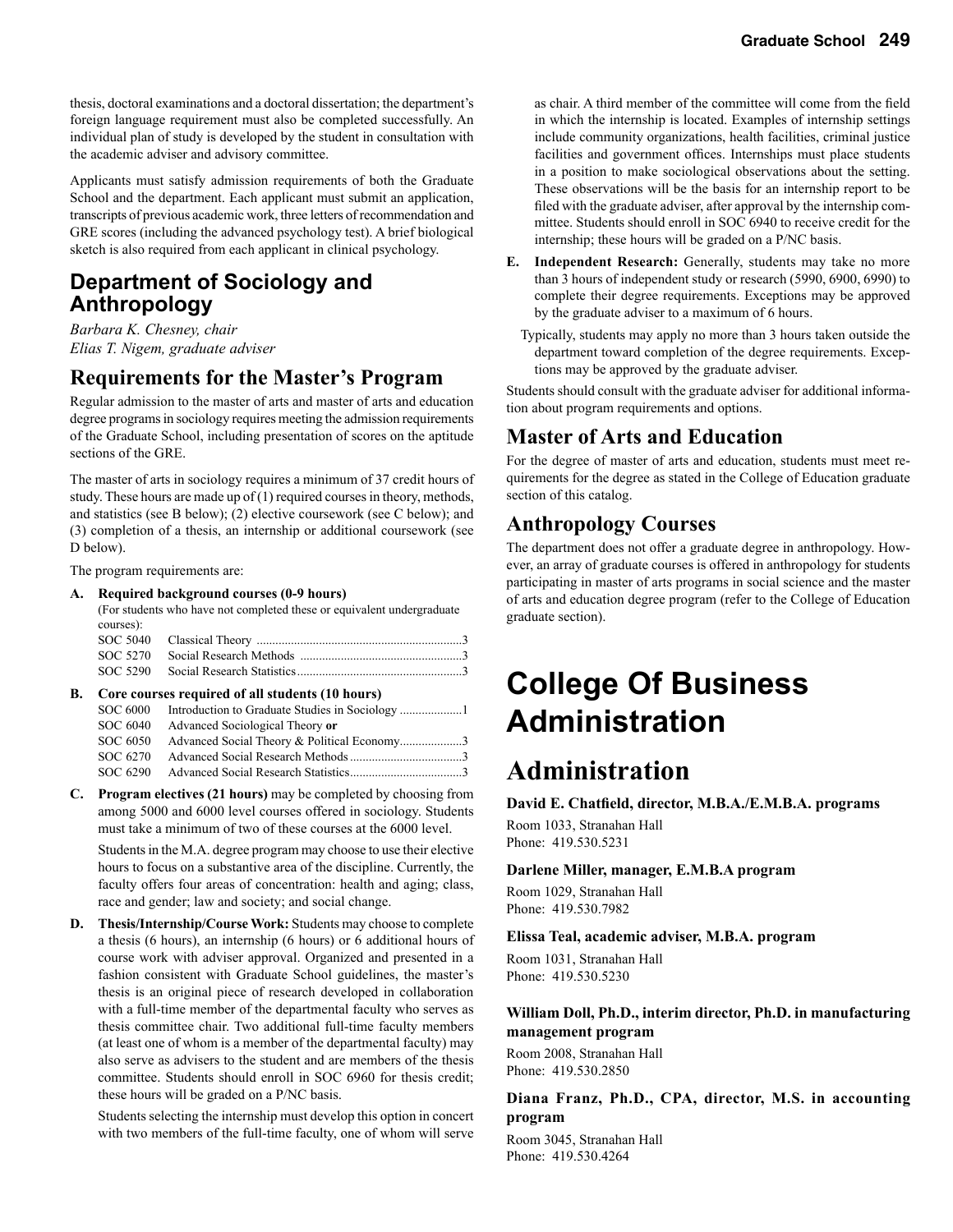thesis, doctoral examinations and a doctoral dissertation; the department's foreign language requirement must also be completed successfully. An individual plan of study is developed by the student in consultation with the academic adviser and advisory committee.

Applicants must satisfy admission requirements of both the Graduate School and the department. Each applicant must submit an application, transcripts of previous academic work, three letters of recommendation and GRE scores (including the advanced psychology test). A brief biological sketch is also required from each applicant in clinical psychology.

### **Department of Sociology and Anthropology**

*Barbara K. Chesney, chair Elias T. Nigem, graduate adviser*

### **Requirements for the Master's Program**

Regular admission to the master of arts and master of arts and education degree programs in sociology requires meeting the admission requirements of the Graduate School, including presentation of scores on the aptitude sections of the GRE.

The master of arts in sociology requires a minimum of 37 credit hours of study. These hours are made up of (1) required courses in theory, methods, and statistics (see B below); (2) elective coursework (see C below); and (3) completion of a thesis, an internship or additional coursework (see D below).

The program requirements are:

#### **A. Required background courses (0-9 hours)**

(For students who have not completed these or equivalent undergraduate courses):

| -------- |  |
|----------|--|
|          |  |
|          |  |

#### **B. Core courses required of all students (10 hours)**

| SOC 6000 |                                             |  |
|----------|---------------------------------------------|--|
| SOC 6040 | Advanced Sociological Theory or             |  |
| SOC 6050 | Advanced Social Theory & Political Economy3 |  |
| SOC 6270 |                                             |  |
| SOC 6290 |                                             |  |

**C. Program electives (21 hours)** may be completed by choosing from among 5000 and 6000 level courses offered in sociology. Students must take a minimum of two of these courses at the 6000 level.

 Students in the M.A. degree program may choose to use their elective hours to focus on a substantive area of the discipline. Currently, the faculty offers four areas of concentration: health and aging; class, race and gender; law and society; and social change.

**D. Thesis/Internship/Course Work:** Students may choose to complete a thesis (6 hours), an internship (6 hours) or 6 additional hours of course work with adviser approval. Organized and presented in a fashion consistent with Graduate School guidelines, the master's thesis is an original piece of research developed in collaboration with a full-time member of the departmental faculty who serves as thesis committee chair. Two additional full-time faculty members (at least one of whom is a member of the departmental faculty) may also serve as advisers to the student and are members of the thesis committee. Students should enroll in SOC 6960 for thesis credit; these hours will be graded on a P/NC basis.

 Students selecting the internship must develop this option in concert with two members of the full-time faculty, one of whom will serve as chair. A third member of the committee will come from the field in which the internship is located. Examples of internship settings include community organizations, health facilities, criminal justice facilities and government offices. Internships must place students in a position to make sociological observations about the setting. These observations will be the basis for an internship report to be filed with the graduate adviser, after approval by the internship committee. Students should enroll in SOC 6940 to receive credit for the internship; these hours will be graded on a P/NC basis.

- **E. Independent Research:** Generally, students may take no more than 3 hours of independent study or research (5990, 6900, 6990) to complete their degree requirements. Exceptions may be approved by the graduate adviser to a maximum of 6 hours.
	- Typically, students may apply no more than 3 hours taken outside the department toward completion of the degree requirements. Exceptions may be approved by the graduate adviser.

Students should consult with the graduate adviser for additional information about program requirements and options.

### **Master of Arts and Education**

For the degree of master of arts and education, students must meet requirements for the degree as stated in the College of Education graduate section of this catalog.

### **Anthropology Courses**

The department does not offer a graduate degree in anthropology. However, an array of graduate courses is offered in anthropology for students participating in master of arts programs in social science and the master of arts and education degree program (refer to the College of Education graduate section).

# **College Of Business Administration**

# **Administration**

**David E. Chatfield, director, M.B.A./E.M.B.A. programs** Room 1033, Stranahan Hall

Phone: 419.530.5231

#### **Darlene Miller, manager, E.M.B.A program**

Room 1029, Stranahan Hall Phone: 419.530.7982

#### **Elissa Teal, academic adviser, M.B.A. program**

Room 1031, Stranahan Hall Phone: 419.530.5230

#### **William Doll, Ph.D., interim director, Ph.D. in manufacturing management program**

Room 2008, Stranahan Hall Phone: 419.530.2850

#### **Diana Franz, Ph.D., CPA, director, M.S. in accounting program**

Room 3045, Stranahan Hall Phone: 419.530.4264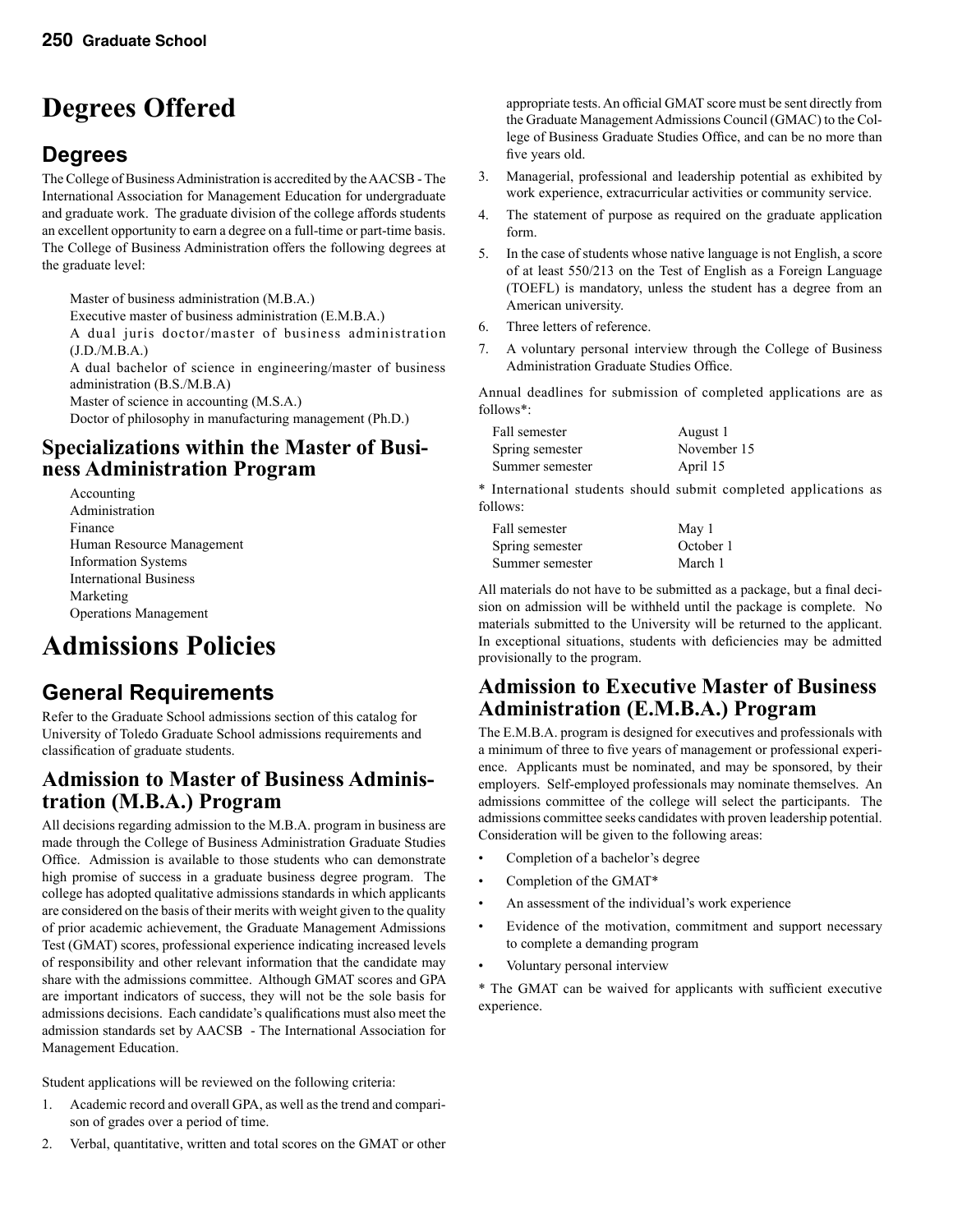# **Degrees Offered**

# **Degrees**

The College of Business Administration is accredited by the AACSB - The International Association for Management Education for undergraduate and graduate work. The graduate division of the college affords students an excellent opportunity to earn a degree on a full-time or part-time basis. The College of Business Administration offers the following degrees at the graduate level:

 Master of business administration (M.B.A.) Executive master of business administration (E.M.B.A.) A dual juris doctor/master of business administration (J.D./M.B.A.) A dual bachelor of science in engineering/master of business administration (B.S./M.B.A) Master of science in accounting (M.S.A.) Doctor of philosophy in manufacturing management (Ph.D.)

### **Specializations within the Master of Business Administration Program**

 Accounting Administration Finance Human Resource Management Information Systems International Business Marketing Operations Management

# **Admissions Policies**

# **General Requirements**

Refer to the Graduate School admissions section of this catalog for University of Toledo Graduate School admissions requirements and classification of graduate students.

# **Admission to Master of Business Adminis- tration (M.B.A.) Program**

All decisions regarding admission to the M.B.A. program in business are made through the College of Business Administration Graduate Studies Office. Admission is available to those students who can demonstrate high promise of success in a graduate business degree program. The college has adopted qualitative admissions standards in which applicants are considered on the basis of their merits with weight given to the quality of prior academic achievement, the Graduate Management Admissions Test (GMAT) scores, professional experience indicating increased levels of responsibility and other relevant information that the candidate may share with the admissions committee. Although GMAT scores and GPA are important indicators of success, they will not be the sole basis for admissions decisions. Each candidate's qualifications must also meet the admission standards set by AACSB - The International Association for Management Education.

Student applications will be reviewed on the following criteria:

- 1. Academic record and overall GPA, as well as the trend and comparison of grades over a period of time.
- 2. Verbal, quantitative, written and total scores on the GMAT or other

appropriate tests. An official GMAT score must be sent directly from the Graduate Management Admissions Council (GMAC) to the College of Business Graduate Studies Office, and can be no more than five years old.

- 3. Managerial, professional and leadership potential as exhibited by work experience, extracurricular activities or community service.
- 4. The statement of purpose as required on the graduate application form.
- 5. In the case of students whose native language is not English, a score of at least 550/213 on the Test of English as a Foreign Language (TOEFL) is mandatory, unless the student has a degree from an American university.
- 6. Three letters of reference.
- 7. A voluntary personal interview through the College of Business Administration Graduate Studies Office.

Annual deadlines for submission of completed applications are as follows\*:

| Fall semester   | August 1    |
|-----------------|-------------|
| Spring semester | November 15 |
| Summer semester | April 15    |

\* International students should submit completed applications as follows:

| Fall semester   | May 1     |
|-----------------|-----------|
| Spring semester | October 1 |
| Summer semester | March 1   |

All materials do not have to be submitted as a package, but a final decision on admission will be withheld until the package is complete. No materials submitted to the University will be returned to the applicant. In exceptional situations, students with deficiencies may be admitted provisionally to the program.

### **Admission to Executive Master of Business Administration (E.M.B.A.) Program**

The E.M.B.A. program is designed for executives and professionals with a minimum of three to five years of management or professional experience. Applicants must be nominated, and may be sponsored, by their employers. Self-employed professionals may nominate themselves. An admissions committee of the college will select the participants. The admissions committee seeks candidates with proven leadership potential. Consideration will be given to the following areas:

- Completion of a bachelor's degree
- Completion of the GMAT\*
- An assessment of the individual's work experience
- Evidence of the motivation, commitment and support necessary to complete a demanding program
- Voluntary personal interview

\* The GMAT can be waived for applicants with sufficient executive experience.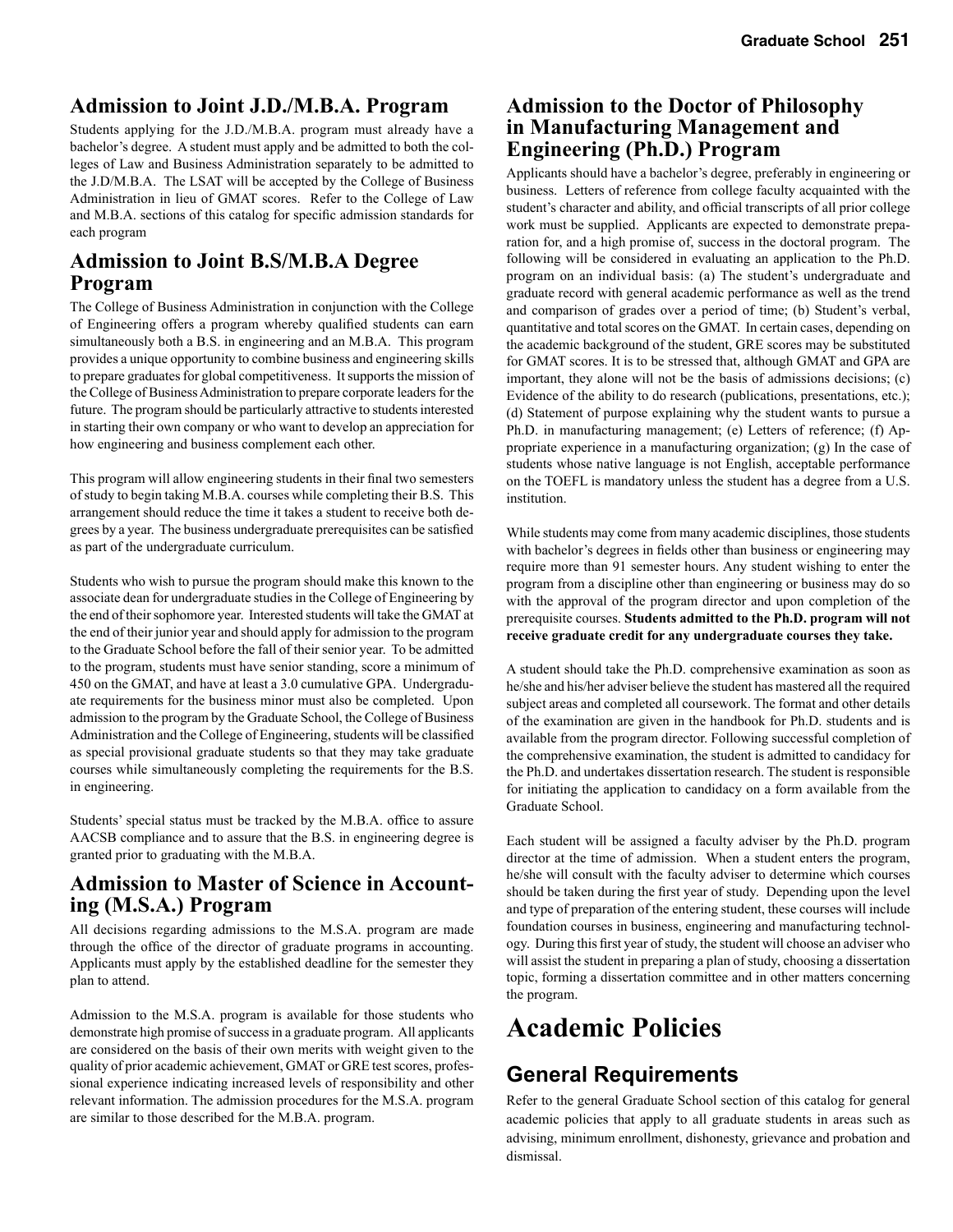### **Admission to Joint J.D./M.B.A. Program**

Students applying for the J.D./M.B.A. program must already have a bachelor's degree. A student must apply and be admitted to both the colleges of Law and Business Administration separately to be admitted to the J.D/M.B.A. The LSAT will be accepted by the College of Business Administration in lieu of GMAT scores. Refer to the College of Law and M.B.A. sections of this catalog for specific admission standards for each program

### **Admission to Joint B.S/M.B.A Degree Program**

The College of Business Administration in conjunction with the College of Engineering offers a program whereby qualified students can earn simultaneously both a B.S. in engineering and an M.B.A. This program provides a unique opportunity to combine business and engineering skills to prepare graduates for global competitiveness. It supports the mission of the College of Business Administration to prepare corporate leaders for the future. The program should be particularly attractive to students interested in starting their own company or who want to develop an appreciation for how engineering and business complement each other.

This program will allow engineering students in their final two semesters of study to begin taking M.B.A. courses while completing their B.S. This arrangement should reduce the time it takes a student to receive both degrees by a year. The business undergraduate prerequisites can be satisfied as part of the undergraduate curriculum.

Students who wish to pursue the program should make this known to the associate dean for undergraduate studies in the College of Engineering by the end of their sophomore year. Interested students will take the GMAT at the end of their junior year and should apply for admission to the program to the Graduate School before the fall of their senior year. To be admitted to the program, students must have senior standing, score a minimum of 450 on the GMAT, and have at least a 3.0 cumulative GPA. Undergraduate requirements for the business minor must also be completed. Upon admission to the program by the Graduate School, the College of Business Administration and the College of Engineering, students will be classified as special provisional graduate students so that they may take graduate courses while simultaneously completing the requirements for the B.S. in engineering.

Students' special status must be tracked by the M.B.A. office to assure AACSB compliance and to assure that the B.S. in engineering degree is granted prior to graduating with the M.B.A.

# **Admission to Master of Science in Account- ing (M.S.A.) Program**

All decisions regarding admissions to the M.S.A. program are made through the office of the director of graduate programs in accounting. Applicants must apply by the established deadline for the semester they plan to attend.

Admission to the M.S.A. program is available for those students who demonstrate high promise of success in a graduate program. All applicants are considered on the basis of their own merits with weight given to the quality of prior academic achievement, GMAT or GRE test scores, professional experience indicating increased levels of responsibility and other relevant information. The admission procedures for the M.S.A. program are similar to those described for the M.B.A. program.

### **Admission to the Doctor of Philosophy in Manufacturing Management and Engineering (Ph.D.) Program**

Applicants should have a bachelor's degree, preferably in engineering or business. Letters of reference from college faculty acquainted with the student's character and ability, and official transcripts of all prior college work must be supplied. Applicants are expected to demonstrate preparation for, and a high promise of, success in the doctoral program. The following will be considered in evaluating an application to the Ph.D. program on an individual basis: (a) The student's undergraduate and graduate record with general academic performance as well as the trend and comparison of grades over a period of time; (b) Student's verbal, quantitative and total scores on the GMAT. In certain cases, depending on the academic background of the student, GRE scores may be substituted for GMAT scores. It is to be stressed that, although GMAT and GPA are important, they alone will not be the basis of admissions decisions; (c) Evidence of the ability to do research (publications, presentations, etc.); (d) Statement of purpose explaining why the student wants to pursue a Ph.D. in manufacturing management; (e) Letters of reference; (f) Appropriate experience in a manufacturing organization; (g) In the case of students whose native language is not English, acceptable performance on the TOEFL is mandatory unless the student has a degree from a U.S. institution.

While students may come from many academic disciplines, those students with bachelor's degrees in fields other than business or engineering may require more than 91 semester hours. Any student wishing to enter the program from a discipline other than engineering or business may do so with the approval of the program director and upon completion of the prerequisite courses. **Students admitted to the Ph.D. program will not receive graduate credit for any undergraduate courses they take.**

A student should take the Ph.D. comprehensive examination as soon as he/she and his/her adviser believe the student has mastered all the required subject areas and completed all coursework. The format and other details of the examination are given in the handbook for Ph.D. students and is available from the program director. Following successful completion of the comprehensive examination, the student is admitted to candidacy for the Ph.D. and undertakes dissertation research. The student is responsible for initiating the application to candidacy on a form available from the Graduate School.

Each student will be assigned a faculty adviser by the Ph.D. program director at the time of admission. When a student enters the program, he/she will consult with the faculty adviser to determine which courses should be taken during the first year of study. Depending upon the level and type of preparation of the entering student, these courses will include foundation courses in business, engineering and manufacturing technology. During this first year of study, the student will choose an adviser who will assist the student in preparing a plan of study, choosing a dissertation topic, forming a dissertation committee and in other matters concerning the program.

# **Academic Policies**

# **General Requirements**

Refer to the general Graduate School section of this catalog for general academic policies that apply to all graduate students in areas such as advising, minimum enrollment, dishonesty, grievance and probation and dismissal.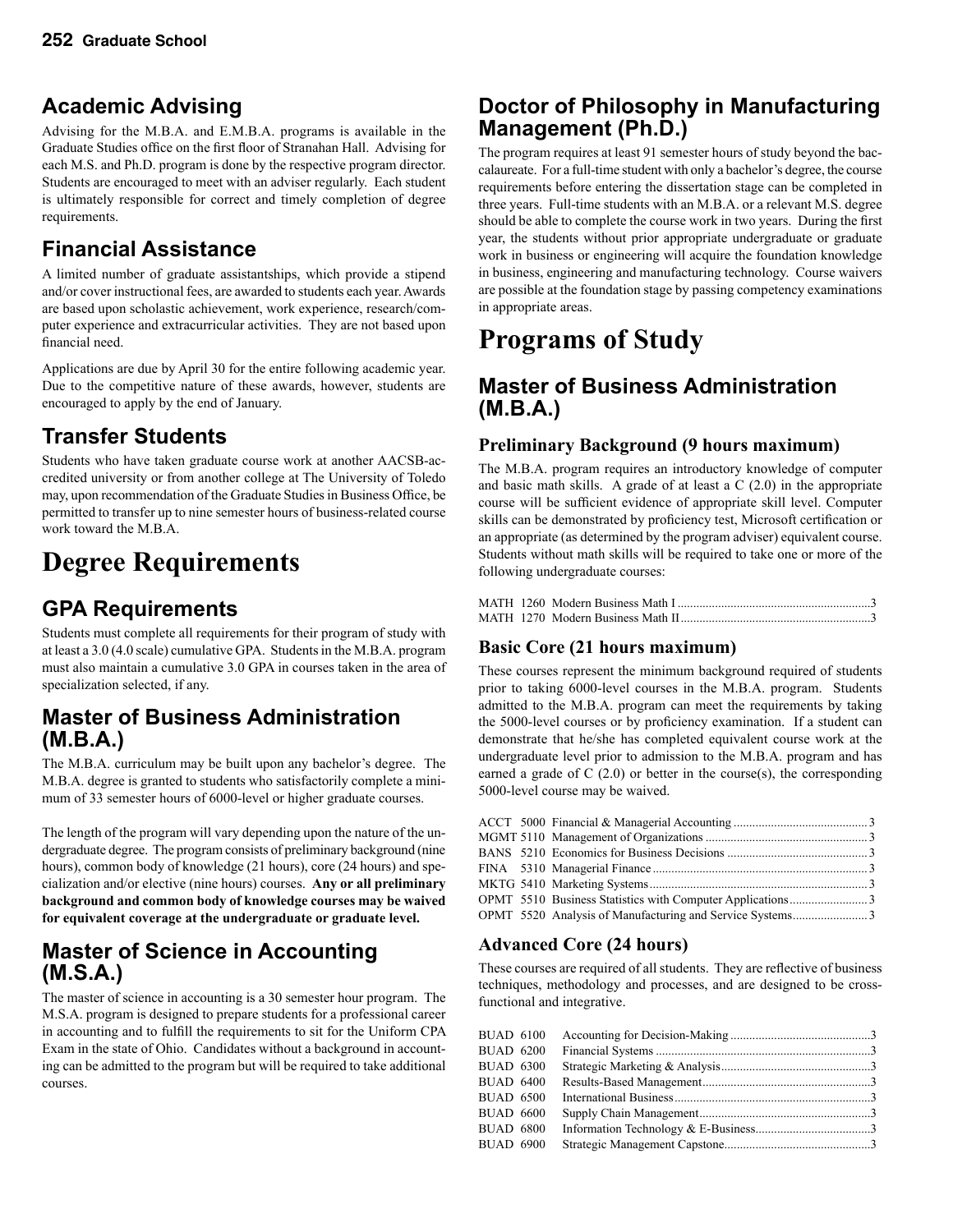# **Academic Advising**

Advising for the M.B.A. and E.M.B.A. programs is available in the Graduate Studies office on the first floor of Stranahan Hall. Advising for each M.S. and Ph.D. program is done by the respective program director. Students are encouraged to meet with an adviser regularly. Each student is ultimately responsible for correct and timely completion of degree requirements.

# **Financial Assistance**

A limited number of graduate assistantships, which provide a stipend and/or cover instructional fees, are awarded to students each year. Awards are based upon scholastic achievement, work experience, research/computer experience and extracurricular activities. They are not based upon financial need.

Applications are due by April 30 for the entire following academic year. Due to the competitive nature of these awards, however, students are encouraged to apply by the end of January.

# **Transfer Students**

Students who have taken graduate course work at another AACSB-accredited university or from another college at The University of Toledo may, upon recommendation of the Graduate Studies in Business Office, be permitted to transfer up to nine semester hours of business-related course work toward the M.B.A.

# **Degree Requirements**

# **GPA Requirements**

Students must complete all requirements for their program of study with at least a 3.0 (4.0 scale) cumulative GPA. Students in the M.B.A. program must also maintain a cumulative 3.0 GPA in courses taken in the area of specialization selected, if any.

### **Master of Business Administration (M.B.A.)**

The M.B.A. curriculum may be built upon any bachelor's degree. The M.B.A. degree is granted to students who satisfactorily complete a minimum of 33 semester hours of 6000-level or higher graduate courses.

The length of the program will vary depending upon the nature of the undergraduate degree. The program consists of preliminary background (nine hours), common body of knowledge (21 hours), core (24 hours) and specialization and/or elective (nine hours) courses. **Any or all preliminary background and common body of knowledge courses may be waived for equivalent coverage at the undergraduate or graduate level.**

### **Master of Science in Accounting (M.S.A.)**

The master of science in accounting is a 30 semester hour program. The M.S.A. program is designed to prepare students for a professional career in accounting and to fulfill the requirements to sit for the Uniform CPA Exam in the state of Ohio. Candidates without a background in accounting can be admitted to the program but will be required to take additional courses.

### **Doctor of Philosophy in Manufacturing Management (Ph.D.)**

The program requires at least 91 semester hours of study beyond the baccalaureate. For a full-time student with only a bachelor's degree, the course requirements before entering the dissertation stage can be completed in three years. Full-time students with an M.B.A. or a relevant M.S. degree should be able to complete the course work in two years. During the first year, the students without prior appropriate undergraduate or graduate work in business or engineering will acquire the foundation knowledge in business, engineering and manufacturing technology. Course waivers are possible at the foundation stage by passing competency examinations in appropriate areas.

# **Programs of Study**

### **Master of Business Administration (M.B.A.)**

### **Preliminary Background (9 hours maximum)**

The M.B.A. program requires an introductory knowledge of computer and basic math skills. A grade of at least a  $C(2.0)$  in the appropriate course will be sufficient evidence of appropriate skill level. Computer skills can be demonstrated by proficiency test, Microsoft certification or an appropriate (as determined by the program adviser) equivalent course. Students without math skills will be required to take one or more of the following undergraduate courses:

### **Basic Core (21 hours maximum)**

These courses represent the minimum background required of students prior to taking 6000-level courses in the M.B.A. program. Students admitted to the M.B.A. program can meet the requirements by taking the 5000-level courses or by proficiency examination. If a student can demonstrate that he/she has completed equivalent course work at the undergraduate level prior to admission to the M.B.A. program and has earned a grade of  $C(2.0)$  or better in the course(s), the corresponding 5000-level course may be waived.

### **Advanced Core (24 hours)**

These courses are required of all students. They are reflective of business techniques, methodology and processes, and are designed to be crossfunctional and integrative.

| <b>BUAD 6100</b> |  |  |
|------------------|--|--|
| <b>BUAD 6200</b> |  |  |
| <b>BUAD 6300</b> |  |  |
| BUAD 6400        |  |  |
| <b>BUAD 6500</b> |  |  |
| BUAD 6600        |  |  |
| BUAD 6800        |  |  |
| <b>BUAD 6900</b> |  |  |
|                  |  |  |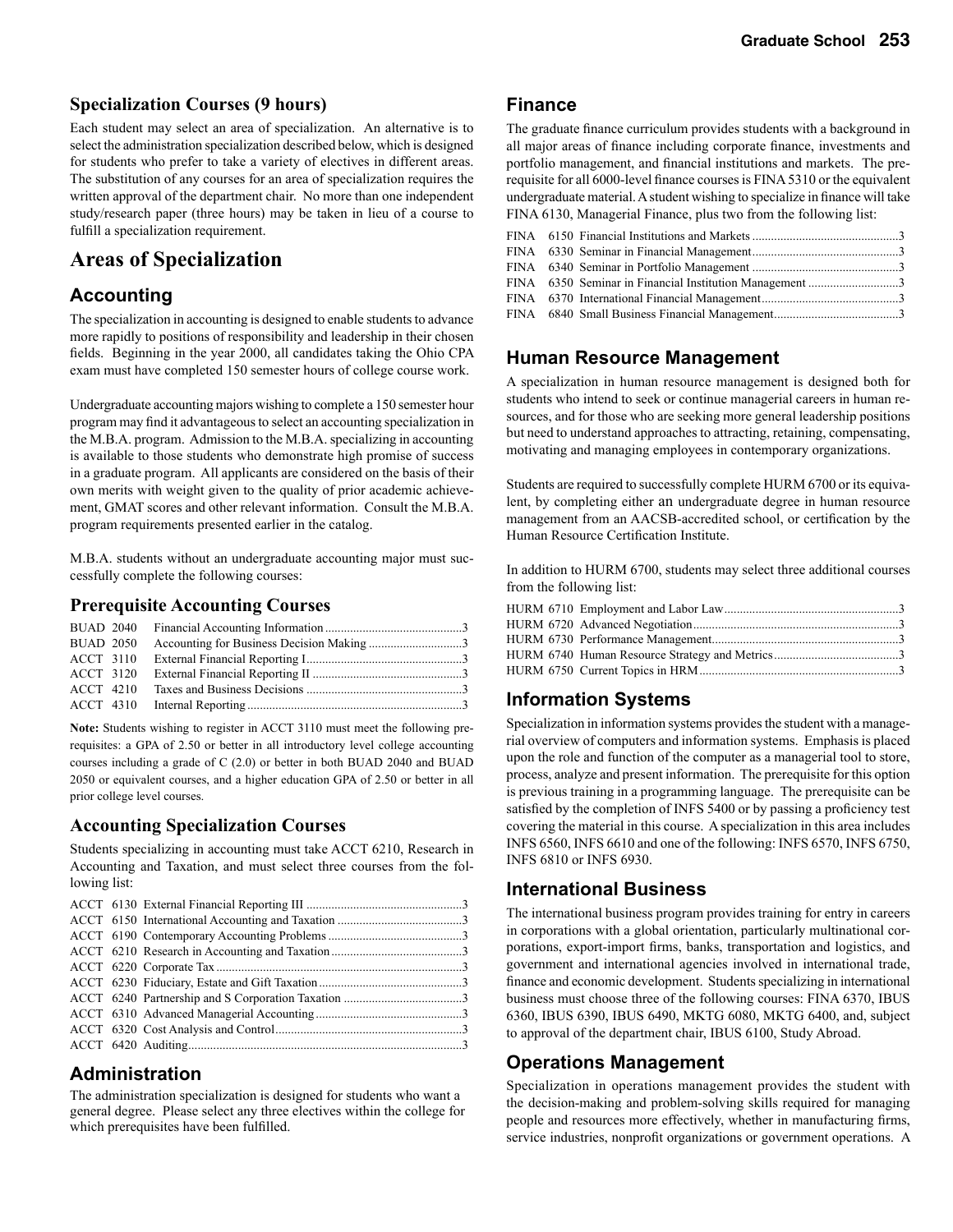#### **Specialization Courses (9 hours)**

Each student may select an area of specialization. An alternative is to select the administration specialization described below, which is designed for students who prefer to take a variety of electives in different areas. The substitution of any courses for an area of specialization requires the written approval of the department chair. No more than one independent study/research paper (three hours) may be taken in lieu of a course to fulfill a specialization requirement.

### **Areas of Specialization**

#### **Accounting**

The specialization in accounting is designed to enable students to advance more rapidly to positions of responsibility and leadership in their chosen fields. Beginning in the year 2000, all candidates taking the Ohio CPA exam must have completed 150 semester hours of college course work.

Undergraduate accounting majors wishing to complete a 150 semester hour program may find it advantageous to select an accounting specialization in the M.B.A. program. Admission to the M.B.A. specializing in accounting is available to those students who demonstrate high promise of success in a graduate program. All applicants are considered on the basis of their own merits with weight given to the quality of prior academic achievement, GMAT scores and other relevant information. Consult the M.B.A. program requirements presented earlier in the catalog.

M.B.A. students without an undergraduate accounting major must successfully complete the following courses:

#### **Prerequisite Accounting Courses**

**Note:** Students wishing to register in ACCT 3110 must meet the following prerequisites: a GPA of 2.50 or better in all introductory level college accounting courses including a grade of C (2.0) or better in both BUAD 2040 and BUAD 2050 or equivalent courses, and a higher education GPA of 2.50 or better in all prior college level courses.

#### **Accounting Specialization Courses**

Students specializing in accounting must take ACCT 6210, Research in Accounting and Taxation, and must select three courses from the following list:

#### **Administration**

The administration specialization is designed for students who want a general degree. Please select any three electives within the college for which prerequisites have been fulfilled.

#### **Finance**

The graduate finance curriculum provides students with a background in all major areas of finance including corporate finance, investments and portfolio management, and financial institutions and markets. The prerequisite for all 6000-level finance courses is FINA 5310 or the equivalent undergraduate material. A student wishing to specialize in finance will take FINA 6130, Managerial Finance, plus two from the following list:

|  | FINA 6350 Seminar in Financial Institution Management 3 |  |
|--|---------------------------------------------------------|--|
|  |                                                         |  |
|  |                                                         |  |

### **Human Resource Management**

A specialization in human resource management is designed both for students who intend to seek or continue managerial careers in human resources, and for those who are seeking more general leadership positions but need to understand approaches to attracting, retaining, compensating, motivating and managing employees in contemporary organizations.

Students are required to successfully complete HURM 6700 or its equivalent, by completing either an undergraduate degree in human resource management from an AACSB-accredited school, or certification by the Human Resource Certification Institute.

In addition to HURM 6700, students may select three additional courses from the following list:

### **Information Systems**

Specialization in information systems provides the student with a managerial overview of computers and information systems. Emphasis is placed upon the role and function of the computer as a managerial tool to store, process, analyze and present information. The prerequisite for this option is previous training in a programming language. The prerequisite can be satisfied by the completion of INFS 5400 or by passing a proficiency test covering the material in this course. A specialization in this area includes INFS 6560, INFS 6610 and one of the following: INFS 6570, INFS 6750, INFS 6810 or INFS 6930.

#### **International Business**

The international business program provides training for entry in careers in corporations with a global orientation, particularly multinational corporations, export-import firms, banks, transportation and logistics, and government and international agencies involved in international trade, finance and economic development. Students specializing in international business must choose three of the following courses: FINA 6370, IBUS 6360, IBUS 6390, IBUS 6490, MKTG 6080, MKTG 6400, and, subject to approval of the department chair, IBUS 6100, Study Abroad.

#### **Operations Management**

Specialization in operations management provides the student with the decision-making and problem-solving skills required for managing people and resources more effectively, whether in manufacturing firms, service industries, nonprofit organizations or government operations. A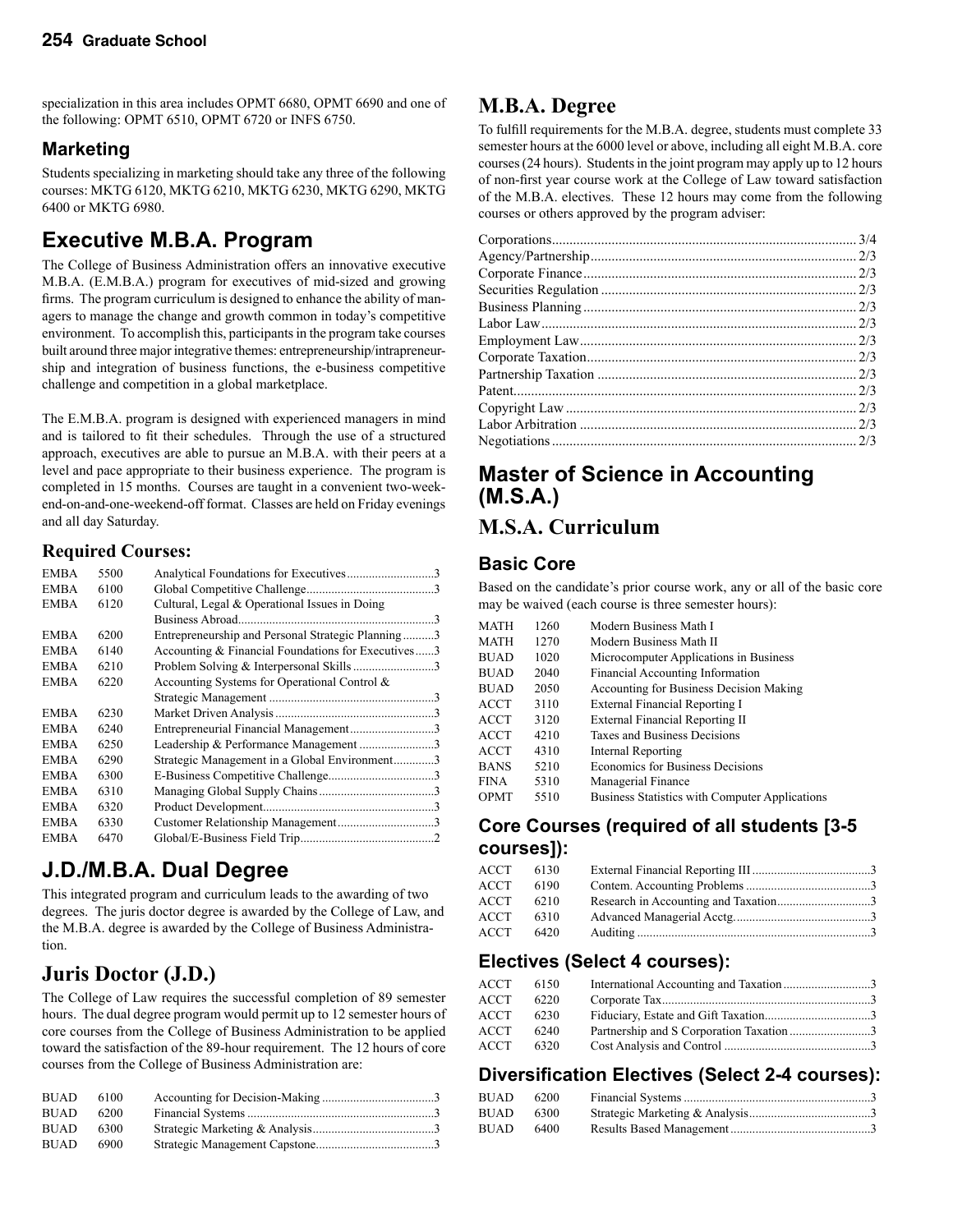specialization in this area includes OPMT 6680, OPMT 6690 and one of the following: OPMT 6510, OPMT 6720 or INFS 6750.

### **Marketing**

Students specializing in marketing should take any three of the following courses: MKTG 6120, MKTG 6210, MKTG 6230, MKTG 6290, MKTG 6400 or MKTG 6980.

# **Executive M.B.A. Program**

The College of Business Administration offers an innovative executive M.B.A. (E.M.B.A.) program for executives of mid-sized and growing firms. The program curriculum is designed to enhance the ability of managers to manage the change and growth common in today's competitive environment. To accomplish this, participants in the program take courses built around three major integrative themes: entrepreneurship/intrapreneurship and integration of business functions, the e-business competitive challenge and competition in a global marketplace.

The E.M.B.A. program is designed with experienced managers in mind and is tailored to fit their schedules. Through the use of a structured approach, executives are able to pursue an M.B.A. with their peers at a level and pace appropriate to their business experience. The program is completed in 15 months. Courses are taught in a convenient two-weekend-on-and-one-weekend-off format. Classes are held on Friday evenings and all day Saturday.

### **Required Courses:**

| <b>EMBA</b> | 5500 | Analytical Foundations for Executives3             |  |
|-------------|------|----------------------------------------------------|--|
| <b>EMBA</b> | 6100 |                                                    |  |
| <b>EMBA</b> | 6120 | Cultural, Legal & Operational Issues in Doing      |  |
|             |      |                                                    |  |
| <b>EMBA</b> | 6200 | Entrepreneurship and Personal Strategic Planning3  |  |
| <b>EMBA</b> | 6140 | Accounting & Financial Foundations for Executives3 |  |
| <b>EMBA</b> | 6210 |                                                    |  |
| <b>EMBA</b> | 6220 | Accounting Systems for Operational Control &       |  |
|             |      |                                                    |  |
| <b>EMBA</b> | 6230 |                                                    |  |
| <b>EMBA</b> | 6240 | Entrepreneurial Financial Management3              |  |
| <b>EMBA</b> | 6250 | Leadership & Performance Management3               |  |
| <b>EMBA</b> | 6290 | Strategic Management in a Global Environment3      |  |
| <b>EMBA</b> | 6300 |                                                    |  |
| <b>EMBA</b> | 6310 |                                                    |  |
| <b>EMBA</b> | 6320 |                                                    |  |
| <b>EMBA</b> | 6330 |                                                    |  |
| <b>EMBA</b> | 6470 |                                                    |  |
|             |      |                                                    |  |

# **J.D./M.B.A. Dual Degree**

This integrated program and curriculum leads to the awarding of two degrees. The juris doctor degree is awarded by the College of Law, and the M.B.A. degree is awarded by the College of Business Administration.

# **Juris Doctor (J.D.)**

The College of Law requires the successful completion of 89 semester hours. The dual degree program would permit up to 12 semester hours of core courses from the College of Business Administration to be applied toward the satisfaction of the 89-hour requirement. The 12 hours of core courses from the College of Business Administration are:

| <b>BUAD</b> | 6100 |  |
|-------------|------|--|
| <b>BUAD</b> | 6200 |  |
| <b>BUAD</b> | 6300 |  |
| <b>BUAD</b> | 6900 |  |

### **M.B.A. Degree**

To fulfill requirements for the M.B.A. degree, students must complete 33 semester hours at the 6000 level or above, including all eight M.B.A. core courses (24 hours). Students in the joint program may apply up to 12 hours of non-first year course work at the College of Law toward satisfaction of the M.B.A. electives. These 12 hours may come from the following courses or others approved by the program adviser:

# **Master of Science in Accounting (M.S.A.)**

### **M.S.A. Curriculum**

### **Basic Core**

Based on the candidate's prior course work, any or all of the basic core may be waived (each course is three semester hours):

| MATH        | 1260 | Modern Business Math I                         |
|-------------|------|------------------------------------------------|
| MATH        | 1270 | Modern Business Math II                        |
| <b>BUAD</b> | 1020 | Microcomputer Applications in Business         |
| <b>BUAD</b> | 2040 | <b>Financial Accounting Information</b>        |
| <b>BUAD</b> | 2050 | Accounting for Business Decision Making        |
| ACCT        | 3110 | External Financial Reporting I                 |
| ACCT        | 3120 | External Financial Reporting II                |
| ACCT        | 4210 | Taxes and Business Decisions                   |
| <b>ACCT</b> | 4310 | Internal Reporting                             |
| <b>BANS</b> | 5210 | Economics for Business Decisions               |
| FINA        | 5310 | Managerial Finance                             |
| OPMT        | 5510 | Business Statistics with Computer Applications |
|             |      |                                                |

### **Core Courses (required of all students [3-5 courses]):**

| ACCT  | 6130 |  |
|-------|------|--|
| ACCT  | 6190 |  |
| ACCT. | 6210 |  |
| ACCT  | 6310 |  |
| ACCT  | 6420 |  |
|       |      |  |

### **Electives (Select 4 courses):**

| ACCT | 6150 | International Accounting and Taxation3   |  |
|------|------|------------------------------------------|--|
| ACCT | 6220 |                                          |  |
| ACCT | 6230 |                                          |  |
| ACCT | 6240 | Partnership and S Corporation Taxation 3 |  |
| ACCT | 6320 |                                          |  |
|      |      |                                          |  |

### **Diversification Electives (Select 2-4 courses):**

| BUAD | 6200 |  |
|------|------|--|
| BUAD | 6300 |  |
| BUAD | 6400 |  |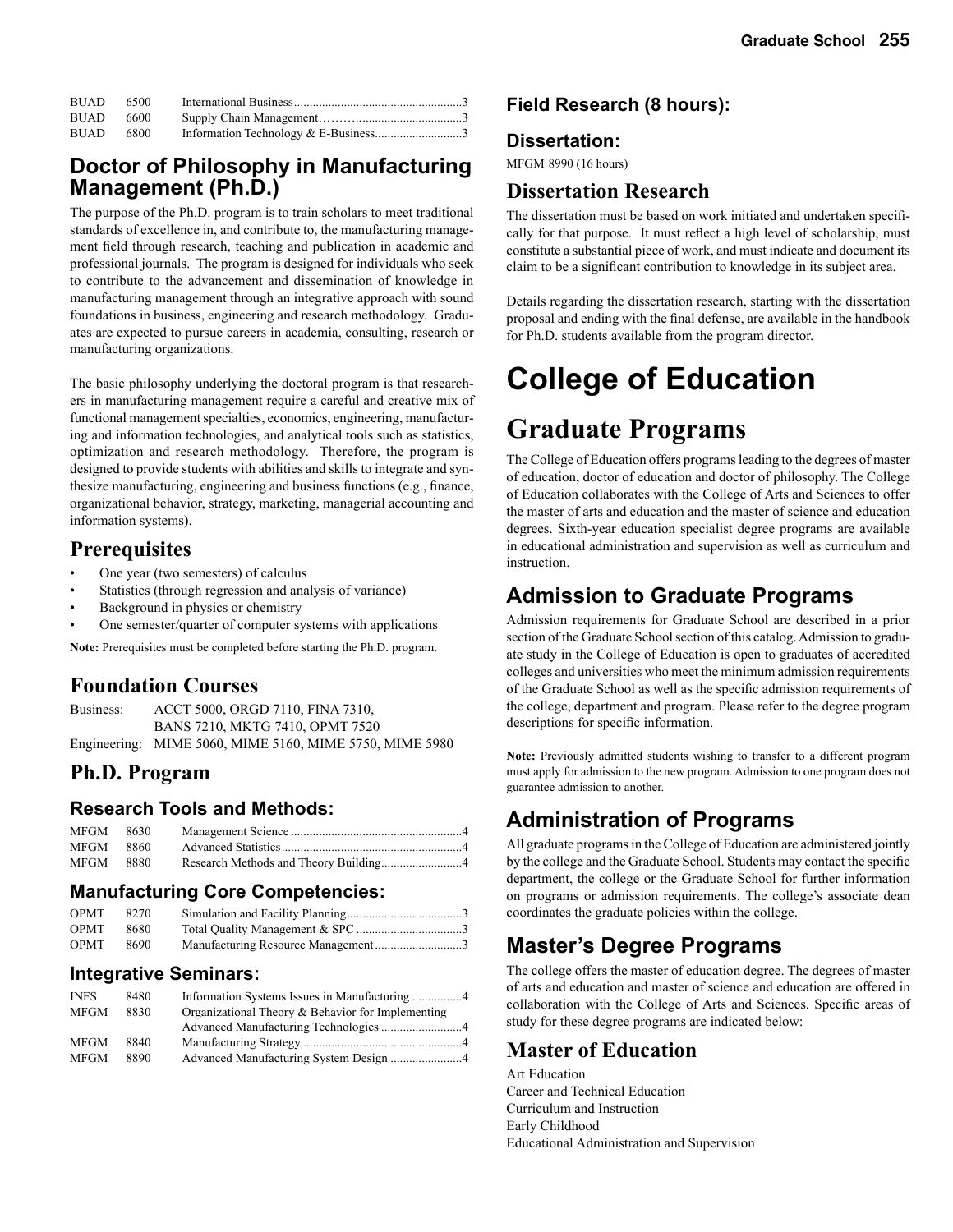| $BUAD$ 6500 |      |  |
|-------------|------|--|
| <b>BUAD</b> | 6600 |  |
| <b>BUAD</b> | 6800 |  |

### **Doctor of Philosophy in Manufacturing Management (Ph.D.)**

The purpose of the Ph.D. program is to train scholars to meet traditional standards of excellence in, and contribute to, the manufacturing management field through research, teaching and publication in academic and professional journals. The program is designed for individuals who seek to contribute to the advancement and dissemination of knowledge in manufacturing management through an integrative approach with sound foundations in business, engineering and research methodology. Graduates are expected to pursue careers in academia, consulting, research or manufacturing organizations.

The basic philosophy underlying the doctoral program is that researchers in manufacturing management require a careful and creative mix of functional management specialties, economics, engineering, manufacturing and information technologies, and analytical tools such as statistics, optimization and research methodology. Therefore, the program is designed to provide students with abilities and skills to integrate and synthesize manufacturing, engineering and business functions (e.g., finance, organizational behavior, strategy, marketing, managerial accounting and information systems).

### **Prerequisites**

- One year (two semesters) of calculus
- Statistics (through regression and analysis of variance)
- Background in physics or chemistry
- One semester/quarter of computer systems with applications

**Note:** Prerequisites must be completed before starting the Ph.D. program.

### **Foundation Courses**

Business: ACCT 5000, ORGD 7110, FINA 7310, BANS 7210, MKTG 7410, OPMT 7520 Engineering: MIME 5060, MIME 5160, MIME 5750, MIME 5980

### **Ph.D. Program**

### **Research Tools and Methods:**

| MFGM 8630 |  |  |
|-----------|--|--|
| MFGM 8860 |  |  |
| MFGM 8880 |  |  |

### **Manufacturing Core Competencies:**

| <b>OPMT</b> | 8270 |                                    |  |
|-------------|------|------------------------------------|--|
| OPMT        | 8680 |                                    |  |
| <b>OPMT</b> | 8690 | Manufacturing Resource Management3 |  |

#### **Integrative Seminars:**

| <b>INFS</b> | 8480 |                                                   |  |
|-------------|------|---------------------------------------------------|--|
| MFGM        | 8830 | Organizational Theory & Behavior for Implementing |  |
|             |      |                                                   |  |
| MFGM        | 8840 |                                                   |  |
| MFGM        | 8890 |                                                   |  |

### **Field Research (8 hours):**

### **Dissertation:**

MFGM 8990 (16 hours)

### **Dissertation Research**

The dissertation must be based on work initiated and undertaken specifically for that purpose. It must reflect a high level of scholarship, must constitute a substantial piece of work, and must indicate and document its claim to be a significant contribution to knowledge in its subject area.

Details regarding the dissertation research, starting with the dissertation proposal and ending with the final defense, are available in the handbook for Ph.D. students available from the program director.

# **College of Education**

# **Graduate Programs**

The College of Education offers programs leading to the degrees of master of education, doctor of education and doctor of philosophy. The College of Education collaborates with the College of Arts and Sciences to offer the master of arts and education and the master of science and education degrees. Sixth-year education specialist degree programs are available in educational administration and supervision as well as curriculum and instruction.

## **Admission to Graduate Programs**

Admission requirements for Graduate School are described in a prior section of the Graduate School section of this catalog. Admission to graduate study in the College of Education is open to graduates of accredited colleges and universities who meet the minimum admission requirements of the Graduate School as well as the specific admission requirements of the college, department and program. Please refer to the degree program descriptions for specific information.

**Note:** Previously admitted students wishing to transfer to a different program must apply for admission to the new program. Admission to one program does not guarantee admission to another.

# **Administration of Programs**

All graduate programs in the College of Education are administered jointly by the college and the Graduate School. Students may contact the specific department, the college or the Graduate School for further information on programs or admission requirements. The college's associate dean coordinates the graduate policies within the college.

# **Master's Degree Programs**

The college offers the master of education degree. The degrees of master of arts and education and master of science and education are offered in collaboration with the College of Arts and Sciences. Specific areas of study for these degree programs are indicated below:

### **Master of Education**

Art Education Career and Technical Education Curriculum and Instruction Early Childhood Educational Administration and Supervision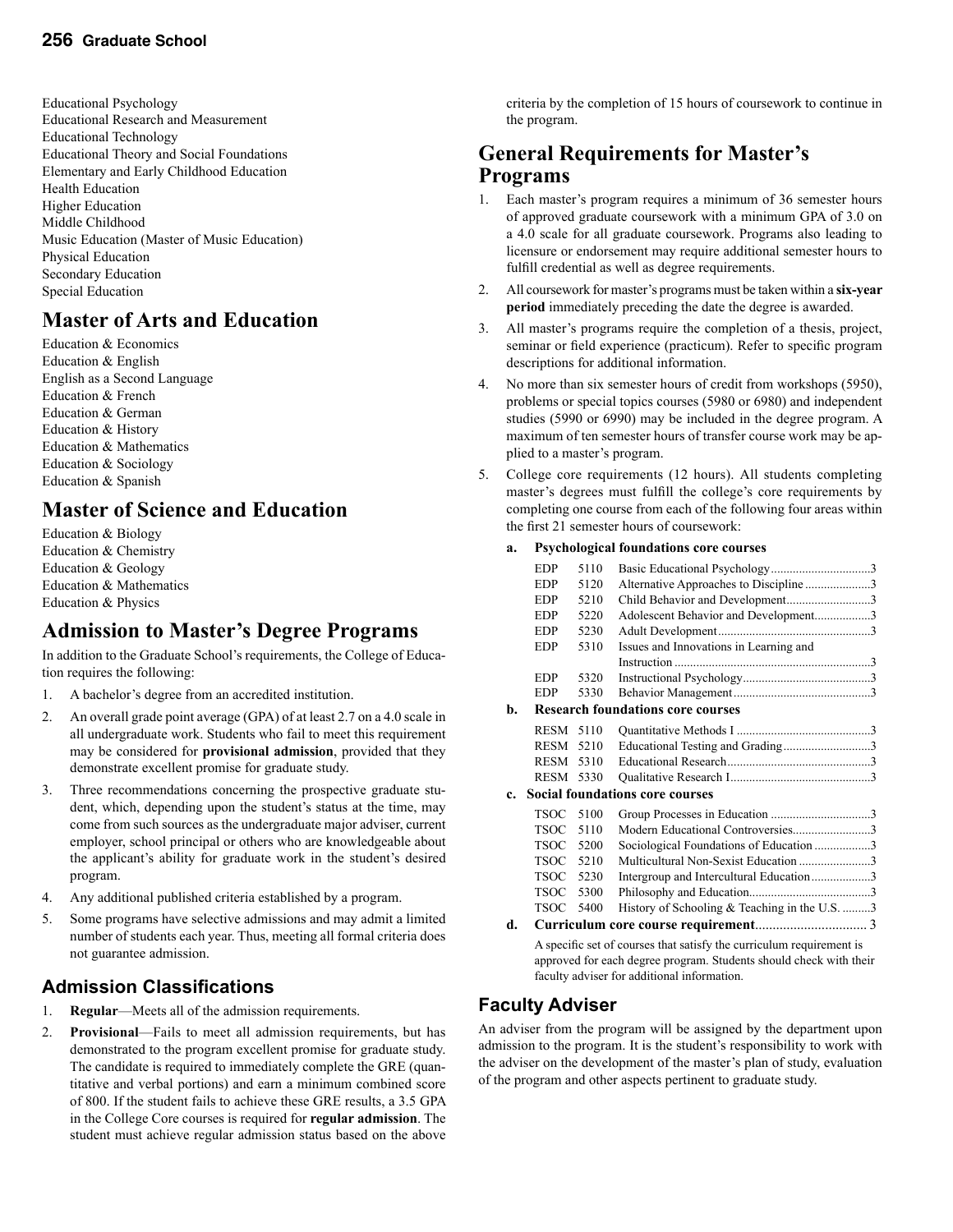Educational Psychology Educational Research and Measurement Educational Technology Educational Theory and Social Foundations Elementary and Early Childhood Education Health Education Higher Education Middle Childhood Music Education (Master of Music Education) Physical Education Secondary Education Special Education

# **Master of Arts and Education**

Education & Economics Education & English English as a Second Language Education & French Education & German Education & History Education & Mathematics Education & Sociology Education & Spanish

### **Master of Science and Education**

Education & Biology Education & Chemistry Education & Geology Education & Mathematics Education & Physics

### **Admission to Master's Degree Programs**

In addition to the Graduate School's requirements, the College of Education requires the following:

- 1. A bachelor's degree from an accredited institution.
- 2. An overall grade point average (GPA) of at least 2.7 on a 4.0 scale in all undergraduate work. Students who fail to meet this requirement may be considered for **provisional admission**, provided that they demonstrate excellent promise for graduate study.
- 3. Three recommendations concerning the prospective graduate student, which, depending upon the student's status at the time, may come from such sources as the undergraduate major adviser, current employer, school principal or others who are knowledgeable about the applicant's ability for graduate work in the student's desired program.
- 4. Any additional published criteria established by a program.
- 5. Some programs have selective admissions and may admit a limited number of students each year. Thus, meeting all formal criteria does not guarantee admission.

### **Admission Classifications**

- 1. **Regular**—Meets all of the admission requirements.
- 2. **Provisional**—Fails to meet all admission requirements, but has demonstrated to the program excellent promise for graduate study. The candidate is required to immediately complete the GRE (quantitative and verbal portions) and earn a minimum combined score of 800. If the student fails to achieve these GRE results, a 3.5 GPA in the College Core courses is required for **regular admission**. The student must achieve regular admission status based on the above

criteria by the completion of 15 hours of coursework to continue in the program.

### **General Requirements for Master's Programs**

- 1. Each master's program requires a minimum of 36 semester hours of approved graduate coursework with a minimum GPA of 3.0 on a 4.0 scale for all graduate coursework. Programs also leading to licensure or endorsement may require additional semester hours to fulfill credential as well as degree requirements.
- 2. All coursework for master's programs must be taken within a **six-year period** immediately preceding the date the degree is awarded.
- 3. All master's programs require the completion of a thesis, project, seminar or field experience (practicum). Refer to specific program descriptions for additional information.
- 4. No more than six semester hours of credit from workshops (5950), problems or special topics courses (5980 or 6980) and independent studies (5990 or 6990) may be included in the degree program. A maximum of ten semester hours of transfer course work may be applied to a master's program.
- 5. College core requirements (12 hours). All students completing master's degrees must fulfill the college's core requirements by completing one course from each of the following four areas within the first 21 semester hours of coursework:

#### **a. Psychological foundations core courses**

|           | <b>EDP</b>  | 5110 |                                                                      |  |
|-----------|-------------|------|----------------------------------------------------------------------|--|
|           | <b>EDP</b>  | 5120 | Alternative Approaches to Discipline3                                |  |
|           | <b>EDP</b>  | 5210 | Child Behavior and Development3                                      |  |
|           | <b>EDP</b>  | 5220 | Adolescent Behavior and Development3                                 |  |
|           | <b>EDP</b>  | 5230 |                                                                      |  |
|           | <b>EDP</b>  | 5310 | Issues and Innovations in Learning and                               |  |
|           |             |      |                                                                      |  |
|           | <b>EDP</b>  | 5320 |                                                                      |  |
|           | <b>EDP</b>  | 5330 |                                                                      |  |
| b.        |             |      | <b>Research foundations core courses</b>                             |  |
|           | <b>RESM</b> | 5110 |                                                                      |  |
|           | <b>RESM</b> | 5210 | Educational Testing and Grading3                                     |  |
|           | <b>RESM</b> | 5310 |                                                                      |  |
|           | <b>RESM</b> | 5330 |                                                                      |  |
| $c_{\rm}$ |             |      | <b>Social foundations core courses</b>                               |  |
|           | <b>TSOC</b> | 5100 |                                                                      |  |
|           | <b>TSOC</b> | 5110 | Modern Educational Controversies3                                    |  |
|           | <b>TSOC</b> | 5200 | Sociological Foundations of Education 3                              |  |
|           | <b>TSOC</b> | 5210 | Multicultural Non-Sexist Education 3                                 |  |
|           | <b>TSOC</b> | 5230 | Intergroup and Intercultural Education3                              |  |
|           | <b>TSOC</b> | 5300 |                                                                      |  |
|           | <b>TSOC</b> | 5400 | History of Schooling & Teaching in the U.S. 3                        |  |
| d.        |             |      |                                                                      |  |
|           |             |      | A specific set of courses that satisfy the curriculum requirement is |  |

approved for each degree program. Students should check with their faculty adviser for additional information.

### **Faculty Adviser**

An adviser from the program will be assigned by the department upon admission to the program. It is the student's responsibility to work with the adviser on the development of the master's plan of study, evaluation of the program and other aspects pertinent to graduate study.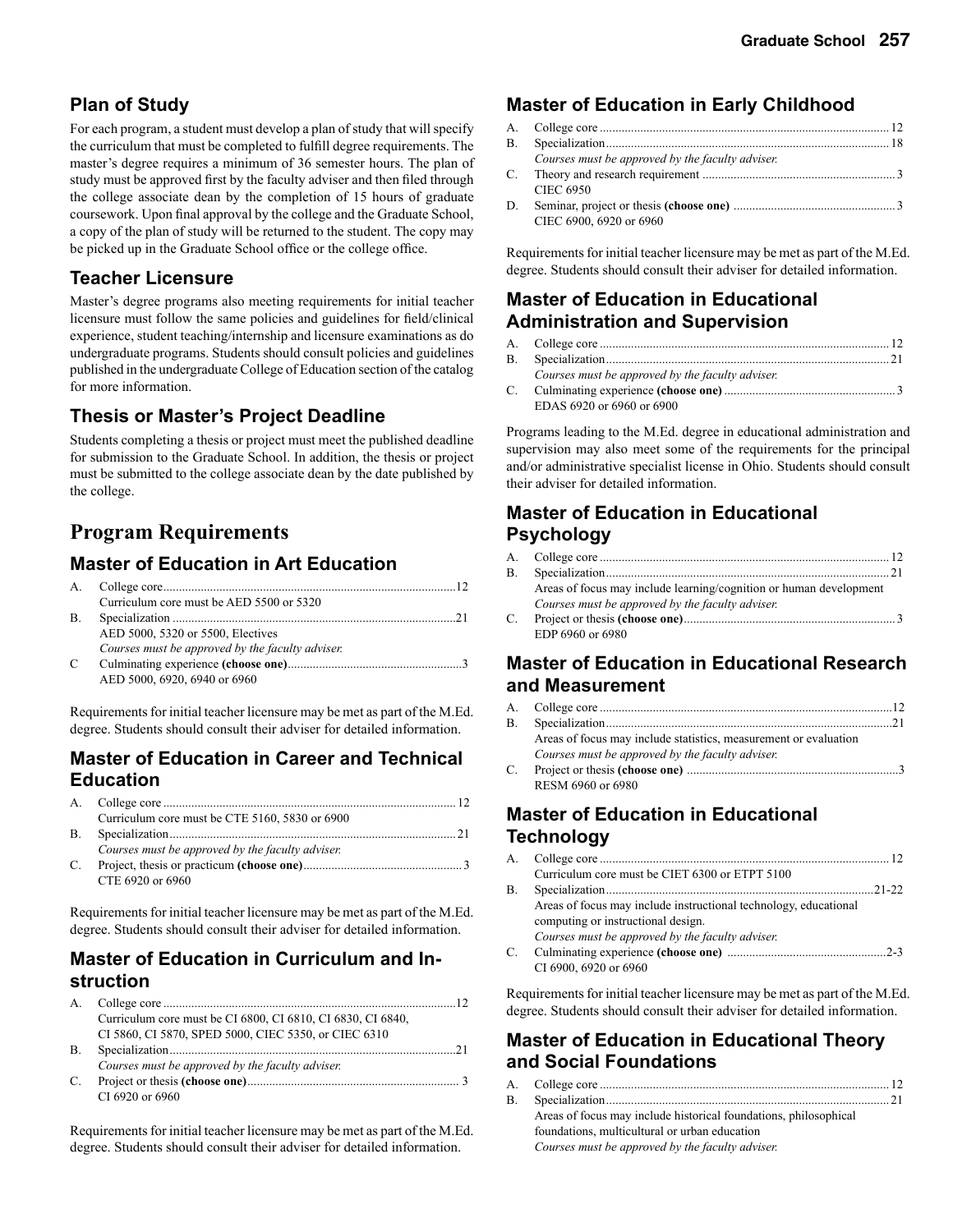### **Plan of Study**

For each program, a student must develop a plan of study that will specify the curriculum that must be completed to fulfill degree requirements. The master's degree requires a minimum of 36 semester hours. The plan of study must be approved first by the faculty adviser and then filed through the college associate dean by the completion of 15 hours of graduate coursework. Upon final approval by the college and the Graduate School, a copy of the plan of study will be returned to the student. The copy may be picked up in the Graduate School office or the college office.

### **Teacher Licensure**

Master's degree programs also meeting requirements for initial teacher licensure must follow the same policies and guidelines for field/clinical experience, student teaching/internship and licensure examinations as do undergraduate programs. Students should consult policies and guidelines published in the undergraduate College of Education section of the catalog for more information.

### **Thesis or Master's Project Deadline**

Students completing a thesis or project must meet the published deadline for submission to the Graduate School. In addition, the thesis or project must be submitted to the college associate dean by the date published by the college.

# **Program Requirements**

### **Master of Education in Art Education**

|           | Curriculum core must be AED 5500 or 5320         |  |
|-----------|--------------------------------------------------|--|
| <b>B.</b> |                                                  |  |
|           | AED 5000, 5320 or 5500, Electives                |  |
|           | Courses must be approved by the faculty adviser. |  |
| C         |                                                  |  |
|           | AED 5000, 6920, 6940 or 6960                     |  |

Requirements for initial teacher licensure may be met as part of the M.Ed. degree. Students should consult their adviser for detailed information.

### **Master of Education in Career and Technical Education**

|    | Curriculum core must be CTE 5160, 5830 or 6900   |  |
|----|--------------------------------------------------|--|
| В. |                                                  |  |
|    | Courses must be approved by the faculty adviser. |  |
| C. |                                                  |  |
|    | CTE 6920 or 6960                                 |  |

Requirements for initial teacher licensure may be met as part of the M.Ed. degree. Students should consult their adviser for detailed information.

### **Master of Education in Curriculum and Instruction**

| A.        |                                                             |
|-----------|-------------------------------------------------------------|
|           | Curriculum core must be CI 6800, CI 6810, CI 6830, CI 6840, |
|           | CI 5860, CI 5870, SPED 5000, CIEC 5350, or CIEC 6310        |
| <b>B.</b> |                                                             |
|           | Courses must be approved by the faculty adviser.            |
| C.        |                                                             |
|           | CI 6920 or 6960                                             |

Requirements for initial teacher licensure may be met as part of the M.Ed. degree. Students should consult their adviser for detailed information.

### **Master of Education in Early Childhood**

| $\mathbf{B}$ |                                                  |  |
|--------------|--------------------------------------------------|--|
|              | Courses must be approved by the faculty adviser. |  |
| C.           |                                                  |  |
|              | <b>CIEC 6950</b>                                 |  |
| D.           |                                                  |  |
|              | CIEC 6900, 6920 or 6960                          |  |

Requirements for initial teacher licensure may be met as part of the M.Ed. degree. Students should consult their adviser for detailed information.

### **Master of Education in Educational Administration and Supervision**

| Courses must be approved by the faculty adviser. |  |
|--------------------------------------------------|--|
|                                                  |  |
| EDAS 6920 or 6960 or 6900                        |  |

Programs leading to the M.Ed. degree in educational administration and supervision may also meet some of the requirements for the principal and/or administrative specialist license in Ohio. Students should consult their adviser for detailed information.

### **Master of Education in Educational Psychology**

| $\mathbf{B}$ |                                                                    |
|--------------|--------------------------------------------------------------------|
|              | Areas of focus may include learning/cognition or human development |
|              | Courses must be approved by the faculty adviser.                   |
| C.           |                                                                    |
|              | EDP 6960 or 6980                                                   |

### **Master of Education in Educational Research and Measurement**

| В. |                                                                  |  |
|----|------------------------------------------------------------------|--|
|    | Areas of focus may include statistics, measurement or evaluation |  |
|    | Courses must be approved by the faculty adviser.                 |  |
| C. |                                                                  |  |
|    | RESM 6960 or 6980                                                |  |

### **Master of Education in Educational Technology**

|    | Curriculum core must be CIET 6300 or ETPT 5100                   |  |
|----|------------------------------------------------------------------|--|
| В. |                                                                  |  |
|    | Areas of focus may include instructional technology, educational |  |
|    | computing or instructional design.                               |  |
|    | Courses must be approved by the faculty adviser.                 |  |
| C. |                                                                  |  |
|    | CI 6900, 6920 or 6960                                            |  |

Requirements for initial teacher licensure may be met as part of the M.Ed. degree. Students should consult their adviser for detailed information.

### **Master of Education in Educational Theory and Social Foundations**

| Areas of focus may include historical foundations, philosophical |  |
|------------------------------------------------------------------|--|
| foundations, multicultural or urban education                    |  |
| Courses must be approved by the faculty adviser.                 |  |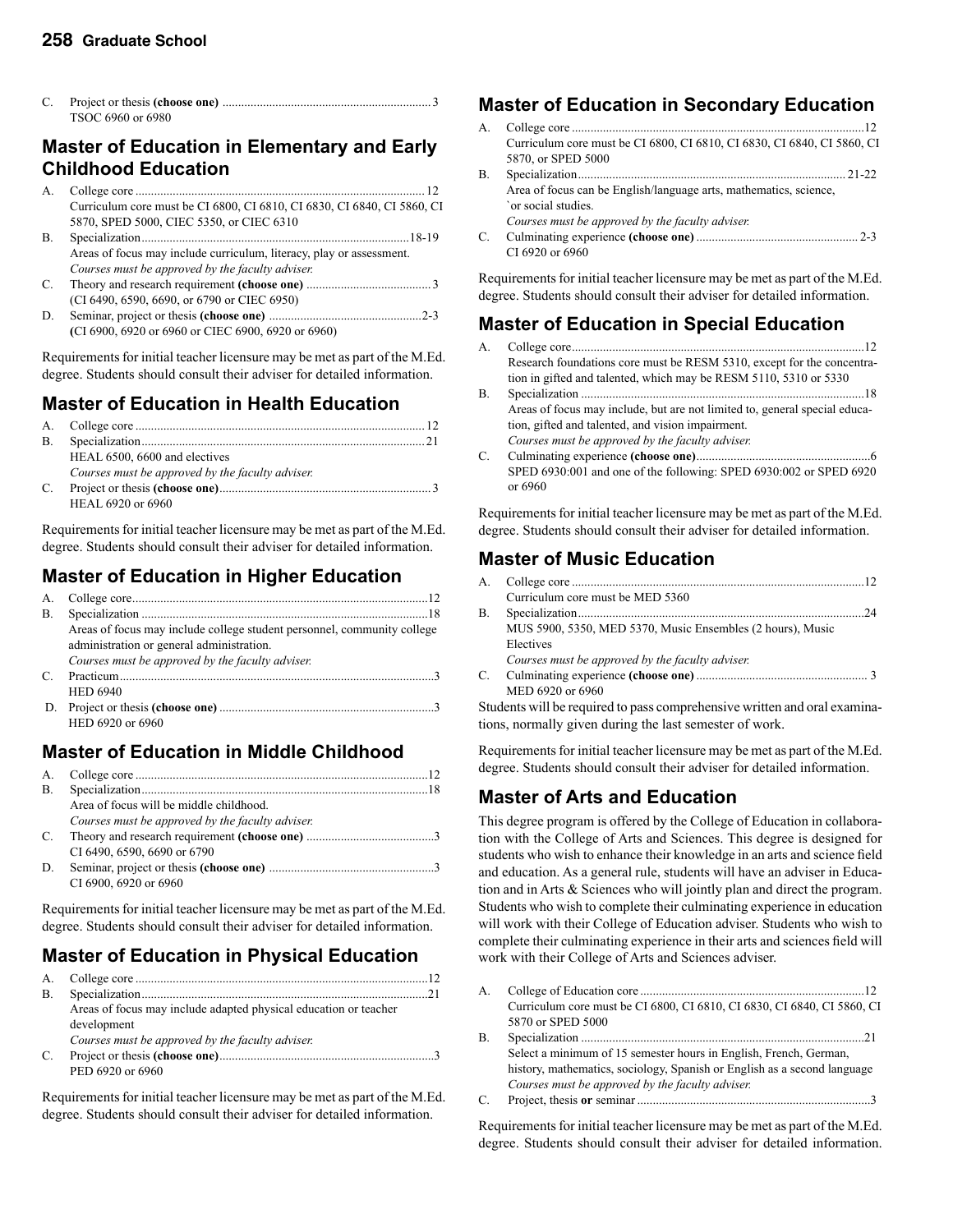| C. |                   |  |
|----|-------------------|--|
|    | TSOC 6960 or 6980 |  |

### **Master of Education in Elementary and Early Childhood Education**

| Curriculum core must be CI 6800, CI 6810, CI 6830, CI 6840, CI 5860, CI |  |
|-------------------------------------------------------------------------|--|
| 5870, SPED 5000, CIEC 5350, or CIEC 6310                                |  |

| <b>B.</b> |                                                                      |
|-----------|----------------------------------------------------------------------|
|           | Areas of focus may include curriculum, literacy, play or assessment. |
|           | Courses must be approved by the faculty adviser.                     |
| C.        |                                                                      |

 (CI 6490, 6590, 6690, or 6790 or CIEC 6950) D. Seminar, project or thesis **(choose one)** .................................................2-3  **(**CI 6900, 6920 or 6960 or CIEC 6900, 6920 or 6960)

Requirements for initial teacher licensure may be met as part of the M.Ed. degree. Students should consult their adviser for detailed information.

### **Master of Education in Health Education**

| $\mathbf{B}$ |                                                  |  |
|--------------|--------------------------------------------------|--|
|              | HEAL 6500, 6600 and electives                    |  |
|              | Courses must be approved by the faculty adviser. |  |
| C.           |                                                  |  |
|              | HEAL 6920 or 6960                                |  |

Requirements for initial teacher licensure may be met as part of the M.Ed. degree. Students should consult their adviser for detailed information.

### **Master of Education in Higher Education**

| В. |                                                                         |
|----|-------------------------------------------------------------------------|
|    | Areas of focus may include college student personnel, community college |
|    | administration or general administration.                               |
|    | Courses must be approved by the faculty adviser.                        |
| C. |                                                                         |
|    | <b>HED 6940</b>                                                         |
|    |                                                                         |
|    | HED 6920 or 6960                                                        |
|    |                                                                         |

### **Master of Education in Middle Childhood**

| A.        |                                                  |  |
|-----------|--------------------------------------------------|--|
| <b>B.</b> |                                                  |  |
|           | Area of focus will be middle childhood.          |  |
|           | Courses must be approved by the faculty adviser. |  |
| C.        |                                                  |  |
|           | CI 6490, 6590, 6690 or 6790                      |  |
| D.        |                                                  |  |
|           | CI 6900, 6920 or 6960                            |  |

Requirements for initial teacher licensure may be met as part of the M.Ed. degree. Students should consult their adviser for detailed information.

### **Master of Education in Physical Education**

| <b>B.</b> |                                                                  |  |
|-----------|------------------------------------------------------------------|--|
|           | Areas of focus may include adapted physical education or teacher |  |
|           | development                                                      |  |
|           | Courses must be approved by the faculty adviser.                 |  |
| C.        |                                                                  |  |
|           | PED 6920 or 6960                                                 |  |
|           |                                                                  |  |

Requirements for initial teacher licensure may be met as part of the M.Ed. degree. Students should consult their adviser for detailed information.

### **Master of Education in Secondary Education**

| A. |                                                                                               |
|----|-----------------------------------------------------------------------------------------------|
|    | Curriculum core must be CI 6800, CI 6810, CI 6830, CI 6840, CI 5860, CI<br>5870, or SPED 5000 |
| В. |                                                                                               |
|    | Area of focus can be English/language arts, mathematics, science,<br>`or social studies.      |
|    | Courses must be approved by the faculty adviser.                                              |
| C. | CI 6920 or 6960                                                                               |

Requirements for initial teacher licensure may be met as part of the M.Ed. degree. Students should consult their adviser for detailed information.

### **Master of Education in Special Education**

| А. |                                                                            |
|----|----------------------------------------------------------------------------|
|    | Research foundations core must be RESM 5310, except for the concentra-     |
|    | tion in gifted and talented, which may be RESM 5110, 5310 or 5330          |
| В. |                                                                            |
|    | Areas of focus may include, but are not limited to, general special educa- |
|    | tion, gifted and talented, and vision impairment.                          |
|    | Courses must be approved by the faculty adviser.                           |
| C. |                                                                            |
|    | SPED 6930:001 and one of the following: SPED 6930:002 or SPED 6920         |
|    | or 6960                                                                    |

Requirements for initial teacher licensure may be met as part of the M.Ed. degree. Students should consult their adviser for detailed information.

### **Master of Music Education**

| A.        |                                                            |  |
|-----------|------------------------------------------------------------|--|
|           | Curriculum core must be MED 5360                           |  |
| <b>B.</b> |                                                            |  |
|           | MUS 5900, 5350, MED 5370, Music Ensembles (2 hours), Music |  |
|           | Electives                                                  |  |
|           | Courses must be approved by the faculty adviser.           |  |
| C.        |                                                            |  |
|           | MED 6920 or 6960                                           |  |

Students will be required to pass comprehensive written and oral examinations, normally given during the last semester of work.

Requirements for initial teacher licensure may be met as part of the M.Ed. degree. Students should consult their adviser for detailed information.

### **Master of Arts and Education**

This degree program is offered by the College of Education in collaboration with the College of Arts and Sciences. This degree is designed for students who wish to enhance their knowledge in an arts and science field and education. As a general rule, students will have an adviser in Education and in Arts & Sciences who will jointly plan and direct the program. Students who wish to complete their culminating experience in education will work with their College of Education adviser. Students who wish to complete their culminating experience in their arts and sciences field will work with their College of Arts and Sciences adviser.

| А. |                                                                          |
|----|--------------------------------------------------------------------------|
|    | Curriculum core must be CI 6800, CI 6810, CI 6830, CI 6840, CI 5860, CI  |
|    | 5870 or SPED 5000                                                        |
| B. |                                                                          |
|    | Select a minimum of 15 semester hours in English, French, German,        |
|    | history, mathematics, sociology, Spanish or English as a second language |
|    | Courses must be approved by the faculty adviser.                         |
| C. |                                                                          |

Requirements for initial teacher licensure may be met as part of the M.Ed. degree. Students should consult their adviser for detailed information.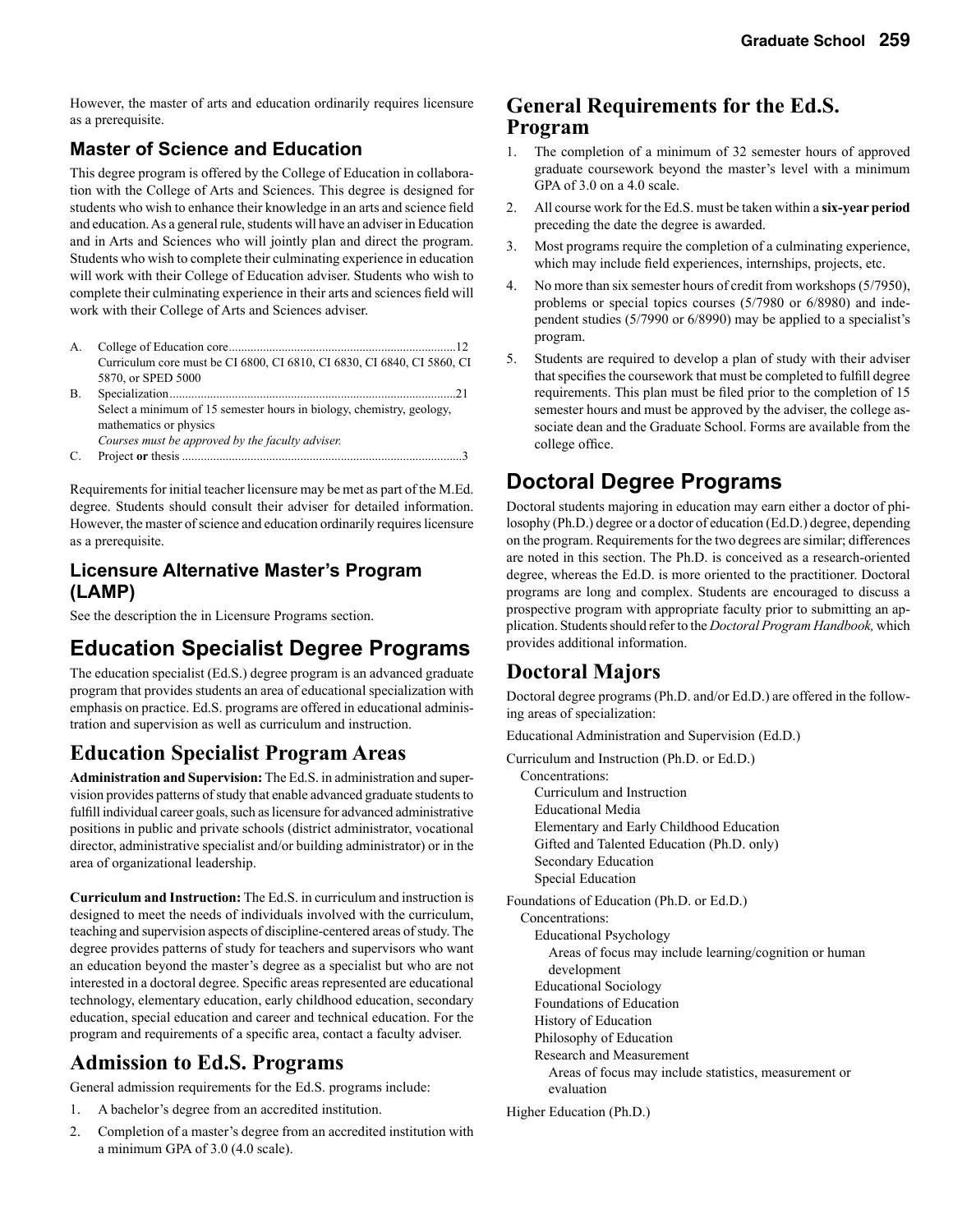However, the master of arts and education ordinarily requires licensure as a prerequisite.

### **Master of Science and Education**

This degree program is offered by the College of Education in collaboration with the College of Arts and Sciences. This degree is designed for students who wish to enhance their knowledge in an arts and science field and education. As a general rule, students will have an adviser in Education and in Arts and Sciences who will jointly plan and direct the program. Students who wish to complete their culminating experience in education will work with their College of Education adviser. Students who wish to complete their culminating experience in their arts and sciences field will work with their College of Arts and Sciences adviser.

- A. College of Education core .........................................................................12 Curriculum core must be CI 6800, CI 6810, CI 6830, CI 6840, CI 5860, CI 5870, or SPED 5000
- B. Specialization ............................................................................................21 Select a minimum of 15 semester hours in biology, chemistry, geology, mathematics or physics *Courses must be approved by the faculty adviser.*
- C. Project **or** thesis ..........................................................................................3

Requirements for initial teacher licensure may be met as part of the M.Ed. degree. Students should consult their adviser for detailed information. However, the master of science and education ordinarily requires licensure as a prerequisite.

### **Licensure Alternative Master's Program (LAMP)**

See the description the in Licensure Programs section.

# **Education Specialist Degree Programs**

The education specialist (Ed.S.) degree program is an advanced graduate program that provides students an area of educational specialization with emphasis on practice. Ed.S. programs are offered in educational administration and supervision as well as curriculum and instruction.

### **Education Specialist Program Areas**

**Administration and Supervision:** The Ed.S. in administration and supervision provides patterns of study that enable advanced graduate students to fulfill individual career goals, such as licensure for advanced administrative positions in public and private schools (district administrator, vocational director, administrative specialist and/or building administrator) or in the area of organizational leadership.

**Curriculum and Instruction:** The Ed.S. in curriculum and instruction is designed to meet the needs of individuals involved with the curriculum, teaching and supervision aspects of discipline-centered areas of study. The degree provides patterns of study for teachers and supervisors who want an education beyond the master's degree as a specialist but who are not interested in a doctoral degree. Specific areas represented are educational technology, elementary education, early childhood education, secondary education, special education and career and technical education. For the program and requirements of a specific area, contact a faculty adviser.

### **Admission to Ed.S. Programs**

General admission requirements for the Ed.S. programs include:

- 1. A bachelor's degree from an accredited institution.
- 2. Completion of a master's degree from an accredited institution with a minimum GPA of 3.0 (4.0 scale).

### **General Requirements for the Ed.S. Program**

- 1. The completion of a minimum of 32 semester hours of approved graduate coursework beyond the master's level with a minimum GPA of 3.0 on a 4.0 scale.
- 2. All course work for the Ed.S. must be taken within a **six-year period** preceding the date the degree is awarded.
- 3. Most programs require the completion of a culminating experience, which may include field experiences, internships, projects, etc.
- 4. No more than six semester hours of credit from workshops (5/7950), problems or special topics courses (5/7980 or 6/8980) and independent studies (5/7990 or 6/8990) may be applied to a specialist's program.
- 5. Students are required to develop a plan of study with their adviser that specifies the coursework that must be completed to fulfill degree requirements. This plan must be filed prior to the completion of 15 semester hours and must be approved by the adviser, the college associate dean and the Graduate School. Forms are available from the college office.

# **Doctoral Degree Programs**

Doctoral students majoring in education may earn either a doctor of philosophy (Ph.D.) degree or a doctor of education (Ed.D.) degree, depending on the program. Requirements for the two degrees are similar; differences are noted in this section. The Ph.D. is conceived as a research-oriented degree, whereas the Ed.D. is more oriented to the practitioner. Doctoral programs are long and complex. Students are encouraged to discuss a prospective program with appropriate faculty prior to submitting an application. Students should refer to the *Doctoral Program Handbook,* which provides additional information.

### **Doctoral Majors**

Doctoral degree programs (Ph.D. and/or Ed.D.) are offered in the following areas of specialization:

Educational Administration and Supervision (Ed.D.)

Curriculum and Instruction (Ph.D. or Ed.D.)

 Concentrations: Curriculum and Instruction Educational Media Elementary and Early Childhood Education Gifted and Talented Education (Ph.D. only) Secondary Education Special Education

Foundations of Education (Ph.D. or Ed.D.)

Concentrations:

Educational Psychology

 Areas of focus may include learning/cognition or human development

- Educational Sociology
- Foundations of Education
- History of Education
- Philosophy of Education
- Research and Measurement
	- Areas of focus may include statistics, measurement or evaluation

Higher Education (Ph.D.)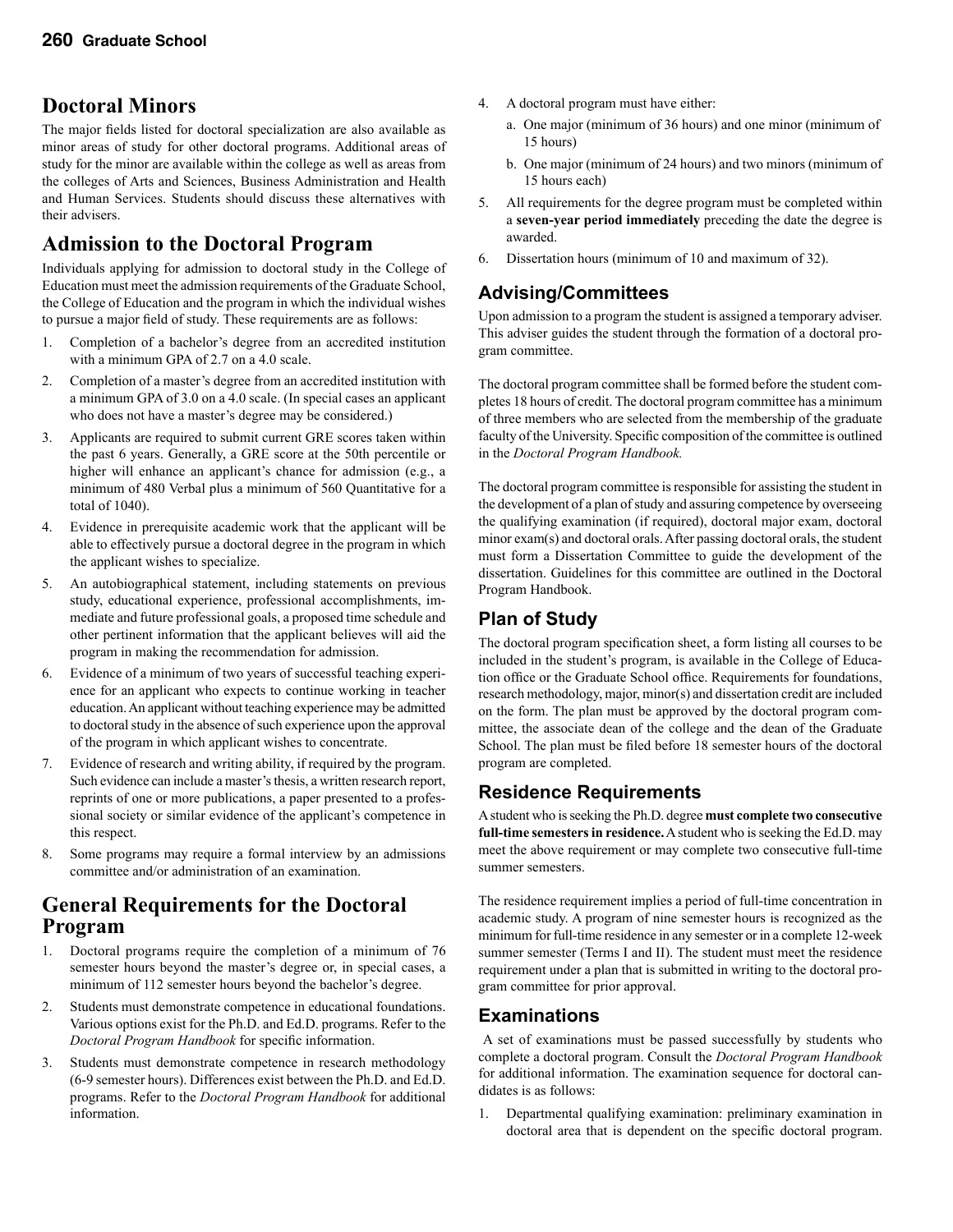### **Doctoral Minors**

The major fields listed for doctoral specialization are also available as minor areas of study for other doctoral programs. Additional areas of study for the minor are available within the college as well as areas from the colleges of Arts and Sciences, Business Administration and Health and Human Services. Students should discuss these alternatives with their advisers.

### **Admission to the Doctoral Program**

Individuals applying for admission to doctoral study in the College of Education must meet the admission requirements of the Graduate School, the College of Education and the program in which the individual wishes to pursue a major field of study. These requirements are as follows:

- 1. Completion of a bachelor's degree from an accredited institution with a minimum GPA of 2.7 on a 4.0 scale.
- 2. Completion of a master's degree from an accredited institution with a minimum GPA of 3.0 on a 4.0 scale. (In special cases an applicant who does not have a master's degree may be considered.)
- 3. Applicants are required to submit current GRE scores taken within the past 6 years. Generally, a GRE score at the 50th percentile or higher will enhance an applicant's chance for admission (e.g., a minimum of 480 Verbal plus a minimum of 560 Quantitative for a total of 1040).
- 4. Evidence in prerequisite academic work that the applicant will be able to effectively pursue a doctoral degree in the program in which the applicant wishes to specialize.
- 5. An autobiographical statement, including statements on previous study, educational experience, professional accomplishments, immediate and future professional goals, a proposed time schedule and other pertinent information that the applicant believes will aid the program in making the recommendation for admission.
- 6. Evidence of a minimum of two years of successful teaching experience for an applicant who expects to continue working in teacher education. An applicant without teaching experience may be admitted to doctoral study in the absence of such experience upon the approval of the program in which applicant wishes to concentrate.
- 7. Evidence of research and writing ability, if required by the program. Such evidence can include a master's thesis, a written research report, reprints of one or more publications, a paper presented to a professional society or similar evidence of the applicant's competence in this respect.
- 8. Some programs may require a formal interview by an admissions committee and/or administration of an examination.

### **General Requirements for the Doctoral Program**

- 1. Doctoral programs require the completion of a minimum of 76 semester hours beyond the master's degree or, in special cases, a minimum of 112 semester hours beyond the bachelor's degree.
- 2. Students must demonstrate competence in educational foundations. Various options exist for the Ph.D. and Ed.D. programs. Refer to the *Doctoral Program Handbook* for specific information.
- 3. Students must demonstrate competence in research methodology (6-9 semester hours). Differences exist between the Ph.D. and Ed.D. programs. Refer to the *Doctoral Program Handbook* for additional information.
- 4. A doctoral program must have either:
	- a. One major (minimum of 36 hours) and one minor (minimum of 15 hours)
	- b. One major (minimum of 24 hours) and two minors (minimum of 15 hours each)
- 5. All requirements for the degree program must be completed within a **seven-year period immediately** preceding the date the degree is awarded.
- 6. Dissertation hours (minimum of 10 and maximum of 32).

### **Advising/Committees**

Upon admission to a program the student is assigned a temporary adviser. This adviser guides the student through the formation of a doctoral program committee.

The doctoral program committee shall be formed before the student completes 18 hours of credit. The doctoral program committee has a minimum of three members who are selected from the membership of the graduate faculty of the University. Specific composition of the committee is outlined in the *Doctoral Program Handbook.*

The doctoral program committee is responsible for assisting the student in the development of a plan of study and assuring competence by overseeing the qualifying examination (if required), doctoral major exam, doctoral minor exam(s) and doctoral orals. After passing doctoral orals, the student must form a Dissertation Committee to guide the development of the dissertation. Guidelines for this committee are outlined in the Doctoral Program Handbook.

### **Plan of Study**

The doctoral program specification sheet, a form listing all courses to be included in the student's program, is available in the College of Education office or the Graduate School office. Requirements for foundations, research methodology, major, minor(s) and dissertation credit are included on the form. The plan must be approved by the doctoral program committee, the associate dean of the college and the dean of the Graduate School. The plan must be filed before 18 semester hours of the doctoral program are completed.

### **Residence Requirements**

A student who is seeking the Ph.D. degree **must complete two consecutive full-time semesters in residence.** A student who is seeking the Ed.D. may meet the above requirement or may complete two consecutive full-time summer semesters.

The residence requirement implies a period of full-time concentration in academic study. A program of nine semester hours is recognized as the minimum for full-time residence in any semester or in a complete 12-week summer semester (Terms I and II). The student must meet the residence requirement under a plan that is submitted in writing to the doctoral program committee for prior approval.

### **Examinations**

 A set of examinations must be passed successfully by students who complete a doctoral program. Consult the *Doctoral Program Handbook* for additional information. The examination sequence for doctoral candidates is as follows:

1. Departmental qualifying examination: preliminary examination in doctoral area that is dependent on the specific doctoral program.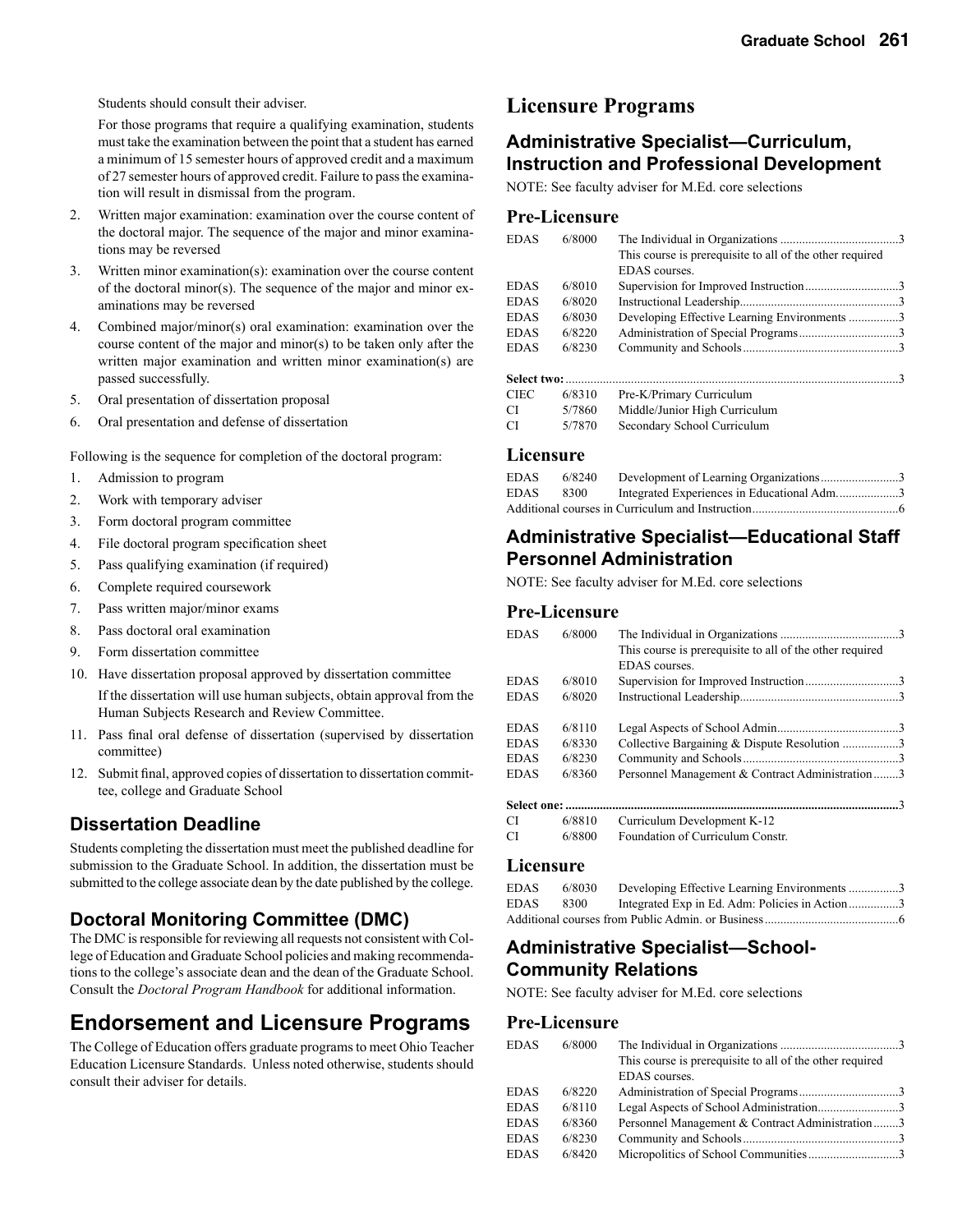Students should consult their adviser.

 For those programs that require a qualifying examination, students must take the examination between the point that a student has earned a minimum of 15 semester hours of approved credit and a maximum of 27 semester hours of approved credit. Failure to pass the examination will result in dismissal from the program.

- 2. Written major examination: examination over the course content of the doctoral major. The sequence of the major and minor examinations may be reversed
- 3. Written minor examination(s): examination over the course content of the doctoral minor(s). The sequence of the major and minor examinations may be reversed
- 4. Combined major/minor(s) oral examination: examination over the course content of the major and minor(s) to be taken only after the written major examination and written minor examination(s) are passed successfully.
- 5. Oral presentation of dissertation proposal
- 6. Oral presentation and defense of dissertation

Following is the sequence for completion of the doctoral program:

- 1. Admission to program
- 2. Work with temporary adviser
- 3. Form doctoral program committee
- 4. File doctoral program specification sheet
- 5. Pass qualifying examination (if required)
- 6. Complete required coursework
- 7. Pass written major/minor exams
- 8. Pass doctoral oral examination
- 9. Form dissertation committee
- 10. Have dissertation proposal approved by dissertation committee If the dissertation will use human subjects, obtain approval from the Human Subjects Research and Review Committee.
- 11. Pass final oral defense of dissertation (supervised by dissertation committee)
- 12. Submit final, approved copies of dissertation to dissertation committee, college and Graduate School

### **Dissertation Deadline**

Students completing the dissertation must meet the published deadline for submission to the Graduate School. In addition, the dissertation must be submitted to the college associate dean by the date published by the college.

#### **Doctoral Monitoring Committee (DMC)**

The DMC is responsible for reviewing all requests not consistent with College of Education and Graduate School policies and making recommendations to the college's associate dean and the dean of the Graduate School. Consult the *Doctoral Program Handbook* for additional information.

### **Endorsement and Licensure Programs**

The College of Education offers graduate programs to meet Ohio Teacher Education Licensure Standards. Unless noted otherwise, students should consult their adviser for details.

### **Licensure Programs**

### **Administrative Specialist—Curriculum, Instruction and Professional Development**

NOTE: See faculty adviser for M.Ed. core selections

#### **Pre-Licensure**

| <b>EDAS</b> | 6/8000 |                                                          |  |
|-------------|--------|----------------------------------------------------------|--|
|             |        | This course is prerequisite to all of the other required |  |
|             |        | <b>EDAS</b> courses.                                     |  |
| <b>EDAS</b> | 6/8010 |                                                          |  |
| <b>EDAS</b> | 6/8020 |                                                          |  |
| <b>EDAS</b> | 6/8030 | Developing Effective Learning Environments 3             |  |
| <b>EDAS</b> | 6/8220 |                                                          |  |
| <b>EDAS</b> | 6/8230 |                                                          |  |
|             |        |                                                          |  |
| CIEC        | 6/8310 | Pre-K/Primary Curriculum                                 |  |
| СI          | 5/7860 | Middle/Junior High Curriculum                            |  |
| СI          | 5/7870 | Secondary School Curriculum                              |  |

#### **Licensure**

| EDAS | 6/8240 |                                            |
|------|--------|--------------------------------------------|
| EDAS | 8300   | Integrated Experiences in Educational Adm3 |
|      |        |                                            |

### **Administrative Specialist—Educational Staff Personnel Administration**

NOTE: See faculty adviser for M.Ed. core selections

#### **Pre-Licensure**

| <b>EDAS</b> | 6/8000 |                                                          |  |
|-------------|--------|----------------------------------------------------------|--|
|             |        | This course is prerequisite to all of the other required |  |
|             |        | <b>EDAS</b> courses.                                     |  |
| <b>EDAS</b> | 6/8010 |                                                          |  |
| <b>EDAS</b> | 6/8020 |                                                          |  |
| <b>EDAS</b> | 6/8110 |                                                          |  |
| <b>EDAS</b> | 6/8330 | Collective Bargaining & Dispute Resolution 3             |  |
| <b>EDAS</b> | 6/8230 |                                                          |  |
| <b>EDAS</b> | 6/8360 | Personnel Management & Contract Administration3          |  |
|             |        |                                                          |  |
| CI —        | 6/8810 | Curriculum Development K-12                              |  |
| CI          | 6/8800 | Foundation of Curriculum Constr.                         |  |

#### **Licensure**

| EDAS | 6/8030 | Developing Effective Learning Environments 3   |  |
|------|--------|------------------------------------------------|--|
| EDAS | 8300   | Integrated Exp in Ed. Adm: Policies in Action3 |  |
|      |        |                                                |  |

### **Administrative Specialist—School-Community Relations**

NOTE: See faculty adviser for M.Ed. core selections

#### **Pre-Licensure**

| <b>EDAS</b> | 6/8000 | This course is prerequisite to all of the other required<br>EDAS courses. |  |
|-------------|--------|---------------------------------------------------------------------------|--|
| <b>EDAS</b> | 6/8220 |                                                                           |  |
| <b>EDAS</b> | 6/8110 | Legal Aspects of School Administration3                                   |  |
| <b>EDAS</b> | 6/8360 | Personnel Management & Contract Administration3                           |  |
| <b>EDAS</b> | 6/8230 |                                                                           |  |
| <b>EDAS</b> | 6/8420 |                                                                           |  |
|             |        |                                                                           |  |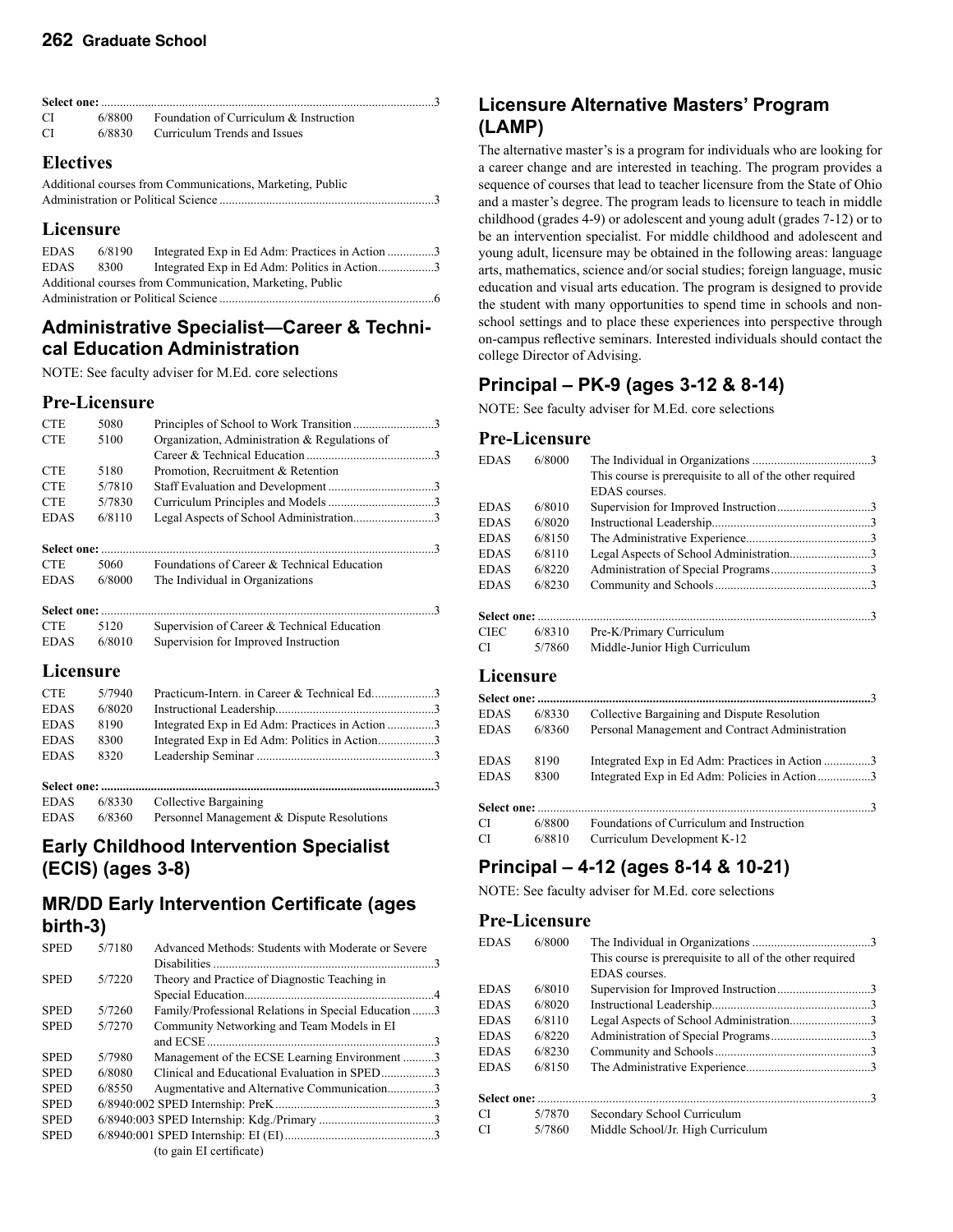| CI —                        |  | $6/8800$ Foundation of Curriculum & Instruction |  |  |
|-----------------------------|--|-------------------------------------------------|--|--|
| CI.                         |  | 6/8830 Curriculum Trends and Issues             |  |  |
| $\mathbf{E}$ . $\mathbf{E}$ |  |                                                 |  |  |

#### **Electives**

| Additional courses from Communications, Marketing, Public |
|-----------------------------------------------------------|
|                                                           |

#### **Licensure**

| EDAS                                                     | 6/8190 | Integrated Exp in Ed Adm: Practices in Action 3 |  |  |
|----------------------------------------------------------|--------|-------------------------------------------------|--|--|
| <b>EDAS</b>                                              | 8300   | Integrated Exp in Ed Adm: Politics in Action3   |  |  |
| Additional courses from Communication, Marketing, Public |        |                                                 |  |  |
|                                                          |        |                                                 |  |  |

### **Administrative Specialist—Career & Technical Education Administration**

NOTE: See faculty adviser for M.Ed. core selections

#### **Pre-Licensure**

| <b>CTE</b>  | 5080   | Principles of School to Work Transition3        |  |
|-------------|--------|-------------------------------------------------|--|
| <b>CTE</b>  | 5100   | Organization, Administration & Regulations of   |  |
|             |        |                                                 |  |
| <b>CTE</b>  | 5180   | Promotion, Recruitment & Retention              |  |
| <b>CTE</b>  | 5/7810 |                                                 |  |
| <b>CTE</b>  | 5/7830 |                                                 |  |
| <b>EDAS</b> | 6/8110 | Legal Aspects of School Administration3         |  |
|             |        |                                                 |  |
| <b>CTE</b>  | 5060   | Foundations of Career & Technical Education     |  |
| <b>EDAS</b> | 6/8000 | The Individual in Organizations                 |  |
|             |        | $\mathcal{R}$                                   |  |
| <b>CTE</b>  | 5120   | Supervision of Career & Technical Education     |  |
| <b>EDAS</b> | 6/8010 | Supervision for Improved Instruction            |  |
| Licensure   |        |                                                 |  |
| <b>CTE</b>  | 5/7940 | Practicum-Intern. in Career & Technical Ed3     |  |
| <b>EDAS</b> | 6/8020 |                                                 |  |
| <b>EDAS</b> | 8190   | Integrated Exp in Ed Adm: Practices in Action 3 |  |
| <b>EDAS</b> | 8300   | Integrated Exp in Ed Adm: Politics in Action3   |  |
| <b>EDAS</b> | 8320   |                                                 |  |
|             |        |                                                 |  |
| <b>EDAS</b> | 6/8330 | Collective Bargaining                           |  |
| <b>EDAS</b> | 6/8360 | Personnel Management & Dispute Resolutions      |  |

### **Early Childhood Intervention Specialist (ECIS) (ages 3-8)**

### **MR/DD Early Intervention Certificate (ages birth-3)**

| <b>SPED</b> | 5/7180 | Advanced Methods: Students with Moderate or Severe  |  |
|-------------|--------|-----------------------------------------------------|--|
|             |        |                                                     |  |
| <b>SPED</b> | 5/7220 | Theory and Practice of Diagnostic Teaching in       |  |
|             |        |                                                     |  |
| <b>SPED</b> | 5/7260 | Family/Professional Relations in Special Education3 |  |
| <b>SPED</b> | 5/7270 | Community Networking and Team Models in EI          |  |
|             |        |                                                     |  |
| <b>SPED</b> | 5/7980 | Management of the ECSE Learning Environment3        |  |
| <b>SPED</b> | 6/8080 | Clinical and Educational Evaluation in SPED3        |  |
| <b>SPED</b> | 6/8550 | Augmentative and Alternative Communication3         |  |
| <b>SPED</b> |        |                                                     |  |
| <b>SPED</b> |        |                                                     |  |
| <b>SPED</b> |        |                                                     |  |
|             |        | (to gain EI certificate)                            |  |

### **Licensure Alternative Masters' Program (LAMP)**

The alternative master's is a program for individuals who are looking for a career change and are interested in teaching. The program provides a sequence of courses that lead to teacher licensure from the State of Ohio and a master's degree. The program leads to licensure to teach in middle childhood (grades 4-9) or adolescent and young adult (grades 7-12) or to be an intervention specialist. For middle childhood and adolescent and young adult, licensure may be obtained in the following areas: language arts, mathematics, science and/or social studies; foreign language, music education and visual arts education. The program is designed to provide the student with many opportunities to spend time in schools and nonschool settings and to place these experiences into perspective through on-campus reflective seminars. Interested individuals should contact the college Director of Advising.

### **Principal – PK-9 (ages 3-12 & 8-14)**

NOTE: See faculty adviser for M.Ed. core selections

### **Pre-Licensure**

| <b>EDAS</b> | 6/8000              |                                                          |
|-------------|---------------------|----------------------------------------------------------|
|             |                     | This course is prerequisite to all of the other required |
|             |                     | EDAS courses.                                            |
| <b>EDAS</b> | 6/8010              |                                                          |
| <b>EDAS</b> | 6/8020              |                                                          |
| <b>EDAS</b> | 6/8150              |                                                          |
| <b>EDAS</b> | 6/8110              | Legal Aspects of School Administration3                  |
| <b>EDAS</b> | 6/8220              |                                                          |
| <b>EDAS</b> | 6/8230              |                                                          |
|             |                     |                                                          |
| Select one: |                     |                                                          |
| <b>CIEC</b> | 6/8310              | Pre-K/Primary Curriculum                                 |
| CI          | 5/7860              | Middle-Junior High Curriculum                            |
|             |                     |                                                          |
| Licensure   |                     |                                                          |
|             | <b>Select one: </b> | $\mathcal{R}$                                            |
| <b>EDAS</b> | 6/8330              | Collective Bargaining and Dispute Resolution             |
| <b>EDAS</b> | 6/8360              | Personal Management and Contract Administration          |
|             |                     |                                                          |
| <b>EDAS</b> | 8190                | Integrated Exp in Ed Adm: Practices in Action 3          |
| <b>EDAS</b> | 8300                | Integrated Exp in Ed Adm: Policies in Action3            |
|             |                     |                                                          |
|             |                     | 3                                                        |

| CI | 6/8800 | Foundations of Curriculum and Instruction |
|----|--------|-------------------------------------------|
| CI | 6/8810 | Curriculum Development K-12               |

### **Principal – 4-12 (ages 8-14 & 10-21)**

NOTE: See faculty adviser for M.Ed. core selections

#### **Pre-Licensure**

| <b>EDAS</b> | 6/8000 |                                                          |  |
|-------------|--------|----------------------------------------------------------|--|
|             |        | This course is prerequisite to all of the other required |  |
|             |        | <b>EDAS</b> courses.                                     |  |
| EDAS        | 6/8010 |                                                          |  |
| EDAS        | 6/8020 |                                                          |  |
| <b>EDAS</b> | 6/8110 | Legal Aspects of School Administration3                  |  |
| EDAS        | 6/8220 |                                                          |  |
| EDAS        | 6/8230 |                                                          |  |
| <b>EDAS</b> | 6/8150 |                                                          |  |
|             |        |                                                          |  |
| СI          | 5/7870 | Secondary School Curriculum                              |  |
| СI          | 5/7860 | Middle School/Jr. High Curriculum                        |  |
|             |        |                                                          |  |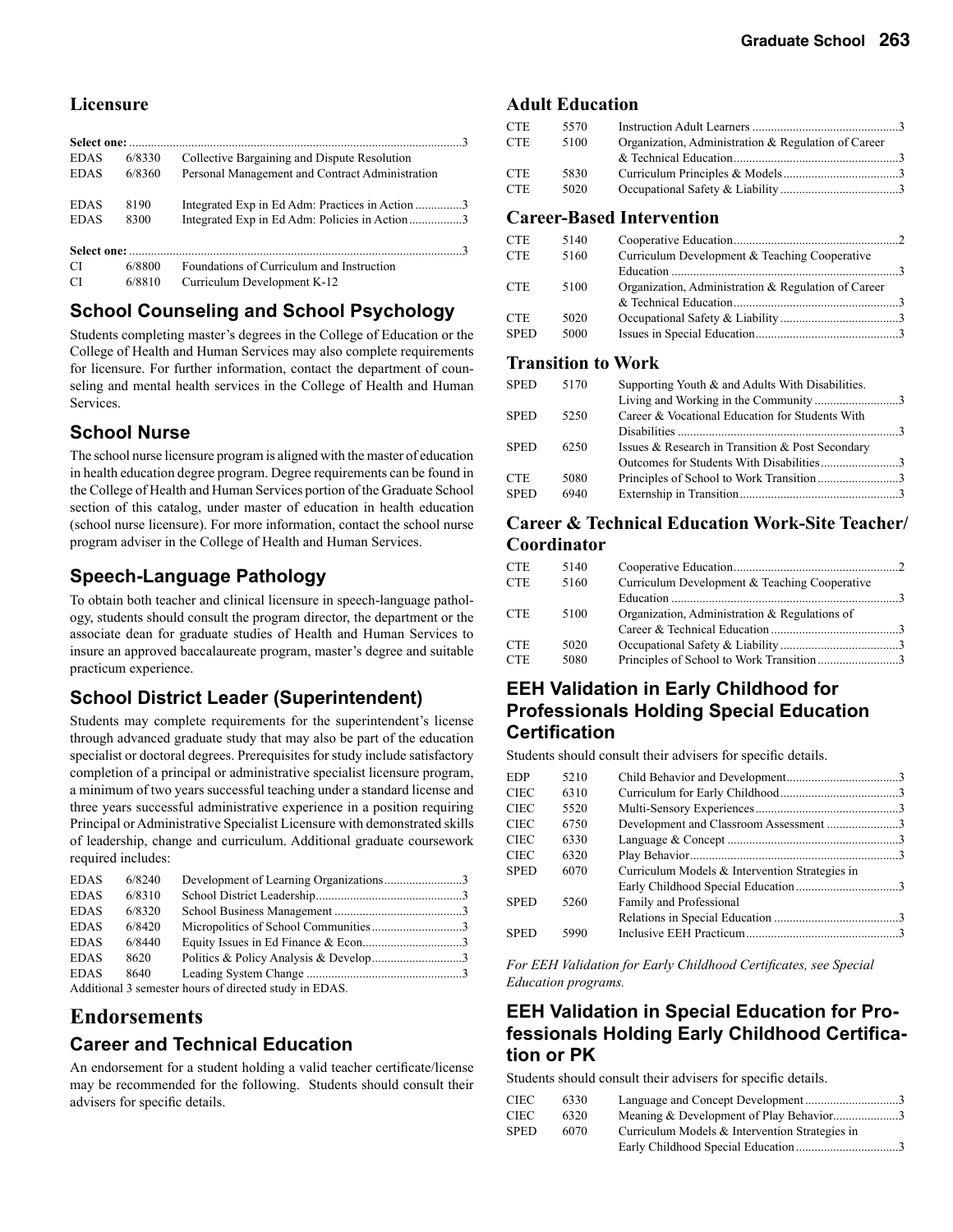#### **Licensure**

| <b>EDAS</b>   | 6/8330 | Collective Bargaining and Dispute Resolution    |
|---------------|--------|-------------------------------------------------|
| <b>EDAS</b>   | 6/8360 | Personal Management and Contract Administration |
| <b>EDAS</b>   | 8190   | Integrated Exp in Ed Adm: Practices in Action 3 |
| <b>EDAS</b>   | 8300   | Integrated Exp in Ed Adm: Policies in Action3   |
|               |        |                                                 |
| CI.           | 6/8800 | Foundations of Curriculum and Instruction       |
| <sup>CI</sup> | 6/8810 | Curriculum Development K-12                     |

### **School Counseling and School Psychology**

Students completing master's degrees in the College of Education or the College of Health and Human Services may also complete requirements for licensure. For further information, contact the department of counseling and mental health services in the College of Health and Human Services.

#### **School Nurse**

The school nurse licensure program is aligned with the master of education in health education degree program. Degree requirements can be found in the College of Health and Human Services portion of the Graduate School section of this catalog, under master of education in health education (school nurse licensure). For more information, contact the school nurse program adviser in the College of Health and Human Services.

### **Speech-Language Pathology**

To obtain both teacher and clinical licensure in speech-language pathology, students should consult the program director, the department or the associate dean for graduate studies of Health and Human Services to insure an approved baccalaureate program, master's degree and suitable practicum experience.

### **School District Leader (Superintendent)**

Students may complete requirements for the superintendent's license through advanced graduate study that may also be part of the education specialist or doctoral degrees. Prerequisites for study include satisfactory completion of a principal or administrative specialist licensure program, a minimum of two years successful teaching under a standard license and three years successful administrative experience in a position requiring Principal or Administrative Specialist Licensure with demonstrated skills of leadership, change and curriculum. Additional graduate coursework required includes:

| <b>EDAS</b> | 6/8240 |  |
|-------------|--------|--|
| <b>EDAS</b> | 6/8310 |  |
| <b>EDAS</b> | 6/8320 |  |
| <b>EDAS</b> | 6/8420 |  |
| <b>EDAS</b> | 6/8440 |  |
| <b>EDAS</b> | 8620   |  |
| <b>EDAS</b> | 8640   |  |
|             |        |  |

Additional 3 semester hours of directed study in EDAS.

### **Endorsements Career and Technical Education**

An endorsement for a student holding a valid teacher certificate/license may be recommended for the following. Students should consult their advisers for specific details.

#### **Adult Education**

| CTE        | 5570 |                                                     |  |
|------------|------|-----------------------------------------------------|--|
| <b>CTE</b> | 5100 | Organization, Administration & Regulation of Career |  |
|            |      |                                                     |  |
| CTE        | 5830 |                                                     |  |
| <b>CTE</b> | 5020 |                                                     |  |
|            |      |                                                     |  |

#### **Career-Based Intervention**

| <b>CTE</b>  | 5140 |                                                     |  |
|-------------|------|-----------------------------------------------------|--|
| <b>CTE</b>  | 5160 | Curriculum Development & Teaching Cooperative       |  |
|             |      |                                                     |  |
| <b>CTE</b>  | 5100 | Organization, Administration & Regulation of Career |  |
|             |      |                                                     |  |
| <b>CTE</b>  | 5020 |                                                     |  |
| <b>SPED</b> | 5000 |                                                     |  |
|             |      |                                                     |  |

#### **Transition to Work**

| SPED        | 5170 | Supporting Youth & and Adults With Disabilities. |  |
|-------------|------|--------------------------------------------------|--|
|             |      | Living and Working in the Community3             |  |
| <b>SPED</b> | 5250 | Career & Vocational Education for Students With  |  |
|             |      |                                                  |  |
| SPED        | 6250 | Issues & Research in Transition & Post Secondary |  |
|             |      | Outcomes for Students With Disabilities3         |  |
| CTE         | 5080 |                                                  |  |
| <b>SPED</b> | 6940 |                                                  |  |
|             |      |                                                  |  |

#### **Career & Technical Education Work-Site Teacher/ Coordinator**

| <b>CTE</b> | 5140 |                                               |  |
|------------|------|-----------------------------------------------|--|
| <b>CTE</b> | 5160 | Curriculum Development & Teaching Cooperative |  |
|            |      |                                               |  |
| <b>CTE</b> | 5100 | Organization, Administration & Regulations of |  |
|            |      |                                               |  |
| CTE        | 5020 |                                               |  |
| <b>CTE</b> | 5080 |                                               |  |
|            |      |                                               |  |

### **EEH Validation in Early Childhood for Professionals Holding Special Education Certification**

Students should consult their advisers for specific details.

| <b>EDP</b>  | 5210 |                                                |  |
|-------------|------|------------------------------------------------|--|
| CIEC        | 6310 |                                                |  |
| CIEC        | 5520 |                                                |  |
| CIEC        | 6750 |                                                |  |
| CIEC        | 6330 |                                                |  |
| CIEC        | 6320 |                                                |  |
| <b>SPED</b> | 6070 | Curriculum Models & Intervention Strategies in |  |
|             |      |                                                |  |
| <b>SPED</b> | 5260 | Family and Professional                        |  |
|             |      |                                                |  |
| <b>SPED</b> | 5990 |                                                |  |
|             |      |                                                |  |

*For EEH Validation for Early Childhood Certificates, see Special Education programs.*

### **EEH Validation in Special Education for Professionals Holding Early Childhood Certification or PK**

Students should consult their advisers for specific details.

| CIEC | 6330 |                                                |  |
|------|------|------------------------------------------------|--|
| CIEC | 6320 | Meaning & Development of Play Behavior3        |  |
| SPED | 6070 | Curriculum Models & Intervention Strategies in |  |
|      |      |                                                |  |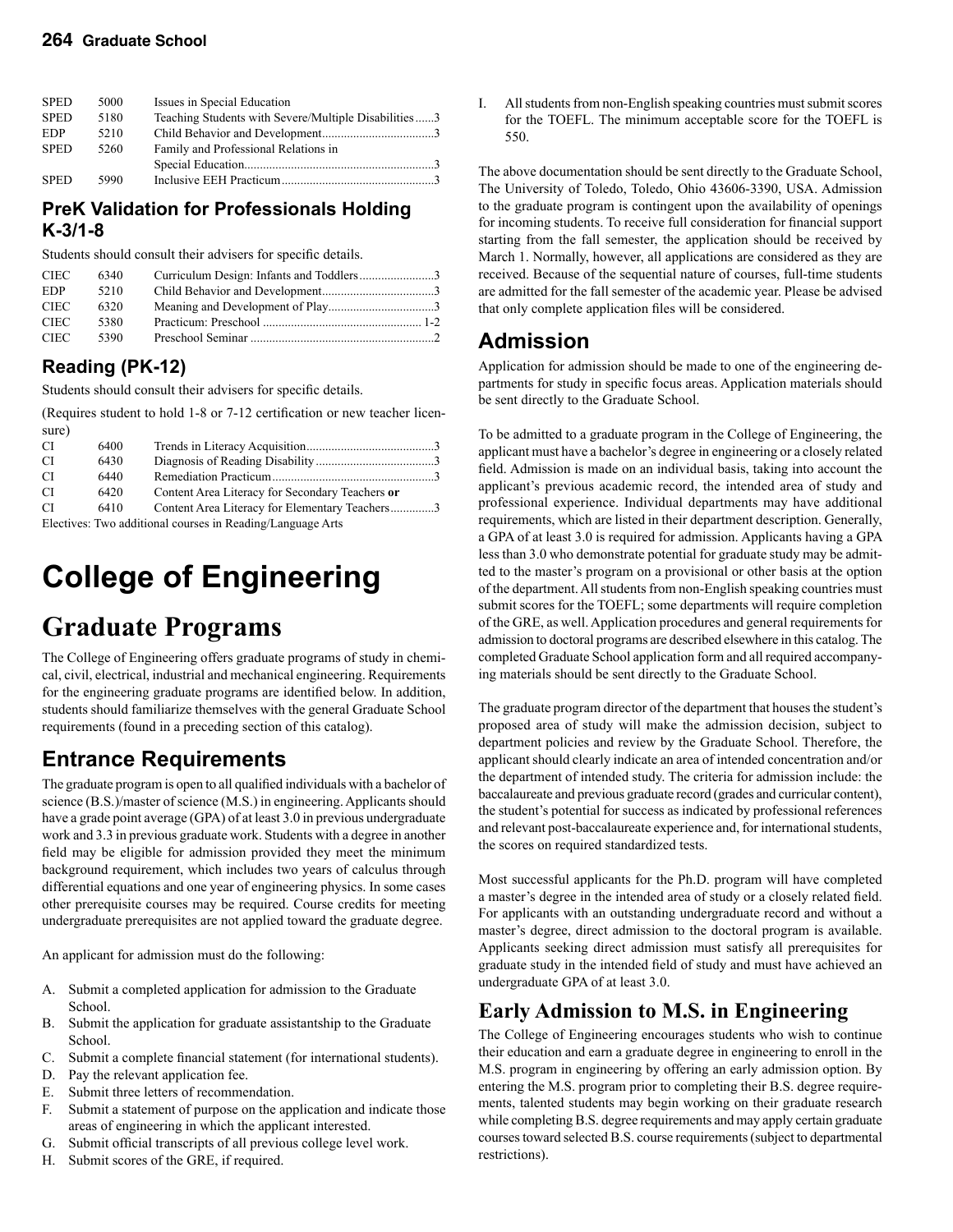#### **264 Graduate School**

| <b>SPED</b> | 5000 | Issues in Special Education                          |  |
|-------------|------|------------------------------------------------------|--|
| <b>SPED</b> | 5180 | Teaching Students with Severe/Multiple Disabilities3 |  |
| <b>EDP</b>  | 5210 |                                                      |  |
| <b>SPED</b> | 5260 | Family and Professional Relations in                 |  |
|             |      |                                                      |  |
| <b>SPED</b> | 5990 |                                                      |  |

#### **PreK Validation for Professionals Holding K-3/1-8**

Students should consult their advisers for specific details.

| <b>CIEC</b> | 6340 |  |
|-------------|------|--|
| EDP         | 5210 |  |
| <b>CIEC</b> | 6320 |  |
| CIEC-       | 5380 |  |
| CIEC        | 5390 |  |

### **Reading (PK-12)**

Students should consult their advisers for specific details.

(Requires student to hold 1-8 or 7-12 certification or new teacher licensure)

| CI. | 6400 |                                                                                            |  |
|-----|------|--------------------------------------------------------------------------------------------|--|
| CI. | 6430 |                                                                                            |  |
| CI. | 6440 |                                                                                            |  |
| CI. | 6420 | Content Area Literacy for Secondary Teachers or                                            |  |
| CI. | 6410 | Content Area Literacy for Elementary Teachers3                                             |  |
|     |      | $F_{\text{lactivae}}$ . Two additional courses in $\text{P}{\text{addina}}/I$ anguage Arts |  |

Electives: Two additional courses in Reading/Language Arts

# **College of Engineering**

# **Graduate Programs**

The College of Engineering offers graduate programs of study in chemical, civil, electrical, industrial and mechanical engineering. Requirements for the engineering graduate programs are identified below. In addition, students should familiarize themselves with the general Graduate School requirements (found in a preceding section of this catalog).

# **Entrance Requirements**

The graduate program is open to all qualified individuals with a bachelor of science (B.S.)/master of science (M.S.) in engineering. Applicants should have a grade point average (GPA) of at least 3.0 in previous undergraduate work and 3.3 in previous graduate work. Students with a degree in another field may be eligible for admission provided they meet the minimum background requirement, which includes two years of calculus through differential equations and one year of engineering physics. In some cases other prerequisite courses may be required. Course credits for meeting undergraduate prerequisites are not applied toward the graduate degree.

An applicant for admission must do the following:

- A. Submit a completed application for admission to the Graduate School.
- B. Submit the application for graduate assistantship to the Graduate School.
- C. Submit a complete financial statement (for international students).
- D. Pay the relevant application fee.
- E. Submit three letters of recommendation.
- F. Submit a statement of purpose on the application and indicate those areas of engineering in which the applicant interested.
- G. Submit official transcripts of all previous college level work.
- H. Submit scores of the GRE, if required.

All students from non-English speaking countries must submit scores for the TOEFL. The minimum acceptable score for the TOEFL is 550.

The above documentation should be sent directly to the Graduate School, The University of Toledo, Toledo, Ohio 43606-3390, USA. Admission to the graduate program is contingent upon the availability of openings for incoming students. To receive full consideration for financial support starting from the fall semester, the application should be received by March 1. Normally, however, all applications are considered as they are received. Because of the sequential nature of courses, full-time students are admitted for the fall semester of the academic year. Please be advised that only complete application files will be considered.

# **Admission**

Application for admission should be made to one of the engineering departments for study in specific focus areas. Application materials should be sent directly to the Graduate School.

To be admitted to a graduate program in the College of Engineering, the applicant must have a bachelor's degree in engineering or a closely related field. Admission is made on an individual basis, taking into account the applicant's previous academic record, the intended area of study and professional experience. Individual departments may have additional requirements, which are listed in their department description. Generally, a GPA of at least 3.0 is required for admission. Applicants having a GPA less than 3.0 who demonstrate potential for graduate study may be admitted to the master's program on a provisional or other basis at the option of the department. All students from non-English speaking countries must submit scores for the TOEFL; some departments will require completion of the GRE, as well. Application procedures and general requirements for admission to doctoral programs are described elsewhere in this catalog. The completed Graduate School application form and all required accompanying materials should be sent directly to the Graduate School.

The graduate program director of the department that houses the student's proposed area of study will make the admission decision, subject to department policies and review by the Graduate School. Therefore, the applicant should clearly indicate an area of intended concentration and/or the department of intended study. The criteria for admission include: the baccalaureate and previous graduate record (grades and curricular content), the student's potential for success as indicated by professional references and relevant post-baccalaureate experience and, for international students, the scores on required standardized tests.

Most successful applicants for the Ph.D. program will have completed a master's degree in the intended area of study or a closely related field. For applicants with an outstanding undergraduate record and without a master's degree, direct admission to the doctoral program is available. Applicants seeking direct admission must satisfy all prerequisites for graduate study in the intended field of study and must have achieved an undergraduate GPA of at least 3.0.

### **Early Admission to M.S. in Engineering**

The College of Engineering encourages students who wish to continue their education and earn a graduate degree in engineering to enroll in the M.S. program in engineering by offering an early admission option. By entering the M.S. program prior to completing their B.S. degree requirements, talented students may begin working on their graduate research while completing B.S. degree requirements and may apply certain graduate courses toward selected B.S. course requirements (subject to departmental restrictions).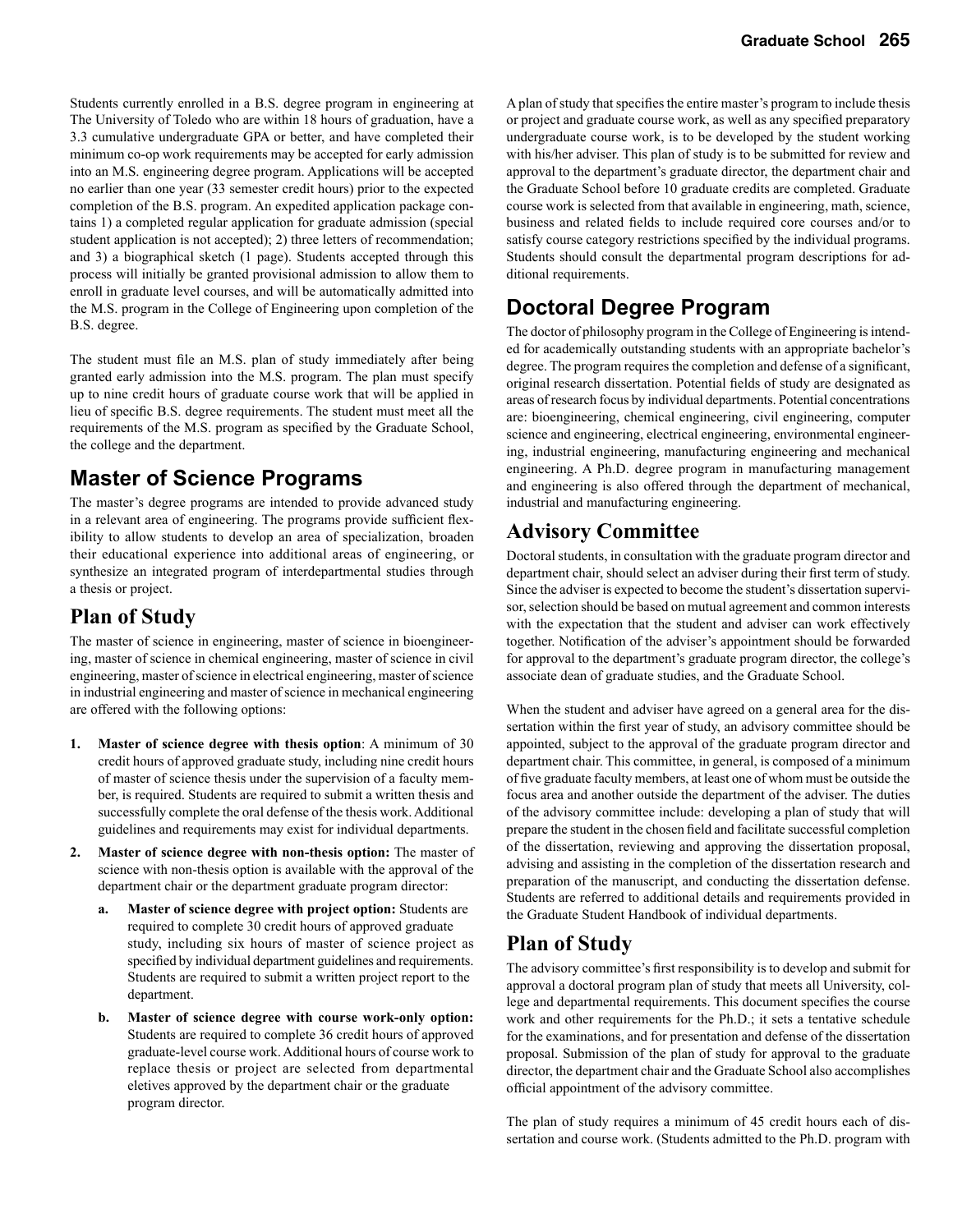Students currently enrolled in a B.S. degree program in engineering at The University of Toledo who are within 18 hours of graduation, have a 3.3 cumulative undergraduate GPA or better, and have completed their minimum co-op work requirements may be accepted for early admission into an M.S. engineering degree program. Applications will be accepted no earlier than one year (33 semester credit hours) prior to the expected completion of the B.S. program. An expedited application package contains 1) a completed regular application for graduate admission (special student application is not accepted); 2) three letters of recommendation; and 3) a biographical sketch (1 page). Students accepted through this process will initially be granted provisional admission to allow them to enroll in graduate level courses, and will be automatically admitted into the M.S. program in the College of Engineering upon completion of the B.S. degree.

The student must file an M.S. plan of study immediately after being granted early admission into the M.S. program. The plan must specify up to nine credit hours of graduate course work that will be applied in lieu of specific B.S. degree requirements. The student must meet all the requirements of the M.S. program as specified by the Graduate School, the college and the department.

### **Master of Science Programs**

The master's degree programs are intended to provide advanced study in a relevant area of engineering. The programs provide sufficient flexibility to allow students to develop an area of specialization, broaden their educational experience into additional areas of engineering, or synthesize an integrated program of interdepartmental studies through a thesis or project.

### **Plan of Study**

The master of science in engineering, master of science in bioengineering, master of science in chemical engineering, master of science in civil engineering, master of science in electrical engineering, master of science in industrial engineering and master of science in mechanical engineering are offered with the following options:

- **1. Master of science degree with thesis option**: A minimum of 30 credit hours of approved graduate study, including nine credit hours of master of science thesis under the supervision of a faculty member, is required. Students are required to submit a written thesis and successfully complete the oral defense of the thesis work. Additional guidelines and requirements may exist for individual departments.
- **2. Master of science degree with non-thesis option:** The master of science with non-thesis option is available with the approval of the department chair or the department graduate program director:
	- **a. Master of science degree with project option:** Students are required to complete 30 credit hours of approved graduate study, including six hours of master of science project as specified by individual department guidelines and requirements. Students are required to submit a written project report to the department.
	- **b. Master of science degree with course work-only option:** Students are required to complete 36 credit hours of approved graduate-level course work. Additional hours of course work to replace thesis or project are selected from departmental eletives approved by the department chair or the graduate program director.

A plan of study that specifies the entire master's program to include thesis or project and graduate course work, as well as any specified preparatory undergraduate course work, is to be developed by the student working with his/her adviser. This plan of study is to be submitted for review and approval to the department's graduate director, the department chair and the Graduate School before 10 graduate credits are completed. Graduate course work is selected from that available in engineering, math, science, business and related fields to include required core courses and/or to satisfy course category restrictions specified by the individual programs. Students should consult the departmental program descriptions for additional requirements.

# **Doctoral Degree Program**

The doctor of philosophy program in the College of Engineering is intended for academically outstanding students with an appropriate bachelor's degree. The program requires the completion and defense of a significant, original research dissertation. Potential fields of study are designated as areas of research focus by individual departments. Potential concentrations are: bioengineering, chemical engineering, civil engineering, computer science and engineering, electrical engineering, environmental engineering, industrial engineering, manufacturing engineering and mechanical engineering. A Ph.D. degree program in manufacturing management and engineering is also offered through the department of mechanical, industrial and manufacturing engineering.

### **Advisory Committee**

Doctoral students, in consultation with the graduate program director and department chair, should select an adviser during their first term of study. Since the adviser is expected to become the student's dissertation supervisor, selection should be based on mutual agreement and common interests with the expectation that the student and adviser can work effectively together. Notification of the adviser's appointment should be forwarded for approval to the department's graduate program director, the college's associate dean of graduate studies, and the Graduate School.

When the student and adviser have agreed on a general area for the dissertation within the first year of study, an advisory committee should be appointed, subject to the approval of the graduate program director and department chair. This committee, in general, is composed of a minimum of five graduate faculty members, at least one of whom must be outside the focus area and another outside the department of the adviser. The duties of the advisory committee include: developing a plan of study that will prepare the student in the chosen field and facilitate successful completion of the dissertation, reviewing and approving the dissertation proposal, advising and assisting in the completion of the dissertation research and preparation of the manuscript, and conducting the dissertation defense. Students are referred to additional details and requirements provided in the Graduate Student Handbook of individual departments.

### **Plan of Study**

The advisory committee's first responsibility is to develop and submit for approval a doctoral program plan of study that meets all University, college and departmental requirements. This document specifies the course work and other requirements for the Ph.D.; it sets a tentative schedule for the examinations, and for presentation and defense of the dissertation proposal. Submission of the plan of study for approval to the graduate director, the department chair and the Graduate School also accomplishes official appointment of the advisory committee.

The plan of study requires a minimum of 45 credit hours each of dissertation and course work. (Students admitted to the Ph.D. program with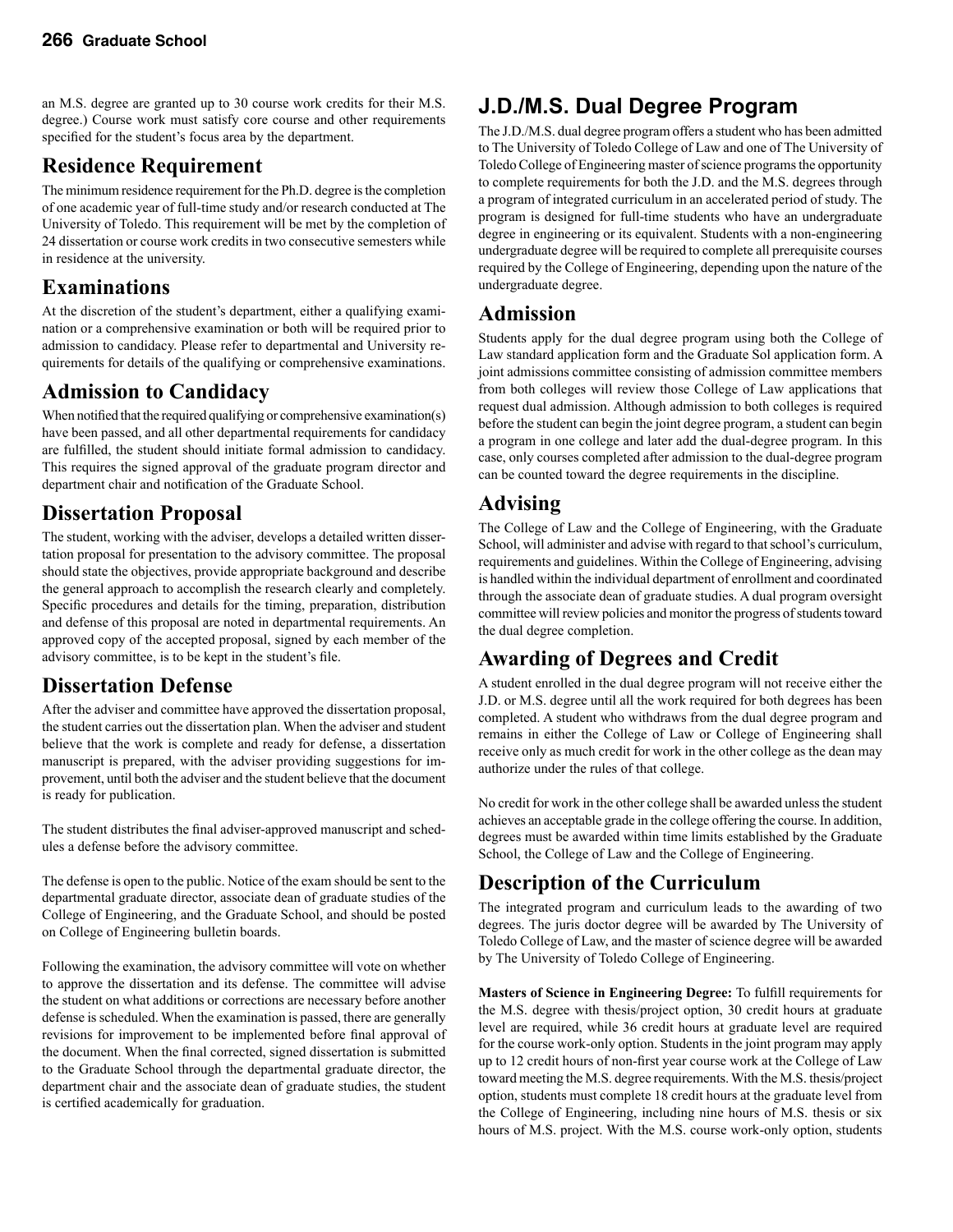an M.S. degree are granted up to 30 course work credits for their M.S. degree.) Course work must satisfy core course and other requirements specified for the student's focus area by the department.

## **Residence Requirement**

The minimum residence requirement for the Ph.D. degree is the completion of one academic year of full-time study and/or research conducted at The University of Toledo. This requirement will be met by the completion of 24 dissertation or course work credits in two consecutive semesters while in residence at the university.

### **Examinations**

At the discretion of the student's department, either a qualifying examination or a comprehensive examination or both will be required prior to admission to candidacy. Please refer to departmental and University requirements for details of the qualifying or comprehensive examinations.

### **Admission to Candidacy**

When notified that the required qualifying or comprehensive examination(s) have been passed, and all other departmental requirements for candidacy are fulfilled, the student should initiate formal admission to candidacy. This requires the signed approval of the graduate program director and department chair and notification of the Graduate School.

### **Dissertation Proposal**

The student, working with the adviser, develops a detailed written dissertation proposal for presentation to the advisory committee. The proposal should state the objectives, provide appropriate background and describe the general approach to accomplish the research clearly and completely. Specific procedures and details for the timing, preparation, distribution and defense of this proposal are noted in departmental requirements. An approved copy of the accepted proposal, signed by each member of the advisory committee, is to be kept in the student's file.

### **Dissertation Defense**

After the adviser and committee have approved the dissertation proposal, the student carries out the dissertation plan. When the adviser and student believe that the work is complete and ready for defense, a dissertation manuscript is prepared, with the adviser providing suggestions for improvement, until both the adviser and the student believe that the document is ready for publication.

The student distributes the final adviser-approved manuscript and schedules a defense before the advisory committee.

The defense is open to the public. Notice of the exam should be sent to the departmental graduate director, associate dean of graduate studies of the College of Engineering, and the Graduate School, and should be posted on College of Engineering bulletin boards.

Following the examination, the advisory committee will vote on whether to approve the dissertation and its defense. The committee will advise the student on what additions or corrections are necessary before another defense is scheduled. When the examination is passed, there are generally revisions for improvement to be implemented before final approval of the document. When the final corrected, signed dissertation is submitted to the Graduate School through the departmental graduate director, the department chair and the associate dean of graduate studies, the student is certified academically for graduation.

# **J.D./M.S. Dual Degree Program**

The J.D./M.S. dual degree program offers a student who has been admitted to The University of Toledo College of Law and one of The University of Toledo College of Engineering master of science programs the opportunity to complete requirements for both the J.D. and the M.S. degrees through a program of integrated curriculum in an accelerated period of study. The program is designed for full-time students who have an undergraduate degree in engineering or its equivalent. Students with a non-engineering undergraduate degree will be required to complete all prerequisite courses required by the College of Engineering, depending upon the nature of the undergraduate degree.

### **Admission**

Students apply for the dual degree program using both the College of Law standard application form and the Graduate Sol application form. A joint admissions committee consisting of admission committee members from both colleges will review those College of Law applications that request dual admission. Although admission to both colleges is required before the student can begin the joint degree program, a student can begin a program in one college and later add the dual-degree program. In this case, only courses completed after admission to the dual-degree program can be counted toward the degree requirements in the discipline.

### **Advising**

The College of Law and the College of Engineering, with the Graduate School, will administer and advise with regard to that school's curriculum, requirements and guidelines. Within the College of Engineering, advising is handled within the individual department of enrollment and coordinated through the associate dean of graduate studies. A dual program oversight committee will review policies and monitor the progress of students toward the dual degree completion.

### **Awarding of Degrees and Credit**

A student enrolled in the dual degree program will not receive either the J.D. or M.S. degree until all the work required for both degrees has been completed. A student who withdraws from the dual degree program and remains in either the College of Law or College of Engineering shall receive only as much credit for work in the other college as the dean may authorize under the rules of that college.

No credit for work in the other college shall be awarded unless the student achieves an acceptable grade in the college offering the course. In addition, degrees must be awarded within time limits established by the Graduate School, the College of Law and the College of Engineering.

# **Description of the Curriculum**

The integrated program and curriculum leads to the awarding of two degrees. The juris doctor degree will be awarded by The University of Toledo College of Law, and the master of science degree will be awarded by The University of Toledo College of Engineering.

**Masters of Science in Engineering Degree:** To fulfill requirements for the M.S. degree with thesis/project option, 30 credit hours at graduate level are required, while 36 credit hours at graduate level are required for the course work-only option. Students in the joint program may apply up to 12 credit hours of non-first year course work at the College of Law toward meeting the M.S. degree requirements. With the M.S. thesis/project option, students must complete 18 credit hours at the graduate level from the College of Engineering, including nine hours of M.S. thesis or six hours of M.S. project. With the M.S. course work-only option, students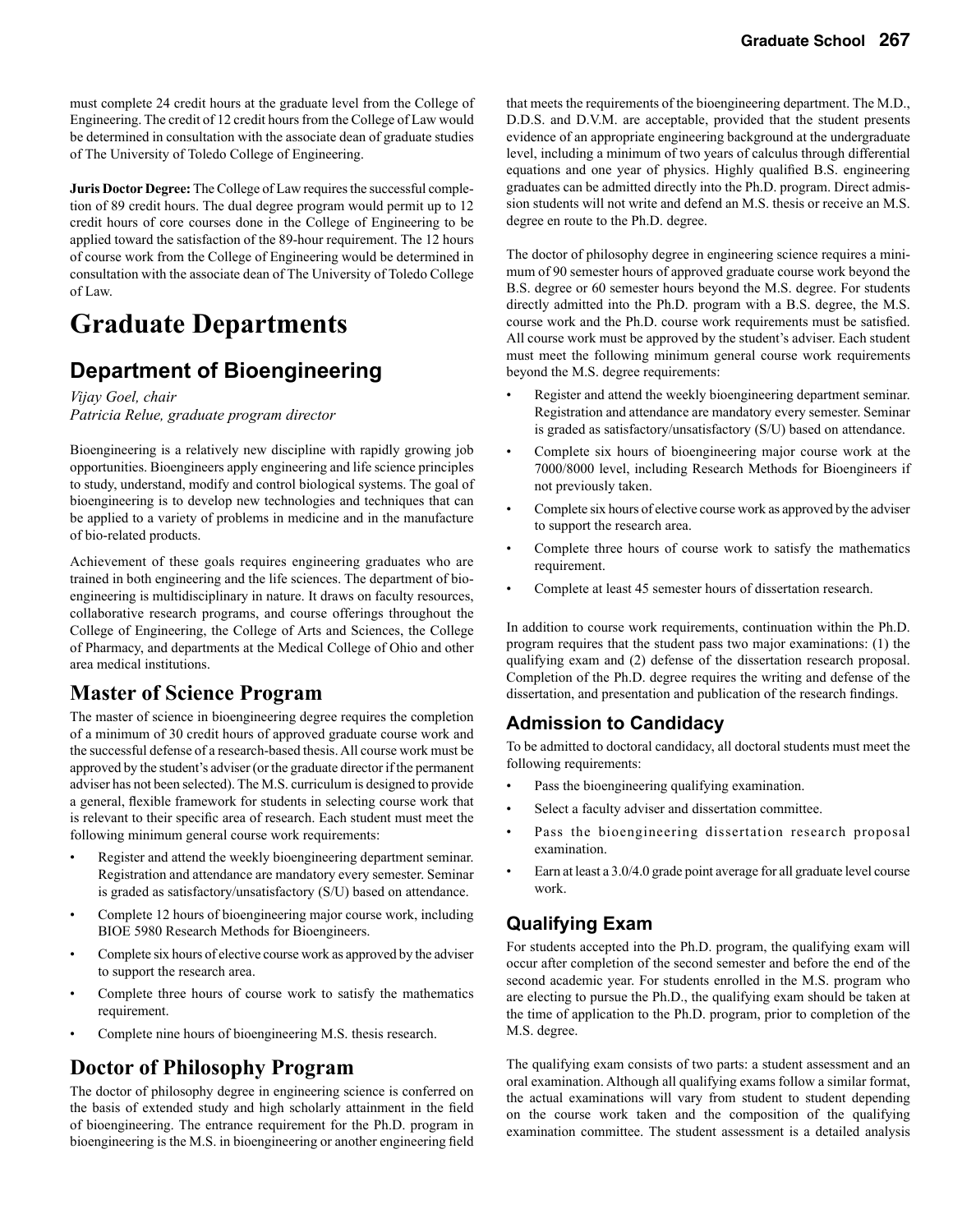must complete 24 credit hours at the graduate level from the College of Engineering. The credit of 12 credit hours from the College of Law would be determined in consultation with the associate dean of graduate studies of The University of Toledo College of Engineering.

**Juris Doctor Degree:** The College of Law requires the successful completion of 89 credit hours. The dual degree program would permit up to 12 credit hours of core courses done in the College of Engineering to be applied toward the satisfaction of the 89-hour requirement. The 12 hours of course work from the College of Engineering would be determined in consultation with the associate dean of The University of Toledo College of Law.

# **Graduate Departments**

## **Department of Bioengineering**

*Vijay Goel, chair Patricia Relue, graduate program director*

Bioengineering is a relatively new discipline with rapidly growing job opportunities. Bioengineers apply engineering and life science principles to study, understand, modify and control biological systems. The goal of bioengineering is to develop new technologies and techniques that can be applied to a variety of problems in medicine and in the manufacture of bio-related products.

Achievement of these goals requires engineering graduates who are trained in both engineering and the life sciences. The department of bioengineering is multidisciplinary in nature. It draws on faculty resources, collaborative research programs, and course offerings throughout the College of Engineering, the College of Arts and Sciences, the College of Pharmacy, and departments at the Medical College of Ohio and other area medical institutions.

### **Master of Science Program**

The master of science in bioengineering degree requires the completion of a minimum of 30 credit hours of approved graduate course work and the successful defense of a research-based thesis. All course work must be approved by the student's adviser (or the graduate director if the permanent adviser has not been selected). The M.S. curriculum is designed to provide a general, flexible framework for students in selecting course work that is relevant to their specific area of research. Each student must meet the following minimum general course work requirements:

- Register and attend the weekly bioengineering department seminar. Registration and attendance are mandatory every semester. Seminar is graded as satisfactory/unsatisfactory (S/U) based on attendance.
- Complete 12 hours of bioengineering major course work, including BIOE 5980 Research Methods for Bioengineers.
- Complete six hours of elective course work as approved by the adviser to support the research area.
- Complete three hours of course work to satisfy the mathematics requirement.
- Complete nine hours of bioengineering M.S. thesis research.

### **Doctor of Philosophy Program**

The doctor of philosophy degree in engineering science is conferred on the basis of extended study and high scholarly attainment in the field of bioengineering. The entrance requirement for the Ph.D. program in bioengineering is the M.S. in bioengineering or another engineering field

that meets the requirements of the bioengineering department. The M.D., D.D.S. and D.V.M. are acceptable, provided that the student presents evidence of an appropriate engineering background at the undergraduate level, including a minimum of two years of calculus through differential equations and one year of physics. Highly qualified B.S. engineering graduates can be admitted directly into the Ph.D. program. Direct admission students will not write and defend an M.S. thesis or receive an M.S. degree en route to the Ph.D. degree.

The doctor of philosophy degree in engineering science requires a minimum of 90 semester hours of approved graduate course work beyond the B.S. degree or 60 semester hours beyond the M.S. degree. For students directly admitted into the Ph.D. program with a B.S. degree, the M.S. course work and the Ph.D. course work requirements must be satisfied. All course work must be approved by the student's adviser. Each student must meet the following minimum general course work requirements beyond the M.S. degree requirements:

- Register and attend the weekly bioengineering department seminar. Registration and attendance are mandatory every semester. Seminar is graded as satisfactory/unsatisfactory (S/U) based on attendance.
- Complete six hours of bioengineering major course work at the 7000/8000 level, including Research Methods for Bioengineers if not previously taken.
- Complete six hours of elective course work as approved by the adviser to support the research area.
- Complete three hours of course work to satisfy the mathematics requirement.
- Complete at least 45 semester hours of dissertation research.

In addition to course work requirements, continuation within the Ph.D. program requires that the student pass two major examinations: (1) the qualifying exam and (2) defense of the dissertation research proposal. Completion of the Ph.D. degree requires the writing and defense of the dissertation, and presentation and publication of the research findings.

#### **Admission to Candidacy**

To be admitted to doctoral candidacy, all doctoral students must meet the following requirements:

- Pass the bioengineering qualifying examination.
- Select a faculty adviser and dissertation committee.
- Pass the bioengineering dissertation research proposal examination.
- Earn at least a 3.0/4.0 grade point average for all graduate level course work.

### **Qualifying Exam**

For students accepted into the Ph.D. program, the qualifying exam will occur after completion of the second semester and before the end of the second academic year. For students enrolled in the M.S. program who are electing to pursue the Ph.D., the qualifying exam should be taken at the time of application to the Ph.D. program, prior to completion of the M.S. degree.

The qualifying exam consists of two parts: a student assessment and an oral examination. Although all qualifying exams follow a similar format, the actual examinations will vary from student to student depending on the course work taken and the composition of the qualifying examination committee. The student assessment is a detailed analysis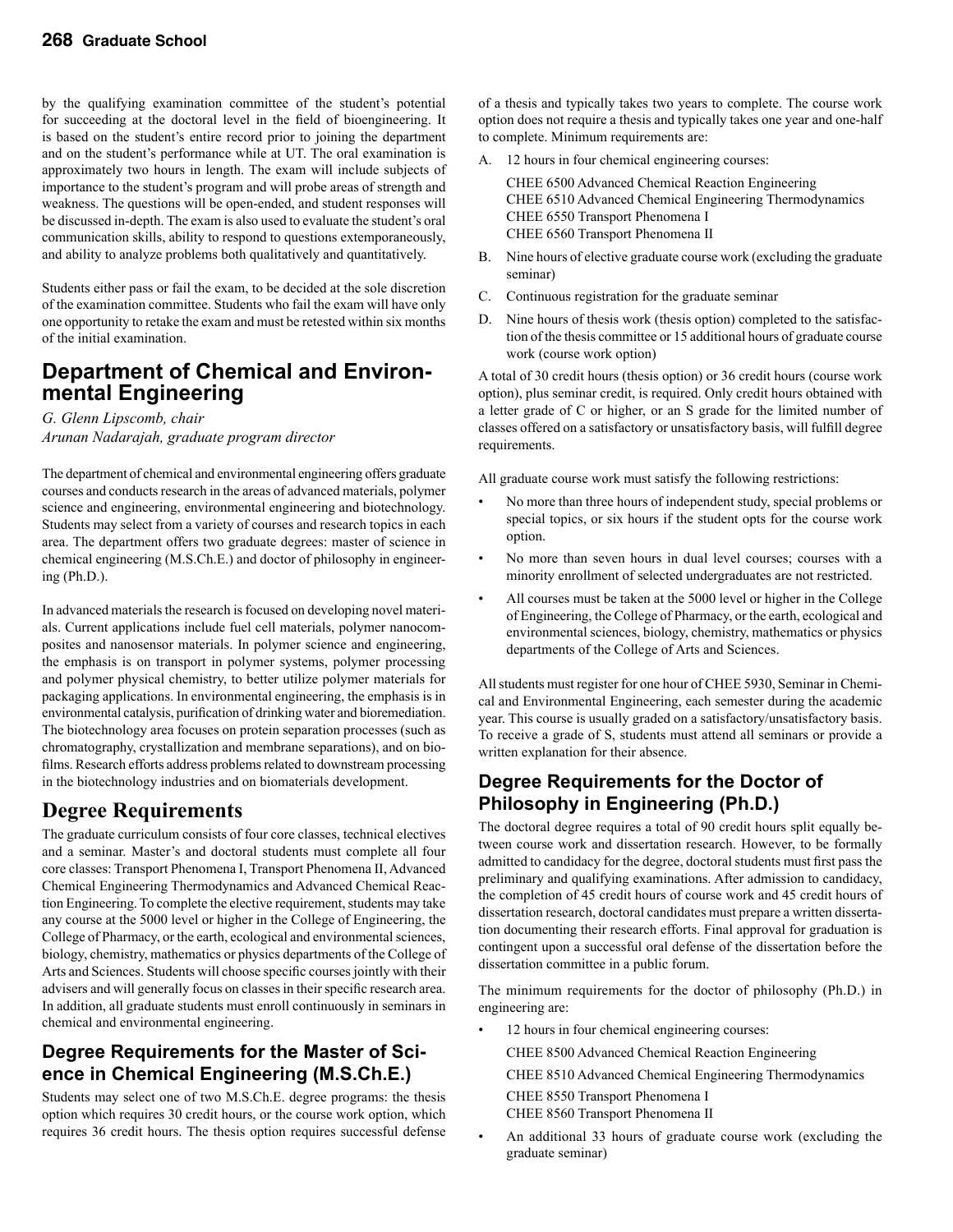by the qualifying examination committee of the student's potential for succeeding at the doctoral level in the field of bioengineering. It is based on the student's entire record prior to joining the department and on the student's performance while at UT. The oral examination is approximately two hours in length. The exam will include subjects of importance to the student's program and will probe areas of strength and weakness. The questions will be open-ended, and student responses will be discussed in-depth. The exam is also used to evaluate the student's oral communication skills, ability to respond to questions extemporaneously, and ability to analyze problems both qualitatively and quantitatively.

Students either pass or fail the exam, to be decided at the sole discretion of the examination committee. Students who fail the exam will have only one opportunity to retake the exam and must be retested within six months of the initial examination.

# **Department of Chemical and Environ- mental Engineering**

*G. Glenn Lipscomb, chair Arunan Nadarajah, graduate program director*

The department of chemical and environmental engineering offers graduate courses and conducts research in the areas of advanced materials, polymer science and engineering, environmental engineering and biotechnology. Students may select from a variety of courses and research topics in each area. The department offers two graduate degrees: master of science in chemical engineering (M.S.Ch.E.) and doctor of philosophy in engineering (Ph.D.).

In advanced materials the research is focused on developing novel materials. Current applications include fuel cell materials, polymer nanocomposites and nanosensor materials. In polymer science and engineering, the emphasis is on transport in polymer systems, polymer processing and polymer physical chemistry, to better utilize polymer materials for packaging applications. In environmental engineering, the emphasis is in environmental catalysis, purification of drinking water and bioremediation. The biotechnology area focuses on protein separation processes (such as chromatography, crystallization and membrane separations), and on biofilms. Research efforts address problems related to downstream processing in the biotechnology industries and on biomaterials development.

### **Degree Requirements**

The graduate curriculum consists of four core classes, technical electives and a seminar. Master's and doctoral students must complete all four core classes: Transport Phenomena I, Transport Phenomena II, Advanced Chemical Engineering Thermodynamics and Advanced Chemical Reaction Engineering. To complete the elective requirement, students may take any course at the 5000 level or higher in the College of Engineering, the College of Pharmacy, or the earth, ecological and environmental sciences, biology, chemistry, mathematics or physics departments of the College of Arts and Sciences. Students will choose specific courses jointly with their advisers and will generally focus on classes in their specific research area. In addition, all graduate students must enroll continuously in seminars in chemical and environmental engineering.

### **Degree Requirements for the Master of Science in Chemical Engineering (M.S.Ch.E.)**

Students may select one of two M.S.Ch.E. degree programs: the thesis option which requires 30 credit hours, or the course work option, which requires 36 credit hours. The thesis option requires successful defense

of a thesis and typically takes two years to complete. The course work option does not require a thesis and typically takes one year and one-half to complete. Minimum requirements are:

12 hours in four chemical engineering courses:

 CHEE 6500 Advanced Chemical Reaction Engineering CHEE 6510 Advanced Chemical Engineering Thermodynamics CHEE 6550 Transport Phenomena I CHEE 6560 Transport Phenomena II

- B. Nine hours of elective graduate course work (excluding the graduate seminar)
- C. Continuous registration for the graduate seminar
- D. Nine hours of thesis work (thesis option) completed to the satisfaction of the thesis committee or 15 additional hours of graduate course work (course work option)

A total of 30 credit hours (thesis option) or 36 credit hours (course work option), plus seminar credit, is required. Only credit hours obtained with a letter grade of C or higher, or an S grade for the limited number of classes offered on a satisfactory or unsatisfactory basis, will fulfill degree requirements.

All graduate course work must satisfy the following restrictions:

- No more than three hours of independent study, special problems or special topics, or six hours if the student opts for the course work option.
- No more than seven hours in dual level courses; courses with a minority enrollment of selected undergraduates are not restricted.
- All courses must be taken at the 5000 level or higher in the College of Engineering, the College of Pharmacy, or the earth, ecological and environmental sciences, biology, chemistry, mathematics or physics departments of the College of Arts and Sciences.

All students must register for one hour of CHEE 5930, Seminar in Chemical and Environmental Engineering, each semester during the academic year. This course is usually graded on a satisfactory/unsatisfactory basis. To receive a grade of S, students must attend all seminars or provide a written explanation for their absence.

### **Degree Requirements for the Doctor of Philosophy in Engineering (Ph.D.)**

The doctoral degree requires a total of 90 credit hours split equally between course work and dissertation research. However, to be formally admitted to candidacy for the degree, doctoral students must first pass the preliminary and qualifying examinations. After admission to candidacy, the completion of 45 credit hours of course work and 45 credit hours of dissertation research, doctoral candidates must prepare a written dissertation documenting their research efforts. Final approval for graduation is contingent upon a successful oral defense of the dissertation before the dissertation committee in a public forum.

The minimum requirements for the doctor of philosophy (Ph.D.) in engineering are:

12 hours in four chemical engineering courses:

 CHEE 8500 Advanced Chemical Reaction Engineering CHEE 8510 Advanced Chemical Engineering Thermodynamics CHEE 8550 Transport Phenomena I CHEE 8560 Transport Phenomena II

An additional 33 hours of graduate course work (excluding the graduate seminar)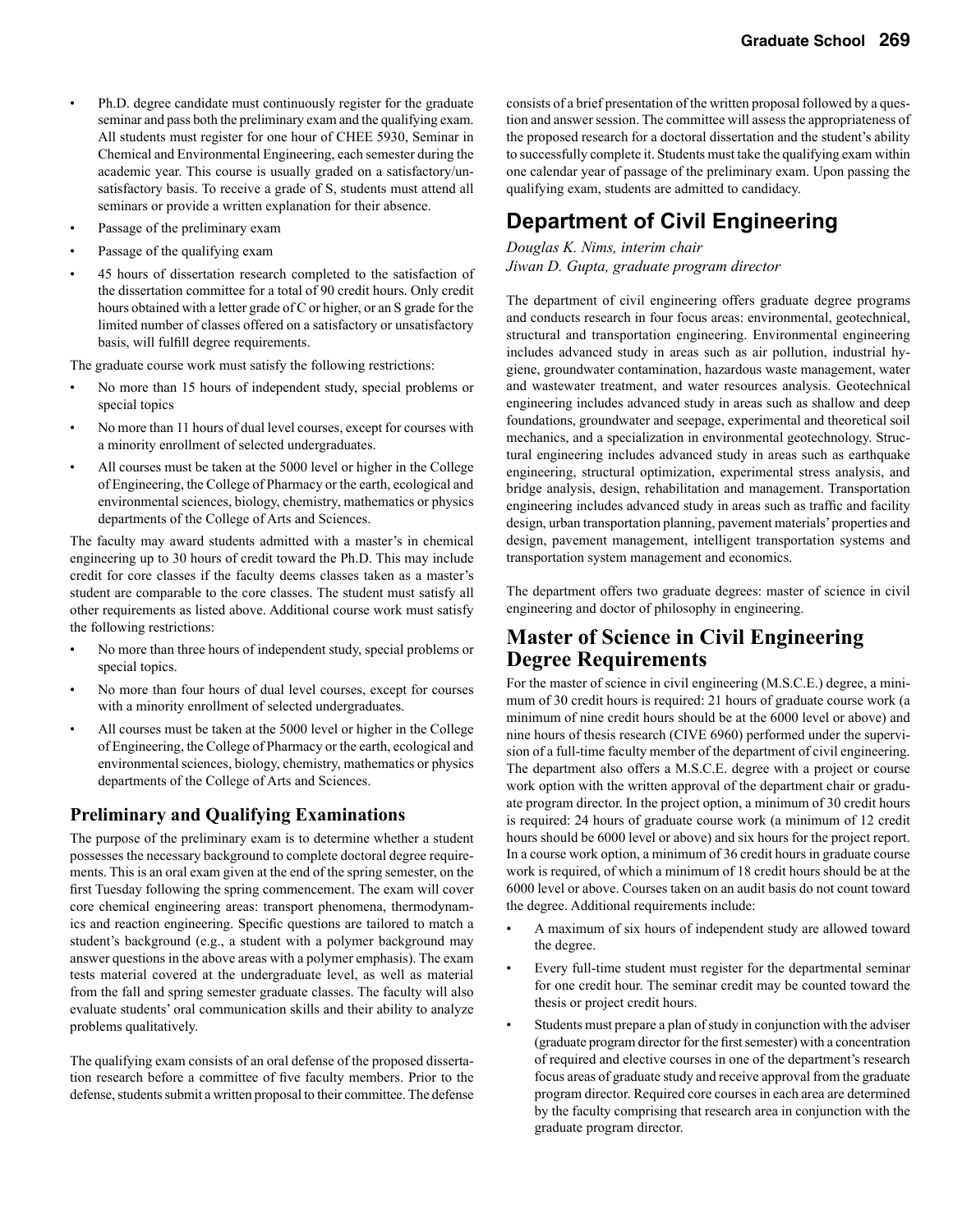- Ph.D. degree candidate must continuously register for the graduate seminar and pass both the preliminary exam and the qualifying exam. All students must register for one hour of CHEE 5930, Seminar in Chemical and Environmental Engineering, each semester during the academic year. This course is usually graded on a satisfactory/unsatisfactory basis. To receive a grade of S, students must attend all seminars or provide a written explanation for their absence.
- Passage of the preliminary exam
- Passage of the qualifying exam
- 45 hours of dissertation research completed to the satisfaction of the dissertation committee for a total of 90 credit hours. Only credit hours obtained with a letter grade of C or higher, or an S grade for the limited number of classes offered on a satisfactory or unsatisfactory basis, will fulfill degree requirements.

The graduate course work must satisfy the following restrictions:

- No more than 15 hours of independent study, special problems or special topics
- No more than 11 hours of dual level courses, except for courses with a minority enrollment of selected undergraduates.
- All courses must be taken at the 5000 level or higher in the College of Engineering, the College of Pharmacy or the earth, ecological and environmental sciences, biology, chemistry, mathematics or physics departments of the College of Arts and Sciences.

The faculty may award students admitted with a master's in chemical engineering up to 30 hours of credit toward the Ph.D. This may include credit for core classes if the faculty deems classes taken as a master's student are comparable to the core classes. The student must satisfy all other requirements as listed above. Additional course work must satisfy the following restrictions:

- No more than three hours of independent study, special problems or special topics.
- No more than four hours of dual level courses, except for courses with a minority enrollment of selected undergraduates.
- All courses must be taken at the 5000 level or higher in the College of Engineering, the College of Pharmacy or the earth, ecological and environmental sciences, biology, chemistry, mathematics or physics departments of the College of Arts and Sciences.

#### **Preliminary and Qualifying Examinations**

The purpose of the preliminary exam is to determine whether a student possesses the necessary background to complete doctoral degree requirements. This is an oral exam given at the end of the spring semester, on the first Tuesday following the spring commencement. The exam will cover core chemical engineering areas: transport phenomena, thermodynamics and reaction engineering. Specific questions are tailored to match a student's background (e.g., a student with a polymer background may answer questions in the above areas with a polymer emphasis). The exam tests material covered at the undergraduate level, as well as material from the fall and spring semester graduate classes. The faculty will also evaluate students' oral communication skills and their ability to analyze problems qualitatively.

The qualifying exam consists of an oral defense of the proposed dissertation research before a committee of five faculty members. Prior to the defense, students submit a written proposal to their committee. The defense consists of a brief presentation of the written proposal followed by a question and answer session. The committee will assess the appropriateness of the proposed research for a doctoral dissertation and the student's ability to successfully complete it. Students must take the qualifying exam within one calendar year of passage of the preliminary exam. Upon passing the qualifying exam, students are admitted to candidacy.

### **Department of Civil Engineering**

*Douglas K. Nims, interim chair Jiwan D. Gupta, graduate program director*

The department of civil engineering offers graduate degree programs and conducts research in four focus areas: environmental, geotechnical, structural and transportation engineering. Environmental engineering includes advanced study in areas such as air pollution, industrial hygiene, groundwater contamination, hazardous waste management, water and wastewater treatment, and water resources analysis. Geotechnical engineering includes advanced study in areas such as shallow and deep foundations, groundwater and seepage, experimental and theoretical soil mechanics, and a specialization in environmental geotechnology. Structural engineering includes advanced study in areas such as earthquake engineering, structural optimization, experimental stress analysis, and bridge analysis, design, rehabilitation and management. Transportation engineering includes advanced study in areas such as traffic and facility design, urban transportation planning, pavement materials' properties and design, pavement management, intelligent transportation systems and transportation system management and economics.

The department offers two graduate degrees: master of science in civil engineering and doctor of philosophy in engineering.

### **Master of Science in Civil Engineering Degree Requirements**

For the master of science in civil engineering (M.S.C.E.) degree, a minimum of 30 credit hours is required: 21 hours of graduate course work (a minimum of nine credit hours should be at the 6000 level or above) and nine hours of thesis research (CIVE 6960) performed under the supervision of a full-time faculty member of the department of civil engineering. The department also offers a M.S.C.E. degree with a project or course work option with the written approval of the department chair or graduate program director. In the project option, a minimum of 30 credit hours is required: 24 hours of graduate course work (a minimum of 12 credit hours should be 6000 level or above) and six hours for the project report. In a course work option, a minimum of 36 credit hours in graduate course work is required, of which a minimum of 18 credit hours should be at the 6000 level or above. Courses taken on an audit basis do not count toward the degree. Additional requirements include:

- A maximum of six hours of independent study are allowed toward the degree.
- Every full-time student must register for the departmental seminar for one credit hour. The seminar credit may be counted toward the thesis or project credit hours.
- Students must prepare a plan of study in conjunction with the adviser (graduate program director for the first semester) with a concentration of required and elective courses in one of the department's research focus areas of graduate study and receive approval from the graduate program director. Required core courses in each area are determined by the faculty comprising that research area in conjunction with the graduate program director.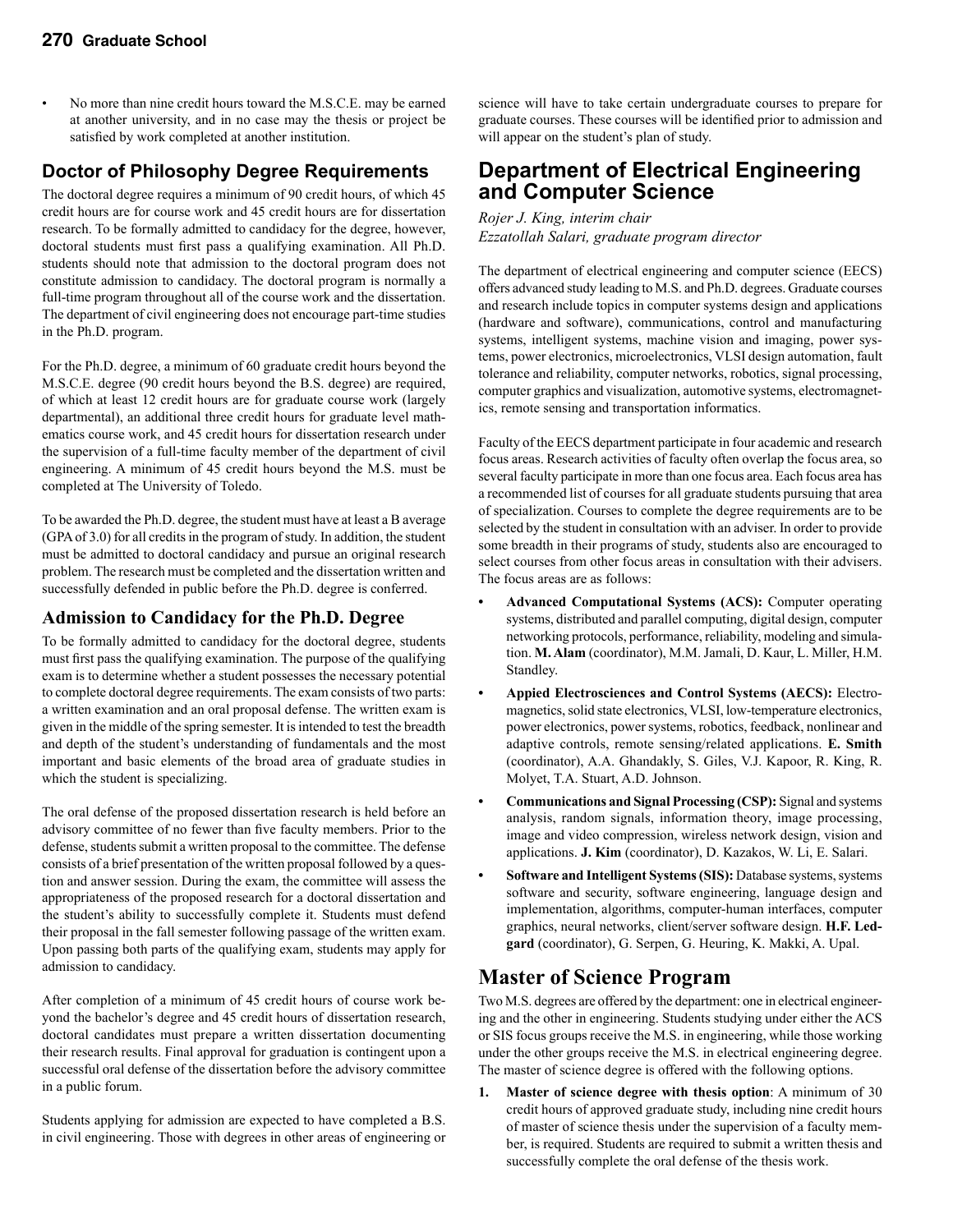• No more than nine credit hours toward the M.S.C.E. may be earned at another university, and in no case may the thesis or project be satisfied by work completed at another institution.

### **Doctor of Philosophy Degree Requirements**

The doctoral degree requires a minimum of 90 credit hours, of which 45 credit hours are for course work and 45 credit hours are for dissertation research. To be formally admitted to candidacy for the degree, however, doctoral students must first pass a qualifying examination. All Ph.D. students should note that admission to the doctoral program does not constitute admission to candidacy. The doctoral program is normally a full-time program throughout all of the course work and the dissertation. The department of civil engineering does not encourage part-time studies in the Ph.D. program.

For the Ph.D. degree, a minimum of 60 graduate credit hours beyond the M.S.C.E. degree (90 credit hours beyond the B.S. degree) are required, of which at least 12 credit hours are for graduate course work (largely departmental), an additional three credit hours for graduate level mathematics course work, and 45 credit hours for dissertation research under the supervision of a full-time faculty member of the department of civil engineering. A minimum of 45 credit hours beyond the M.S. must be completed at The University of Toledo.

To be awarded the Ph.D. degree, the student must have at least a B average (GPA of 3.0) for all credits in the program of study. In addition, the student must be admitted to doctoral candidacy and pursue an original research problem. The research must be completed and the dissertation written and successfully defended in public before the Ph.D. degree is conferred.

#### **Admission to Candidacy for the Ph.D. Degree**

To be formally admitted to candidacy for the doctoral degree, students must first pass the qualifying examination. The purpose of the qualifying exam is to determine whether a student possesses the necessary potential to complete doctoral degree requirements. The exam consists of two parts: a written examination and an oral proposal defense. The written exam is given in the middle of the spring semester. It is intended to test the breadth and depth of the student's understanding of fundamentals and the most important and basic elements of the broad area of graduate studies in which the student is specializing.

The oral defense of the proposed dissertation research is held before an advisory committee of no fewer than five faculty members. Prior to the defense, students submit a written proposal to the committee. The defense consists of a brief presentation of the written proposal followed by a question and answer session. During the exam, the committee will assess the appropriateness of the proposed research for a doctoral dissertation and the student's ability to successfully complete it. Students must defend their proposal in the fall semester following passage of the written exam. Upon passing both parts of the qualifying exam, students may apply for admission to candidacy.

After completion of a minimum of 45 credit hours of course work beyond the bachelor's degree and 45 credit hours of dissertation research, doctoral candidates must prepare a written dissertation documenting their research results. Final approval for graduation is contingent upon a successful oral defense of the dissertation before the advisory committee in a public forum.

Students applying for admission are expected to have completed a B.S. in civil engineering. Those with degrees in other areas of engineering or science will have to take certain undergraduate courses to prepare for graduate courses. These courses will be identified prior to admission and will appear on the student's plan of study.

### **Department of Electrical Engineering and Computer Science**

*Rojer J. King, interim chair Ezzatollah Salari, graduate program director*

The department of electrical engineering and computer science (EECS) offers advanced study leading to M.S. and Ph.D. degrees. Graduate courses and research include topics in computer systems design and applications (hardware and software), communications, control and manufacturing systems, intelligent systems, machine vision and imaging, power systems, power electronics, microelectronics, VLSI design automation, fault tolerance and reliability, computer networks, robotics, signal processing, computer graphics and visualization, automotive systems, electromagnetics, remote sensing and transportation informatics.

Faculty of the EECS department participate in four academic and research focus areas. Research activities of faculty often overlap the focus area, so several faculty participate in more than one focus area. Each focus area has a recommended list of courses for all graduate students pursuing that area of specialization. Courses to complete the degree requirements are to be selected by the student in consultation with an adviser. In order to provide some breadth in their programs of study, students also are encouraged to select courses from other focus areas in consultation with their advisers. The focus areas are as follows:

- **• Advanced Computational Systems (ACS):** Computer operating systems, distributed and parallel computing, digital design, computer networking protocols, performance, reliability, modeling and simulation. **M. Alam** (coordinator), M.M. Jamali, D. Kaur, L. Miller, H.M. Standley.
- **• Appied Electrosciences and Control Systems (AECS):** Electromagnetics, solid state electronics, VLSI, low-temperature electronics, power electronics, power systems, robotics, feedback, nonlinear and adaptive controls, remote sensing/related applications. **E. Smith** (coordinator), A.A. Ghandakly, S. Giles, V.J. Kapoor, R. King, R. Molyet, T.A. Stuart, A.D. Johnson.
- **• Communications and Signal Processing (CSP):** Signal and systems analysis, random signals, information theory, image processing, image and video compression, wireless network design, vision and applications. **J. Kim** (coordinator), D. Kazakos, W. Li, E. Salari.
- **• Software and Intelligent Systems (SIS):** Database systems, systems software and security, software engineering, language design and implementation, algorithms, computer-human interfaces, computer graphics, neural networks, client/server software design. **H.F. Ledgard** (coordinator), G. Serpen, G. Heuring, K. Makki, A. Upal.

### **Master of Science Program**

Two M.S. degrees are offered by the department: one in electrical engineering and the other in engineering. Students studying under either the ACS or SIS focus groups receive the M.S. in engineering, while those working under the other groups receive the M.S. in electrical engineering degree. The master of science degree is offered with the following options.

**1. Master of science degree with thesis option**: A minimum of 30 credit hours of approved graduate study, including nine credit hours of master of science thesis under the supervision of a faculty member, is required. Students are required to submit a written thesis and successfully complete the oral defense of the thesis work.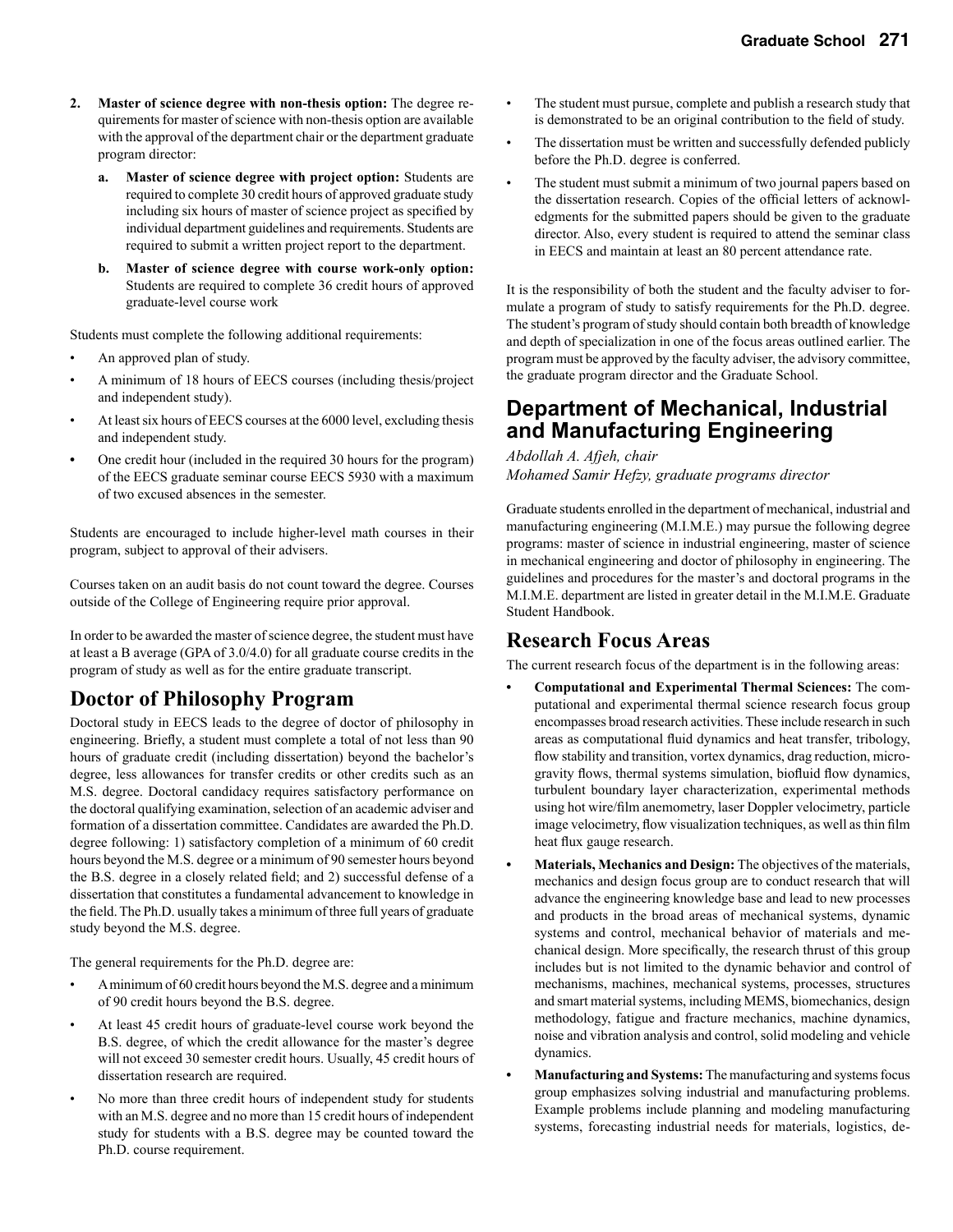- **2. Master of science degree with non-thesis option:** The degree requirements for master of science with non-thesis option are available with the approval of the department chair or the department graduate program director:
	- **a. Master of science degree with project option:** Students are required to complete 30 credit hours of approved graduate study including six hours of master of science project as specified by individual department guidelines and requirements. Students are required to submit a written project report to the department.
	- **b. Master of science degree with course work-only option:** Students are required to complete 36 credit hours of approved graduate-level course work

Students must complete the following additional requirements:

- An approved plan of study.
- A minimum of 18 hours of EECS courses (including thesis/project and independent study).
- At least six hours of EECS courses at the 6000 level, excluding thesis and independent study.
- One credit hour (included in the required 30 hours for the program) of the EECS graduate seminar course EECS 5930 with a maximum of two excused absences in the semester.

Students are encouraged to include higher-level math courses in their program, subject to approval of their advisers.

Courses taken on an audit basis do not count toward the degree. Courses outside of the College of Engineering require prior approval.

In order to be awarded the master of science degree, the student must have at least a B average (GPA of 3.0/4.0) for all graduate course credits in the program of study as well as for the entire graduate transcript.

### **Doctor of Philosophy Program**

Doctoral study in EECS leads to the degree of doctor of philosophy in engineering. Briefly, a student must complete a total of not less than 90 hours of graduate credit (including dissertation) beyond the bachelor's degree, less allowances for transfer credits or other credits such as an M.S. degree. Doctoral candidacy requires satisfactory performance on the doctoral qualifying examination, selection of an academic adviser and formation of a dissertation committee. Candidates are awarded the Ph.D. degree following: 1) satisfactory completion of a minimum of 60 credit hours beyond the M.S. degree or a minimum of 90 semester hours beyond the B.S. degree in a closely related field; and 2) successful defense of a dissertation that constitutes a fundamental advancement to knowledge in the field. The Ph.D. usually takes a minimum of three full years of graduate study beyond the M.S. degree.

The general requirements for the Ph.D. degree are:

- A minimum of 60 credit hours beyond the M.S. degree and a minimum of 90 credit hours beyond the B.S. degree.
- At least 45 credit hours of graduate-level course work beyond the B.S. degree, of which the credit allowance for the master's degree will not exceed 30 semester credit hours. Usually, 45 credit hours of dissertation research are required.
- No more than three credit hours of independent study for students with an M.S. degree and no more than 15 credit hours of independent study for students with a B.S. degree may be counted toward the Ph.D. course requirement.
- The student must pursue, complete and publish a research study that is demonstrated to be an original contribution to the field of study.
- The dissertation must be written and successfully defended publicly before the Ph.D. degree is conferred.
- The student must submit a minimum of two journal papers based on the dissertation research. Copies of the official letters of acknowledgments for the submitted papers should be given to the graduate director. Also, every student is required to attend the seminar class in EECS and maintain at least an 80 percent attendance rate.

It is the responsibility of both the student and the faculty adviser to formulate a program of study to satisfy requirements for the Ph.D. degree. The student's program of study should contain both breadth of knowledge and depth of specialization in one of the focus areas outlined earlier. The program must be approved by the faculty adviser, the advisory committee, the graduate program director and the Graduate School.

### **Department of Mechanical, Industrial and Manufacturing Engineering**

*Abdollah A. Afjeh, chair Mohamed Samir Hefzy, graduate programs director*

Graduate students enrolled in the department of mechanical, industrial and manufacturing engineering (M.I.M.E.) may pursue the following degree programs: master of science in industrial engineering, master of science in mechanical engineering and doctor of philosophy in engineering. The guidelines and procedures for the master's and doctoral programs in the M.I.M.E. department are listed in greater detail in the M.I.M.E. Graduate Student Handbook.

### **Research Focus Areas**

The current research focus of the department is in the following areas:

- **• Computational and Experimental Thermal Sciences:** The computational and experimental thermal science research focus group encompasses broad research activities. These include research in such areas as computational fluid dynamics and heat transfer, tribology, flow stability and transition, vortex dynamics, drag reduction, microgravity flows, thermal systems simulation, biofluid flow dynamics, turbulent boundary layer characterization, experimental methods using hot wire/film anemometry, laser Doppler velocimetry, particle image velocimetry, flow visualization techniques, as well as thin film heat flux gauge research.
- **• Materials, Mechanics and Design:** The objectives of the materials, mechanics and design focus group are to conduct research that will advance the engineering knowledge base and lead to new processes and products in the broad areas of mechanical systems, dynamic systems and control, mechanical behavior of materials and mechanical design. More specifically, the research thrust of this group includes but is not limited to the dynamic behavior and control of mechanisms, machines, mechanical systems, processes, structures and smart material systems, including MEMS, biomechanics, design methodology, fatigue and fracture mechanics, machine dynamics, noise and vibration analysis and control, solid modeling and vehicle dynamics.
- **Manufacturing and Systems:** The manufacturing and systems focus group emphasizes solving industrial and manufacturing problems. Example problems include planning and modeling manufacturing systems, forecasting industrial needs for materials, logistics, de-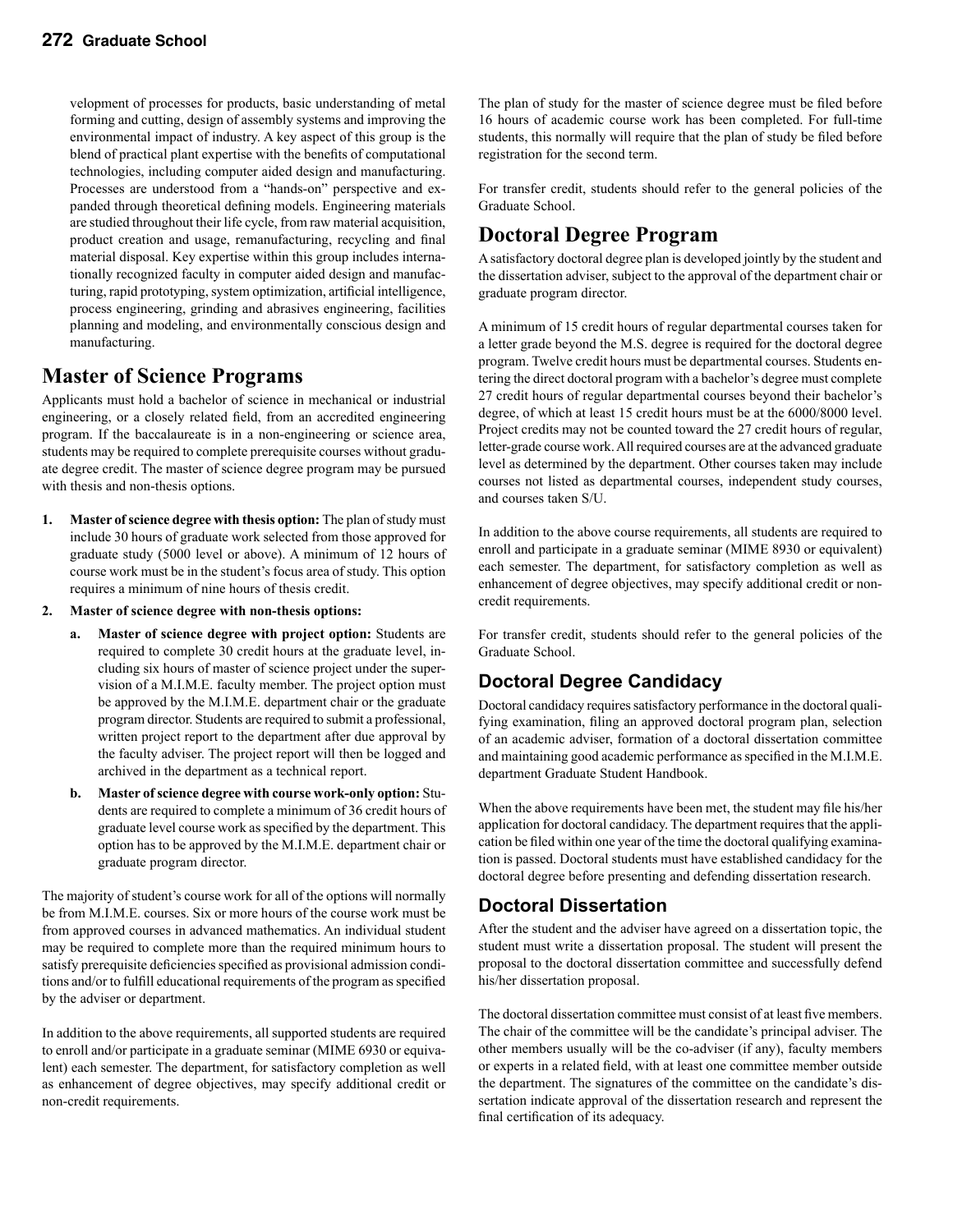velopment of processes for products, basic understanding of metal forming and cutting, design of assembly systems and improving the environmental impact of industry. A key aspect of this group is the blend of practical plant expertise with the benefits of computational technologies, including computer aided design and manufacturing. Processes are understood from a "hands-on" perspective and expanded through theoretical defining models. Engineering materials are studied throughout their life cycle, from raw material acquisition, product creation and usage, remanufacturing, recycling and final material disposal. Key expertise within this group includes internationally recognized faculty in computer aided design and manufacturing, rapid prototyping, system optimization, artificial intelligence, process engineering, grinding and abrasives engineering, facilities planning and modeling, and environmentally conscious design and manufacturing.

### **Master of Science Programs**

Applicants must hold a bachelor of science in mechanical or industrial engineering, or a closely related field, from an accredited engineering program. If the baccalaureate is in a non-engineering or science area, students may be required to complete prerequisite courses without graduate degree credit. The master of science degree program may be pursued with thesis and non-thesis options.

- **1. Master of science degree with thesis option:** The plan of study must include 30 hours of graduate work selected from those approved for graduate study (5000 level or above). A minimum of 12 hours of course work must be in the student's focus area of study. This option requires a minimum of nine hours of thesis credit.
- **2. Master of science degree with non-thesis options:**
	- **a. Master of science degree with project option:** Students are required to complete 30 credit hours at the graduate level, including six hours of master of science project under the supervision of a M.I.M.E. faculty member. The project option must be approved by the M.I.M.E. department chair or the graduate program director. Students are required to submit a professional, written project report to the department after due approval by the faculty adviser. The project report will then be logged and archived in the department as a technical report.
	- **b. Master of science degree with course work-only option:** Students are required to complete a minimum of 36 credit hours of graduate level course work as specified by the department. This option has to be approved by the M.I.M.E. department chair or graduate program director.

The majority of student's course work for all of the options will normally be from M.I.M.E. courses. Six or more hours of the course work must be from approved courses in advanced mathematics. An individual student may be required to complete more than the required minimum hours to satisfy prerequisite deficiencies specified as provisional admission conditions and/or to fulfill educational requirements of the program as specified by the adviser or department.

In addition to the above requirements, all supported students are required to enroll and/or participate in a graduate seminar (MIME 6930 or equivalent) each semester. The department, for satisfactory completion as well as enhancement of degree objectives, may specify additional credit or non-credit requirements.

The plan of study for the master of science degree must be filed before 16 hours of academic course work has been completed. For full-time students, this normally will require that the plan of study be filed before registration for the second term.

For transfer credit, students should refer to the general policies of the Graduate School.

### **Doctoral Degree Program**

A satisfactory doctoral degree plan is developed jointly by the student and the dissertation adviser, subject to the approval of the department chair or graduate program director.

A minimum of 15 credit hours of regular departmental courses taken for a letter grade beyond the M.S. degree is required for the doctoral degree program. Twelve credit hours must be departmental courses. Students entering the direct doctoral program with a bachelor's degree must complete 27 credit hours of regular departmental courses beyond their bachelor's degree, of which at least 15 credit hours must be at the 6000/8000 level. Project credits may not be counted toward the 27 credit hours of regular, letter-grade course work. All required courses are at the advanced graduate level as determined by the department. Other courses taken may include courses not listed as departmental courses, independent study courses, and courses taken S/U.

In addition to the above course requirements, all students are required to enroll and participate in a graduate seminar (MIME 8930 or equivalent) each semester. The department, for satisfactory completion as well as enhancement of degree objectives, may specify additional credit or noncredit requirements.

For transfer credit, students should refer to the general policies of the Graduate School.

### **Doctoral Degree Candidacy**

Doctoral candidacy requires satisfactory performance in the doctoral qualifying examination, filing an approved doctoral program plan, selection of an academic adviser, formation of a doctoral dissertation committee and maintaining good academic performance as specified in the M.I.M.E. department Graduate Student Handbook.

When the above requirements have been met, the student may file his/her application for doctoral candidacy. The department requires that the application be filed within one year of the time the doctoral qualifying examination is passed. Doctoral students must have established candidacy for the doctoral degree before presenting and defending dissertation research.

### **Doctoral Dissertation**

After the student and the adviser have agreed on a dissertation topic, the student must write a dissertation proposal. The student will present the proposal to the doctoral dissertation committee and successfully defend his/her dissertation proposal.

The doctoral dissertation committee must consist of at least five members. The chair of the committee will be the candidate's principal adviser. The other members usually will be the co-adviser (if any), faculty members or experts in a related field, with at least one committee member outside the department. The signatures of the committee on the candidate's dissertation indicate approval of the dissertation research and represent the final certification of its adequacy.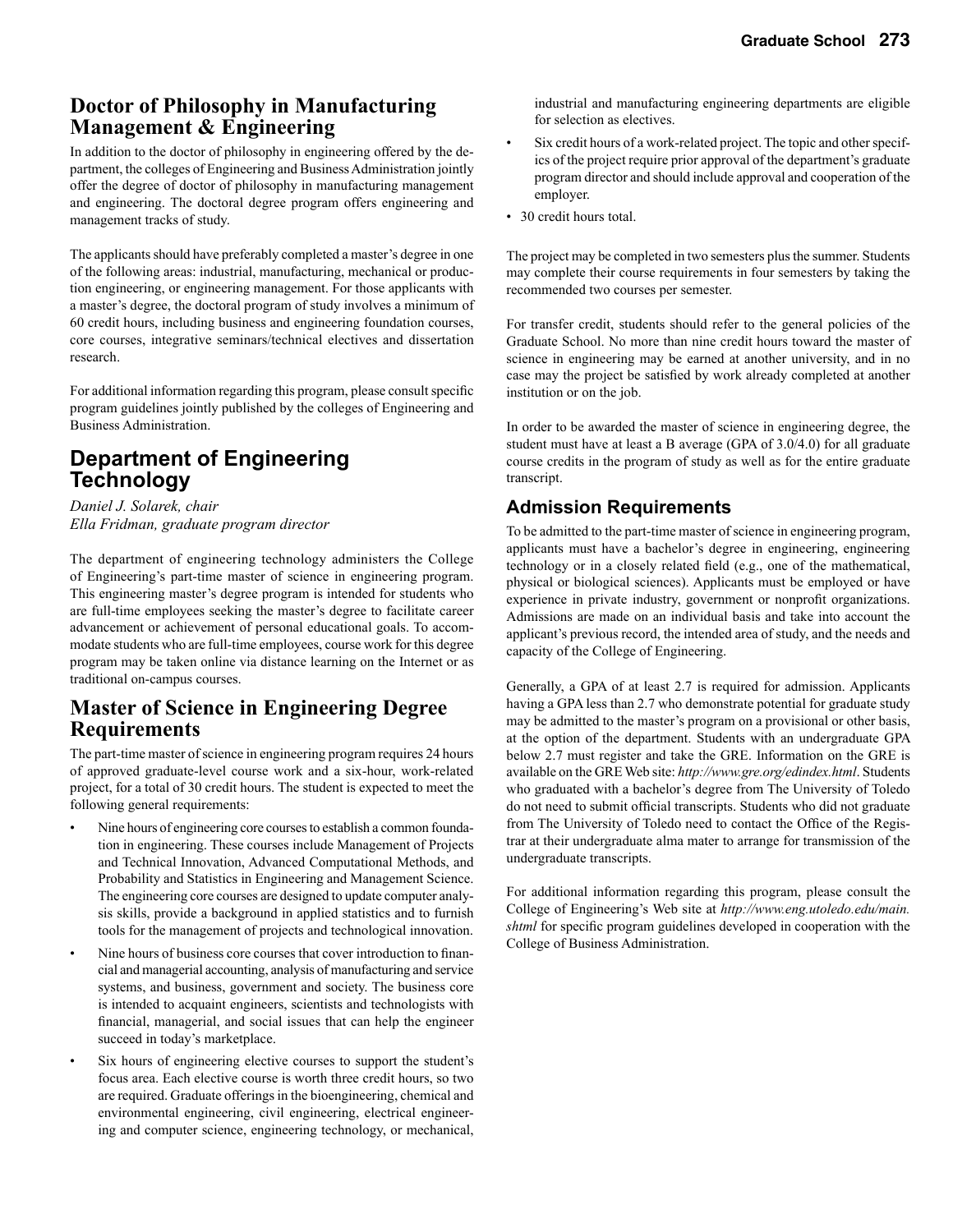### **Doctor of Philosophy in Manufacturing Management & Engineering**

In addition to the doctor of philosophy in engineering offered by the department, the colleges of Engineering and Business Administration jointly offer the degree of doctor of philosophy in manufacturing management and engineering. The doctoral degree program offers engineering and management tracks of study.

The applicants should have preferably completed a master's degree in one of the following areas: industrial, manufacturing, mechanical or production engineering, or engineering management. For those applicants with a master's degree, the doctoral program of study involves a minimum of 60 credit hours, including business and engineering foundation courses, core courses, integrative seminars/technical electives and dissertation research.

For additional information regarding this program, please consult specific program guidelines jointly published by the colleges of Engineering and Business Administration.

### **Department of Engineering Technology**

*Daniel J. Solarek, chair Ella Fridman, graduate program director*

The department of engineering technology administers the College of Engineering's part-time master of science in engineering program. This engineering master's degree program is intended for students who are full-time employees seeking the master's degree to facilitate career advancement or achievement of personal educational goals. To accommodate students who are full-time employees, course work for this degree program may be taken online via distance learning on the Internet or as traditional on-campus courses.

### **Master of Science in Engineering Degree Requirements**

The part-time master of science in engineering program requires 24 hours of approved graduate-level course work and a six-hour, work-related project, for a total of 30 credit hours. The student is expected to meet the following general requirements:

- Nine hours of engineering core courses to establish a common foundation in engineering. These courses include Management of Projects and Technical Innovation, Advanced Computational Methods, and Probability and Statistics in Engineering and Management Science. The engineering core courses are designed to update computer analysis skills, provide a background in applied statistics and to furnish tools for the management of projects and technological innovation.
- Nine hours of business core courses that cover introduction to financial and managerial accounting, analysis of manufacturing and service systems, and business, government and society. The business core is intended to acquaint engineers, scientists and technologists with financial, managerial, and social issues that can help the engineer succeed in today's marketplace.
- Six hours of engineering elective courses to support the student's focus area. Each elective course is worth three credit hours, so two are required. Graduate offerings in the bioengineering, chemical and environmental engineering, civil engineering, electrical engineering and computer science, engineering technology, or mechanical,

industrial and manufacturing engineering departments are eligible for selection as electives.

- Six credit hours of a work-related project. The topic and other specifics of the project require prior approval of the department's graduate program director and should include approval and cooperation of the employer.
- 30 credit hours total.

The project may be completed in two semesters plus the summer. Students may complete their course requirements in four semesters by taking the recommended two courses per semester.

For transfer credit, students should refer to the general policies of the Graduate School. No more than nine credit hours toward the master of science in engineering may be earned at another university, and in no case may the project be satisfied by work already completed at another institution or on the job.

In order to be awarded the master of science in engineering degree, the student must have at least a B average (GPA of 3.0/4.0) for all graduate course credits in the program of study as well as for the entire graduate transcript.

### **Admission Requirements**

To be admitted to the part-time master of science in engineering program, applicants must have a bachelor's degree in engineering, engineering technology or in a closely related field (e.g., one of the mathematical, physical or biological sciences). Applicants must be employed or have experience in private industry, government or nonprofit organizations. Admissions are made on an individual basis and take into account the applicant's previous record, the intended area of study, and the needs and capacity of the College of Engineering.

Generally, a GPA of at least 2.7 is required for admission. Applicants having a GPA less than 2.7 who demonstrate potential for graduate study may be admitted to the master's program on a provisional or other basis, at the option of the department. Students with an undergraduate GPA below 2.7 must register and take the GRE. Information on the GRE is available on the GRE Web site: *http://www.gre.org/edindex.html*. Students who graduated with a bachelor's degree from The University of Toledo do not need to submit official transcripts. Students who did not graduate from The University of Toledo need to contact the Office of the Registrar at their undergraduate alma mater to arrange for transmission of the undergraduate transcripts.

For additional information regarding this program, please consult the College of Engineering's Web site at *http://www.eng.utoledo.edu/main. shtml* for specific program guidelines developed in cooperation with the College of Business Administration.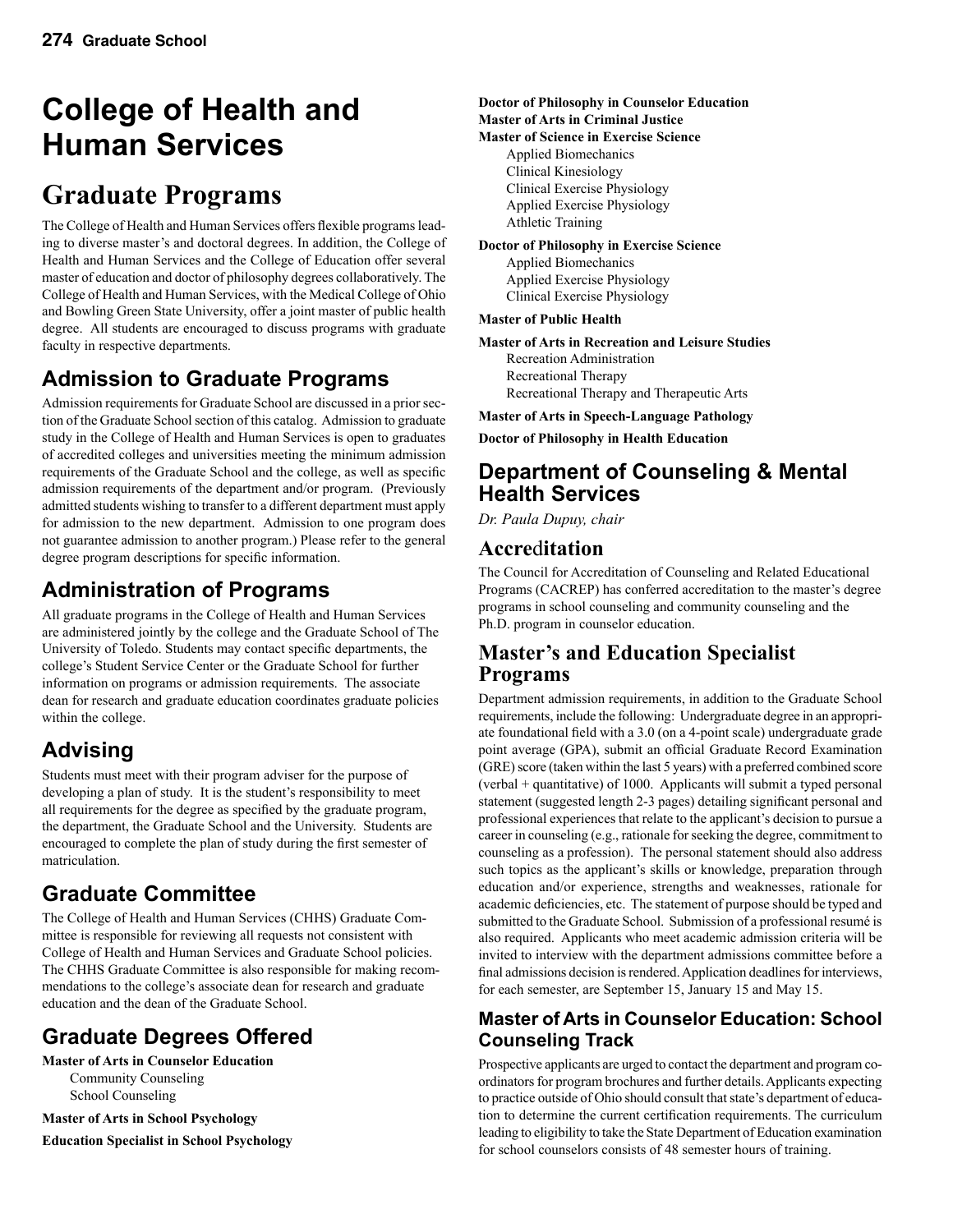# **College of Health and Human Services**

# **Graduate Programs**

The College of Health and Human Services offers flexible programs leading to diverse master's and doctoral degrees. In addition, the College of Health and Human Services and the College of Education offer several master of education and doctor of philosophy degrees collaboratively. The College of Health and Human Services, with the Medical College of Ohio and Bowling Green State University, offer a joint master of public health degree. All students are encouraged to discuss programs with graduate faculty in respective departments.

# **Admission to Graduate Programs**

Admission requirements for Graduate School are discussed in a prior section of the Graduate School section of this catalog. Admission to graduate study in the College of Health and Human Services is open to graduates of accredited colleges and universities meeting the minimum admission requirements of the Graduate School and the college, as well as specific admission requirements of the department and/or program. (Previously admitted students wishing to transfer to a different department must apply for admission to the new department. Admission to one program does not guarantee admission to another program.) Please refer to the general degree program descriptions for specific information.

# **Administration of Programs**

All graduate programs in the College of Health and Human Services are administered jointly by the college and the Graduate School of The University of Toledo. Students may contact specific departments, the college's Student Service Center or the Graduate School for further information on programs or admission requirements. The associate dean for research and graduate education coordinates graduate policies within the college.

# **Advising**

Students must meet with their program adviser for the purpose of developing a plan of study. It is the student's responsibility to meet all requirements for the degree as specified by the graduate program, the department, the Graduate School and the University. Students are encouraged to complete the plan of study during the first semester of matriculation.

# **Graduate Committee**

The College of Health and Human Services (CHHS) Graduate Committee is responsible for reviewing all requests not consistent with College of Health and Human Services and Graduate School policies. The CHHS Graduate Committee is also responsible for making recommendations to the college's associate dean for research and graduate education and the dean of the Graduate School.

# **Graduate Degrees Offered**

**Master of Arts in Counselor Education** Community Counseling School Counseling

**Master of Arts in School Psychology**

**Education Specialist in School Psychology**

**Doctor of Philosophy in Counselor Education Master of Arts in Criminal Justice Master of Science in Exercise Science** Applied Biomechanics Clinical Kinesiology

Clinical Exercise Physiology Applied Exercise Physiology Athletic Training

**Doctor of Philosophy in Exercise Science** Applied Biomechanics Applied Exercise Physiology Clinical Exercise Physiology

#### **Master of Public Health**

**Master of Arts in Recreation and Leisure Studies** Recreation Administration Recreational Therapy Recreational Therapy and Therapeutic Arts

**Master of Arts in Speech-Language Pathology**

**Doctor of Philosophy in Health Education**

### **Department of Counseling & Mental Health Services**

*Dr. Paula Dupuy, chair*

### **Accre**d**itation**

The Council for Accreditation of Counseling and Related Educational Programs (CACREP) has conferred accreditation to the master's degree programs in school counseling and community counseling and the Ph.D. program in counselor education.

### **Master's and Education Specialist Programs**

Department admission requirements, in addition to the Graduate School requirements, include the following: Undergraduate degree in an appropriate foundational field with a 3.0 (on a 4-point scale) undergraduate grade point average (GPA), submit an official Graduate Record Examination (GRE) score (taken within the last 5 years) with a preferred combined score (verbal + quantitative) of 1000. Applicants will submit a typed personal statement (suggested length 2-3 pages) detailing significant personal and professional experiences that relate to the applicant's decision to pursue a career in counseling (e.g., rationale for seeking the degree, commitment to counseling as a profession). The personal statement should also address such topics as the applicant's skills or knowledge, preparation through education and/or experience, strengths and weaknesses, rationale for academic deficiencies, etc. The statement of purpose should be typed and submitted to the Graduate School. Submission of a professional resumé is also required. Applicants who meet academic admission criteria will be invited to interview with the department admissions committee before a final admissions decision is rendered. Application deadlines for interviews, for each semester, are September 15, January 15 and May 15.

### **Master of Arts in Counselor Education: School Counseling Track**

Prospective applicants are urged to contact the department and program coordinators for program brochures and further details. Applicants expecting to practice outside of Ohio should consult that state's department of education to determine the current certification requirements. The curriculum leading to eligibility to take the State Department of Education examination for school counselors consists of 48 semester hours of training.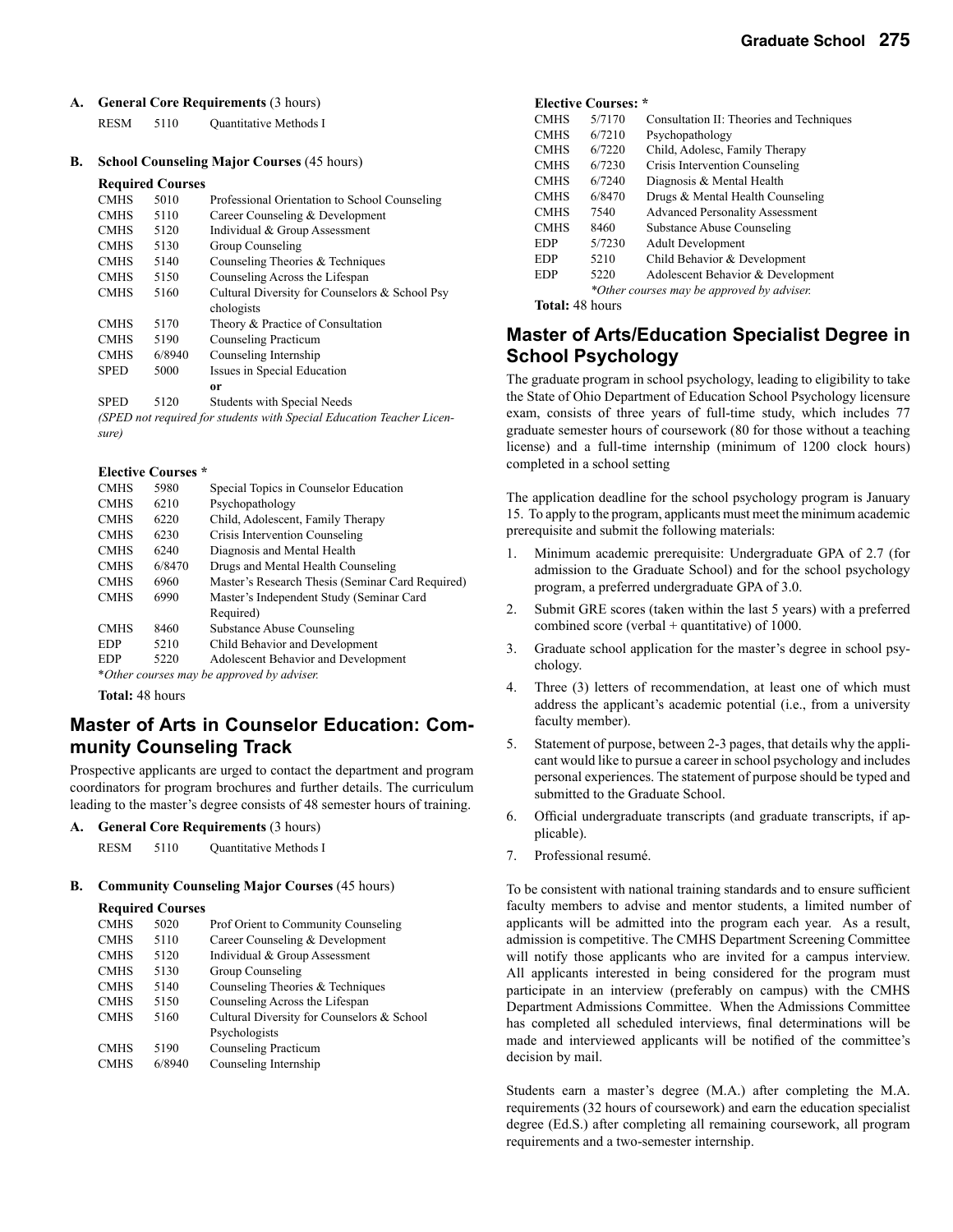**A. General Core Requirements** (3 hours)

RESM 5110 Quantitative Methods I

**B. School Counseling Major Courses** (45 hours)

#### **Required Courses**

| <b>CMHS</b> | 5010   | Professional Orientation to School Counseling  |
|-------------|--------|------------------------------------------------|
| <b>CMHS</b> | 5110   | Career Counseling & Development                |
| <b>CMHS</b> | 5120   | Individual & Group Assessment                  |
| <b>CMHS</b> | 5130   | Group Counseling                               |
| <b>CMHS</b> | 5140   | Counseling Theories & Techniques               |
| <b>CMHS</b> | 5150   | Counseling Across the Lifespan                 |
| <b>CMHS</b> | 5160   | Cultural Diversity for Counselors & School Psy |
|             |        | chologists                                     |
| <b>CMHS</b> | 5170   | Theory & Practice of Consultation              |
| <b>CMHS</b> | 5190   | Counseling Practicum                           |
| <b>CMHS</b> | 6/8940 | Counseling Internship                          |
| <b>SPED</b> | 5000   | Issues in Special Education                    |
|             |        | or                                             |
| <b>SPED</b> | 5120   | <b>Students with Special Needs</b>             |
|             |        |                                                |

*(SPED not required for students with Special Education Teacher Licensure)*

#### **Elective Courses \***

| <b>CMHS</b> | 5980   | Special Topics in Counselor Education            |
|-------------|--------|--------------------------------------------------|
| <b>CMHS</b> | 6210   | Psychopathology                                  |
| <b>CMHS</b> | 6220   | Child, Adolescent, Family Therapy                |
| <b>CMHS</b> | 6230   | Crisis Intervention Counseling                   |
| <b>CMHS</b> | 6240   | Diagnosis and Mental Health                      |
| <b>CMHS</b> | 6/8470 | Drugs and Mental Health Counseling               |
| <b>CMHS</b> | 6960   | Master's Research Thesis (Seminar Card Required) |
| <b>CMHS</b> | 6990   | Master's Independent Study (Seminar Card         |
|             |        | Required)                                        |
| <b>CMHS</b> | 8460   | Substance Abuse Counseling                       |
| <b>EDP</b>  | 5210   | Child Behavior and Development                   |
| <b>EDP</b>  | 5220   | Adolescent Behavior and Development              |
|             |        |                                                  |

\**Other courses may be approved by adviser.*

**Total:** 48 hours

### **Master of Arts in Counselor Education: Community Counseling Track**

Prospective applicants are urged to contact the department and program coordinators for program brochures and further details. The curriculum leading to the master's degree consists of 48 semester hours of training.

**A. General Core Requirements** (3 hours)

RESM 5110 Quantitative Methods I

#### **B. Community Counseling Major Courses** (45 hours)

#### **Required Courses**

| <b>CMHS</b> | 5020   | Prof Orient to Community Counseling        |
|-------------|--------|--------------------------------------------|
| <b>CMHS</b> | 5110   | Career Counseling & Development            |
| <b>CMHS</b> | 5120   | Individual & Group Assessment              |
| <b>CMHS</b> | 5130   | Group Counseling                           |
| <b>CMHS</b> | 5140   | Counseling Theories & Techniques           |
| <b>CMHS</b> | 5150   | Counseling Across the Lifespan             |
| <b>CMHS</b> | 5160   | Cultural Diversity for Counselors & School |
|             |        | Psychologists                              |
| <b>CMHS</b> | 5190   | Counseling Practicum                       |
| <b>CMHS</b> | 6/8940 | Counseling Internship                      |
|             |        |                                            |

#### **Elective Courses: \***

| <b>CMHS</b>            | 5/7170 | Consultation II: Theories and Techniques   |
|------------------------|--------|--------------------------------------------|
| <b>CMHS</b>            | 6/7210 | Psychopathology                            |
| <b>CMHS</b>            | 6/7220 | Child, Adolesc, Family Therapy             |
| <b>CMHS</b>            | 6/7230 | Crisis Intervention Counseling             |
| <b>CMHS</b>            | 6/7240 | Diagnosis & Mental Health                  |
| <b>CMHS</b>            | 6/8470 | Drugs & Mental Health Counseling           |
| <b>CMHS</b>            | 7540   | <b>Advanced Personality Assessment</b>     |
| <b>CMHS</b>            | 8460   | Substance Abuse Counseling                 |
| <b>EDP</b>             | 5/7230 | <b>Adult Development</b>                   |
| <b>EDP</b>             | 5210   | Child Behavior & Development               |
| <b>EDP</b>             | 5220   | Adolescent Behavior & Development          |
|                        |        | *Other courses may be approved by adviser. |
| <b>Total: 48 hours</b> |        |                                            |

### **Master of Arts/Education Specialist Degree in School Psychology**

The graduate program in school psychology, leading to eligibility to take the State of Ohio Department of Education School Psychology licensure exam, consists of three years of full-time study, which includes 77 graduate semester hours of coursework (80 for those without a teaching license) and a full-time internship (minimum of 1200 clock hours) completed in a school setting

The application deadline for the school psychology program is January 15. To apply to the program, applicants must meet the minimum academic prerequisite and submit the following materials:

- 1. Minimum academic prerequisite: Undergraduate GPA of 2.7 (for admission to the Graduate School) and for the school psychology program, a preferred undergraduate GPA of 3.0.
- 2. Submit GRE scores (taken within the last 5 years) with a preferred combined score (verbal + quantitative) of 1000.
- 3. Graduate school application for the master's degree in school psychology.
- 4. Three (3) letters of recommendation, at least one of which must address the applicant's academic potential (i.e., from a university faculty member).
- 5. Statement of purpose, between 2-3 pages, that details why the applicant would like to pursue a career in school psychology and includes personal experiences. The statement of purpose should be typed and submitted to the Graduate School.
- 6. Official undergraduate transcripts (and graduate transcripts, if applicable).
- 7. Professional resumé.

To be consistent with national training standards and to ensure sufficient faculty members to advise and mentor students, a limited number of applicants will be admitted into the program each year. As a result, admission is competitive. The CMHS Department Screening Committee will notify those applicants who are invited for a campus interview. All applicants interested in being considered for the program must participate in an interview (preferably on campus) with the CMHS Department Admissions Committee. When the Admissions Committee has completed all scheduled interviews, final determinations will be made and interviewed applicants will be notified of the committee's decision by mail.

Students earn a master's degree (M.A.) after completing the M.A. requirements (32 hours of coursework) and earn the education specialist degree (Ed.S.) after completing all remaining coursework, all program requirements and a two-semester internship.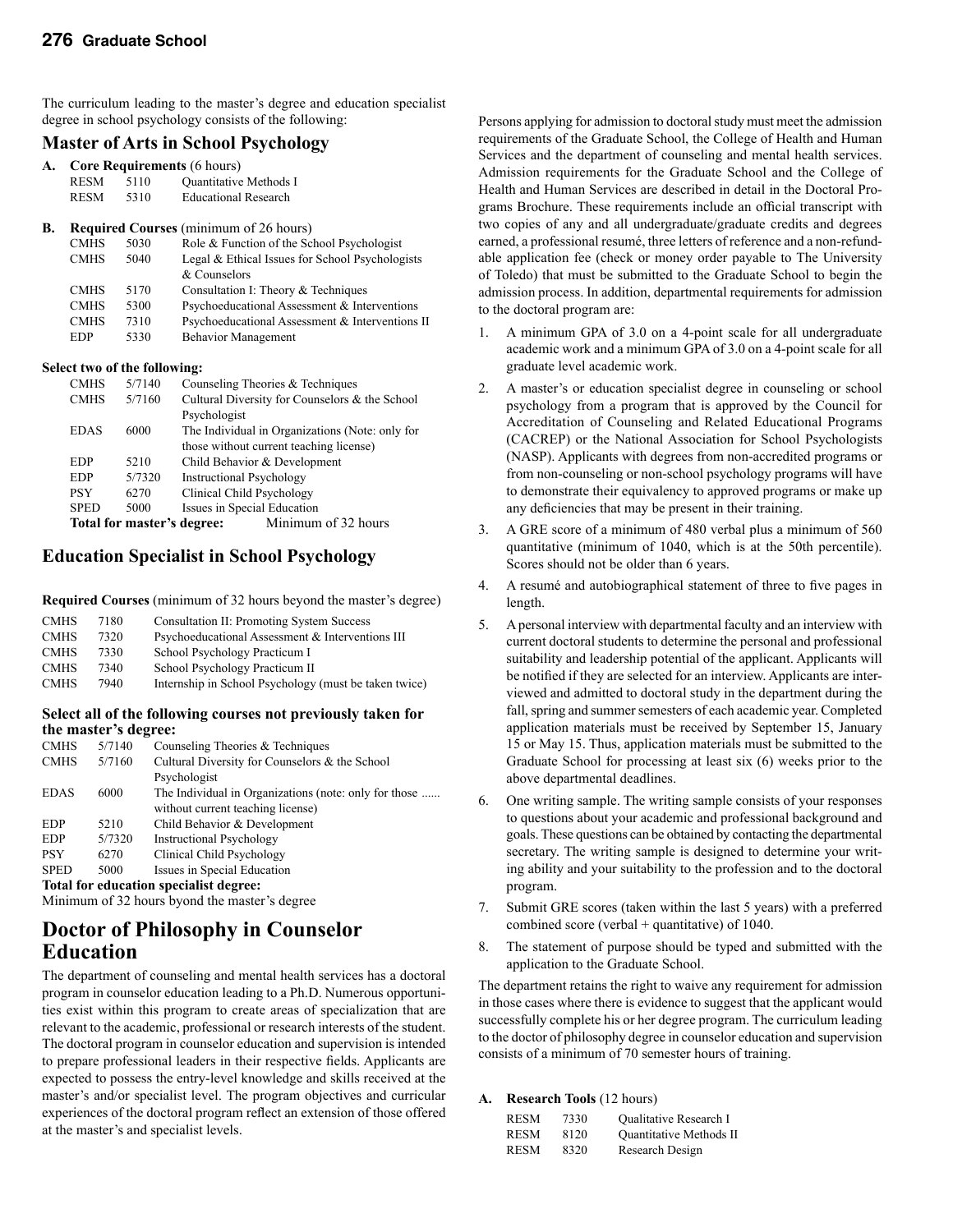The curriculum leading to the master's degree and education specialist degree in school psychology consists of the following:

#### **Master of Arts in School Psychology**

|    |             |                              | ິ                                               |
|----|-------------|------------------------------|-------------------------------------------------|
| A. |             |                              | <b>Core Requirements (6 hours)</b>              |
|    | <b>RESM</b> | 5110                         | <b>Ouantitative Methods I</b>                   |
|    | <b>RESM</b> | 5310                         | <b>Educational Research</b>                     |
| В. |             |                              | <b>Required Courses</b> (minimum of 26 hours)   |
|    | <b>CMHS</b> | 5030                         | Role & Function of the School Psychologist      |
|    | <b>CMHS</b> | 5040                         | Legal & Ethical Issues for School Psychologists |
|    |             |                              | & Counselors                                    |
|    | <b>CMHS</b> | 5170                         | Consultation I: Theory & Techniques             |
|    | <b>CMHS</b> | 5300                         | Psychoeducational Assessment & Interventions    |
|    | <b>CMHS</b> | 7310                         | Psychoeducational Assessment & Interventions II |
|    | EDP         | 5330                         | <b>Behavior Management</b>                      |
|    |             | Select two of the following: |                                                 |
|    | <b>CMHS</b> | 5/7140                       | Counseling Theories & Techniques                |

| <b>CIVILIO</b> |                            | Counseling Theories & Techniques                |
|----------------|----------------------------|-------------------------------------------------|
| <b>CMHS</b>    | 5/7160                     | Cultural Diversity for Counselors & the School  |
|                |                            | Psychologist                                    |
| <b>EDAS</b>    | 6000                       | The Individual in Organizations (Note: only for |
|                |                            | those without current teaching license)         |
| <b>EDP</b>     | 5210                       | Child Behavior & Development                    |
| <b>EDP</b>     | 5/7320                     | <b>Instructional Psychology</b>                 |
| <b>PSY</b>     | 6270                       | Clinical Child Psychology                       |
| <b>SPED</b>    | 5000                       | Issues in Special Education                     |
|                | Total for master's degree: | Minimum of 32 hours                             |
|                |                            |                                                 |

#### **Education Specialist in School Psychology**

**Required Courses** (minimum of 32 hours beyond the master's degree)

| <b>CMHS</b> | 7180 | <b>Consultation II: Promoting System Success</b>      |
|-------------|------|-------------------------------------------------------|
| <b>CMHS</b> | 7320 | Psychoeducational Assessment & Interventions III      |
| <b>CMHS</b> | 7330 | School Psychology Practicum I                         |
| <b>CMHS</b> | 7340 | School Psychology Practicum II                        |
| <b>CMHS</b> | 7940 | Internship in School Psychology (must be taken twice) |
|             |      |                                                       |

#### **Select all of the following courses not previously taken for the master's degree:**

| <b>CMHS</b> | 5/7140 | Counseling Theories & Techniques                      |
|-------------|--------|-------------------------------------------------------|
| <b>CMHS</b> | 5/7160 | Cultural Diversity for Counselors & the School        |
|             |        | Psychologist                                          |
| <b>EDAS</b> | 6000   | The Individual in Organizations (note: only for those |
|             |        | without current teaching license)                     |
| <b>EDP</b>  | 5210   | Child Behavior & Development                          |
| <b>EDP</b>  | 5/7320 | <b>Instructional Psychology</b>                       |
| <b>PSY</b>  | 6270   | Clinical Child Psychology                             |
| <b>SPED</b> | 5000   | Issues in Special Education                           |
|             |        | Total for education specialist degree:                |
|             |        |                                                       |

Minimum of 32 hours byond the master's degree

### **Doctor of Philosophy in Counselor Education**

The department of counseling and mental health services has a doctoral program in counselor education leading to a Ph.D. Numerous opportunities exist within this program to create areas of specialization that are relevant to the academic, professional or research interests of the student. The doctoral program in counselor education and supervision is intended to prepare professional leaders in their respective fields. Applicants are expected to possess the entry-level knowledge and skills received at the master's and/or specialist level. The program objectives and curricular experiences of the doctoral program reflect an extension of those offered at the master's and specialist levels.

Persons applying for admission to doctoral study must meet the admission requirements of the Graduate School, the College of Health and Human Services and the department of counseling and mental health services. Admission requirements for the Graduate School and the College of Health and Human Services are described in detail in the Doctoral Programs Brochure. These requirements include an official transcript with two copies of any and all undergraduate/graduate credits and degrees earned, a professional resumé, three letters of reference and a non-refundable application fee (check or money order payable to The University of Toledo) that must be submitted to the Graduate School to begin the admission process. In addition, departmental requirements for admission to the doctoral program are:

- 1. A minimum GPA of 3.0 on a 4-point scale for all undergraduate academic work and a minimum GPA of 3.0 on a 4-point scale for all graduate level academic work.
- 2. A master's or education specialist degree in counseling or school psychology from a program that is approved by the Council for Accreditation of Counseling and Related Educational Programs (CACREP) or the National Association for School Psychologists (NASP). Applicants with degrees from non-accredited programs or from non-counseling or non-school psychology programs will have to demonstrate their equivalency to approved programs or make up any deficiencies that may be present in their training.
- 3. A GRE score of a minimum of 480 verbal plus a minimum of 560 quantitative (minimum of 1040, which is at the 50th percentile). Scores should not be older than 6 years.
- 4. A resumé and autobiographical statement of three to five pages in length.
- 5. A personal interview with departmental faculty and an interview with current doctoral students to determine the personal and professional suitability and leadership potential of the applicant. Applicants will be notified if they are selected for an interview. Applicants are interviewed and admitted to doctoral study in the department during the fall, spring and summer semesters of each academic year. Completed application materials must be received by September 15, January 15 or May 15. Thus, application materials must be submitted to the Graduate School for processing at least six (6) weeks prior to the above departmental deadlines.
- 6. One writing sample. The writing sample consists of your responses to questions about your academic and professional background and goals. These questions can be obtained by contacting the departmental secretary. The writing sample is designed to determine your writing ability and your suitability to the profession and to the doctoral program.
- 7. Submit GRE scores (taken within the last 5 years) with a preferred combined score (verbal + quantitative) of 1040.
- 8. The statement of purpose should be typed and submitted with the application to the Graduate School.

The department retains the right to waive any requirement for admission in those cases where there is evidence to suggest that the applicant would successfully complete his or her degree program. The curriculum leading to the doctor of philosophy degree in counselor education and supervision consists of a minimum of 70 semester hours of training.

#### **A. Research Tools** (12 hours)

| <b>RESM</b> | 7330 | <b>Oualitative Research I</b> |
|-------------|------|-------------------------------|
| <b>RESM</b> | 8120 | Quantitative Methods II       |
| <b>RESM</b> | 8320 | Research Design               |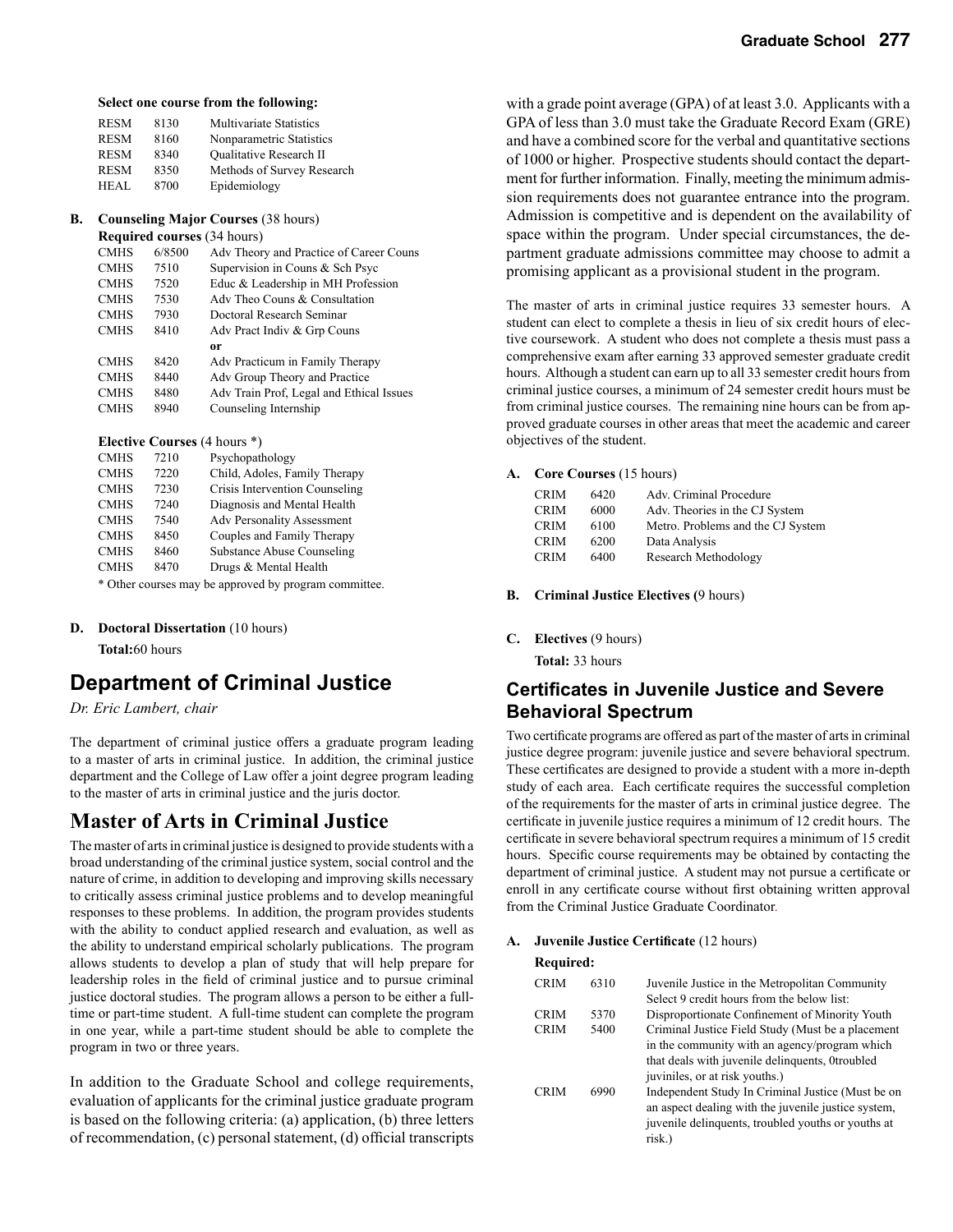**Select one course from the following:**

| <b>RESM</b> | 8130 | <b>Multivariate Statistics</b> |
|-------------|------|--------------------------------|
| <b>RESM</b> | 8160 | Nonparametric Statistics       |
| <b>RESM</b> | 8340 | <b>Oualitative Research II</b> |
| <b>RESM</b> | 8350 | Methods of Survey Research     |
| HEAL        | 8700 | Epidemiology                   |

#### **B. Counseling Major Courses** (38 hours)

 **Required courses** (34 hours)

| <b>CMHS</b> | 6/8500 | Adv Theory and Practice of Career Couns  |
|-------------|--------|------------------------------------------|
| <b>CMHS</b> | 7510   | Supervision in Couns & Sch Psyc          |
| <b>CMHS</b> | 7520   | Educ & Leadership in MH Profession       |
| <b>CMHS</b> | 7530   | Adv Theo Couns & Consultation            |
| <b>CMHS</b> | 7930   | Doctoral Research Seminar                |
| <b>CMHS</b> | 8410   | Adv Pract Indiv & Grp Couns              |
|             |        | 0r                                       |
| <b>CMHS</b> | 8420   | Adv Practicum in Family Therapy          |
| <b>CMHS</b> | 8440   | Adv Group Theory and Practice            |
| <b>CMHS</b> | 8480   | Adv Train Prof, Legal and Ethical Issues |
| <b>CMHS</b> | 8940   | Counseling Internship                    |
|             |        |                                          |

#### **Elective Courses** (4 hours \*)

| <b>CMHS</b> | 7210 | Psychopathology                   |
|-------------|------|-----------------------------------|
| <b>CMHS</b> | 7220 | Child, Adoles, Family Therapy     |
| <b>CMHS</b> | 7230 | Crisis Intervention Counseling    |
| <b>CMHS</b> | 7240 | Diagnosis and Mental Health       |
| <b>CMHS</b> | 7540 | <b>Adv Personality Assessment</b> |
| <b>CMHS</b> | 8450 | Couples and Family Therapy        |
| <b>CMHS</b> | 8460 | <b>Substance Abuse Counseling</b> |
| <b>CMHS</b> | 8470 | Drugs & Mental Health             |
| 1.7.1       |      |                                   |

\* Other courses may be approved by program committee.

#### **D. Doctoral Dissertation** (10 hours)

 **Total:**60 hours

### **Department of Criminal Justice**

*Dr. Eric Lambert, chair*

The department of criminal justice offers a graduate program leading to a master of arts in criminal justice. In addition, the criminal justice department and the College of Law offer a joint degree program leading to the master of arts in criminal justice and the juris doctor.

### **Master of Arts in Criminal Justice**

The master of arts in criminal justice is designed to provide students with a broad understanding of the criminal justice system, social control and the nature of crime, in addition to developing and improving skills necessary to critically assess criminal justice problems and to develop meaningful responses to these problems. In addition, the program provides students with the ability to conduct applied research and evaluation, as well as the ability to understand empirical scholarly publications. The program allows students to develop a plan of study that will help prepare for leadership roles in the field of criminal justice and to pursue criminal justice doctoral studies. The program allows a person to be either a fulltime or part-time student. A full-time student can complete the program in one year, while a part-time student should be able to complete the program in two or three years.

In addition to the Graduate School and college requirements, evaluation of applicants for the criminal justice graduate program is based on the following criteria: (a) application, (b) three letters of recommendation, (c) personal statement, (d) official transcripts

with a grade point average (GPA) of at least 3.0. Applicants with a GPA of less than 3.0 must take the Graduate Record Exam (GRE) and have a combined score for the verbal and quantitative sections of 1000 or higher. Prospective students should contact the department for further information. Finally, meeting the minimum admission requirements does not guarantee entrance into the program. Admission is competitive and is dependent on the availability of space within the program. Under special circumstances, the department graduate admissions committee may choose to admit a promising applicant as a provisional student in the program.

The master of arts in criminal justice requires 33 semester hours. A student can elect to complete a thesis in lieu of six credit hours of elective coursework. A student who does not complete a thesis must pass a comprehensive exam after earning 33 approved semester graduate credit hours. Although a student can earn up to all 33 semester credit hours from criminal justice courses, a minimum of 24 semester credit hours must be from criminal justice courses. The remaining nine hours can be from approved graduate courses in other areas that meet the academic and career objectives of the student.

#### **A. Core Courses** (15 hours)

| <b>CRIM</b> | 6420 | Adv. Criminal Procedure           |
|-------------|------|-----------------------------------|
| <b>CRIM</b> | 6000 | Adv. Theories in the CJ System    |
| <b>CRIM</b> | 6100 | Metro. Problems and the CJ System |
| <b>CRIM</b> | 6200 | Data Analysis                     |
| <b>CRIM</b> | 6400 | Research Methodology              |

**B. Criminal Justice Electives (**9 hours)

**C. Electives** (9 hours)

 **Total:** 33 hours

### **Certificates in Juvenile Justice and Severe Behavioral Spectrum**

Two certificate programs are offered as part of the master of arts in criminal justice degree program: juvenile justice and severe behavioral spectrum. These certificates are designed to provide a student with a more in-depth study of each area. Each certificate requires the successful completion of the requirements for the master of arts in criminal justice degree. The certificate in juvenile justice requires a minimum of 12 credit hours. The certificate in severe behavioral spectrum requires a minimum of 15 credit hours. Specific course requirements may be obtained by contacting the department of criminal justice. A student may not pursue a certificate or enroll in any certificate course without first obtaining written approval from the Criminal Justice Graduate Coordinator.

#### **A. Juvenile Justice Certificate** (12 hours)

#### **Required:**

| <b>CRIM</b> | 6310 | Juvenile Justice in the Metropolitan Community<br>Select 9 credit hours from the below list:                                                                             |
|-------------|------|--------------------------------------------------------------------------------------------------------------------------------------------------------------------------|
| <b>CRIM</b> | 5370 | Disproportionate Confinement of Minority Youth                                                                                                                           |
| <b>CRIM</b> | 5400 | Criminal Justice Field Study (Must be a placement<br>in the community with an agency/program which                                                                       |
|             |      | that deals with juvenile delinquents, 0troubled<br>juviniles, or at risk youths.)                                                                                        |
| <b>CRIM</b> | 6990 | Independent Study In Criminal Justice (Must be on<br>an aspect dealing with the juvenile justice system,<br>juvenile delinquents, troubled youths or youths at<br>risk.) |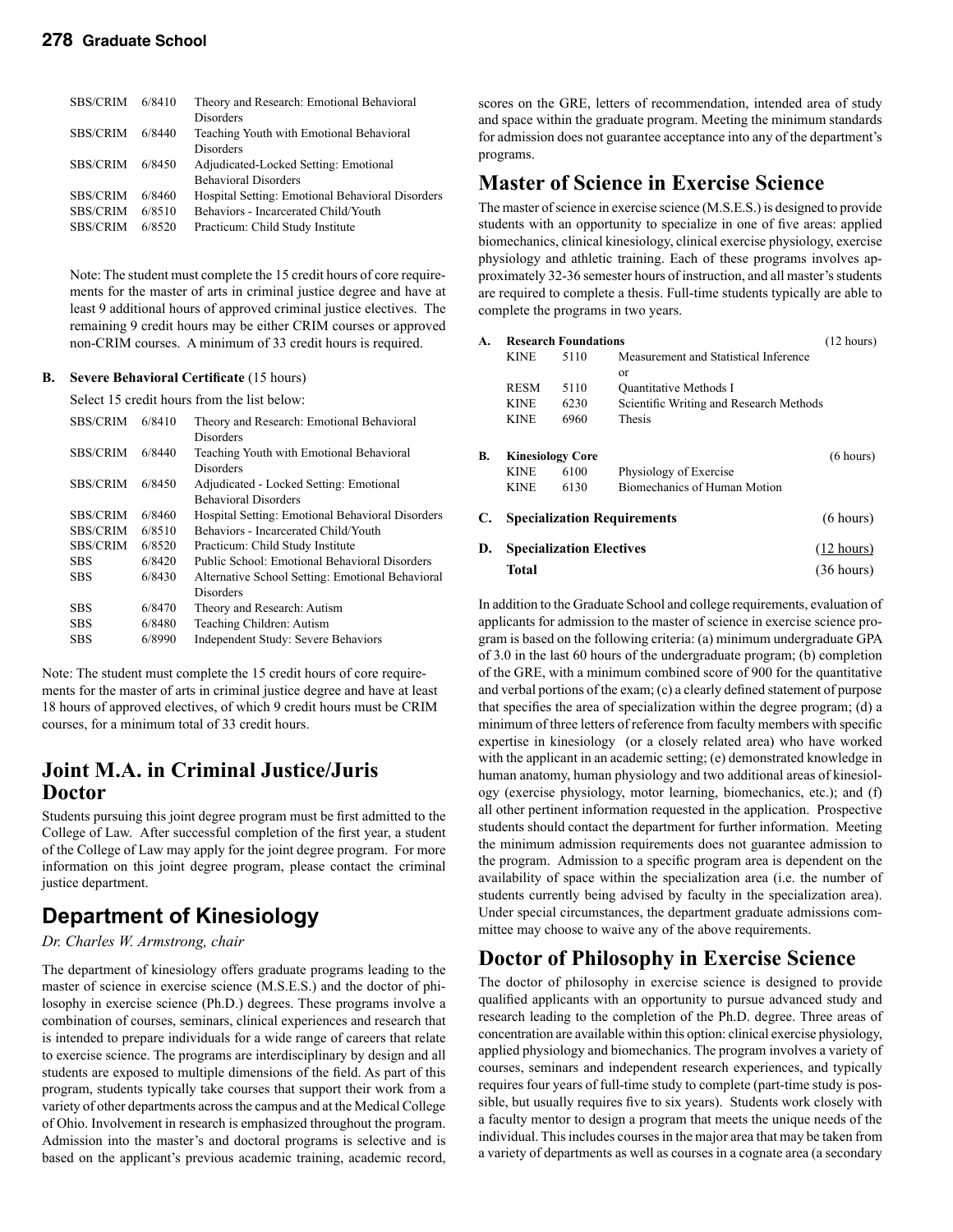#### **278 Graduate School**

| <b>SBS/CRIM</b> | 6/8410 | Theory and Research: Emotional Behavioral        |
|-----------------|--------|--------------------------------------------------|
|                 |        | <b>Disorders</b>                                 |
| <b>SBS/CRIM</b> | 6/8440 | Teaching Youth with Emotional Behavioral         |
|                 |        | <b>Disorders</b>                                 |
| <b>SBS/CRIM</b> | 6/8450 | Adjudicated-Locked Setting: Emotional            |
|                 |        | <b>Behavioral Disorders</b>                      |
| <b>SBS/CRIM</b> | 6/8460 | Hospital Setting: Emotional Behavioral Disorders |
| <b>SBS/CRIM</b> | 6/8510 | Behaviors - Incarcerated Child/Youth             |
| <b>SBS/CRIM</b> | 6/8520 | Practicum: Child Study Institute                 |
|                 |        |                                                  |

Note: The student must complete the 15 credit hours of core requirements for the master of arts in criminal justice degree and have at least 9 additional hours of approved criminal justice electives. The remaining 9 credit hours may be either CRIM courses or approved non-CRIM courses. A minimum of 33 credit hours is required.

#### **B. Severe Behavioral Certificate** (15 hours)

Select 15 credit hours from the list below:

| <b>SBS/CRIM</b> | 6/8410 | Theory and Research: Emotional Behavioral        |
|-----------------|--------|--------------------------------------------------|
|                 |        | Disorders                                        |
| <b>SBS/CRIM</b> | 6/8440 | Teaching Youth with Emotional Behavioral         |
|                 |        | Disorders                                        |
| <b>SBS/CRIM</b> | 6/8450 | Adjudicated - Locked Setting: Emotional          |
|                 |        | <b>Behavioral Disorders</b>                      |
| <b>SBS/CRIM</b> | 6/8460 | Hospital Setting: Emotional Behavioral Disorders |
| <b>SBS/CRIM</b> | 6/8510 | Behaviors - Incarcerated Child/Youth             |
| <b>SBS/CRIM</b> | 6/8520 | Practicum: Child Study Institute                 |
| SBS             | 6/8420 | Public School: Emotional Behavioral Disorders    |
| SBS             | 6/8430 | Alternative School Setting: Emotional Behavioral |
|                 |        | Disorders                                        |
| SBS             | 6/8470 | Theory and Research: Autism                      |
| <b>SBS</b>      | 6/8480 | Teaching Children: Autism                        |
| <b>SBS</b>      | 6/8990 | Independent Study: Severe Behaviors              |

Note: The student must complete the 15 credit hours of core requirements for the master of arts in criminal justice degree and have at least 18 hours of approved electives, of which 9 credit hours must be CRIM courses, for a minimum total of 33 credit hours.

### **Joint M.A. in Criminal Justice/Juris Doctor**

Students pursuing this joint degree program must be first admitted to the College of Law. After successful completion of the first year, a student of the College of Law may apply for the joint degree program. For more information on this joint degree program, please contact the criminal justice department.

### **Department of Kinesiology**

#### *Dr. Charles W. Armstrong, chair*

The department of kinesiology offers graduate programs leading to the master of science in exercise science (M.S.E.S.) and the doctor of philosophy in exercise science (Ph.D.) degrees. These programs involve a combination of courses, seminars, clinical experiences and research that is intended to prepare individuals for a wide range of careers that relate to exercise science. The programs are interdisciplinary by design and all students are exposed to multiple dimensions of the field. As part of this program, students typically take courses that support their work from a variety of other departments across the campus and at the Medical College of Ohio. Involvement in research is emphasized throughout the program. Admission into the master's and doctoral programs is selective and is based on the applicant's previous academic training, academic record,

scores on the GRE, letters of recommendation, intended area of study and space within the graduate program. Meeting the minimum standards for admission does not guarantee acceptance into any of the department's programs.

### **Master of Science in Exercise Science**

The master of science in exercise science (M.S.E.S.) is designed to provide students with an opportunity to specialize in one of five areas: applied biomechanics, clinical kinesiology, clinical exercise physiology, exercise physiology and athletic training. Each of these programs involves approximately 32-36 semester hours of instruction, and all master's students are required to complete a thesis. Full-time students typically are able to complete the programs in two years.

| A. | <b>Research Foundations</b>     | $(12 \text{ hours})$ |                                         |                      |
|----|---------------------------------|----------------------|-----------------------------------------|----------------------|
|    | <b>KINE</b>                     | 5110                 | Measurement and Statistical Inference   |                      |
|    |                                 |                      | or                                      |                      |
|    | <b>RESM</b>                     | 5110                 | Quantitative Methods I                  |                      |
|    | <b>KINE</b>                     | 6230                 | Scientific Writing and Research Methods |                      |
|    | <b>KINE</b>                     | 6960                 | Thesis                                  |                      |
| В. | <b>Kinesiology Core</b>         |                      | (6 hours)                               |                      |
|    | <b>KINE</b>                     | 6100                 | Physiology of Exercise                  |                      |
|    | <b>KINE</b>                     | 6130                 | Biomechanics of Human Motion            |                      |
| C. |                                 |                      | <b>Specialization Requirements</b>      | (6 hours)            |
| D. | <b>Specialization Electives</b> |                      |                                         | $(12 \text{ hours})$ |
|    | Total                           |                      |                                         | $(36 \text{ hours})$ |

In addition to the Graduate School and college requirements, evaluation of applicants for admission to the master of science in exercise science program is based on the following criteria: (a) minimum undergraduate GPA of 3.0 in the last 60 hours of the undergraduate program; (b) completion of the GRE, with a minimum combined score of 900 for the quantitative and verbal portions of the exam; (c) a clearly defined statement of purpose that specifies the area of specialization within the degree program; (d) a minimum of three letters of reference from faculty members with specific expertise in kinesiology (or a closely related area) who have worked with the applicant in an academic setting; (e) demonstrated knowledge in human anatomy, human physiology and two additional areas of kinesiology (exercise physiology, motor learning, biomechanics, etc.); and (f) all other pertinent information requested in the application. Prospective students should contact the department for further information. Meeting the minimum admission requirements does not guarantee admission to the program. Admission to a specific program area is dependent on the availability of space within the specialization area (i.e. the number of students currently being advised by faculty in the specialization area). Under special circumstances, the department graduate admissions committee may choose to waive any of the above requirements.

### **Doctor of Philosophy in Exercise Science**

The doctor of philosophy in exercise science is designed to provide qualified applicants with an opportunity to pursue advanced study and research leading to the completion of the Ph.D. degree. Three areas of concentration are available within this option: clinical exercise physiology, applied physiology and biomechanics. The program involves a variety of courses, seminars and independent research experiences, and typically requires four years of full-time study to complete (part-time study is possible, but usually requires five to six years). Students work closely with a faculty mentor to design a program that meets the unique needs of the individual. This includes courses in the major area that may be taken from a variety of departments as well as courses in a cognate area (a secondary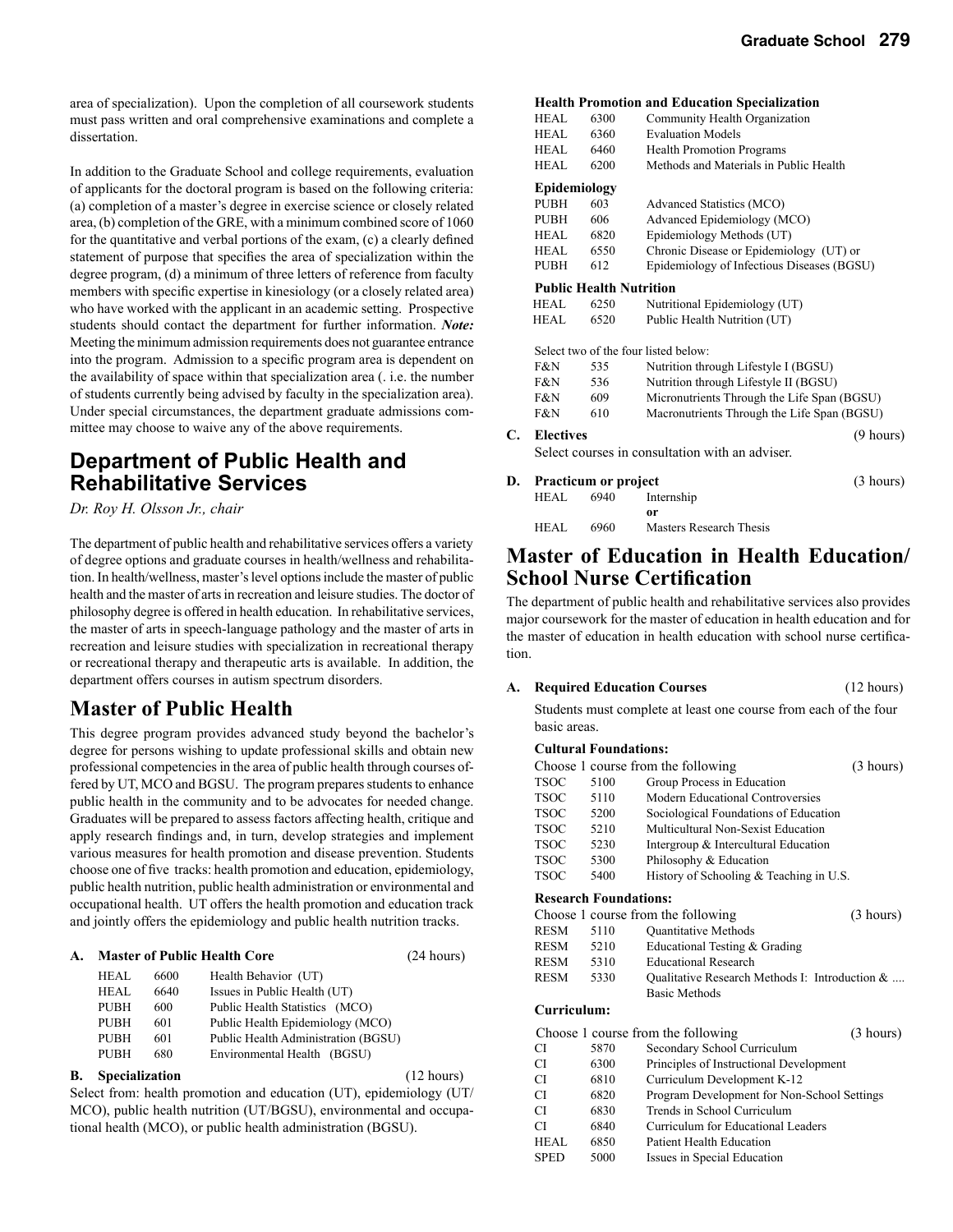area of specialization). Upon the completion of all coursework students must pass written and oral comprehensive examinations and complete a dissertation.

In addition to the Graduate School and college requirements, evaluation of applicants for the doctoral program is based on the following criteria: (a) completion of a master's degree in exercise science or closely related area, (b) completion of the GRE, with a minimum combined score of 1060 for the quantitative and verbal portions of the exam, (c) a clearly defined statement of purpose that specifies the area of specialization within the degree program, (d) a minimum of three letters of reference from faculty members with specific expertise in kinesiology (or a closely related area) who have worked with the applicant in an academic setting. Prospective students should contact the department for further information. *Note:* Meeting the minimum admission requirements does not guarantee entrance into the program. Admission to a specific program area is dependent on the availability of space within that specialization area (. i.e. the number of students currently being advised by faculty in the specialization area). Under special circumstances, the department graduate admissions committee may choose to waive any of the above requirements.

### **Department of Public Health and Rehabilitative Services**

*Dr. Roy H. Olsson Jr., chair*

The department of public health and rehabilitative services offers a variety of degree options and graduate courses in health/wellness and rehabilitation. In health/wellness, master's level options include the master of public health and the master of arts in recreation and leisure studies. The doctor of philosophy degree is offered in health education. In rehabilitative services, the master of arts in speech-language pathology and the master of arts in recreation and leisure studies with specialization in recreational therapy or recreational therapy and therapeutic arts is available. In addition, the department offers courses in autism spectrum disorders.

### **Master of Public Health**

This degree program provides advanced study beyond the bachelor's degree for persons wishing to update professional skills and obtain new professional competencies in the area of public health through courses offered by UT, MCO and BGSU. The program prepares students to enhance public health in the community and to be advocates for needed change. Graduates will be prepared to assess factors affecting health, critique and apply research findings and, in turn, develop strategies and implement various measures for health promotion and disease prevention. Students choose one of five tracks: health promotion and education, epidemiology, public health nutrition, public health administration or environmental and occupational health. UT offers the health promotion and education track and jointly offers the epidemiology and public health nutrition tracks.

| A. | <b>Master of Public Health Core</b> | (24 hours) |                                     |  |
|----|-------------------------------------|------------|-------------------------------------|--|
|    | HEAL                                | 6600       | Health Behavior (UT)                |  |
|    | HEAL                                | 6640       | Issues in Public Health (UT)        |  |
|    | <b>PUBH</b>                         | 600        | Public Health Statistics (MCO)      |  |
|    | <b>PUBH</b>                         | 601        | Public Health Epidemiology (MCO)    |  |
|    | <b>PUBH</b>                         | 601        | Public Health Administration (BGSU) |  |
|    | <b>PUBH</b>                         | 680        | Environmental Health (BGSU)         |  |
|    |                                     |            |                                     |  |

**B.** Specialization (12 hours)

Select from: health promotion and education (UT), epidemiology (UT/ MCO), public health nutrition (UT/BGSU), environmental and occupational health (MCO), or public health administration (BGSU).

#### **Health Promotion and Education Specialization**

|    | HEAL.            | 6300                           | Community Health Organization                   |           |
|----|------------------|--------------------------------|-------------------------------------------------|-----------|
|    | <b>HEAL</b>      | 6360                           | <b>Evaluation Models</b>                        |           |
|    | HEAL             | 6460                           | <b>Health Promotion Programs</b>                |           |
|    | HEAL.            | 6200                           | Methods and Materials in Public Health          |           |
|    | Epidemiology     |                                |                                                 |           |
|    | <b>PUBH</b>      | 603                            | Advanced Statistics (MCO)                       |           |
|    | <b>PUBH</b>      | 606                            | Advanced Epidemiology (MCO)                     |           |
|    | <b>HEAL</b>      | 6820                           | Epidemiology Methods (UT)                       |           |
|    | HEAL.            | 6550                           | Chronic Disease or Epidemiology (UT) or         |           |
|    | <b>PUBH</b>      | 612                            | Epidemiology of Infectious Diseases (BGSU)      |           |
|    |                  | <b>Public Health Nutrition</b> |                                                 |           |
|    | HEAL             | 6250                           | Nutritional Epidemiology (UT)                   |           |
|    | <b>HEAL</b>      | 6520                           | Public Health Nutrition (UT)                    |           |
|    |                  |                                | Select two of the four listed below:            |           |
|    | F&N              | 535                            | Nutrition through Lifestyle I (BGSU)            |           |
|    | F&N              | 536                            | Nutrition through Lifestyle II (BGSU)           |           |
|    | F&N              | 609                            | Micronutrients Through the Life Span (BGSU)     |           |
|    | F&N              | 610                            | Macronutrients Through the Life Span (BGSU)     |           |
| C. | <b>Electives</b> |                                |                                                 | (9 hours) |
|    |                  |                                | Select courses in consultation with an adviser. |           |
| D. |                  | <b>Practicum or project</b>    |                                                 | (3 hours) |
|    | HEAL             | 6940                           | Internship                                      |           |
|    |                  |                                | 0r                                              |           |
|    | HEAL.            | 6960                           | Masters Research Thesis                         |           |

### **Master of Education in Health Education/ School Nurse Certification**

The department of public health and rehabilitative services also provides major coursework for the master of education in health education and for the master of education in health education with school nurse certification.

| А. | <b>Required Education Courses</b> | (12 hours) |
|----|-----------------------------------|------------|
|    |                                   |            |

Students must complete at least one course from each of the four basic areas.

#### **Cultural Foundations:**

|             | Choose 1 course from the following<br>(3 hours) |                                                |           |  |  |
|-------------|-------------------------------------------------|------------------------------------------------|-----------|--|--|
| <b>TSOC</b> | 5100                                            | Group Process in Education                     |           |  |  |
| <b>TSOC</b> | 5110                                            | Modern Educational Controversies               |           |  |  |
| <b>TSOC</b> | 5200                                            | Sociological Foundations of Education          |           |  |  |
| <b>TSOC</b> | 5210                                            | Multicultural Non-Sexist Education             |           |  |  |
| <b>TSOC</b> | 5230                                            | Intergroup & Intercultural Education           |           |  |  |
| <b>TSOC</b> | 5300                                            | Philosophy & Education                         |           |  |  |
| <b>TSOC</b> | 5400                                            | History of Schooling & Teaching in U.S.        |           |  |  |
|             | <b>Research Foundations:</b>                    |                                                |           |  |  |
|             |                                                 | Choose 1 course from the following             | (3 hours) |  |  |
| <b>RESM</b> | 5110                                            | <b>Quantitative Methods</b>                    |           |  |  |
| RESM        | 5210                                            | Educational Testing & Grading                  |           |  |  |
| RESM        | 5310                                            | <b>Educational Research</b>                    |           |  |  |
| <b>RESM</b> | 5330                                            | Qualitative Research Methods I: Introduction & |           |  |  |
|             |                                                 | <b>Basic Methods</b>                           |           |  |  |
| Curriculum: |                                                 |                                                |           |  |  |
|             |                                                 | Choose 1 course from the following             | (3 hours) |  |  |
| CI          | 5870                                            | Secondary School Curriculum                    |           |  |  |
| CI          | 6300                                            | Principles of Instructional Development        |           |  |  |
| <b>CI</b>   | 6810                                            | Curriculum Development K-12                    |           |  |  |
| CI          | 6820                                            | Program Development for Non-School Settings    |           |  |  |
| CI          | 6830                                            | Trends in School Curriculum                    |           |  |  |
| CI          | 6840                                            | Curriculum for Educational Leaders             |           |  |  |
| HEAL        | 6850                                            | Patient Health Education                       |           |  |  |
| <b>SPED</b> | 5000                                            | Issues in Special Education                    |           |  |  |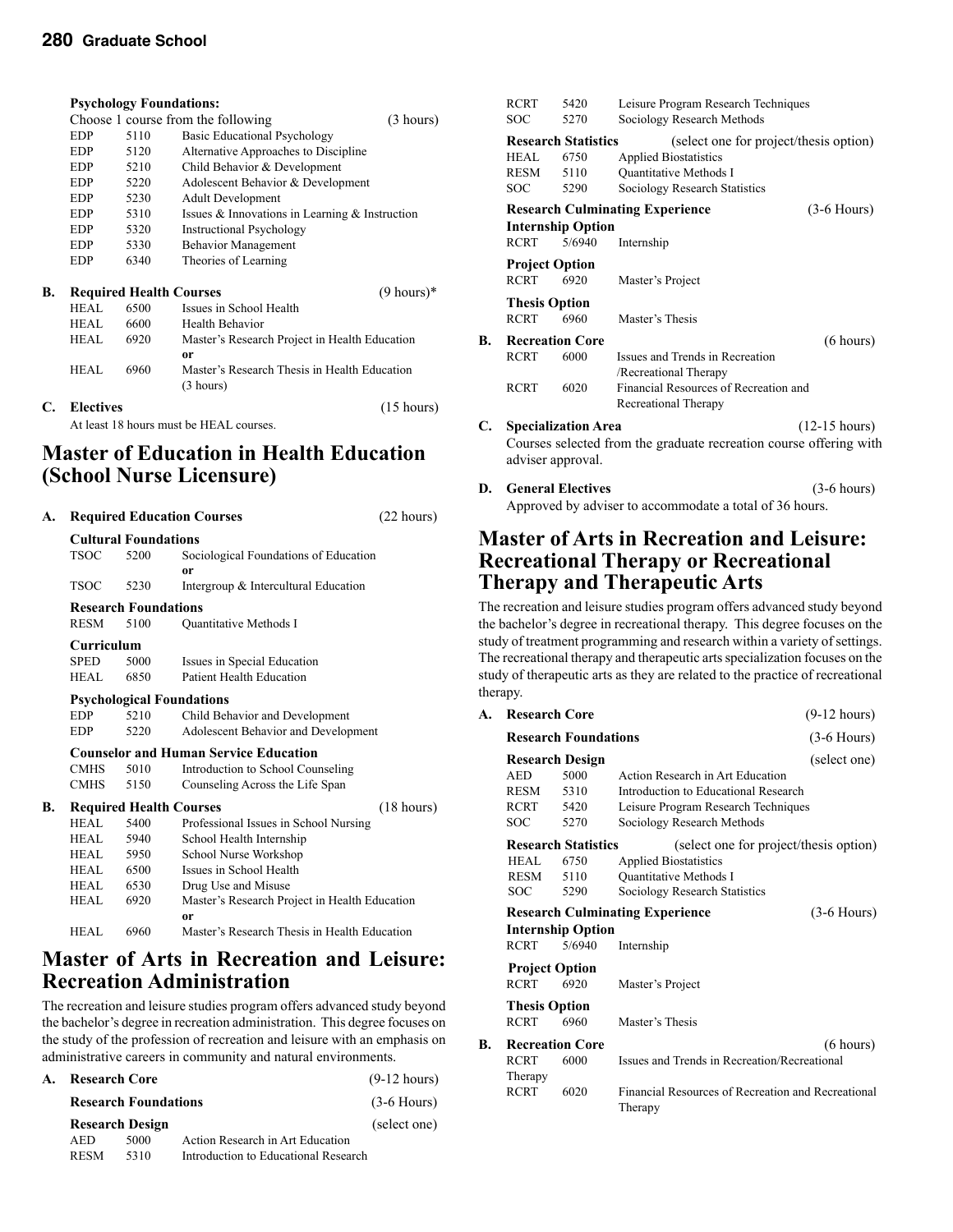|                                         | <b>Psychology Foundations:</b> |      |                                                |                       |  |
|-----------------------------------------|--------------------------------|------|------------------------------------------------|-----------------------|--|
|                                         |                                |      | Choose 1 course from the following             | (3 hours)             |  |
|                                         | EDP                            | 5110 | <b>Basic Educational Psychology</b>            |                       |  |
|                                         | <b>EDP</b>                     | 5120 | Alternative Approaches to Discipline           |                       |  |
|                                         | <b>EDP</b>                     | 5210 | Child Behavior & Development                   |                       |  |
|                                         | <b>EDP</b>                     | 5220 | Adolescent Behavior & Development              |                       |  |
|                                         | <b>EDP</b>                     | 5230 | <b>Adult Development</b>                       |                       |  |
|                                         | <b>EDP</b>                     | 5310 | Issues & Innovations in Learning & Instruction |                       |  |
|                                         | <b>EDP</b>                     | 5320 | <b>Instructional Psychology</b>                |                       |  |
|                                         | <b>EDP</b>                     | 5330 | <b>Behavior Management</b>                     |                       |  |
|                                         | <b>EDP</b>                     | 6340 | Theories of Learning                           |                       |  |
| В.                                      |                                |      | <b>Required Health Courses</b>                 | $(9 \text{ hours})^*$ |  |
|                                         | <b>HEAL</b>                    | 6500 | Issues in School Health                        |                       |  |
|                                         | HEAL.                          | 6600 | Health Behavior                                |                       |  |
|                                         | HEAL                           | 6920 | Master's Research Project in Health Education  |                       |  |
|                                         |                                |      | 0r                                             |                       |  |
|                                         | HEAL                           | 6960 | Master's Research Thesis in Health Education   |                       |  |
|                                         |                                |      | (3 hours)                                      |                       |  |
| C.                                      | <b>Electives</b>               |      |                                                | $(15 \text{ hours})$  |  |
| At least 18 hours must be HEAL courses. |                                |      |                                                |                       |  |

### **Master of Education in Health Education (School Nurse Licensure)**

| A. | <b>Required Education Courses</b> |                                  |                                               | (22 hours)           |  |  |  |
|----|-----------------------------------|----------------------------------|-----------------------------------------------|----------------------|--|--|--|
|    | <b>Cultural Foundations</b>       |                                  |                                               |                      |  |  |  |
|    | <b>TSOC</b>                       | 5200                             | Sociological Foundations of Education         |                      |  |  |  |
|    |                                   |                                  | 0r                                            |                      |  |  |  |
|    | <b>TSOC</b>                       | 5230                             | Intergroup & Intercultural Education          |                      |  |  |  |
|    |                                   | <b>Research Foundations</b>      |                                               |                      |  |  |  |
|    | <b>RESM</b>                       | 5100                             | <b>Ouantitative Methods I</b>                 |                      |  |  |  |
|    | Curriculum                        |                                  |                                               |                      |  |  |  |
|    | <b>SPED</b>                       | 5000                             | Issues in Special Education                   |                      |  |  |  |
|    | HEAL                              | 6850                             | <b>Patient Health Education</b>               |                      |  |  |  |
|    |                                   | <b>Psychological Foundations</b> |                                               |                      |  |  |  |
|    | <b>EDP</b>                        | 5210                             | Child Behavior and Development                |                      |  |  |  |
|    | <b>EDP</b>                        | 5220                             | Adolescent Behavior and Development           |                      |  |  |  |
|    |                                   |                                  | <b>Counselor and Human Service Education</b>  |                      |  |  |  |
|    | <b>CMHS</b>                       | 5010                             | Introduction to School Counseling             |                      |  |  |  |
|    | <b>CMHS</b>                       | 5150                             | Counseling Across the Life Span               |                      |  |  |  |
| B. |                                   |                                  | <b>Required Health Courses</b>                | $(18 \text{ hours})$ |  |  |  |
|    | HEAL                              | 5400                             | Professional Issues in School Nursing         |                      |  |  |  |
|    | HEAL.                             | 5940                             | School Health Internship                      |                      |  |  |  |
|    | HEAL.                             | 5950                             | School Nurse Workshop                         |                      |  |  |  |
|    | HEAL.                             | 6500                             | Issues in School Health                       |                      |  |  |  |
|    | HEAL.                             | 6530                             | Drug Use and Misuse                           |                      |  |  |  |
|    | <b>HEAL</b>                       | 6920                             | Master's Research Project in Health Education |                      |  |  |  |
|    |                                   |                                  | 0r                                            |                      |  |  |  |
|    | HEAL                              | 6960                             | Master's Research Thesis in Health Education  |                      |  |  |  |

### **Master of Arts in Recreation and Leisure: Recreation Administration**

The recreation and leisure studies program offers advanced study beyond the bachelor's degree in recreation administration. This degree focuses on the study of the profession of recreation and leisure with an emphasis on administrative careers in community and natural environments.

| А. | <b>Research Core</b>        | $(9-12 \text{ hours})$<br>$(3-6$ Hours) |                                      |              |  |
|----|-----------------------------|-----------------------------------------|--------------------------------------|--------------|--|
|    | <b>Research Foundations</b> |                                         |                                      |              |  |
|    |                             | <b>Research Design</b>                  |                                      | (select one) |  |
|    | <b>AED</b>                  | 5000                                    | Action Research in Art Education     |              |  |
|    | <b>RESM</b>                 | 5310                                    | Introduction to Educational Research |              |  |

|    | <b>RCRT</b>           | 5420                       | Leisure Program Research Techniques                                |                         |
|----|-----------------------|----------------------------|--------------------------------------------------------------------|-------------------------|
|    | <b>SOC</b>            | 5270                       | Sociology Research Methods                                         |                         |
|    |                       | <b>Research Statistics</b> | (select one for project/thesis option)                             |                         |
|    | HEAL.                 | 6750                       | <b>Applied Biostatistics</b>                                       |                         |
|    | RESM                  | 5110                       | <b>Ouantitative Methods I</b>                                      |                         |
|    | <b>SOC</b>            | 5290                       | Sociology Research Statistics                                      |                         |
|    |                       |                            | <b>Research Culminating Experience</b>                             | $(3-6$ Hours)           |
|    |                       | <b>Internship Option</b>   |                                                                    |                         |
|    | <b>RCRT</b>           | 5/6940                     | Internship                                                         |                         |
|    | <b>Project Option</b> |                            |                                                                    |                         |
|    | <b>RCRT</b>           | 6920                       | Master's Project                                                   |                         |
|    | <b>Thesis Option</b>  |                            |                                                                    |                         |
|    | <b>RCRT</b>           | 6960                       | Master's Thesis                                                    |                         |
| B. |                       | <b>Recreation Core</b>     |                                                                    | (6 hours)               |
|    | <b>RCRT</b>           | 6000                       | Issues and Trends in Recreation                                    |                         |
|    |                       |                            | /Recreational Therapy                                              |                         |
|    | <b>RCRT</b>           | 6020                       | Financial Resources of Recreation and                              |                         |
|    |                       |                            | Recreational Therapy                                               |                         |
| C. |                       | <b>Specialization Area</b> |                                                                    | $(12-15 \text{ hours})$ |
|    |                       |                            | Courses selected from the graduate recreation course offering with |                         |
|    | adviser approval.     |                            |                                                                    |                         |
|    |                       |                            |                                                                    |                         |

**D. General Electives** (3-6 hours) Approved by adviser to accommodate a total of 36 hours.

### **Master of Arts in Recreation and Leisure: Recreational Therapy or Recreational Therapy and Therapeutic Arts**

The recreation and leisure studies program offers advanced study beyond the bachelor's degree in recreational therapy. This degree focuses on the study of treatment programming and research within a variety of settings. The recreational therapy and therapeutic arts specialization focuses on the study of therapeutic arts as they are related to the practice of recreational therapy.

| А. | <b>Research Core</b>                   |                             |                                                               | $(9-12 hours)$ |
|----|----------------------------------------|-----------------------------|---------------------------------------------------------------|----------------|
|    |                                        | <b>Research Foundations</b> |                                                               | $(3-6$ Hours)  |
|    |                                        | <b>Research Design</b>      |                                                               | (select one)   |
|    | <b>AED</b>                             | 5000                        | Action Research in Art Education                              |                |
|    | <b>RESM</b>                            | 5310                        | Introduction to Educational Research                          |                |
|    | <b>RCRT</b>                            | 5420                        | Leisure Program Research Techniques                           |                |
|    | <b>SOC</b>                             | 5270                        | Sociology Research Methods                                    |                |
|    |                                        | <b>Research Statistics</b>  | (select one for project/thesis option)                        |                |
|    | HEAL.                                  | 6750                        | <b>Applied Biostatistics</b>                                  |                |
|    | RESM                                   | 5110                        | <b>Ouantitative Methods I</b>                                 |                |
|    | SOC                                    | 5290                        | Sociology Research Statistics                                 |                |
|    | <b>Research Culminating Experience</b> |                             |                                                               | $(3-6$ Hours)  |
|    | <b>Internship Option</b>               |                             |                                                               |                |
|    | <b>RCRT</b>                            | 5/6940                      | Internship                                                    |                |
|    | <b>Project Option</b>                  |                             |                                                               |                |
|    | <b>RCRT</b>                            | 6920                        | Master's Project                                              |                |
|    | <b>Thesis Option</b>                   |                             |                                                               |                |
|    | <b>RCRT</b>                            | 6960                        | Master's Thesis                                               |                |
| B. |                                        | <b>Recreation Core</b>      |                                                               | (6 hours)      |
|    | RCRT                                   | 6000                        | Issues and Trends in Recreation/Recreational                  |                |
|    | Therapy                                |                             |                                                               |                |
|    | <b>RCRT</b>                            | 6020                        | Financial Resources of Recreation and Recreational<br>Therapy |                |
|    |                                        |                             |                                                               |                |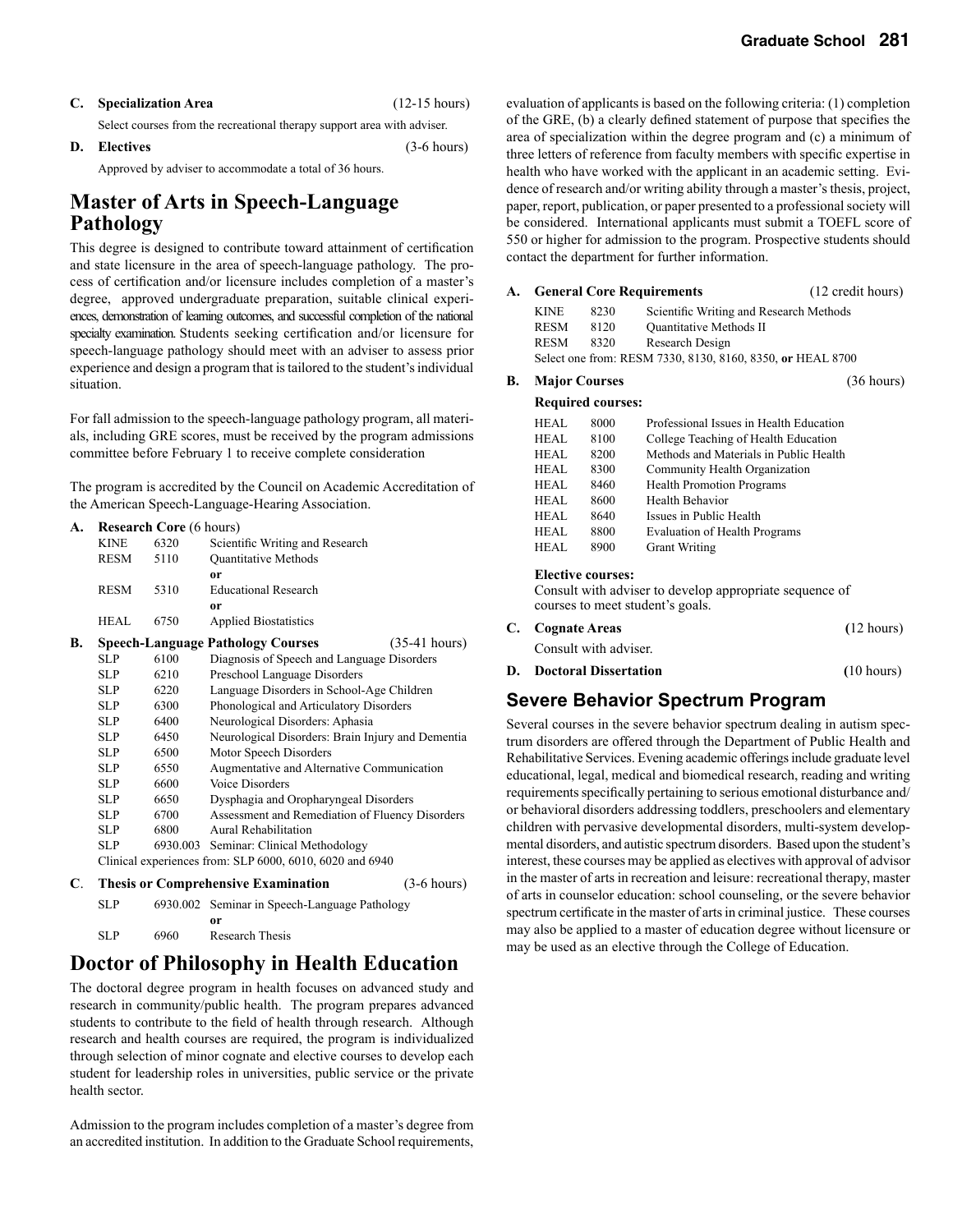| C. | <b>Specialization Area</b> |
|----|----------------------------|
|----|----------------------------|

**C. Specialization Area** (12-15 hours)

Select courses from the recreational therapy support area with adviser.

#### **D. Electives** (3-6 hours) Approved by adviser to accommodate a total of 36 hours.

### **Master of Arts in Speech-Language Pathology**

This degree is designed to contribute toward attainment of certification and state licensure in the area of speech-language pathology. The process of certification and/or licensure includes completion of a master's degree, approved undergraduate preparation, suitable clinical experiences, demonstration of learning outcomes, and successful completion of the national specialty examination. Students seeking certification and/or licensure for speech-language pathology should meet with an adviser to assess prior experience and design a program that is tailored to the student's individual situation.

For fall admission to the speech-language pathology program, all materials, including GRE scores, must be received by the program admissions committee before February 1 to receive complete consideration

The program is accredited by the Council on Academic Accreditation of the American Speech-Language-Hearing Association.

| A. |             | <b>Research Core</b> (6 hours) |                                                          |                       |
|----|-------------|--------------------------------|----------------------------------------------------------|-----------------------|
|    | <b>KINE</b> | 6320                           | Scientific Writing and Research                          |                       |
|    | <b>RESM</b> | 5110                           | Quantitative Methods                                     |                       |
|    |             |                                | 0r                                                       |                       |
|    | <b>RESM</b> | 5310                           | <b>Educational Research</b>                              |                       |
|    |             |                                | <sub>or</sub>                                            |                       |
|    | HEAL        | 6750                           | <b>Applied Biostatistics</b>                             |                       |
| В. |             |                                | <b>Speech-Language Pathology Courses</b>                 | $(35-41)$ hours)      |
|    | SLP         | 6100                           | Diagnosis of Speech and Language Disorders               |                       |
|    | <b>SLP</b>  | 6210                           | Preschool Language Disorders                             |                       |
|    | <b>SLP</b>  | 6220                           | Language Disorders in School-Age Children                |                       |
|    | <b>SLP</b>  | 6300                           | Phonological and Articulatory Disorders                  |                       |
|    | <b>SLP</b>  | 6400                           | Neurological Disorders: Aphasia                          |                       |
|    | <b>SLP</b>  | 6450                           | Neurological Disorders: Brain Injury and Dementia        |                       |
|    | <b>SLP</b>  | 6500                           | Motor Speech Disorders                                   |                       |
|    | <b>SLP</b>  | 6550                           | Augmentative and Alternative Communication               |                       |
|    | SLP.        | 6600                           | <b>Voice Disorders</b>                                   |                       |
|    | <b>SLP</b>  | 6650                           | Dysphagia and Oropharyngeal Disorders                    |                       |
|    | SLP.        | 6700                           | Assessment and Remediation of Fluency Disorders          |                       |
|    | <b>SLP</b>  | 6800                           | Aural Rehabilitation                                     |                       |
|    | <b>SLP</b>  | 6930.003                       | Seminar: Clinical Methodology                            |                       |
|    |             |                                | Clinical experiences from: SLP 6000, 6010, 6020 and 6940 |                       |
| C. |             |                                | <b>Thesis or Comprehensive Examination</b>               | $(3-6 \text{ hours})$ |
|    | <b>SLP</b>  |                                | 6930.002 Seminar in Speech-Language Pathology            |                       |

 **or** SLP 6960 Research Thesis

# **Doctor of Philosophy in Health Education**

The doctoral degree program in health focuses on advanced study and research in community/public health. The program prepares advanced students to contribute to the field of health through research. Although research and health courses are required, the program is individualized through selection of minor cognate and elective courses to develop each student for leadership roles in universities, public service or the private health sector.

Admission to the program includes completion of a master's degree from an accredited institution. In addition to the Graduate School requirements,

evaluation of applicants is based on the following criteria: (1) completion of the GRE, (b) a clearly defined statement of purpose that specifies the area of specialization within the degree program and (c) a minimum of three letters of reference from faculty members with specific expertise in health who have worked with the applicant in an academic setting. Evidence of research and/or writing ability through a master's thesis, project, paper, report, publication, or paper presented to a professional society will be considered. International applicants must submit a TOEFL score of 550 or higher for admission to the program. Prospective students should contact the department for further information.

#### **A. General Core Requirements** (12 credit hours)

| <b>KINE</b> | 8230 | Scientific Writing and Research Methods                    |
|-------------|------|------------------------------------------------------------|
| <b>RESM</b> | 8120 | <b>Ouantitative Methods II</b>                             |
| <b>RESM</b> | 8320 | Research Design                                            |
|             |      | Select one from: RESM 7330, 8130, 8160, 8350, or HEAL 8700 |
|             |      |                                                            |

#### **B. Major Courses** (36 hours)

#### **Required courses:**

| HEAL | 8000 | Professional Issues in Health Education |
|------|------|-----------------------------------------|
| HEAL | 8100 | College Teaching of Health Education    |
| HEAL | 8200 | Methods and Materials in Public Health  |
| HEAL | 8300 | Community Health Organization           |
| HEAL | 8460 | <b>Health Promotion Programs</b>        |
| HEAL | 8600 | Health Behavior                         |
| HEAL | 8640 | Issues in Public Health                 |
| HEAL | 8800 | <b>Evaluation of Health Programs</b>    |
| HEAL | 8900 | <b>Grant Writing</b>                    |
|      |      |                                         |

#### **Elective courses:**

Consult with adviser to develop appropriate sequence of courses to meet student's goals.

|    | C. Cognate Areas             | $(12 \text{ hours})$ |
|----|------------------------------|----------------------|
|    | Consult with adviser.        |                      |
| D. | <b>Doctoral Dissertation</b> | $(10 \text{ hours})$ |

### **Severe Behavior Spectrum Program**

Several courses in the severe behavior spectrum dealing in autism spectrum disorders are offered through the Department of Public Health and Rehabilitative Services. Evening academic offerings include graduate level educational, legal, medical and biomedical research, reading and writing requirements specifically pertaining to serious emotional disturbance and/ or behavioral disorders addressing toddlers, preschoolers and elementary children with pervasive developmental disorders, multi-system developmental disorders, and autistic spectrum disorders. Based upon the student's interest, these courses may be applied as electives with approval of advisor in the master of arts in recreation and leisure: recreational therapy, master of arts in counselor education: school counseling, or the severe behavior spectrum certificate in the master of arts in criminal justice. These courses may also be applied to a master of education degree without licensure or may be used as an elective through the College of Education.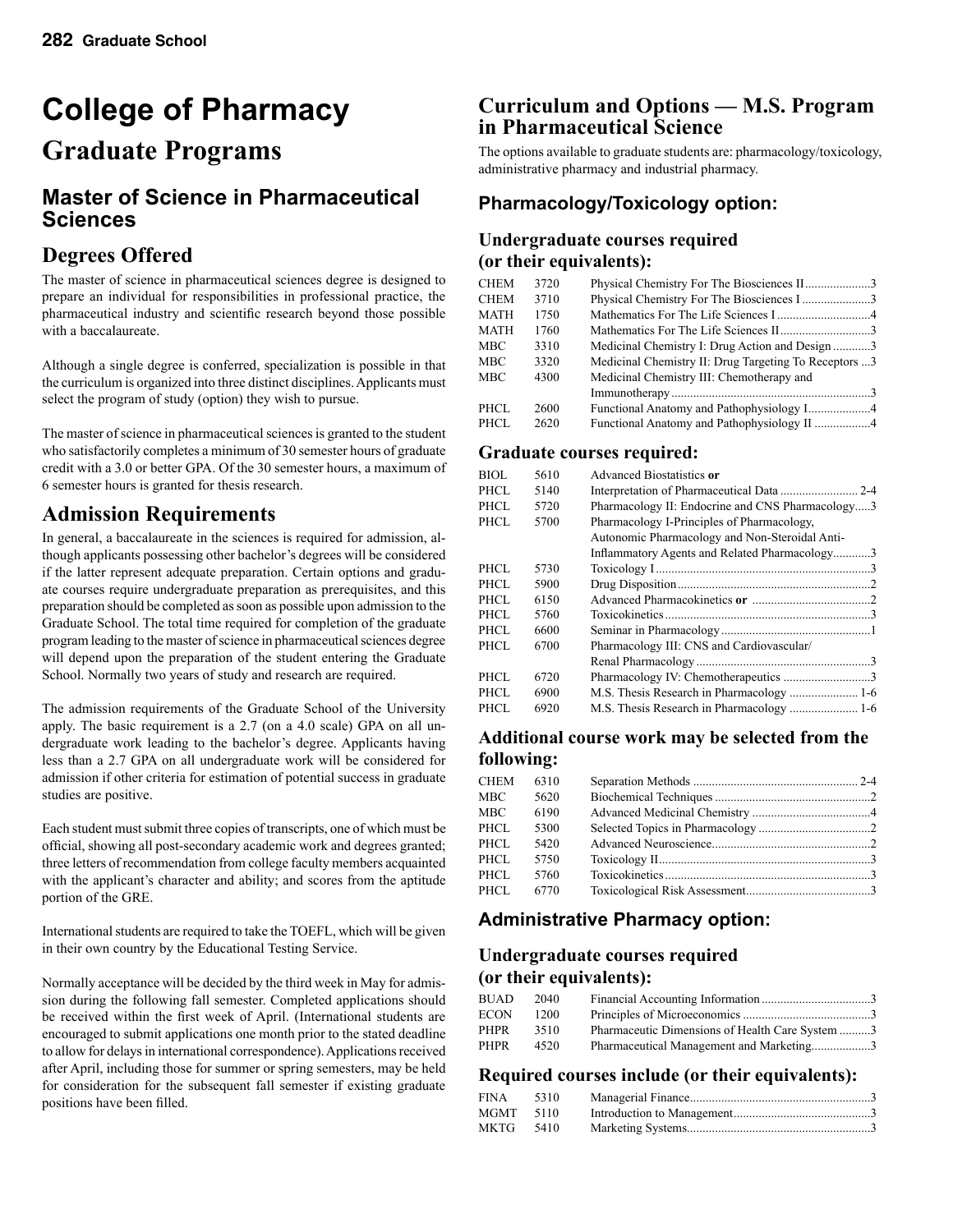# **College of Pharmacy**

# **Graduate Programs**

### **Master of Science in Pharmaceutical Sciences**

### **Degrees Offered**

The master of science in pharmaceutical sciences degree is designed to prepare an individual for responsibilities in professional practice, the pharmaceutical industry and scientific research beyond those possible with a baccalaureate.

Although a single degree is conferred, specialization is possible in that the curriculum is organized into three distinct disciplines. Applicants must select the program of study (option) they wish to pursue.

The master of science in pharmaceutical sciences is granted to the student who satisfactorily completes a minimum of 30 semester hours of graduate credit with a 3.0 or better GPA. Of the 30 semester hours, a maximum of 6 semester hours is granted for thesis research.

### **Admission Requirements**

In general, a baccalaureate in the sciences is required for admission, although applicants possessing other bachelor's degrees will be considered if the latter represent adequate preparation. Certain options and graduate courses require undergraduate preparation as prerequisites, and this preparation should be completed as soon as possible upon admission to the Graduate School. The total time required for completion of the graduate program leading to the master of science in pharmaceutical sciences degree will depend upon the preparation of the student entering the Graduate School. Normally two years of study and research are required.

The admission requirements of the Graduate School of the University apply. The basic requirement is a 2.7 (on a 4.0 scale) GPA on all undergraduate work leading to the bachelor's degree. Applicants having less than a 2.7 GPA on all undergraduate work will be considered for admission if other criteria for estimation of potential success in graduate studies are positive.

Each student must submit three copies of transcripts, one of which must be official, showing all post-secondary academic work and degrees granted; three letters of recommendation from college faculty members acquainted with the applicant's character and ability; and scores from the aptitude portion of the GRE.

International students are required to take the TOEFL, which will be given in their own country by the Educational Testing Service.

Normally acceptance will be decided by the third week in May for admission during the following fall semester. Completed applications should be received within the first week of April. (International students are encouraged to submit applications one month prior to the stated deadline to allow for delays in international correspondence). Applications received after April, including those for summer or spring semesters, may be held for consideration for the subsequent fall semester if existing graduate positions have been filled.

### **Curriculum and Options — M.S. Program in Pharmaceutical Science**

The options available to graduate students are: pharmacology/toxicology, administrative pharmacy and industrial pharmacy.

### **Pharmacology/Toxicology option:**

#### **Undergraduate courses required (or their equivalents):**

| <b>CHEM</b> | 3720 | Physical Chemistry For The Biosciences II3            |  |
|-------------|------|-------------------------------------------------------|--|
| CHEM        | 3710 | Physical Chemistry For The Biosciences I 3            |  |
| MATH        | 1750 |                                                       |  |
| <b>MATH</b> | 1760 |                                                       |  |
| MBC         | 3310 | Medicinal Chemistry I: Drug Action and Design 3       |  |
| MBC         | 3320 | Medicinal Chemistry II: Drug Targeting To Receptors 3 |  |
| MBC         | 4300 | Medicinal Chemistry III: Chemotherapy and             |  |
|             |      |                                                       |  |
| PHCL        | 2600 |                                                       |  |
| PHCL        | 2620 | Functional Anatomy and Pathophysiology II 4           |  |

#### **Graduate courses required:**

|                                                  | 5610<br>Advanced Biostatistics or                  | BIOL  |  |
|--------------------------------------------------|----------------------------------------------------|-------|--|
|                                                  | 5140                                               | PHCL. |  |
| Pharmacology II: Endocrine and CNS Pharmacology3 | 5720                                               | PHCL. |  |
|                                                  | Pharmacology I-Principles of Pharmacology,<br>5700 | PHCL. |  |
| Autonomic Pharmacology and Non-Steroidal Anti-   |                                                    |       |  |
| Inflammatory Agents and Related Pharmacology3    |                                                    |       |  |
|                                                  | 5730                                               | PHCL. |  |
|                                                  | 5900                                               | PHCL. |  |
|                                                  | 6150                                               | PHCL. |  |
|                                                  | 5760                                               | PHCL. |  |
|                                                  | 6600                                               | PHCL. |  |
|                                                  | Pharmacology III: CNS and Cardiovascular/<br>6700  | PHCL  |  |
|                                                  |                                                    |       |  |
|                                                  | 6720                                               | PHCL. |  |
|                                                  | 6900                                               | PHCL. |  |
|                                                  | 6920                                               | PHCL. |  |
|                                                  |                                                    |       |  |

#### **Additional course work may be selected from the following:**

| <b>CHEM</b> | 6310 |  |
|-------------|------|--|
| MBC         | 5620 |  |
| MBC         | 6190 |  |
| PHCL        | 5300 |  |
| PHCL.       | 5420 |  |
| PHCL.       | 5750 |  |
| PHCL        | 5760 |  |
| PHCL.       | 6770 |  |
|             |      |  |

### **Administrative Pharmacy option:**

### **Undergraduate courses required (or their equivalents):**

| <b>BUAD</b> | 2040 |                                                 |  |
|-------------|------|-------------------------------------------------|--|
| ECON        | 1200 |                                                 |  |
| PHPR        | 3510 | Pharmaceutic Dimensions of Health Care System 3 |  |
| PHPR        | 4520 | Pharmaceutical Management and Marketing3        |  |

#### **Required courses include (or their equivalents):**

| FINA 5310   |  |
|-------------|--|
| $MGMT$ 5110 |  |
| MKTG 5410   |  |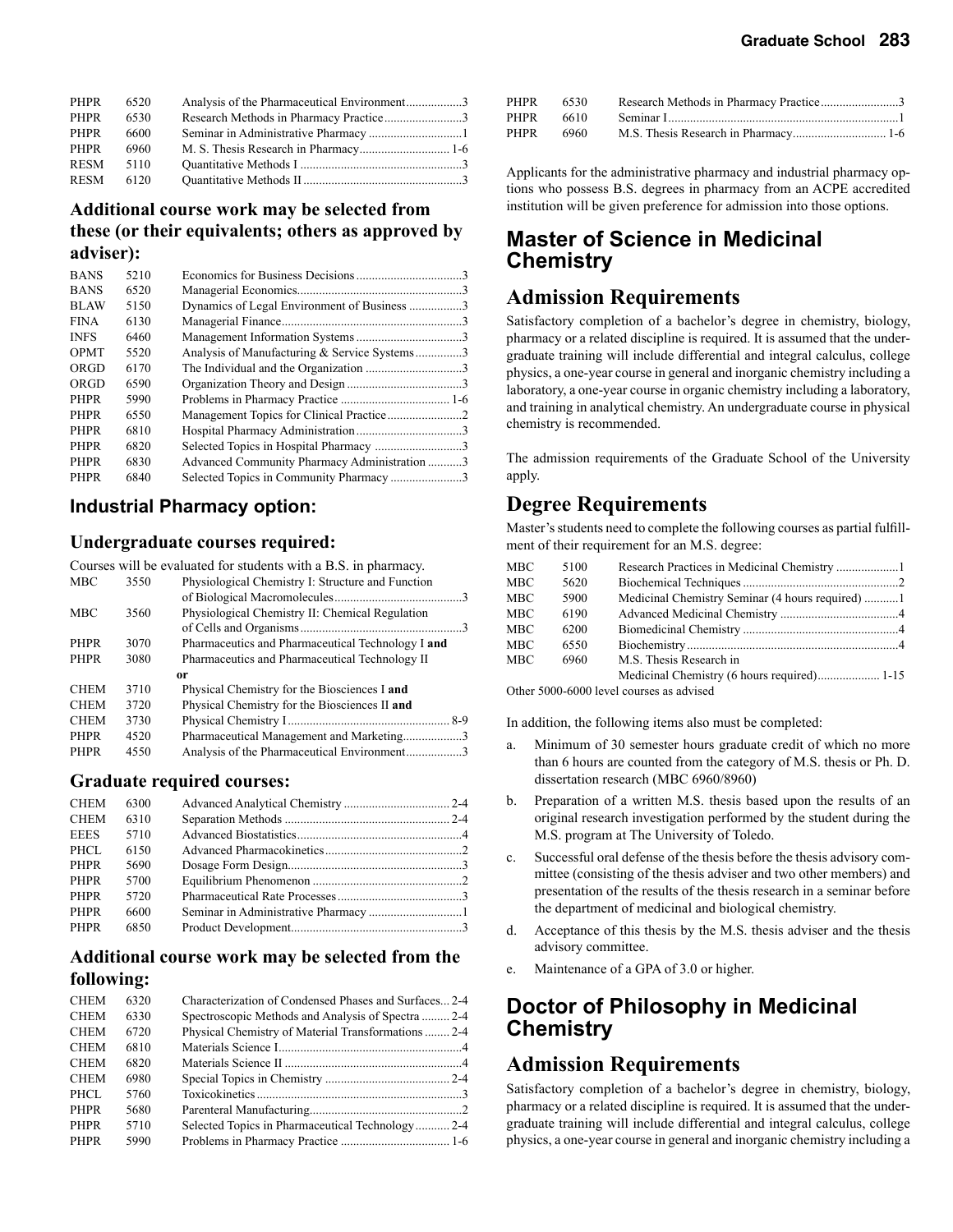| PHPR        | 6520 | Analysis of the Pharmaceutical Environment3 |  |
|-------------|------|---------------------------------------------|--|
| <b>PHPR</b> | 6530 | Research Methods in Pharmacy Practice3      |  |
| PHPR        | 6600 |                                             |  |
| PHPR        | 6960 |                                             |  |
| <b>RESM</b> | 5110 |                                             |  |
| <b>RESM</b> | 6120 |                                             |  |

#### **Additional course work may be selected from these (or their equivalents; others as approved by adviser):**

| <b>BANS</b> | 5210 |                                              |  |
|-------------|------|----------------------------------------------|--|
| <b>BANS</b> | 6520 |                                              |  |
| <b>BLAW</b> | 5150 | Dynamics of Legal Environment of Business 3  |  |
| <b>FINA</b> | 6130 |                                              |  |
| <b>INFS</b> | 6460 |                                              |  |
| <b>OPMT</b> | 5520 | Analysis of Manufacturing & Service Systems3 |  |
| ORGD        | 6170 |                                              |  |
| ORGD        | 6590 |                                              |  |
| <b>PHPR</b> | 5990 |                                              |  |
| <b>PHPR</b> | 6550 |                                              |  |
| <b>PHPR</b> | 6810 |                                              |  |
| <b>PHPR</b> | 6820 |                                              |  |
| <b>PHPR</b> | 6830 | Advanced Community Pharmacy Administration 3 |  |
| <b>PHPR</b> | 6840 | Selected Topics in Community Pharmacy3       |  |
|             |      |                                              |  |

#### **Industrial Pharmacy option:**

#### **Undergraduate courses required:**

Courses will be evaluated for students with a B.S. in pharmacy.

| <b>MBC</b>  | 3550 | Physiological Chemistry I: Structure and Function |  |
|-------------|------|---------------------------------------------------|--|
|             |      |                                                   |  |
| <b>MBC</b>  | 3560 | Physiological Chemistry II: Chemical Regulation   |  |
|             |      |                                                   |  |
| <b>PHPR</b> | 3070 | Pharmaceutics and Pharmaceutical Technology I and |  |
| <b>PHPR</b> | 3080 | Pharmaceutics and Pharmaceutical Technology II    |  |
|             |      | 0r                                                |  |
|             |      |                                                   |  |
| <b>CHEM</b> | 3710 | Physical Chemistry for the Biosciences I and      |  |
| <b>CHEM</b> | 3720 | Physical Chemistry for the Biosciences II and     |  |
| <b>CHEM</b> | 3730 |                                                   |  |
| <b>PHPR</b> | 4520 | Pharmaceutical Management and Marketing3          |  |
| <b>PHPR</b> | 4550 | Analysis of the Pharmaceutical Environment3       |  |

#### **Graduate required courses:**

#### **Additional course work may be selected from the following:**

| <b>CHEM</b> | 6320 | Characterization of Condensed Phases and Surfaces 2-4 |  |
|-------------|------|-------------------------------------------------------|--|
| <b>CHEM</b> | 6330 | Spectroscopic Methods and Analysis of Spectra  2-4    |  |
| <b>CHEM</b> | 6720 | Physical Chemistry of Material Transformations  2-4   |  |
| <b>CHEM</b> | 6810 |                                                       |  |
| <b>CHEM</b> | 6820 |                                                       |  |
| <b>CHEM</b> | 6980 |                                                       |  |
| PHCL.       | 5760 |                                                       |  |
| <b>PHPR</b> | 5680 |                                                       |  |
| <b>PHPR</b> | 5710 | Selected Topics in Pharmaceutical Technology 2-4      |  |
| <b>PHPR</b> | 5990 |                                                       |  |
|             |      |                                                       |  |

|      | PHPR 6530 | Research Methods in Pharmacy Practice3 |  |
|------|-----------|----------------------------------------|--|
|      | PHPR 6610 |                                        |  |
| PHPR | 6960      |                                        |  |

Applicants for the administrative pharmacy and industrial pharmacy options who possess B.S. degrees in pharmacy from an ACPE accredited institution will be given preference for admission into those options.

### **Master of Science in Medicinal Chemistry**

### **Admission Requirements**

Satisfactory completion of a bachelor's degree in chemistry, biology, pharmacy or a related discipline is required. It is assumed that the undergraduate training will include differential and integral calculus, college physics, a one-year course in general and inorganic chemistry including a laboratory, a one-year course in organic chemistry including a laboratory, and training in analytical chemistry. An undergraduate course in physical chemistry is recommended.

The admission requirements of the Graduate School of the University apply.

### **Degree Requirements**

Master's students need to complete the following courses as partial fulfillment of their requirement for an M.S. degree:

| MBC | 5100 |                                        |  |
|-----|------|----------------------------------------|--|
| MBC | 5620 |                                        |  |
| MBC | 5900 |                                        |  |
| MBC | 6190 |                                        |  |
| MBC | 6200 |                                        |  |
| MBC | 6550 |                                        |  |
| MBC | 6960 | M.S. Thesis Research in                |  |
|     |      |                                        |  |
|     |      | $0.1$ $0.006$ $0.0001$ $1 \t1$ $1 \t1$ |  |

Other 5000-6000 level courses as advised

In addition, the following items also must be completed:

- a. Minimum of 30 semester hours graduate credit of which no more than 6 hours are counted from the category of M.S. thesis or Ph. D. dissertation research (MBC 6960/8960)
- b. Preparation of a written M.S. thesis based upon the results of an original research investigation performed by the student during the M.S. program at The University of Toledo.
- c. Successful oral defense of the thesis before the thesis advisory committee (consisting of the thesis adviser and two other members) and presentation of the results of the thesis research in a seminar before the department of medicinal and biological chemistry.
- d. Acceptance of this thesis by the M.S. thesis adviser and the thesis advisory committee.
- e. Maintenance of a GPA of 3.0 or higher.

### **Doctor of Philosophy in Medicinal Chemistry**

### **Admission Requirements**

Satisfactory completion of a bachelor's degree in chemistry, biology, pharmacy or a related discipline is required. It is assumed that the undergraduate training will include differential and integral calculus, college physics, a one-year course in general and inorganic chemistry including a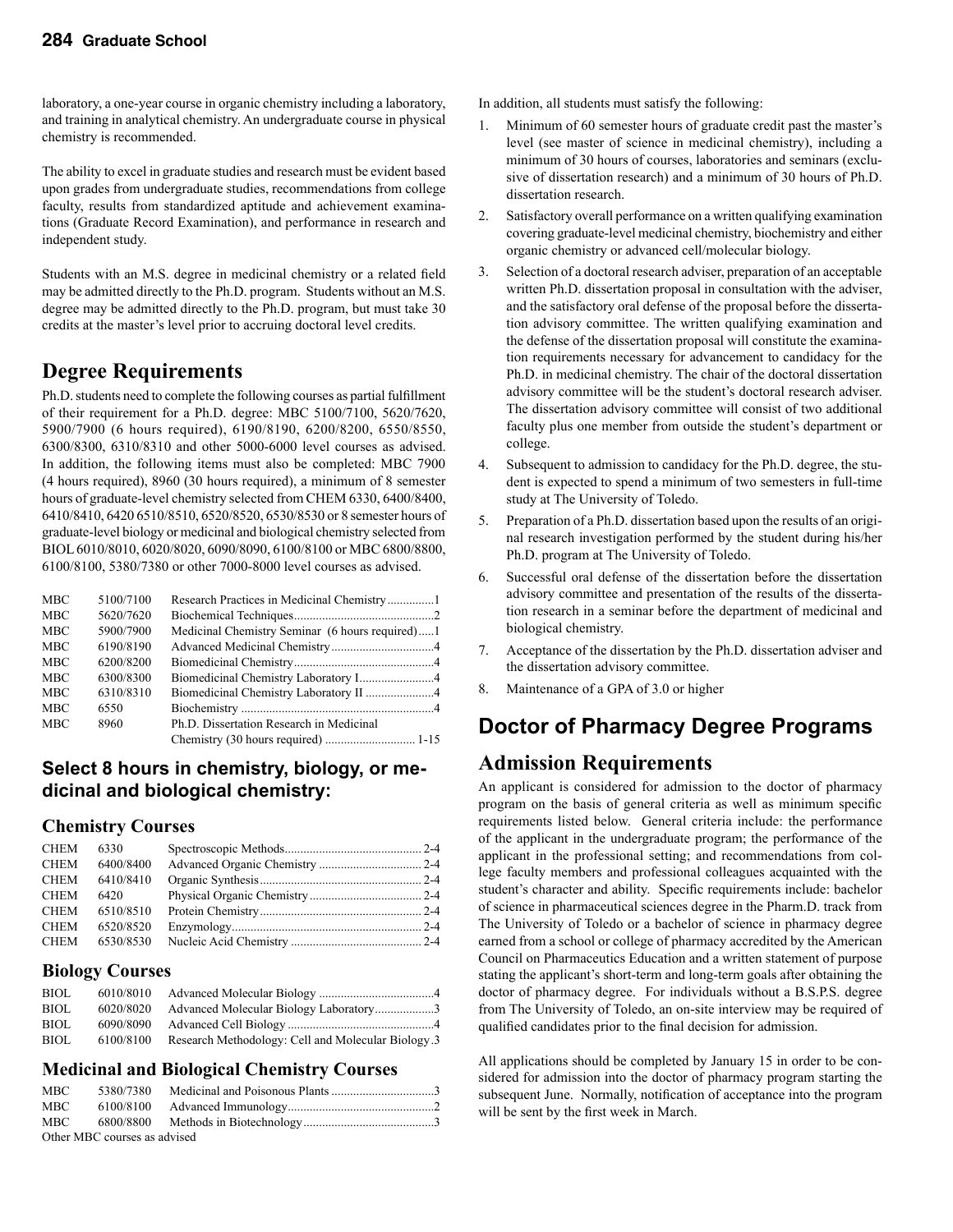laboratory, a one-year course in organic chemistry including a laboratory, and training in analytical chemistry. An undergraduate course in physical chemistry is recommended.

The ability to excel in graduate studies and research must be evident based upon grades from undergraduate studies, recommendations from college faculty, results from standardized aptitude and achievement examinations (Graduate Record Examination), and performance in research and independent study.

Students with an M.S. degree in medicinal chemistry or a related field may be admitted directly to the Ph.D. program. Students without an M.S. degree may be admitted directly to the Ph.D. program, but must take 30 credits at the master's level prior to accruing doctoral level credits.

### **Degree Requirements**

Ph.D. students need to complete the following courses as partial fulfillment of their requirement for a Ph.D. degree: MBC 5100/7100, 5620/7620, 5900/7900 (6 hours required), 6190/8190, 6200/8200, 6550/8550, 6300/8300, 6310/8310 and other 5000-6000 level courses as advised. In addition, the following items must also be completed: MBC 7900 (4 hours required), 8960 (30 hours required), a minimum of 8 semester hours of graduate-level chemistry selected from CHEM 6330, 6400/8400, 6410/8410, 6420 6510/8510, 6520/8520, 6530/8530 or 8 semester hours of graduate-level biology or medicinal and biological chemistry selected from BIOL 6010/8010, 6020/8020, 6090/8090, 6100/8100 or MBC 6800/8800, 6100/8100, 5380/7380 or other 7000-8000 level courses as advised.

| <b>MBC</b> | 5100/7100 |                                                 |  |
|------------|-----------|-------------------------------------------------|--|
| <b>MBC</b> | 5620/7620 |                                                 |  |
| <b>MBC</b> | 5900/7900 | Medicinal Chemistry Seminar (6 hours required)1 |  |
| <b>MBC</b> | 6190/8190 |                                                 |  |
| <b>MBC</b> | 6200/8200 |                                                 |  |
| <b>MBC</b> | 6300/8300 |                                                 |  |
| <b>MBC</b> | 6310/8310 |                                                 |  |
| <b>MBC</b> | 6550      |                                                 |  |
| <b>MBC</b> | 8960      | Ph.D. Dissertation Research in Medicinal        |  |
|            |           |                                                 |  |

### **Select 8 hours in chemistry, biology, or medicinal and biological chemistry:**

#### **Chemistry Courses**

| <b>CHEM</b> | 6330      |  |
|-------------|-----------|--|
| <b>CHEM</b> | 6400/8400 |  |
| CHEM        | 6410/8410 |  |
| <b>CHEM</b> | 6420      |  |
| <b>CHEM</b> | 6510/8510 |  |
| CHEM        | 6520/8520 |  |
| CHEM        | 6530/8530 |  |

#### **Biology Courses**

| <b>BIOL</b> | 6010/8010 |                                                    |
|-------------|-----------|----------------------------------------------------|
| <b>BIOL</b> | 6020/8020 | Advanced Molecular Biology Laboratory3             |
| <b>BIOL</b> | 6090/8090 |                                                    |
| <b>BIOL</b> | 6100/8100 | Research Methodology: Cell and Molecular Biology.3 |

#### **Medicinal and Biological Chemistry Courses**

| MBC                          |  |  |  |  |  |
|------------------------------|--|--|--|--|--|
| MBC                          |  |  |  |  |  |
| MBC <b>MBC</b>               |  |  |  |  |  |
| Other MBC courses as advised |  |  |  |  |  |

In addition, all students must satisfy the following:

- 1. Minimum of 60 semester hours of graduate credit past the master's level (see master of science in medicinal chemistry), including a minimum of 30 hours of courses, laboratories and seminars (exclusive of dissertation research) and a minimum of 30 hours of Ph.D. dissertation research.
- 2. Satisfactory overall performance on a written qualifying examination covering graduate-level medicinal chemistry, biochemistry and either organic chemistry or advanced cell/molecular biology.
- 3. Selection of a doctoral research adviser, preparation of an acceptable written Ph.D. dissertation proposal in consultation with the adviser, and the satisfactory oral defense of the proposal before the dissertation advisory committee. The written qualifying examination and the defense of the dissertation proposal will constitute the examination requirements necessary for advancement to candidacy for the Ph.D. in medicinal chemistry. The chair of the doctoral dissertation advisory committee will be the student's doctoral research adviser. The dissertation advisory committee will consist of two additional faculty plus one member from outside the student's department or college.
- 4. Subsequent to admission to candidacy for the Ph.D. degree, the student is expected to spend a minimum of two semesters in full-time study at The University of Toledo.
- 5. Preparation of a Ph.D. dissertation based upon the results of an original research investigation performed by the student during his/her Ph.D. program at The University of Toledo.
- 6. Successful oral defense of the dissertation before the dissertation advisory committee and presentation of the results of the dissertation research in a seminar before the department of medicinal and biological chemistry.
- 7. Acceptance of the dissertation by the Ph.D. dissertation adviser and the dissertation advisory committee.
- 8. Maintenance of a GPA of 3.0 or higher

# **Doctor of Pharmacy Degree Programs**

### **Admission Requirements**

An applicant is considered for admission to the doctor of pharmacy program on the basis of general criteria as well as minimum specific requirements listed below. General criteria include: the performance of the applicant in the undergraduate program; the performance of the applicant in the professional setting; and recommendations from college faculty members and professional colleagues acquainted with the student's character and ability. Specific requirements include: bachelor of science in pharmaceutical sciences degree in the Pharm.D. track from The University of Toledo or a bachelor of science in pharmacy degree earned from a school or college of pharmacy accredited by the American Council on Pharmaceutics Education and a written statement of purpose stating the applicant's short-term and long-term goals after obtaining the doctor of pharmacy degree. For individuals without a B.S.P.S. degree from The University of Toledo, an on-site interview may be required of qualified candidates prior to the final decision for admission.

All applications should be completed by January 15 in order to be considered for admission into the doctor of pharmacy program starting the subsequent June. Normally, notification of acceptance into the program will be sent by the first week in March.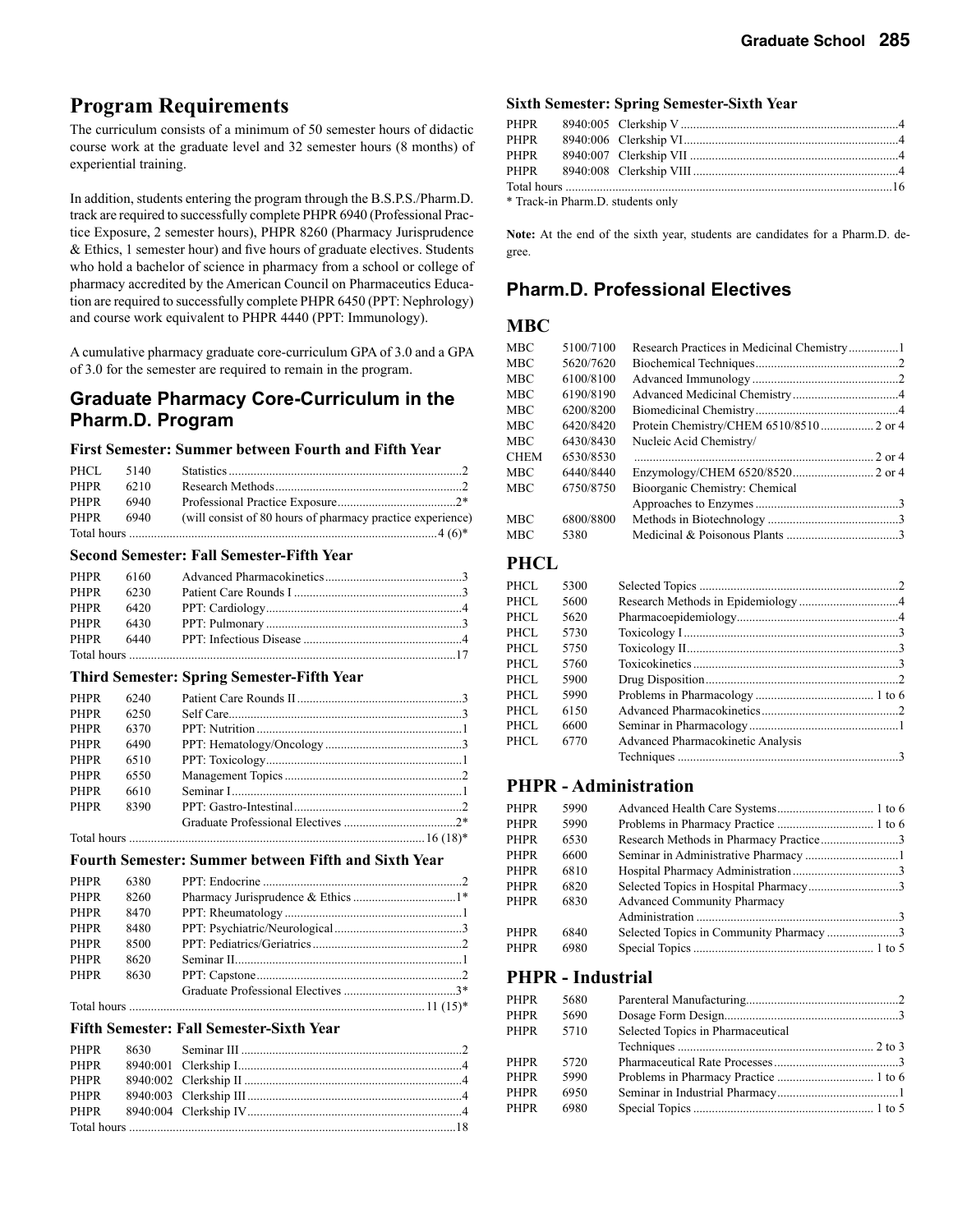### **Program Requirements**

The curriculum consists of a minimum of 50 semester hours of didactic course work at the graduate level and 32 semester hours (8 months) of experiential training.

In addition, students entering the program through the B.S.P.S./Pharm.D. track are required to successfully complete PHPR 6940 (Professional Practice Exposure, 2 semester hours), PHPR 8260 (Pharmacy Jurisprudence & Ethics, 1 semester hour) and five hours of graduate electives. Students who hold a bachelor of science in pharmacy from a school or college of pharmacy accredited by the American Council on Pharmaceutics Education are required to successfully complete PHPR 6450 (PPT: Nephrology) and course work equivalent to PHPR 4440 (PPT: Immunology).

A cumulative pharmacy graduate core-curriculum GPA of 3.0 and a GPA of 3.0 for the semester are required to remain in the program.

### **Graduate Pharmacy Core-Curriculum in the Pharm.D. Program**

#### **First Semester: Summer between Fourth and Fifth Year**

| PHCL | 5140 |                                                            |  |
|------|------|------------------------------------------------------------|--|
| PHPR | 6210 |                                                            |  |
| PHPR | 6940 |                                                            |  |
| PHPR | 6940 | (will consist of 80 hours of pharmacy practice experience) |  |
|      |      |                                                            |  |

#### **Second Semester: Fall Semester-Fifth Year**

| PHPR 6160 |        |  |
|-----------|--------|--|
| PHPR      | - 6230 |  |
| PHPR 6420 |        |  |
| PHPR 6430 |        |  |
| PHPR 6440 |        |  |
|           |        |  |

#### **Third Semester: Spring Semester-Fifth Year**

| <b>PHPR</b> | 6240 |  |
|-------------|------|--|
| <b>PHPR</b> | 6250 |  |
| <b>PHPR</b> | 6370 |  |
| <b>PHPR</b> | 6490 |  |
| <b>PHPR</b> | 6510 |  |
| <b>PHPR</b> | 6550 |  |
| <b>PHPR</b> | 6610 |  |
| <b>PHPR</b> | 8390 |  |
|             |      |  |
|             |      |  |

#### **Fourth Semester: Summer between Fifth and Sixth Year**

| <b>PHPR</b> | 6380 |  |
|-------------|------|--|
| <b>PHPR</b> | 8260 |  |
| <b>PHPR</b> | 8470 |  |
| <b>PHPR</b> | 8480 |  |
| <b>PHPR</b> | 8500 |  |
| <b>PHPR</b> | 8620 |  |
| <b>PHPR</b> | 8630 |  |
|             |      |  |
|             |      |  |

#### **Fifth Semester: Fall Semester-Sixth Year**

| <b>PHPR</b> |  |  |
|-------------|--|--|
| PHPR        |  |  |
| PHPR        |  |  |
| PHPR        |  |  |
|             |  |  |
|             |  |  |

#### **Sixth Semester: Spring Semester-Sixth Year**

| PHPR                              |  |  |  |
|-----------------------------------|--|--|--|
| PHPR                              |  |  |  |
| PHPR                              |  |  |  |
|                                   |  |  |  |
|                                   |  |  |  |
| * Track-in Pharm.D. students only |  |  |  |

**Note:** At the end of the sixth year, students are candidates for a Pharm.D. degree.

#### **Pharm.D. Professional Electives**

#### **MBC**

| MBC  | 5100/7100 |                                |  |
|------|-----------|--------------------------------|--|
| MBC  | 5620/7620 |                                |  |
| MBC  | 6100/8100 |                                |  |
| MBC  | 6190/8190 |                                |  |
| MBC  | 6200/8200 |                                |  |
| MBC  | 6420/8420 |                                |  |
| MBC  | 6430/8430 | Nucleic Acid Chemistry/        |  |
| CHEM | 6530/8530 |                                |  |
| MBC  | 6440/8440 |                                |  |
| MBC  | 6750/8750 | Bioorganic Chemistry: Chemical |  |
|      |           |                                |  |
| MBC  | 6800/8800 |                                |  |
| MBC  | 5380      |                                |  |

#### **PHCL**

| PHCL  | 5300 |                                   |  |
|-------|------|-----------------------------------|--|
| PHCL  | 5600 |                                   |  |
| PHCL. | 5620 |                                   |  |
| PHCL. | 5730 |                                   |  |
| PHCL. | 5750 |                                   |  |
| PHCL. | 5760 |                                   |  |
| PHCL. | 5900 |                                   |  |
| PHCL. | 5990 |                                   |  |
| PHCL. | 6150 |                                   |  |
| PHCL. | 6600 |                                   |  |
| PHCL. | 6770 | Advanced Pharmacokinetic Analysis |  |
|       |      |                                   |  |

#### **PHPR - Administration**

| <b>PHPR</b> | 5990 |                                        |  |
|-------------|------|----------------------------------------|--|
| PHPR        | 5990 |                                        |  |
| PHPR        | 6530 | Research Methods in Pharmacy Practice3 |  |
| PHPR        | 6600 |                                        |  |
| PHPR        | 6810 |                                        |  |
| PHPR        | 6820 | Selected Topics in Hospital Pharmacy3  |  |
| PHPR        | 6830 | <b>Advanced Community Pharmacy</b>     |  |
|             |      |                                        |  |
| PHPR        | 6840 | Selected Topics in Community Pharmacy3 |  |
| <b>PHPR</b> | 6980 |                                        |  |
|             |      |                                        |  |

#### **PHPR - Industrial**

| PHPR        | 5680 |                                   |  |
|-------------|------|-----------------------------------|--|
| PHPR        | 5690 |                                   |  |
| PHPR        | 5710 | Selected Topics in Pharmaceutical |  |
|             |      |                                   |  |
| <b>PHPR</b> | 5720 |                                   |  |
| PHPR        | 5990 |                                   |  |
| PHPR        | 6950 |                                   |  |
| PHPR        | 6980 |                                   |  |
|             |      |                                   |  |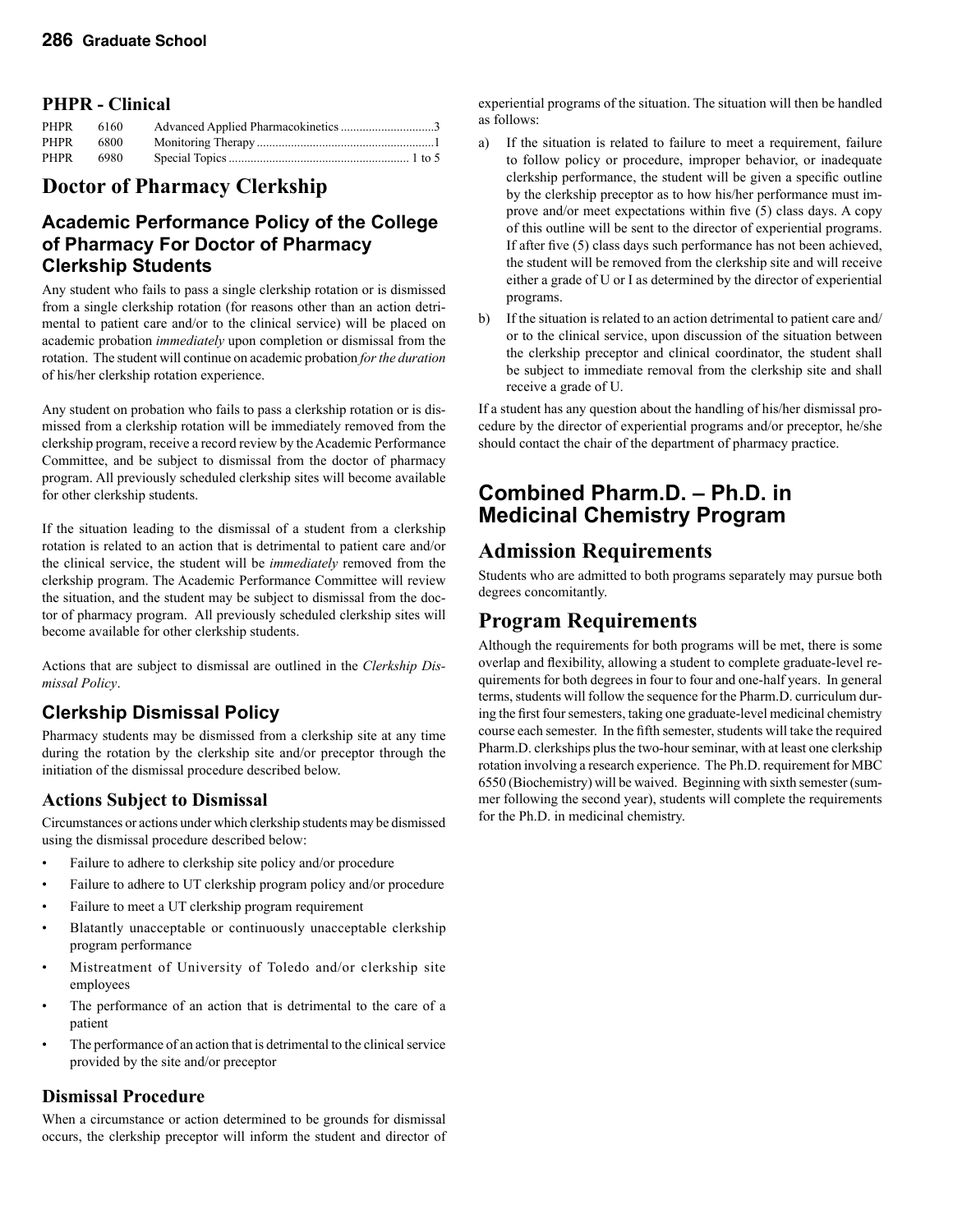#### **PHPR - Clinical**

| <b>PHPR</b> | 6160 |  |
|-------------|------|--|
| <b>PHPR</b> | 6800 |  |
| PHPR        | 6980 |  |

### **Doctor of Pharmacy Clerkship**

### **Academic Performance Policy of the College of Pharmacy For Doctor of Pharmacy Clerkship Students**

Any student who fails to pass a single clerkship rotation or is dismissed from a single clerkship rotation (for reasons other than an action detrimental to patient care and/or to the clinical service) will be placed on academic probation *immediately* upon completion or dismissal from the rotation. The student will continue on academic probation *for the duration* of his/her clerkship rotation experience.

Any student on probation who fails to pass a clerkship rotation or is dismissed from a clerkship rotation will be immediately removed from the clerkship program, receive a record review by the Academic Performance Committee, and be subject to dismissal from the doctor of pharmacy program. All previously scheduled clerkship sites will become available for other clerkship students.

If the situation leading to the dismissal of a student from a clerkship rotation is related to an action that is detrimental to patient care and/or the clinical service, the student will be *immediately* removed from the clerkship program. The Academic Performance Committee will review the situation, and the student may be subject to dismissal from the doctor of pharmacy program. All previously scheduled clerkship sites will become available for other clerkship students.

Actions that are subject to dismissal are outlined in the *Clerkship Dismissal Policy*.

### **Clerkship Dismissal Policy**

Pharmacy students may be dismissed from a clerkship site at any time during the rotation by the clerkship site and/or preceptor through the initiation of the dismissal procedure described below.

#### **Actions Subject to Dismissal**

Circumstances or actions under which clerkship students may be dismissed using the dismissal procedure described below:

- Failure to adhere to clerkship site policy and/or procedure
- Failure to adhere to UT clerkship program policy and/or procedure
- Failure to meet a UT clerkship program requirement
- Blatantly unacceptable or continuously unacceptable clerkship program performance
- Mistreatment of University of Toledo and/or clerkship site employees
- The performance of an action that is detrimental to the care of a patient
- The performance of an action that is detrimental to the clinical service provided by the site and/or preceptor

#### **Dismissal Procedure**

When a circumstance or action determined to be grounds for dismissal occurs, the clerkship preceptor will inform the student and director of

experiential programs of the situation. The situation will then be handled as follows:

- a) If the situation is related to failure to meet a requirement, failure to follow policy or procedure, improper behavior, or inadequate clerkship performance, the student will be given a specific outline by the clerkship preceptor as to how his/her performance must improve and/or meet expectations within five (5) class days. A copy of this outline will be sent to the director of experiential programs. If after five (5) class days such performance has not been achieved, the student will be removed from the clerkship site and will receive either a grade of U or I as determined by the director of experiential programs.
- b) If the situation is related to an action detrimental to patient care and/ or to the clinical service, upon discussion of the situation between the clerkship preceptor and clinical coordinator, the student shall be subject to immediate removal from the clerkship site and shall receive a grade of U.

If a student has any question about the handling of his/her dismissal procedure by the director of experiential programs and/or preceptor, he/she should contact the chair of the department of pharmacy practice.

### **Combined Pharm.D. – Ph.D. in Medicinal Chemistry Program**

### **Admission Requirements**

Students who are admitted to both programs separately may pursue both degrees concomitantly.

### **Program Requirements**

Although the requirements for both programs will be met, there is some overlap and flexibility, allowing a student to complete graduate-level requirements for both degrees in four to four and one-half years. In general terms, students will follow the sequence for the Pharm.D. curriculum during the first four semesters, taking one graduate-level medicinal chemistry course each semester. In the fifth semester, students will take the required Pharm.D. clerkships plus the two-hour seminar, with at least one clerkship rotation involving a research experience. The Ph.D. requirement for MBC 6550 (Biochemistry) will be waived. Beginning with sixth semester (summer following the second year), students will complete the requirements for the Ph.D. in medicinal chemistry.